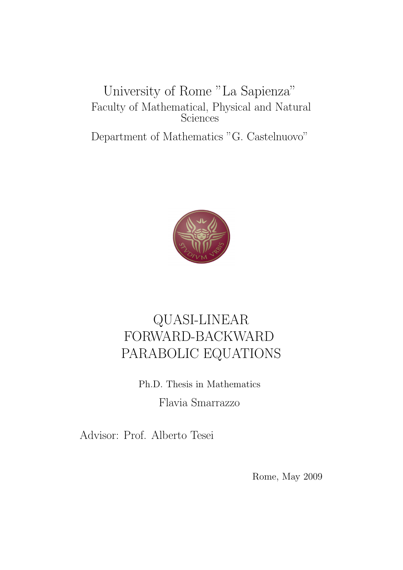## University of Rome "La Sapienza" Faculty of Mathematical, Physical and Natural **Sciences**

Department of Mathematics "G. Castelnuovo"



## QUASI-LINEAR FORWARD-BACKWARD PARABOLIC EQUATIONS

Ph.D. Thesis in Mathematics Flavia Smarrazzo

Advisor: Prof. Alberto Tesei

Rome, May 2009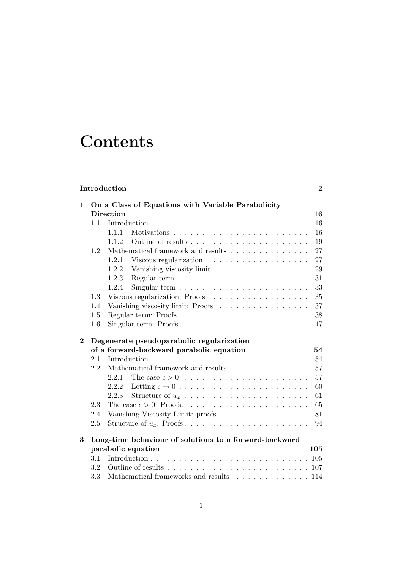# **Contents**

## Introduction 2

| 1        |     | On a Class of Equations with Variable Parabolicity                                      |     |
|----------|-----|-----------------------------------------------------------------------------------------|-----|
|          |     | <b>Direction</b>                                                                        | 16  |
|          | 1.1 |                                                                                         | 16  |
|          |     | 1.1.1                                                                                   | 16  |
|          |     | 1.1.2                                                                                   | 19  |
|          | 1.2 | Mathematical framework and results                                                      | 27  |
|          |     | 1.2.1                                                                                   | 27  |
|          |     | 1.2.2<br>Vanishing viscosity limit                                                      | 29  |
|          |     | 1.2.3                                                                                   | 31  |
|          |     | 1.2.4<br>Singular term $\ldots \ldots \ldots \ldots \ldots \ldots \ldots$               | 33  |
|          | 1.3 | Viscous regularization: Proofs                                                          | 35  |
|          | 1.4 | Vanishing viscosity limit: Proofs                                                       | 37  |
|          | 1.5 | Regular term: Proofs                                                                    | 38  |
|          | 1.6 | Singular term: Proofs $\ldots \ldots \ldots \ldots \ldots \ldots \ldots$                | 47  |
| $\bf{2}$ |     | Degenerate pseudoparabolic regularization                                               |     |
|          |     | of a forward-backward parabolic equation                                                | 54  |
|          | 2.1 |                                                                                         | 54  |
|          | 2.2 | Mathematical framework and results                                                      | 57  |
|          |     | 2.2.1                                                                                   | 57  |
|          |     | 2.2.2                                                                                   | 60  |
|          |     | 2.2.3                                                                                   | 61  |
|          | 2.3 |                                                                                         | 65  |
|          | 2.4 | Vanishing Viscosity Limit: proofs                                                       | 81  |
|          | 2.5 |                                                                                         | 94  |
|          |     |                                                                                         |     |
| 3        |     | Long-time behaviour of solutions to a forward-backward                                  |     |
|          |     | parabolic equation                                                                      | 105 |
|          | 3.1 |                                                                                         |     |
|          | 3.2 | Outline of results $\ldots \ldots \ldots \ldots \ldots \ldots \ldots \ldots \ldots 107$ |     |
|          | 3.3 | Mathematical frameworks and results 114                                                 |     |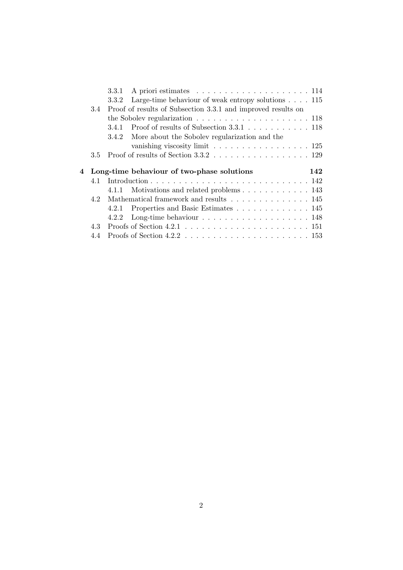|     | 3.3.1 A priori estimates $\ldots \ldots \ldots \ldots \ldots \ldots \ldots 114$   |  |
|-----|-----------------------------------------------------------------------------------|--|
|     | 3.3.2 Large-time behaviour of weak entropy solutions $\ldots$ 115                 |  |
| 3.4 | Proof of results of Subsection 3.3.1 and improved results on                      |  |
|     | the Sobolev regularization $\ldots \ldots \ldots \ldots \ldots \ldots \ldots 118$ |  |
|     |                                                                                   |  |
|     | 3.4.2 More about the Sobolev regularization and the                               |  |
|     | vanishing viscosity limit $\ldots \ldots \ldots \ldots \ldots \ldots 125$         |  |
|     |                                                                                   |  |
| 3.5 |                                                                                   |  |
|     |                                                                                   |  |
|     | 4 Long-time behaviour of two-phase solutions<br>142                               |  |
| 4.1 |                                                                                   |  |
|     | 4.1.1 Motivations and related problems 143                                        |  |
| 42  | Mathematical framework and results 145                                            |  |
|     | 4.2.1 Properties and Basic Estimates 145                                          |  |
|     |                                                                                   |  |
| 4.3 |                                                                                   |  |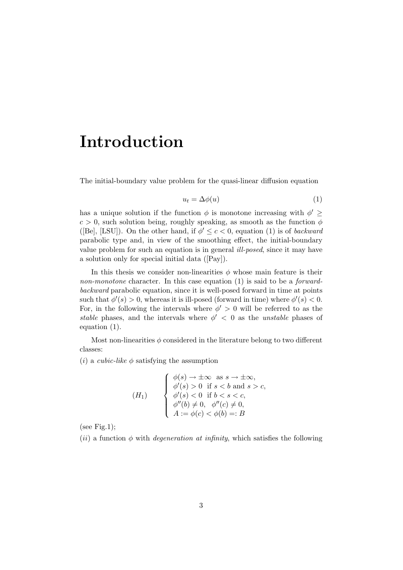## Introduction

The initial-boundary value problem for the quasi-linear diffusion equation

$$
u_t = \Delta \phi(u) \tag{1}
$$

has a unique solution if the function  $\phi$  is monotone increasing with  $\phi' \geq$  $c > 0$ , such solution being, roughly speaking, as smooth as the function  $\phi$ ([Be], [LSU]). On the other hand, if  $\phi' \leq c < 0$ , equation (1) is of *backward* parabolic type and, in view of the smoothing effect, the initial-boundary value problem for such an equation is in general ill-posed, since it may have a solution only for special initial data ([Pay]).

In this thesis we consider non-linearities  $\phi$  whose main feature is their non-monotone character. In this case equation (1) is said to be a *forward*backward parabolic equation, since it is well-posed forward in time at points such that  $\phi'(s) > 0$ , whereas it is ill-posed (forward in time) where  $\phi'(s) < 0$ . For, in the following the intervals where  $\phi' > 0$  will be referred to as the stable phases, and the intervals where  $\phi' < 0$  as the *unstable* phases of equation (1).

Most non-linearities  $\phi$  considered in the literature belong to two different classes:

(*i*) a *cubic-like*  $\phi$  satisfying the assumption

(H<sub>1</sub>)  

$$
\begin{cases}\n\phi(s) \to \pm \infty \text{ as } s \to \pm \infty, \\
\phi'(s) > 0 \text{ if } s < b \text{ and } s > c, \\
\phi'(s) < 0 \text{ if } b < s < c, \\
\phi''(b) \neq 0, \phi''(c) \neq 0, \\
A := \phi(c) < \phi(b) =: B\n\end{cases}
$$

(see Fig.1);

(ii) a function  $\phi$  with *degeneration at infinity*, which satisfies the following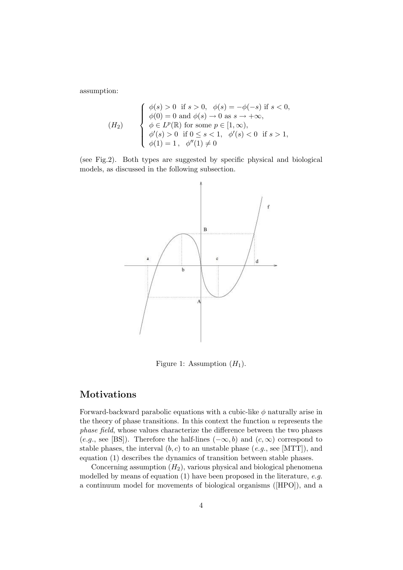assumption:

$$
(H_2) \quad \begin{cases} \phi(s) > 0 & \text{if } s > 0, \ \phi(s) = -\phi(-s) & \text{if } s < 0, \\ \phi(0) = 0 & \text{and } \phi(s) \to 0 \text{ as } s \to +\infty, \\ \phi \in L^p(\mathbb{R}) & \text{for some } p \in [1, \infty), \\ \phi'(s) > 0 & \text{if } 0 \le s < 1, \ \phi'(s) < 0 & \text{if } s > 1, \\ \phi(1) = 1, \ \phi''(1) \neq 0 & \end{cases}
$$

(see Fig.2). Both types are suggested by specific physical and biological models, as discussed in the following subsection.



Figure 1: Assumption  $(H_1)$ .

### Motivations

Forward-backward parabolic equations with a cubic-like  $\phi$  naturally arise in the theory of phase transitions. In this context the function  $u$  represents the phase field, whose values characterize the difference between the two phases (e.g., see [BS]). Therefore the half-lines  $(-\infty, b)$  and  $(c, \infty)$  correspond to stable phases, the interval  $(b, c)$  to an unstable phase  $(e.g.,\text{ see }[MTT])$ , and equation (1) describes the dynamics of transition between stable phases.

Concerning assumption  $(H_2)$ , various physical and biological phenomena modelled by means of equation (1) have been proposed in the literature, e.g. a continuum model for movements of biological organisms ([HPO]), and a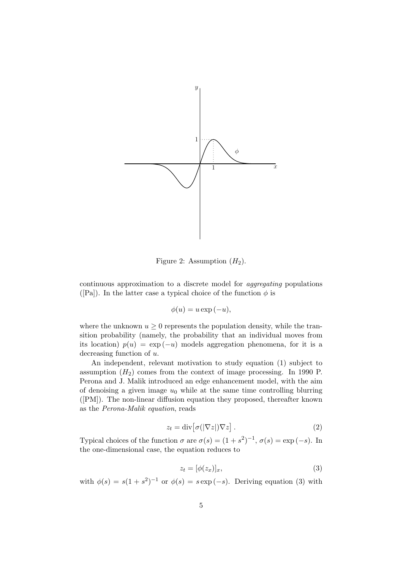

Figure 2: Assumption  $(H_2)$ .

continuous approximation to a discrete model for aggregating populations ([Pa]). In the latter case a typical choice of the function  $\phi$  is

$$
\phi(u) = u \exp(-u),
$$

where the unknown  $u \geq 0$  represents the population density, while the transition probability (namely, the probability that an individual moves from its location)  $p(u) = \exp(-u)$  models aggregation phenomena, for it is a decreasing function of u.

An independent, relevant motivation to study equation (1) subject to assumption  $(H_2)$  comes from the context of image processing. In 1990 P. Perona and J. Malik introduced an edge enhancement model, with the aim of denoising a given image  $u_0$  while at the same time controlling blurring ([PM]). The non-linear diffusion equation they proposed, thereafter known as the Perona-Malik equation, reads

$$
z_t = \operatorname{div} \left[ \sigma(|\nabla z|) \nabla z \right]. \tag{2}
$$

Typical choices of the function  $\sigma$  are  $\sigma(s) = (1 + s^2)^{-1}$ ,  $\sigma(s) = \exp(-s)$ . In the one-dimensional case, the equation reduces to

$$
z_t = [\phi(z_x)]_x,\tag{3}
$$

with  $\phi(s) = s(1+s^2)^{-1}$  or  $\phi(s) = s \exp(-s)$ . Deriving equation (3) with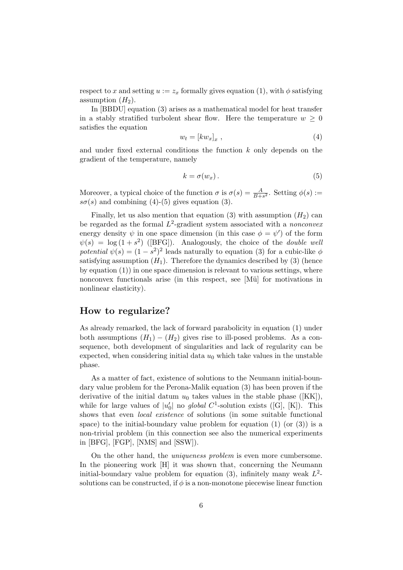respect to x and setting  $u := z_x$  formally gives equation (1), with  $\phi$  satisfying assumption  $(H_2)$ .

In [BBDU] equation (3) arises as a mathematical model for heat transfer in a stably stratified turbolent shear flow. Here the temperature  $w \geq 0$ satisfies the equation

$$
w_t = [kw_x]_x , \t\t(4)
$$

and under fixed external conditions the function k only depends on the gradient of the temperature, namely

$$
k = \sigma(w_x). \tag{5}
$$

Moreover, a typical choice of the function  $\sigma$  is  $\sigma(s) = \frac{A}{B+s^2}$ . Setting  $\phi(s) :=$  $s\sigma(s)$  and combining (4)-(5) gives equation (3).

Finally, let us also mention that equation (3) with assumption  $(H_2)$  can be regarded as the formal  $L^2$ -gradient system associated with a *nonconvex* energy density  $\psi$  in one space dimension (in this case  $\phi = \psi'$ ) of the form  $\psi(s) = \log(1+s^2)$  ([BFG]). Analogously, the choice of the *double well* potential  $\psi(s) = (1 - s^2)^2$  leads naturally to equation (3) for a cubic-like  $\phi$ satisfying assumption  $(H_1)$ . Therefore the dynamics described by (3) (hence by equation (1)) in one space dimension is relevant to various settings, where nonconvex functionals arise (in this respect, see [Mü] for motivations in nonlinear elasticity).

### How to regularize?

As already remarked, the lack of forward parabolicity in equation (1) under both assumptions  $(H_1) - (H_2)$  gives rise to ill-posed problems. As a consequence, both development of singularities and lack of regularity can be expected, when considering initial data  $u_0$  which take values in the unstable phase.

As a matter of fact, existence of solutions to the Neumann initial-boundary value problem for the Perona-Malik equation (3) has been proven if the derivative of the initial datum  $u_0$  takes values in the stable phase ([KK]), while for large values of  $|u'_0|$  no global  $C^1$ -solution exists ([G], [K]). This shows that even local existence of solutions (in some suitable functional space) to the initial-boundary value problem for equation  $(1)$  (or  $(3)$ ) is a non-trivial problem (in this connection see also the numerical experiments in [BFG], [FGP], [NMS] and [SSW]).

On the other hand, the uniqueness problem is even more cumbersome. In the pioneering work [H] it was shown that, concerning the Neumann initial-boundary value problem for equation (3), infinitely many weak  $L^2$ solutions can be constructed, if  $\phi$  is a non-monotone piecewise linear function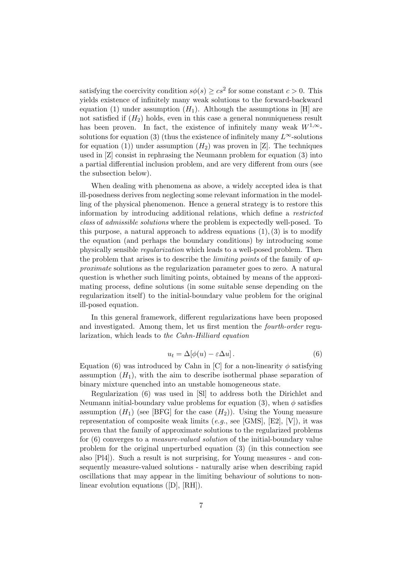satisfying the coercivity condition  $s\phi(s) \geq cs^2$  for some constant  $c > 0$ . This yields existence of infinitely many weak solutions to the forward-backward equation (1) under assumption  $(H_1)$ . Although the assumptions in [H] are not satisfied if  $(H_2)$  holds, even in this case a general nonuniqueness result has been proven. In fact, the existence of infinitely many weak  $W^{1,\infty}$ . solutions for equation (3) (thus the existence of infinitely many  $L^{\infty}$ -solutions for equation (1)) under assumption  $(H_2)$  was proven in [Z]. The techniques used in [Z] consist in rephrasing the Neumann problem for equation (3) into a partial differential inclusion problem, and are very different from ours (see the subsection below).

When dealing with phenomena as above, a widely accepted idea is that ill-posedness derives from neglecting some relevant information in the modelling of the physical phenomenon. Hence a general strategy is to restore this information by introducing additional relations, which define a restricted class of admissible solutions where the problem is expectedly well-posed. To this purpose, a natural approach to address equations  $(1), (3)$  is to modify the equation (and perhaps the boundary conditions) by introducing some physically sensible regularization which leads to a well-posed problem. Then the problem that arises is to describe the limiting points of the family of approximate solutions as the regularization parameter goes to zero. A natural question is whether such limiting points, obtained by means of the approximating process, define solutions (in some suitable sense depending on the regularization itself) to the initial-boundary value problem for the original ill-posed equation.

In this general framework, different regularizations have been proposed and investigated. Among them, let us first mention the fourth-order regularization, which leads to the Cahn-Hilliard equation

$$
u_t = \Delta[\phi(u) - \varepsilon \Delta u]. \tag{6}
$$

Equation (6) was introduced by Cahn in [C] for a non-linearity  $\phi$  satisfying assumption  $(H_1)$ , with the aim to describe isothermal phase separation of binary mixture quenched into an unstable homogeneous state.

Regularization (6) was used in [Sl] to address both the Dirichlet and Neumann initial-boundary value problems for equation (3), when  $\phi$  satisfies assumption  $(H_1)$  (see [BFG] for the case  $(H_2)$ ). Using the Young measure representation of composite weak limits (e.g., see [GMS], [E2], [V]), it was proven that the family of approximate solutions to the regularized problems for (6) converges to a measure-valued solution of the initial-boundary value problem for the original unperturbed equation (3) (in this connection see also [Pl4]). Such a result is not surprising, for Young measures - and consequently measure-valued solutions - naturally arise when describing rapid oscillations that may appear in the limiting behaviour of solutions to nonlinear evolution equations ([D], [RH]).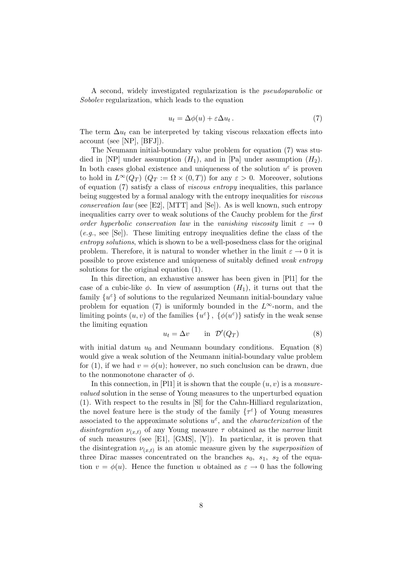A second, widely investigated regularization is the pseudoparabolic or Sobolev regularization, which leads to the equation

$$
u_t = \Delta \phi(u) + \varepsilon \Delta u_t. \tag{7}
$$

The term  $\Delta u_t$  can be interpreted by taking viscous relaxation effects into account (see [NP], [BFJ]).

The Neumann initial-boundary value problem for equation (7) was studied in [NP] under assumption  $(H_1)$ , and in [Pa] under assumption  $(H_2)$ . In both cases global existence and uniqueness of the solution  $u^{\varepsilon}$  is proven to hold in  $L^{\infty}(Q_T)$   $(Q_T := \Omega \times (0,T))$  for any  $\varepsilon > 0$ . Moreover, solutions of equation (7) satisfy a class of viscous entropy inequalities, this parlance being suggested by a formal analogy with the entropy inequalities for *viscous* conservation law (see [E2], [MTT] and [Se]). As is well known, such entropy inequalities carry over to weak solutions of the Cauchy problem for the first order hyperbolic conservation law in the vanishing viscosity limit  $\varepsilon \to 0$  $(e.g., \text{ see } [\text{Se}]).$  These limiting entropy inequalities define the class of the entropy solutions, which is shown to be a well-posedness class for the original problem. Therefore, it is natural to wonder whether in the limit  $\varepsilon \to 0$  it is possible to prove existence and uniqueness of suitably defined weak entropy solutions for the original equation (1).

In this direction, an exhaustive answer has been given in [Pl1] for the case of a cubic-like  $\phi$ . In view of assumption  $(H_1)$ , it turns out that the family $\{u^\varepsilon\}$  of solutions to the regularized Neumann initial-boundary value problem for equation (7) is uniformly bounded in the  $L^{\infty}$ -norm, and the limiting points  $(u, v)$  of the families  $\{u^{\varepsilon}\}, \{\phi(u^{\varepsilon})\}$  satisfy in the weak sense the limiting equation

$$
u_t = \Delta v \qquad \text{in} \quad \mathcal{D}'(Q_T) \tag{8}
$$

with initial datum  $u_0$  and Neumann boundary conditions. Equation (8) would give a weak solution of the Neumann initial-boundary value problem for (1), if we had  $v = \phi(u)$ ; however, no such conclusion can be drawn, due to the nonmonotone character of  $\phi$ .

In this connection, in [Pl1] it is shown that the couple  $(u, v)$  is a measurevalued solution in the sense of Young measures to the unperturbed equation (1). With respect to the results in [Sl] for the Cahn-Hilliard regularization, the novel feature here is the study of the family  $\{\tau^\varepsilon\}$  of Young measures associated to the approximate solutions  $u^{\varepsilon}$ , and the *characterization* of the disintegration  $\nu_{(x,t)}$  of any Young measure  $\tau$  obtained as the narrow limit of such measures (see [E1], [GMS], [V]). In particular, it is proven that the disintegration  $\nu_{(x,t)}$  is an atomic measure given by the *superposition* of three Dirac masses concentrated on the branches  $s_0$ ,  $s_1$ ,  $s_2$  of the equation  $v = \phi(u)$ . Hence the function u obtained as  $\varepsilon \to 0$  has the following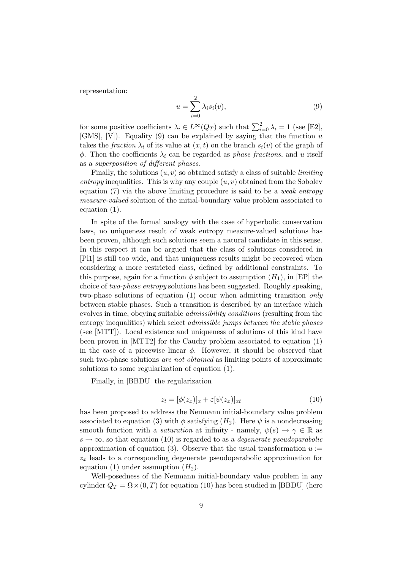representation:

$$
u = \sum_{i=0}^{2} \lambda_i s_i(v), \tag{9}
$$

for some positive coefficients  $\lambda_i \in L^{\infty}(Q_T)$  such that  $\sum_{i=0}^{2} \lambda_i = 1$  (see [E2], [GMS], [V]). Equality (9) can be explained by saying that the function  $u$ takes the *fraction*  $\lambda_i$  of its value at  $(x, t)$  on the branch  $s_i(v)$  of the graph of  $\phi$ . Then the coefficients  $\lambda_i$  can be regarded as *phase fractions*, and u itself as a superposition of different phases.

Finally, the solutions  $(u, v)$  so obtained satisfy a class of suitable *limiting* entropy inequalities. This is why any couple  $(u, v)$  obtained from the Sobolev equation  $(7)$  via the above limiting procedure is said to be a *weak entropy* measure-valued solution of the initial-boundary value problem associated to equation (1).

In spite of the formal analogy with the case of hyperbolic conservation laws, no uniqueness result of weak entropy measure-valued solutions has been proven, although such solutions seem a natural candidate in this sense. In this respect it can be argued that the class of solutions considered in [Pl1] is still too wide, and that uniqueness results might be recovered when considering a more restricted class, defined by additional constraints. To this purpose, again for a function  $\phi$  subject to assumption  $(H_1)$ , in [EP] the choice of two-phase entropy solutions has been suggested. Roughly speaking, two-phase solutions of equation (1) occur when admitting transition only between stable phases. Such a transition is described by an interface which evolves in time, obeying suitable admissibility conditions (resulting from the entropy inequalities) which select admissible jumps between the stable phases (see [MTT]). Local existence and uniqueness of solutions of this kind have been proven in [MTT2] for the Cauchy problem associated to equation (1) in the case of a piecewise linear  $\phi$ . However, it should be observed that such two-phase solutions *are not obtained* as limiting points of approximate solutions to some regularization of equation (1).

Finally, in [BBDU] the regularization

$$
z_t = [\phi(z_x)]_x + \varepsilon[\psi(z_x)]_{xt} \tag{10}
$$

has been proposed to address the Neumann initial-boundary value problem associated to equation (3) with  $\phi$  satisfying  $(H_2)$ . Here  $\psi$  is a nondecreasing smooth function with a *saturation* at infinity - namely,  $\psi(s) \to \gamma \in \mathbb{R}$  as  $s \to \infty$ , so that equation (10) is regarded to as a *degenerate pseudoparabolic* approximation of equation (3). Observe that the usual transformation  $u :=$  $z_x$  leads to a corresponding degenerate pseudoparabolic approximation for equation (1) under assumption  $(H_2)$ .

Well-posedness of the Neumann initial-boundary value problem in any cylinder  $Q_T = \Omega \times (0, T)$  for equation (10) has been studied in [BBDU] (here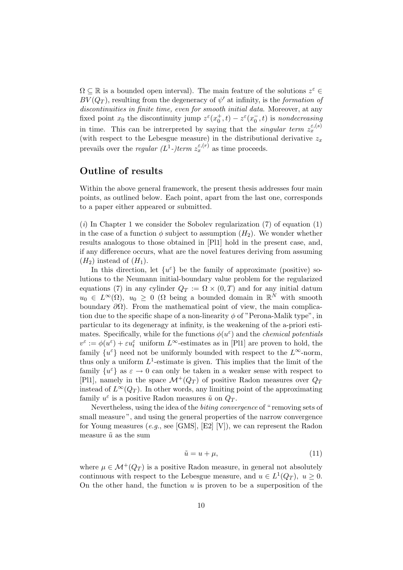$\Omega \subseteq \mathbb{R}$  is a bounded open interval). The main feature of the solutions  $z^{\varepsilon} \in$  $BV(Q_T)$ , resulting from the degeneracy of  $\psi'$  at infinity, is the formation of discontinuities in finite time, even for smooth initial data. Moreover, at any fixed point  $x_0$  the discontinuity jump  $z^{\varepsilon}(x_0^+, t) - z^{\varepsilon}(x_0^-, t)$  is nondecreasing in time. This can be intrerpreted by saying that the *singular term*  $z_x^{\varepsilon,(s)}$ (with respect to the Lebesgue measure) in the distributional derivative  $z<sub>r</sub>$ prevails over the *regular* ( $L^1$ -)term  $z_x^{\varepsilon,(r)}$  as time proceeds.

## Outline of results

Within the above general framework, the present thesis addresses four main points, as outlined below. Each point, apart from the last one, corresponds to a paper either appeared or submitted.

 $(i)$  In Chapter 1 we consider the Sobolev regularization  $(7)$  of equation  $(1)$ in the case of a function  $\phi$  subject to assumption  $(H_2)$ . We wonder whether results analogous to those obtained in [Pl1] hold in the present case, and, if any difference occurs, what are the novel features deriving from assuming  $(H_2)$  instead of  $(H_1)$ .

In this direction, let  $\{u^{\varepsilon}\}\)$  be the family of approximate (positive) solutions to the Neumann initial-boundary value problem for the regularized equations (7) in any cylinder  $Q_T := \Omega \times (0,T)$  and for any initial datum  $u_0 \in L^{\infty}(\Omega)$ ,  $u_0 \geq 0$  ( $\Omega$  being a bounded domain in  $\mathbb{R}^N$  with smooth boundary  $\partial\Omega$ ). From the mathematical point of view, the main complication due to the specific shape of a non-linearity  $\phi$  of "Perona-Malik type", in particular to its degeneragy at infinity, is the weakening of the a-priori estimates. Specifically, while for the functions  $\phi(u^{\varepsilon})$  and the *chemical potentials*  $v^{\varepsilon} := \phi(u^{\varepsilon}) + \varepsilon u_t^{\varepsilon}$  uniform  $L^{\infty}$ -estimates as in [Pl1] are proven to hold, the family  $\{u^{\varepsilon}\}\)$  need not be uniformly bounded with respect to the  $L^{\infty}$ -norm, thus only a uniform  $L^1$ -estimate is given. This implies that the limit of the family  $\{u^{\varepsilon}\}\$ as  $\varepsilon \to 0$  can only be taken in a weaker sense with respect to [Pl1], namely in the space  $\mathcal{M}^+(Q_T)$  of positive Radon measures over  $Q_T$ instead of  $L^{\infty}(Q_T)$ . In other words, any limiting point of the approximating family  $u^{\varepsilon}$  is a positive Radon measures  $\tilde{u}$  on  $Q_T$ .

Nevertheless, using the idea of the biting convergence of " removing sets of small measure", and using the general properties of the narrow convergence for Young measures (e.g., see [GMS], [E2] [V]), we can represent the Radon measure  $\tilde{u}$  as the sum

$$
\tilde{u} = u + \mu,\tag{11}
$$

where  $\mu \in \mathcal{M}^+(Q_T)$  is a positive Radon measure, in general not absolutely continuous with respect to the Lebesgue measure, and  $u \in L^1(Q_T)$ ,  $u \ge 0$ . On the other hand, the function  $u$  is proven to be a superposition of the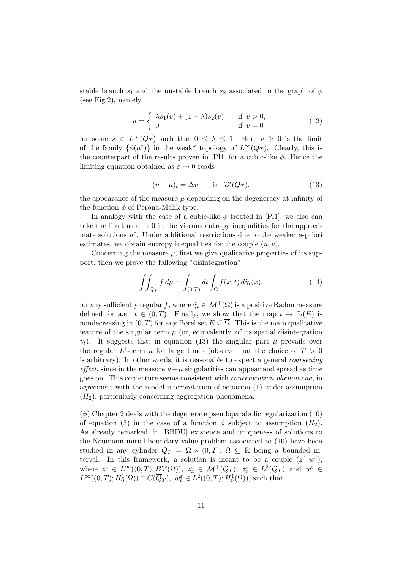stable branch  $s_1$  and the unstable branch  $s_2$  associated to the graph of  $\phi$ (see Fig.2), namely

$$
u = \begin{cases} \lambda s_1(v) + (1 - \lambda)s_2(v) & \text{if } v > 0, \\ 0 & \text{if } v = 0 \end{cases}
$$
 (12)

for some  $\lambda \in L^{\infty}(Q_T)$  such that  $0 \leq \lambda \leq 1$ . Here  $v \geq 0$  is the limit of the family  $\{\phi(u^{\varepsilon})\}$  in the weak\* topology of  $L^{\infty}(Q_T)$ . Clearly, this is the counterpart of the results proven in [Pl1] for a cubic-like  $\phi$ . Hence the limiting equation obtained as  $\varepsilon \to 0$  reads

$$
(u + \mu)_t = \Delta v \qquad \text{in } \mathcal{D}'(Q_T), \tag{13}
$$

the appearance of the measure  $\mu$  depending on the degeneracy at infinity of the function  $\phi$  of Perona-Malik type.

In analogy with the case of a cubic-like  $\phi$  treated in [Pl1], we also can take the limit as  $\varepsilon \to 0$  in the viscous entropy inequalities for the approximate solutions  $u^{\varepsilon}$ . Under additional restrictions due to the weaker a-priori estimates, we obtain entropy inequalities for the couple  $(u, v)$ .

Concerning the measure  $\mu$ , first we give qualitative properties of its support, then we prove the following "disintegration":

$$
\iint_{\overline{Q}_T} f d\mu = \int_{(0,T)} dt \int_{\overline{\Omega}} f(x,t) d\tilde{\gamma}_t(x), \tag{14}
$$

for any sufficiently regular f, where  $\tilde{\gamma}_t \in \mathcal{M}^+(\overline{\Omega})$  is a positive Radon measure defined for a.e.  $t \in (0, T)$ . Finally, we show that the map  $t \mapsto \tilde{\gamma}_t(E)$  is nondecreasing in  $(0, T)$  for any Borel set  $E \subseteq \overline{\Omega}$ . This is the main qualitative feature of the singular term  $\mu$  (or, equivalently, of its spatial disintegration  $\tilde{\gamma}_t$ ). It suggests that in equation (13) the singular part  $\mu$  prevails over the regular  $L^1$ -term u for large times (observe that the choice of  $T > 0$ is arbitrary). In other words, it is reasonable to expect a general coarsening effect, since in the measure  $u+\mu$  singularities can appear and spread as time goes on. This conjecture seems consistent with concentration phenomena, in agreement with the model interpretation of equation (1) under assumption  $(H<sub>2</sub>)$ , particularly concerning aggregation phenomena.

 $(iii)$  Chapter 2 deals with the degenerate pseudoparabolic regularization  $(10)$ of equation (3) in the case of a function  $\phi$  subject to assumption  $(H_2)$ . As already remarked, in [BBDU] existence and uniqueness of solutions to the Neumann initial-boundary value problem associated to (10) have been studied in any cylinder  $Q_T = \Omega \times (0,T], \Omega \subseteq \mathbb{R}$  being a bounded interval. In this framework, a solution is meant to be a couple  $(z^{\varepsilon}, w^{\varepsilon})$ , where  $z^{\varepsilon} \in L^{\infty}((0,T); \underline{BV}(\Omega)), z^{\varepsilon}_x \in \mathcal{M}^+(Q_T), z^{\varepsilon}_t \in L^2(Q_T)$  and  $w^{\varepsilon} \in$  $L^{\infty}((0,T); H_0^1(\Omega)) \cap C(\overline{Q}_T), w_t^{\varepsilon} \in L^2((0,T); H_0^1(\Omega)),$  such that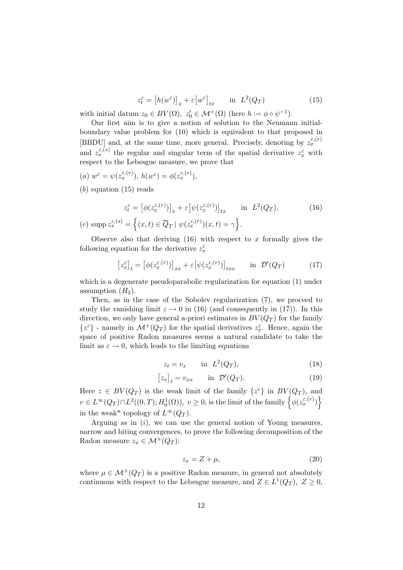$$
z_t^{\varepsilon} = \left[ h(w^{\varepsilon}) \right]_x + \varepsilon \left[ w^{\varepsilon} \right]_{tx} \quad \text{in} \quad L^2(Q_T) \tag{15}
$$

with initial datum  $z_0 \in BV(\Omega)$ ,  $z'_0 \in \mathcal{M}^+(\Omega)$  (here  $h := \phi \circ \psi^{-1}$ ).

Our first aim is to give a notion of solution to the Neumann initialboundary value problem for (10) which is equivalent to that proposed in [BBDU] and, at the same time, more general. Precisely, denoting by  $z_x^{\varepsilon,(r)}$ and  $z_x^{\varepsilon,(s)}$  the regular and singular term of the spatial derivative  $z_x^{\varepsilon}$  with respect to the Lebesgue measure, we prove that

(a) 
$$
w^{\varepsilon} = \psi(z_x^{\varepsilon,(r)}), h(w^{\varepsilon}) = \phi(z_x^{\varepsilon,(r)}),
$$

 $(b)$  equation  $(15)$  reads

$$
z_t^{\varepsilon} = \left[\phi(z_x^{\varepsilon,(r)})\right]_x + \varepsilon \left[\psi(z_x^{\varepsilon,(r)})\right]_{tx} \quad \text{in } L^2(Q_T),\tag{16}
$$

(c) supp 
$$
z_x^{\varepsilon,(s)} = \left\{ (x,t) \in \overline{Q}_T \mid \psi(z_x^{\varepsilon,(r)})(x,t) = \gamma \right\}.
$$

Observe also that deriving  $(16)$  with respect to x formally gives the following equation for the derivative  $z_x^{\varepsilon}$ 

$$
\left[z_x^{\varepsilon}\right]_t = \left[\phi(z_x^{\varepsilon,(r)})\right]_{xx} + \varepsilon \left[\psi(z_x^{\varepsilon,(r)})\right]_{txx} \quad \text{in } \mathcal{D}'(Q_T) \tag{17}
$$

which is a degenerate pseudoparabolic regularization for equation (1) under assumption  $(H_2)$ .

Then, as in the case of the Sobolev regularization (7), we proceed to study the vanishing limit  $\varepsilon \to 0$  in (16) (and consequently in (17)). In this direction, we only have general a-priori estimates in  $BV(Q_T)$  for the family  $\{z^{\varepsilon}\}$  - namely in  $\mathcal{M}^+(Q_T)$  for the spatial derivatives  $z^{\varepsilon}_x.$  Hence, again the space of positive Radon measures seems a natural candidate to take the limit as  $\varepsilon \to 0$ , which leads to the limiting equations

$$
z_t = v_x \qquad \text{in} \ \ L^2(Q_T), \tag{18}
$$

$$
[z_x]_t = v_{xx} \qquad \text{in } \mathcal{D}'(Q_T). \tag{19}
$$

Here  $z \in BV(Q_T)$  is the weak limit of the family  $\{z^{\varepsilon}\}\$ in  $BV(Q_T)$ , and  $v\in L^\infty(Q_T)\cap L^2((0,T);H^1_0(\Omega)),\; v\geq 0,$  is the limit of the family  $\Big\{\phi(z^{\varepsilon,(r)}_x)\Big\}$ in the weak\* topology of  $L^{\infty}(Q_T)$ .

Arguing as in  $(i)$ , we can use the general notion of Young measures, narrow and biting convergences, to prove the following decomposition of the Radon measure  $z_x \in \mathcal{M}^+(Q_T)$ :

$$
z_x = Z + \mu,\tag{20}
$$

where  $\mu \in \mathcal{M}^+(Q_T)$  is a positive Radon measure, in general not absolutely continuous with respect to the Lebesgue measure, and  $Z \in L^1(Q_T)$ ,  $Z \ge 0$ ,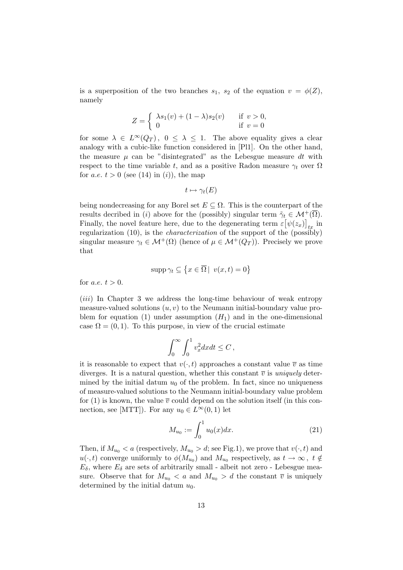is a superposition of the two branches  $s_1$ ,  $s_2$  of the equation  $v = \phi(Z)$ , namely

$$
Z = \begin{cases} \lambda s_1(v) + (1 - \lambda)s_2(v) & \text{if } v > 0, \\ 0 & \text{if } v = 0 \end{cases}
$$

for some  $\lambda \in L^{\infty}(Q_T)$ ,  $0 \leq \lambda \leq 1$ . The above equality gives a clear analogy with a cubic-like function considered in [Pl1]. On the other hand, the measure  $\mu$  can be "disintegrated" as the Lebesgue measure dt with respect to the time variable t, and as a positive Radon measure  $\gamma_t$  over  $\Omega$ for *a.e.*  $t > 0$  (see (14) in (i)), the map

$$
t\mapsto \gamma_t(E)
$$

being nondecreasing for any Borel set  $E \subseteq \Omega$ . This is the counterpart of the results decribed in (i) above for the (possibly) singular term  $\tilde{\gamma}_t \in \mathcal{M}^+(\Omega)$ . Finally, the novel feature here, due to the degenerating term  $\varepsilon$   $[\psi(z_x)]_{tx}$  in regularization (10), is the *characterization* of the support of the (possibly) singular measure  $\gamma_t \in \mathcal{M}^+(\Omega)$  (hence of  $\mu \in \mathcal{M}^+(Q_T)$ ). Precisely we prove that

$$
\operatorname{supp} \gamma_t \subseteq \left\{ x \in \overline{\Omega} \mid v(x, t) = 0 \right\}
$$

for *a.e.*  $t > 0$ .

 $(iii)$  In Chapter 3 we address the long-time behaviour of weak entropy measure-valued solutions  $(u, v)$  to the Neumann initial-boundary value problem for equation (1) under assumption  $(H_1)$  and in the one-dimensional case  $\Omega = (0, 1)$ . To this purpose, in view of the crucial estimate

$$
\int_0^\infty \int_0^1 v_x^2 dx dt \le C \,,
$$

it is reasonable to expect that  $v(\cdot, t)$  approaches a constant value  $\overline{v}$  as time diverges. It is a natural question, whether this constant  $\overline{v}$  is uniquely determined by the initial datum  $u_0$  of the problem. In fact, since no uniqueness of measure-valued solutions to the Neumann initial-boundary value problem for (1) is known, the value  $\overline{v}$  could depend on the solution itself (in this connection, see [MTT]). For any  $u_0 \in L^{\infty}(0,1)$  let

$$
M_{u_0} := \int_0^1 u_0(x) dx.
$$
 (21)

Then, if  $M_{u_0} < a$  (respectively,  $M_{u_0} > d$ ; see Fig.1), we prove that  $v(\cdot, t)$  and  $u(\cdot, t)$  converge uniformly to  $\phi(M_{u_0})$  and  $M_{u_0}$  respectively, as  $t \to \infty$ ,  $t \notin$  $E_{\delta}$ , where  $E_{\delta}$  are sets of arbitrarily small - albeit not zero - Lebesgue measure. Observe that for  $M_{u_0} < a$  and  $M_{u_0} > d$  the constant  $\overline{v}$  is uniquely determined by the initial datum  $u_0$ .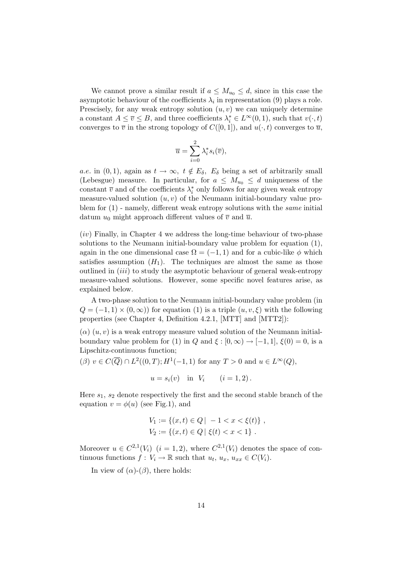We cannot prove a similar result if  $a \leq M_{u_0} \leq d$ , since in this case the asymptotic behaviour of the coefficients  $\lambda_i$  in representation (9) plays a role. Prescisely, for any weak entropy solution  $(u, v)$  we can uniquely determine a constant  $A \leq \overline{v} \leq B$ , and three coefficients  $\lambda_i^* \in L^{\infty}(0,1)$ , such that  $v(\cdot,t)$ converges to  $\overline{v}$  in the strong topology of  $C([0, 1])$ , and  $u(\cdot, t)$  converges to  $\overline{u}$ ,

$$
\overline{u} = \sum_{i=0}^{2} \lambda_i^* s_i(\overline{v}),
$$

a.e. in (0, 1), again as  $t \to \infty$ ,  $t \notin E_{\delta}$ ,  $E_{\delta}$  being a set of arbitrarily small (Lebesgue) measure. In particular, for  $a \leq M_{u_0} \leq d$  uniqueness of the constant  $\overline{v}$  and of the coefficients  $\lambda_i^*$  only follows for any given weak entropy measure-valued solution  $(u, v)$  of the Neumann initial-boundary value problem for  $(1)$  - namely, different weak entropy solutions with the *same* initial datum  $u_0$  might approach different values of  $\overline{v}$  and  $\overline{u}$ .

 $(iv)$  Finally, in Chapter 4 we address the long-time behaviour of two-phase solutions to the Neumann initial-boundary value problem for equation (1), again in the one dimensional case  $\Omega = (-1, 1)$  and for a cubic-like  $\phi$  which satisfies assumption  $(H_1)$ . The techniques are almost the same as those outlined in (iii) to study the asymptotic behaviour of general weak-entropy measure-valued solutions. However, some specific novel features arise, as explained below.

A two-phase solution to the Neumann initial-boundary value problem (in  $Q = (-1, 1) \times (0, \infty)$  for equation (1) is a triple  $(u, v, \xi)$  with the following properties (see Chapter 4, Definition 4.2.1, [MTT] and [MTT2]):

 $(\alpha)$   $(u, v)$  is a weak entropy measure valued solution of the Neumann initialboundary value problem for (1) in Q and  $\xi : [0, \infty) \to [-1, 1], \xi(0) = 0$ , is a Lipschitz-continuous function;

 $(\beta)$   $v \in C(\overline{Q}) \cap L^2((0,T); H^1(-1,1) \text{ for any } T > 0 \text{ and } u \in L^{\infty}(Q),$ 

$$
u = s_i(v)
$$
 in  $V_i$   $(i = 1, 2)$ .

Here  $s_1$ ,  $s_2$  denote respectively the first and the second stable branch of the equation  $v = \phi(u)$  (see Fig.1), and

$$
V_1 := \{(x, t) \in Q \mid -1 < x < \xi(t)\},
$$
\n
$$
V_2 := \{(x, t) \in Q \mid \xi(t) < x < 1\}.
$$

Moreover  $u \in C^{2,1}(V_i)$   $(i = 1, 2)$ , where  $C^{2,1}(V_i)$  denotes the space of continuous functions  $f: V_i \to \mathbb{R}$  such that  $u_t, u_x, u_{xx} \in C(V_i)$ .

In view of  $(\alpha)$ - $(\beta)$ , there holds: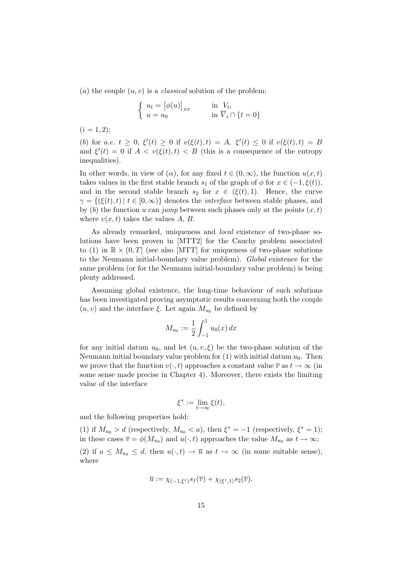(a) the couple  $(u, v)$  is a *classical* solution of the problem:

$$
\begin{cases} u_t = [\phi(u)]_{xx} & \text{in } V_i, \\ u = u_0 & \text{in } V_i \cap \{t = 0\} \end{cases}
$$

 $(i = 1, 2);$ 

(b) for a.e.  $t \geq 0$ ,  $\xi'(t) \geq 0$  if  $v(\xi(t), t) = A$ ,  $\xi'(t) \leq 0$  if  $v(\xi(t), t) = B$ and  $\xi'(t) = 0$  if  $A < v(\xi(t), t) < B$  (this is a consequence of the entropy inequalities).

In other words, in view of  $(\alpha)$ , for any fixed  $t \in (0, \infty)$ , the function  $u(x, t)$ takes values in the first stable branch  $s_1$  of the graph of  $\phi$  for  $x \in (-1, \xi(t))$ , and in the second stable branch  $s_2$  for  $x \in (\xi(t), 1)$ . Hence, the curve  $\gamma = \{(\xi(t), t) | t \in [0, \infty)\}\$ denotes the *interface* between stable phases, and by (b) the function u can jump between such phases only at the points  $(x, t)$ where  $v(x, t)$  takes the values A, B.

As already remarked, uniqueness and local existence of two-phase solutions have been proven in [MTT2] for the Cauchy problem associated to (1) in  $\mathbb{R} \times (0,T]$  (see also [MTT] for uniqueness of two-phase solutions to the Neumann initial-boundary value problem). Global existence for the same problem (or for the Neumann initial-boundary value problem) is being plenty addressed.

Assuming global existence, the long-time behaviour of such solutions has been investigated proving asymptotic results concerning both the couple  $(u, v)$  and the interface  $\xi$ . Let again  $M_{u_0}$  be defined by

$$
M_{u_0} := \frac{1}{2} \int_{-1}^1 u_0(x) \, dx
$$

for any initial datum  $u_0$ , and let  $(u, v, \xi)$  be the two-phase solution of the Neumann initial boundary value problem for  $(1)$  with initial datum  $u_0$ . Then we prove that the function  $v(\cdot, t)$  approaches a constant value  $\overline{v}$  as  $t \to \infty$  (in some sense made precise in Chapter 4). Moreover, there exists the limiting value of the interface

$$
\xi^*:=\lim_{t\to\infty}\xi(t),
$$

and the following properties hold:

(1) if  $M_{u_0} > d$  (respectively,  $M_{u_0} < a$ ), then  $\xi^* = -1$  (respectively,  $\xi^* = 1$ ); in these cases  $\overline{v} = \phi(M_{u_0})$  and  $u(\cdot, t)$  approaches the value  $M_{u_0}$  as  $t \to \infty$ ;

(2) if  $a \leq M_{u_0} \leq d$ , then  $u(\cdot, t) \to \overline{u}$  as  $t \to \infty$  (in some suitable sense), where

$$
\overline{u} := \chi_{(-1,\xi^*)} s_1(\overline{v}) + \chi_{(\xi^*,1)} s_2(\overline{v}).
$$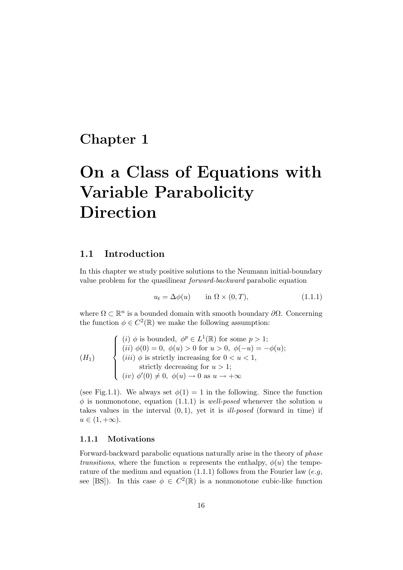## Chapter 1

# On a Class of Equations with Variable Parabolicity Direction

### 1.1 Introduction

In this chapter we study positive solutions to the Neumann initial-boundary value problem for the quasilinear forward-backward parabolic equation

$$
u_t = \Delta \phi(u) \qquad \text{in } \Omega \times (0, T), \tag{1.1.1}
$$

where  $\Omega \subset \mathbb{R}^n$  is a bounded domain with smooth boundary  $\partial \Omega$ . Concerning the function  $\phi \in C^2(\mathbb{R})$  we make the following assumption:

$$
(H_1) \qquad \begin{cases} \begin{array}{l} (i) \phi \text{ is bounded, } \phi^p \in L^1(\mathbb{R}) \text{ for some } p > 1; \\ (ii) \phi(0) = 0, \ \phi(u) > 0 \text{ for } u > 0, \ \phi(-u) = -\phi(u); \\ (iii) \ \phi \text{ is strictly increasing for } 0 < u < 1, \\ \text{ strictly decreasing for } u > 1; \\ (iv) \ \phi'(0) \neq 0, \ \phi(u) \to 0 \text{ as } u \to +\infty \end{array} \end{cases}
$$

(see Fig.1.1). We always set  $\phi(1) = 1$  in the following. Since the function  $\phi$  is nonmonotone, equation (1.1.1) is well-posed whenever the solution u takes values in the interval  $(0, 1)$ , yet it is *ill-posed* (forward in time) if  $u \in (1, +\infty).$ 

#### 1.1.1 Motivations

Forward-backward parabolic equations naturally arise in the theory of phase *transitions*, where the function u represents the enthalpy,  $\phi(u)$  the temperature of the medium and equation  $(1.1.1)$  follows from the Fourier law  $(e.g.,$ see [BS]). In this case  $\phi \in C^2(\mathbb{R})$  is a nonmonotone cubic-like function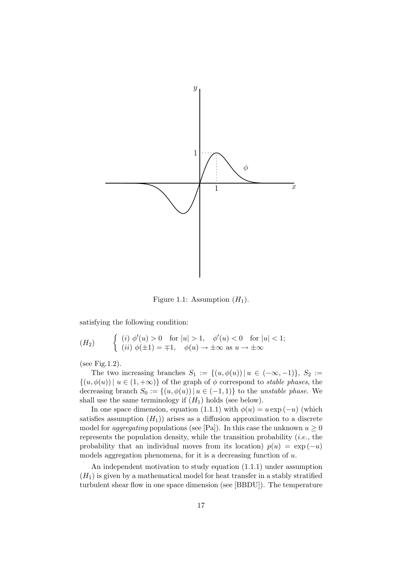

Figure 1.1: Assumption  $(H_1)$ .

satisfying the following condition:

$$
(H_2) \qquad \begin{cases} (i) \; \phi'(u) > 0 \quad \text{for } |u| > 1, \quad \phi'(u) < 0 \quad \text{for } |u| < 1; \\ (ii) \; \phi(\pm 1) = \mp 1, \quad \phi(u) \to \pm \infty \text{ as } u \to \pm \infty \end{cases}
$$

(see Fig.1.2).

The two increasing branches  $S_1 := \{(u, \phi(u)) \mid u \in (-\infty, -1)\}, S_2 :=$  $\{(u, \phi(u)) \mid u \in (1, +\infty)\}\$  of the graph of  $\phi$  correspond to *stable phases*, the decreasing branch  $S_0 := \{(u, \phi(u)) \mid u \in (-1, 1)\}\)$  to the unstable phase. We shall use the same terminology if  $(H_1)$  holds (see below).

In one space dimension, equation (1.1.1) with  $\phi(u) = u \exp(-u)$  (which satisfies assumption  $(H_1)$  arises as a diffusion approximation to a discrete model for *aggregating* populations (see [Pa]). In this case the unknown  $u \geq 0$ represents the population density, while the transition probability  $(i.e.,$  the probability that an individual moves from its location)  $p(u) = \exp(-u)$ models aggregation phenomena, for it is a decreasing function of  $u$ .

An independent motivation to study equation (1.1.1) under assumption  $(H_1)$  is given by a mathematical model for heat transfer in a stably stratified turbulent shear flow in one space dimension (see [BBDU]). The temperature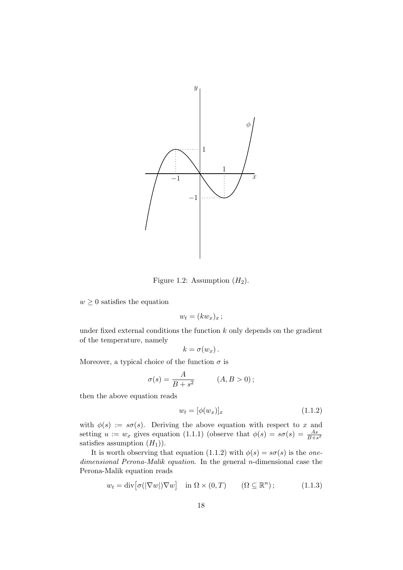

Figure 1.2: Assumption  $(H_2)$ .

 $w \geq 0$  satisfies the equation

$$
w_t = (kw_x)_x;
$$

under fixed external conditions the function  $k$  only depends on the gradient of the temperature, namely

$$
k=\sigma(w_x)\,.
$$

Moreover, a typical choice of the function  $\sigma$  is

$$
\sigma(s) = \frac{A}{B + s^2} \qquad (A, B > 0);
$$

then the above equation reads

$$
w_t = [\phi(w_x)]_x \tag{1.1.2}
$$

with  $\phi(s) := s\sigma(s)$ . Deriving the above equation with respect to x and setting  $u := w_x$  gives equation (1.1.1) (observe that  $\phi(s) = s\sigma(s) = \frac{As}{B+s^2}$ satisfies assumption  $(H_1)$ .

It is worth observing that equation (1.1.2) with  $\phi(s) = s\sigma(s)$  is the onedimensional Perona-Malik equation. In the general *n*-dimensional case the Perona-Malik equation reads

$$
w_t = \operatorname{div} \left[ \sigma(|\nabla w|) \nabla w \right] \quad \text{in } \Omega \times (0, T) \qquad (\Omega \subseteq \mathbb{R}^n); \tag{1.1.3}
$$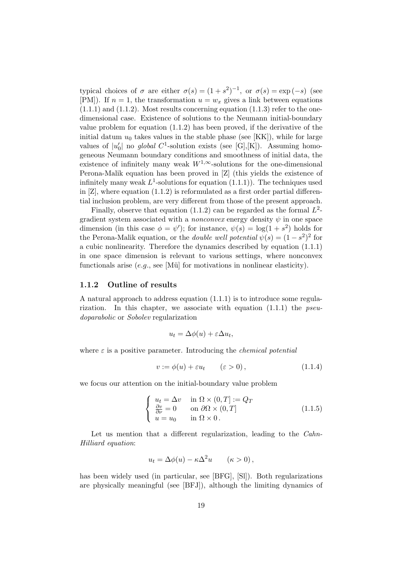typical choices of  $\sigma$  are either  $\sigma(s) = (1 + s^2)^{-1}$ , or  $\sigma(s) = \exp(-s)$  (see [PM]). If  $n = 1$ , the transformation  $u = w_x$  gives a link between equations  $(1.1.1)$  and  $(1.1.2)$ . Most results concerning equation  $(1.1.3)$  refer to the onedimensional case. Existence of solutions to the Neumann initial-boundary value problem for equation  $(1.1.2)$  has been proved, if the derivative of the initial datum  $u_0$  takes values in the stable phase (see [KK]), while for large values of  $|u'_0|$  no global C<sup>1</sup>-solution exists (see [G],[K]). Assuming homogeneous Neumann boundary conditions and smoothness of initial data, the existence of infinitely many weak  $W^{1,\infty}$ -solutions for the one-dimensional Perona-Malik equation has been proved in [Z] (this yields the existence of infinitely many weak  $L^1$ -solutions for equation  $(1.1.1)$ ). The techniques used in  $[Z]$ , where equation  $(1.1.2)$  is reformulated as a first order partial differential inclusion problem, are very different from those of the present approach.

Finally, observe that equation (1.1.2) can be regarded as the formal  $L^2$ gradient system associated with a *nonconvex* energy density  $\psi$  in one space dimension (in this case  $\phi = \psi'$ ); for instance,  $\psi(s) = \log(1 + s^2)$  holds for the Perona-Malik equation, or the *double well potential*  $\psi(s) = (1 - s^2)^2$  for a cubic nonlinearity. Therefore the dynamics described by equation (1.1.1) in one space dimension is relevant to various settings, where nonconvex functionals arise  $(e.g.,\text{ see }[\text{M\"u}]$  for motivations in nonlinear elasticity).

#### 1.1.2 Outline of results

A natural approach to address equation (1.1.1) is to introduce some regularization. In this chapter, we associate with equation  $(1.1.1)$  the *pseu*doparabolic or Sobolev regularization

$$
u_t = \Delta \phi(u) + \varepsilon \Delta u_t,
$$

where  $\varepsilon$  is a positive parameter. Introducing the *chemical potential* 

$$
v := \phi(u) + \varepsilon u_t \qquad (\varepsilon > 0), \qquad (1.1.4)
$$

we focus our attention on the initial-boundary value problem

$$
\begin{cases}\n u_t = \Delta v & \text{in } \Omega \times (0, T] := Q_T \\
 \frac{\partial v}{\partial \nu} = 0 & \text{on } \partial \Omega \times (0, T] \\
 u = u_0 & \text{in } \Omega \times 0.\n\end{cases}
$$
\n(1.1.5)

Let us mention that a different regularization, leading to the *Cahn*-Hilliard equation:

$$
u_t = \Delta \phi(u) - \kappa \Delta^2 u \qquad (\kappa > 0),
$$

has been widely used (in particular, see [BFG], [Sl]). Both regularizations are physically meaningful (see [BFJ]), although the limiting dynamics of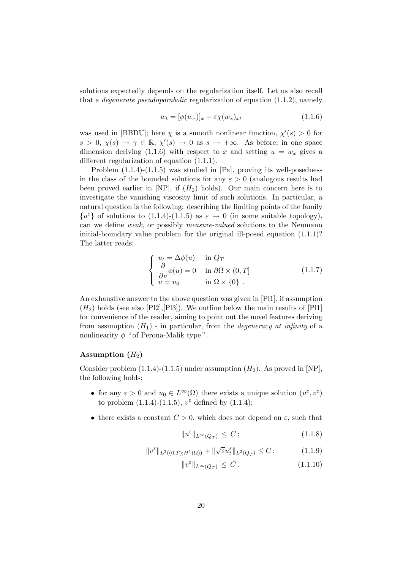solutions expectedly depends on the regularization itself. Let us also recall that a *degenerate pseudoparabolic* regularization of equation  $(1.1.2)$ , namely

$$
w_t = [\phi(w_x)]_x + \varepsilon \chi(w_x)_{xt} \tag{1.1.6}
$$

was used in [BBDU]; here  $\chi$  is a smooth nonlinear function,  $\chi'(s) > 0$  for  $s > 0, \chi(s) \to \gamma \in \mathbb{R}, \chi'(s) \to 0$  as  $s \to +\infty$ . As before, in one space dimension deriving (1.1.6) with respect to x and setting  $u = w_x$  gives a different regularization of equation (1.1.1).

Problem (1.1.4)-(1.1.5) was studied in [Pa], proving its well-posedness in the class of the bounded solutions for any  $\varepsilon > 0$  (analogous results had been proved earlier in  $[NP]$ , if  $(H_2)$  holds). Our main concern here is to investigate the vanishing viscosity limit of such solutions. In particular, a natural question is the following: describing the limiting points of the family  ${u^{\varepsilon}}$  of solutions to (1.1.4)-(1.1.5) as  $\varepsilon \to 0$  (in some suitable topology), can we define weak, or possibly measure-valued solutions to the Neumann initial-boundary value problem for the original ill-posed equation (1.1.1)? The latter reads:

$$
\begin{cases}\n u_t = \Delta \phi(u) & \text{in } Q_T \\
 \frac{\partial}{\partial \nu} \phi(u) = 0 & \text{in } \partial \Omega \times (0, T] \\
 u = u_0 & \text{in } \Omega \times \{0\} \n\end{cases}
$$
\n(1.1.7)

An exhaustive answer to the above question was given in [Pl1], if assumption  $(H<sub>2</sub>)$  holds (see also [Pl2], [Pl3]). We outline below the main results of [Pl1] for convenience of the reader, aiming to point out the novel features deriving from assumption  $(H_1)$  - in particular, from the *degeneracy at infinity* of a nonlinearity  $\phi$  " of Perona-Malik type".

#### Assumption  $(H_2)$

Consider problem  $(1.1.4)-(1.1.5)$  under assumption  $(H_2)$ . As proved in [NP], the following holds:

- for any  $\varepsilon > 0$  and  $u_0 \in L^{\infty}(\Omega)$  there exists a unique solution  $(u^{\varepsilon}, v^{\varepsilon})$ to problem  $(1.1.4)$ - $(1.1.5)$ ,  $v^{\varepsilon}$  defined by  $(1.1.4)$ ;
- there exists a constant  $C > 0$ , which does not depend on  $\varepsilon$ , such that

$$
||u^{\varepsilon}||_{L^{\infty}(Q_T)} \leq C; \qquad (1.1.8)
$$

$$
||v^{\varepsilon}||_{L^{2}((0,T);H^{1}(\Omega))} + ||\sqrt{\varepsilon}u_{t}^{\varepsilon}||_{L^{2}(Q_{T})} \leq C ; \qquad (1.1.9)
$$

$$
||v^{\varepsilon}||_{L^{\infty}(Q_T)} \leq C. \tag{1.1.10}
$$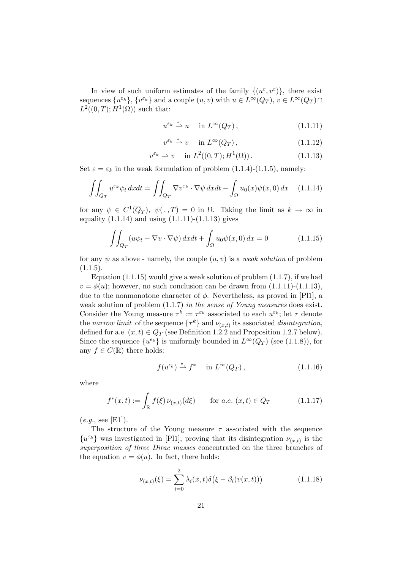In view of such uniform estimates of the family  $\{(u^{\varepsilon}, v^{\varepsilon})\}$ , there exist sequences  $\{u^{\varepsilon_k}\}, \{v^{\varepsilon_k}\}\$  and a couple  $(u, v)$  with  $u \in L^\infty(Q_T), v \in L^\infty(Q_T) \cap$  $L^2((0,T);H^1(\Omega))$  such that:

$$
u^{\varepsilon_k} \stackrel{*}{\rightharpoonup} u \quad \text{in } L^{\infty}(Q_T) \,, \tag{1.1.11}
$$

$$
v^{\varepsilon_k} \stackrel{*}{\rightharpoonup} v \quad \text{in } L^{\infty}(Q_T) \,, \tag{1.1.12}
$$

$$
v^{\varepsilon_k} \rightharpoonup v \quad \text{in } L^2((0,T);H^1(\Omega)).\tag{1.1.13}
$$

Set  $\varepsilon = \varepsilon_k$  in the weak formulation of problem (1.1.4)-(1.1.5), namely:

$$
\iint_{Q_T} u^{\varepsilon_k} \psi_t \, dx dt = \iint_{Q_T} \nabla v^{\varepsilon_k} \cdot \nabla \psi \, dx dt - \int_{\Omega} u_0(x) \psi(x, 0) \, dx \tag{1.1.14}
$$

for any  $\psi \in C^1(\overline{Q}_T)$ ,  $\psi(.,T) = 0$  in  $\Omega$ . Taking the limit as  $k \to \infty$  in equality  $(1.1.14)$  and using  $(1.1.11)-(1.1.13)$  gives

$$
\iint_{Q_T} (u\psi_t - \nabla v \cdot \nabla \psi) \, dxdt + \int_{\Omega} u_0 \psi(x,0) \, dx = 0 \tag{1.1.15}
$$

for any  $\psi$  as above - namely, the couple  $(u, v)$  is a weak solution of problem  $(1.1.5).$ 

Equation  $(1.1.15)$  would give a weak solution of problem  $(1.1.7)$ , if we had  $v = \phi(u)$ ; however, no such conclusion can be drawn from  $(1.1.11)-(1.1.13)$ , due to the nonmonotone character of  $\phi$ . Nevertheless, as proved in [Pl1], a weak solution of problem  $(1.1.7)$  in the sense of Young measures does exist. Consider the Young measure  $\tau^k := \tau^{\varepsilon_k}$  associated to each  $u^{\varepsilon_k}$ ; let  $\tau$  denote the narrow limit of the sequence  $\{\tau^k\}$  and  $\nu_{(x,t)}$  its associated disintegration, defined for a.e.  $(x, t) \in Q_T$  (see Definition 1.2.2 and Proposition 1.2.7 below). Since the sequence  $\{u^{\epsilon_k}\}\$ is uniformly bounded in  $L^{\infty}(Q_T)$  (see (1.1.8)), for any  $f \in C(\mathbb{R})$  there holds:

$$
f(u^{\epsilon_k}) \stackrel{*}{\rightharpoonup} f^* \quad \text{in } L^{\infty}(Q_T), \tag{1.1.16}
$$

where

$$
f^*(x,t) := \int_{\mathbb{R}} f(\xi) \, \nu_{(x,t)}(d\xi) \qquad \text{for a.e. } (x,t) \in Q_T \tag{1.1.17}
$$

 $(e.g., see [E1]).$ 

The structure of the Young measure  $\tau$  associated with the sequence  $\{u^{\varepsilon_k}\}$  was investigated in [Pl1], proving that its disintegration  $\nu_{(x,t)}$  is the superposition of three Dirac masses concentrated on the three branches of the equation  $v = \phi(u)$ . In fact, there holds:

$$
\nu_{(x,t)}(\xi) = \sum_{i=0}^{2} \lambda_i(x,t) \delta(\xi - \beta_i(v(x,t))) \tag{1.1.18}
$$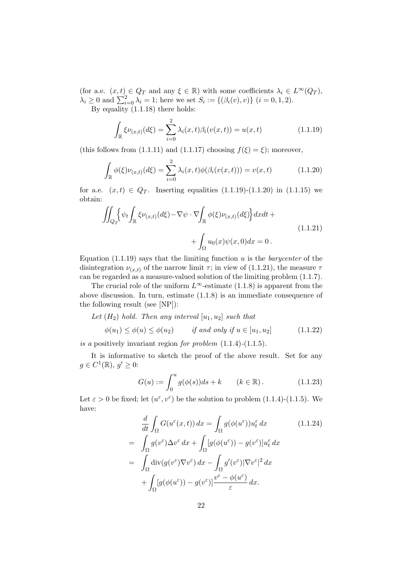(for a.e.  $(x, t) \in Q_T$  and any  $\xi \in \mathbb{R}$ ) with some coefficients  $\lambda_i \in L^{\infty}(Q_T)$ ,  $\lambda_i \ge 0$  and  $\sum_{i=0}^{2} \lambda_i = 1$ ; here we set  $S_i := \{(\beta_i(v), v)\}$   $(i = 0, 1, 2)$ . By equality (1.1.18) there holds:

2

$$
\int_{\mathbb{R}} \xi \nu_{(x,t)}(d\xi) = \sum_{i=0}^{2} \lambda_i(x,t) \beta_i(v(x,t)) = u(x,t)
$$
\n(1.1.19)

(this follows from (1.1.11) and (1.1.17) choosing  $f(\xi) = \xi$ ); moreover,

$$
\int_{\mathbb{R}} \phi(\xi) \nu_{(x,t)}(d\xi) = \sum_{i=0}^{2} \lambda_i(x,t) \phi(\beta_i(v(x,t))) = v(x,t)
$$
\n(1.1.20)

for a.e.  $(x, t) \in Q_T$ . Inserting equalities  $(1.1.19)-(1.1.20)$  in  $(1.1.15)$  we obtain:

$$
\iint_{Q_T} \left\{ \psi_t \int_{\mathbb{R}} \xi \nu_{(x,t)}(d\xi) - \nabla \psi \cdot \nabla \int_{\mathbb{R}} \phi(\xi) \nu_{(x,t)}(d\xi) \right\} dx dt + + \int_{\Omega} u_0(x) \psi(x,0) dx = 0.
$$
\n(1.1.21)

Equation  $(1.1.19)$  says that the limiting function u is the *barycenter* of the disintegration  $\nu_{(x,t)}$  of the narrow limit  $\tau$ ; in view of (1.1.21), the measure  $\tau$ can be regarded as a measure-valued solution of the limiting problem (1.1.7).

The crucial role of the uniform  $L^{\infty}$ -estimate (1.1.8) is apparent from the above discussion. In turn, estimate (1.1.8) is an immediate consequence of the following result (see [NP]):

Let  $(H_2)$  hold. Then any interval  $[u_1, u_2]$  such that

$$
\phi(u_1) \le \phi(u) \le \phi(u_2) \qquad \text{if and only if } u \in [u_1, u_2] \tag{1.1.22}
$$

is a positively invariant region for problem  $(1.1.4)-(1.1.5)$ .

It is informative to sketch the proof of the above result. Set for any  $g \in C^1(\mathbb{R}), g' \geq 0:$ 

$$
G(u) := \int_0^u g(\phi(s))ds + k \qquad (k \in \mathbb{R}).
$$
 (1.1.23)

Let  $\varepsilon > 0$  be fixed; let  $(u^{\varepsilon}, v^{\varepsilon})$  be the solution to problem  $(1.1.4)-(1.1.5)$ . We have:

$$
\frac{d}{dt} \int_{\Omega} G(u^{\varepsilon}(x,t)) dx = \int_{\Omega} g(\phi(u^{\varepsilon})) u_t^{\varepsilon} dx \qquad (1.1.24)
$$
\n
$$
= \int_{\Omega} g(v^{\varepsilon}) \Delta v^{\varepsilon} dx + \int_{\Omega} [g(\phi(u^{\varepsilon})) - g(v^{\varepsilon})] u_t^{\varepsilon} dx
$$
\n
$$
= \int_{\Omega} \text{div}(g(v^{\varepsilon}) \nabla v^{\varepsilon}) dx - \int_{\Omega} g'(v^{\varepsilon}) |\nabla v^{\varepsilon}|^2 dx
$$
\n
$$
+ \int_{\Omega} [g(\phi(u^{\varepsilon})) - g(v^{\varepsilon})] \frac{v^{\varepsilon} - \phi(u^{\varepsilon})}{\varepsilon} dx.
$$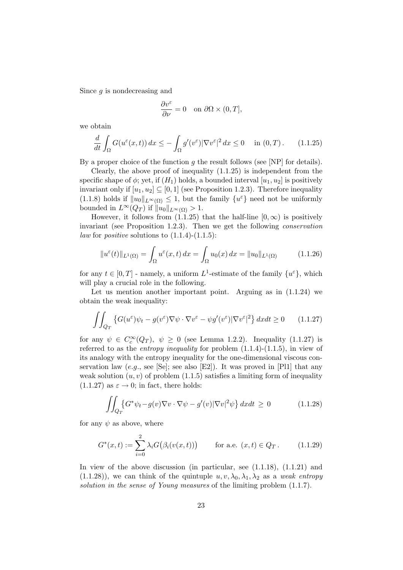Since g is nondecreasing and

$$
\frac{\partial v^{\varepsilon}}{\partial \nu} = 0 \quad \text{on } \partial \Omega \times (0, T],
$$

we obtain

$$
\frac{d}{dt} \int_{\Omega} G(u^{\varepsilon}(x,t)) dx \le - \int_{\Omega} g'(v^{\varepsilon}) |\nabla v^{\varepsilon}|^2 dx \le 0 \quad \text{in } (0,T). \tag{1.1.25}
$$

By a proper choice of the function  $g$  the result follows (see [NP] for details).

Clearly, the above proof of inequality (1.1.25) is independent from the specific shape of  $\phi$ ; yet, if  $(H_1)$  holds, a bounded interval  $[u_1, u_2]$  is positively invariant only if  $[u_1, u_2] \subseteq [0, 1]$  (see Proposition 1.2.3). Therefore inequality (1.1.8) holds if  $||u_0||_{L^{\infty}(\Omega)} \leq 1$ , but the family  $\{u^{\varepsilon}\}\)$  need not be uniformly bounded in  $L^{\infty}(Q_T)$  if  $||u_0||_{L^{\infty}(\Omega)} > 1$ .

However, it follows from  $(1.1.25)$  that the half-line  $[0, \infty)$  is positively invariant (see Proposition 1.2.3). Then we get the following conservation *law* for *positive* solutions to  $(1.1.4)-(1.1.5)$ :

$$
||u^{\varepsilon}(t)||_{L^{1}(\Omega)} = \int_{\Omega} u^{\varepsilon}(x, t) dx = \int_{\Omega} u_{0}(x) dx = ||u_{0}||_{L^{1}(\Omega)}
$$
(1.1.26)

for any  $t \in [0, T]$  - namely, a uniform  $L^1$ -estimate of the family  $\{u^{\varepsilon}\}\,$ , which will play a crucial role in the following.

Let us mention another important point. Arguing as in  $(1.1.24)$  we obtain the weak inequality:

$$
\iint_{Q_T} \left\{ G(u^{\varepsilon})\psi_t - g(v^{\varepsilon})\nabla\psi \cdot \nabla v^{\varepsilon} - \psi g'(v^{\varepsilon})|\nabla v^{\varepsilon}|^2 \right\} dx dt \ge 0 \qquad (1.1.27)
$$

for any  $\psi \in C_c^{\infty}(Q_T)$ ,  $\psi \ge 0$  (see Lemma 1.2.2). Inequality (1.1.27) is referred to as the *entropy inequality* for problem  $(1.1.4)-(1.1.5)$ , in view of its analogy with the entropy inequality for the one-dimensional viscous conservation law  $(e.g.,\text{ see }[Se];\text{ see also }[E2])$ . It was proved in [Pl1] that any weak solution  $(u, v)$  of problem  $(1.1.5)$  satisfies a limiting form of inequality  $(1.1.27)$  as  $\varepsilon \rightarrow 0$ ; in fact, there holds:

$$
\iint_{Q_T} \{ G^* \psi_t - g(v) \nabla v \cdot \nabla \psi - g'(v) |\nabla v|^2 \psi \} \, dx dt \ge 0 \tag{1.1.28}
$$

for any  $\psi$  as above, where

$$
G^*(x,t) := \sum_{i=0}^{2} \lambda_i G(\beta_i(v(x,t))) \quad \text{for a.e. } (x,t) \in Q_T. \quad (1.1.29)
$$

In view of the above discussion (in particular, see  $(1.1.18)$ ,  $(1.1.21)$ ) and  $(1.1.28)$ , we can think of the quintuple  $u, v, \lambda_0, \lambda_1, \lambda_2$  as a weak entropy solution in the sense of Young measures of the limiting problem (1.1.7).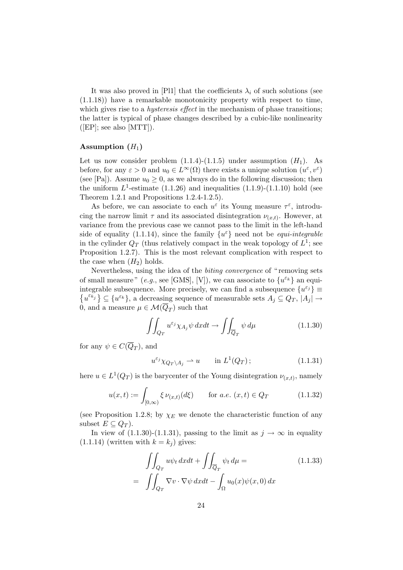It was also proved in [Pl1] that the coefficients  $\lambda_i$  of such solutions (see (1.1.18)) have a remarkable monotonicity property with respect to time, which gives rise to a *hysteresis effect* in the mechanism of phase transitions; the latter is typical of phase changes described by a cubic-like nonlinearity  $([EP];$  see also  $[MTT]).$ 

#### Assumption  $(H_1)$

Let us now consider problem  $(1.1.4)-(1.1.5)$  under assumption  $(H_1)$ . As before, for any  $\varepsilon > 0$  and  $u_0 \in L^{\infty}(\Omega)$  there exists a unique solution  $(u^{\varepsilon}, v^{\varepsilon})$ (see [Pa]). Assume  $u_0 \geq 0$ , as we always do in the following discussion; then the uniform  $L^1$ -estimate (1.1.26) and inequalities (1.1.9)-(1.1.10) hold (see Theorem 1.2.1 and Propositions 1.2.4-1.2.5).

As before, we can associate to each  $u^{\varepsilon}$  its Young measure  $\tau^{\varepsilon}$ , introducing the narrow limit  $\tau$  and its associated disintegration  $\nu_{(x,t)}$ . However, at variance from the previous case we cannot pass to the limit in the left-hand side of equality (1.1.14), since the family  $\{u^{\varepsilon}\}\,$  need not be *equi-integrable* in the cylinder  $Q_T$  (thus relatively compact in the weak topology of  $L^1$ ; see Proposition 1.2.7). This is the most relevant complication with respect to the case when  $(H_2)$  holds.

Nevertheless, using the idea of the *biting convergence* of "removing sets" of small measure" (e.g., see [GMS], [V]), we can associate to  $\{u^{\varepsilon_k}\}$  an equiintegrable subsequence. More precisely, we can find a subsequence  $\{u^{\varepsilon_j}\}\equiv$  ${u^{\varepsilon_{k_j}}}\subseteq {u^{\varepsilon_k}}$ , a decreasing sequence of measurable sets  $A_j\subseteq Q_T$ ,  $|A_j|\to$ 0, and a measure  $\mu \in \mathcal{M}(Q_T)$  such that

$$
\iint_{Q_T} u^{\varepsilon_j} \chi_{A_j} \psi \, dxdt \to \iint_{\overline{Q}_T} \psi \, d\mu \tag{1.1.30}
$$

for any  $\psi \in C(Q_T)$ , and

$$
u^{\varepsilon_j} \chi_{Q_T \setminus A_j} \rightharpoonup u \qquad \text{in } L^1(Q_T) \, ; \tag{1.1.31}
$$

here  $u \in L^1(Q_T)$  is the barycenter of the Young disintegration  $\nu_{(x,t)}$ , namely

$$
u(x,t) := \int_{[0,\infty)} \xi \, \nu_{(x,t)}(d\xi) \qquad \text{for a.e. } (x,t) \in Q_T \tag{1.1.32}
$$

(see Proposition 1.2.8; by  $\chi_E$  we denote the characteristic function of any subset  $E \subseteq Q_T$ .

In view of  $(1.1.30)-(1.1.31)$ , passing to the limit as  $j \to \infty$  in equality  $(1.1.14)$  (written with  $k = k<sub>i</sub>$ ) gives:

$$
\iint_{Q_T} u\psi_t \, dxdt + \iint_{\overline{Q}_T} \psi_t \, d\mu = \qquad (1.1.33)
$$
\n
$$
= \iint_{Q_T} \nabla v \cdot \nabla \psi \, dxdt - \int_{\Omega} u_0(x)\psi(x,0) \, dx
$$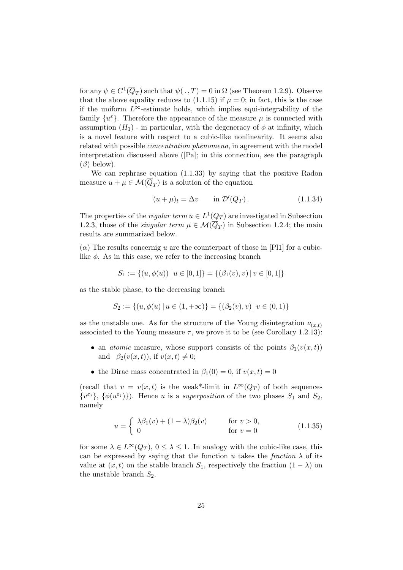for any  $\psi \in C^1(\overline{Q}_T)$  such that  $\psi(.,T) = 0$  in  $\Omega$  (see Theorem 1.2.9). Observe that the above equality reduces to (1.1.15) if  $\mu = 0$ ; in fact, this is the case if the uniform  $L^{\infty}$ -estimate holds, which implies equi-integrability of the family  $\{u^{\varepsilon}\}.$  Therefore the appearance of the measure  $\mu$  is connected with assumption  $(H_1)$  - in particular, with the degeneracy of  $\phi$  at infinity, which is a novel feature with respect to a cubic-like nonlinearity. It seems also related with possible concentration phenomena, in agreement with the model interpretation discussed above ([Pa]; in this connection, see the paragraph  $(\beta)$  below).

We can rephrase equation (1.1.33) by saying that the positive Radon measure  $u + \mu \in \mathcal{M}(Q_T)$  is a solution of the equation

$$
(u + \mu)_t = \Delta v \qquad \text{in } \mathcal{D}'(Q_T). \tag{1.1.34}
$$

The properties of the *regular term*  $u \in L^1(Q_T)$  are investigated in Subsection 1.2.3, those of the *singular term*  $\mu \in \mathcal{M}(Q_T)$  in Subsection 1.2.4; the main results are summarized below.

 $(\alpha)$  The results concernig u are the counterpart of those in [Pl1] for a cubiclike  $\phi$ . As in this case, we refer to the increasing branch

$$
S_1 := \{(u, \phi(u)) \mid u \in [0, 1]\} = \{(\beta_1(v), v) \mid v \in [0, 1]\}
$$

as the stable phase, to the decreasing branch

$$
S_2 := \{(u, \phi(u) \mid u \in (1, +\infty)\} = \{(\beta_2(v), v) \mid v \in (0, 1)\}\
$$

as the unstable one. As for the structure of the Young disintegration  $\nu_{(x,t)}$ associated to the Young measure  $\tau$ , we prove it to be (see Corollary 1.2.13):

- an *atomic* measure, whose support consists of the points  $\beta_1(v(x,t))$ and  $\beta_2(v(x,t))$ , if  $v(x,t) \neq 0$ ;
- the Dirac mass concentrated in  $\beta_1(0) = 0$ , if  $v(x, t) = 0$

(recall that  $v = v(x, t)$  is the weak\*-limit in  $L^{\infty}(Q_T)$  of both sequences  $\{v^{\varepsilon_j}\}, \{\phi(u^{\varepsilon_j})\}\)$ . Hence u is a superposition of the two phases  $S_1$  and  $S_2$ , namely

$$
u = \begin{cases} \lambda \beta_1(v) + (1 - \lambda)\beta_2(v) & \text{for } v > 0, \\ 0 & \text{for } v = 0 \end{cases}
$$
 (1.1.35)

for some  $\lambda \in L^{\infty}(Q_T)$ ,  $0 \leq \lambda \leq 1$ . In analogy with the cubic-like case, this can be expressed by saying that the function u takes the fraction  $\lambda$  of its value at  $(x, t)$  on the stable branch  $S_1$ , respectively the fraction  $(1 - \lambda)$  on the unstable branch  $S_2$ .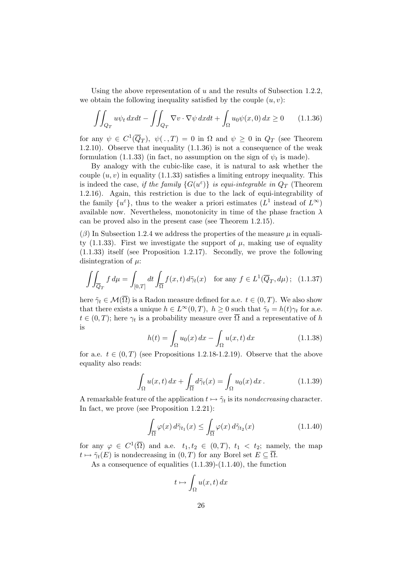Using the above representation of u and the results of Subsection 1.2.2, we obtain the following inequality satisfied by the couple  $(u, v)$ :

$$
\iint_{Q_T} u\psi_t \, dxdt - \iint_{Q_T} \nabla v \cdot \nabla \psi \, dxdt + \int_{\Omega} u_0 \psi(x,0) \, dx \ge 0 \qquad (1.1.36)
$$

for any  $\psi \in C^1(\overline{Q}_T)$ ,  $\psi(\cdot,T) = 0$  in  $\Omega$  and  $\psi \geq 0$  in  $Q_T$  (see Theorem 1.2.10). Observe that inequality (1.1.36) is not a consequence of the weak formulation (1.1.33) (in fact, no assumption on the sign of  $\psi_t$  is made).

By analogy with the cubic-like case, it is natural to ask whether the couple  $(u, v)$  in equality (1.1.33) satisfies a limiting entropy inequality. This is indeed the case, if the family  ${G(u^{\varepsilon})}$  is equi-integrable in  $Q_T$  (Theorem 1.2.16). Again, this restriction is due to the lack of equi-integrability of the family  $\{u^{\varepsilon}\},$  thus to the weaker a priori estimates  $(L^{1})$  instead of  $L^{\infty}$ ) available now. Nevertheless, monotonicity in time of the phase fraction  $\lambda$ can be proved also in the present case (see Theorem 1.2.15).

 $(\beta)$  In Subsection 1.2.4 we address the properties of the measure  $\mu$  in equality  $(1.1.33)$ . First we investigate the support of  $\mu$ , making use of equality (1.1.33) itself (see Proposition 1.2.17). Secondly, we prove the following disintegration of  $\mu$ :

$$
\iint_{\overline{Q}_T} f d\mu = \int_{[0,T]} dt \int_{\overline{\Omega}} f(x,t) d\tilde{\gamma}_t(x) \quad \text{for any } f \in L^1(\overline{Q}_T, d\mu); \tag{1.1.37}
$$

here  $\tilde{\gamma}_t \in \mathcal{M}(\overline{\Omega})$  is a Radon measure defined for a.e.  $t \in (0, T)$ . We also show that there exists a unique  $h \in L^{\infty}(0,T)$ ,  $h \geq 0$  such that  $\tilde{\gamma}_t = h(t)\gamma_t$  for a.e.  $t \in (0, T)$ ; here  $\gamma_t$  is a probability measure over  $\Omega$  and a representative of h is

$$
h(t) = \int_{\Omega} u_0(x) dx - \int_{\Omega} u(x, t) dx
$$
\n(1.1.38)

for a.e.  $t \in (0, T)$  (see Propositions 1.2.18-1.2.19). Observe that the above equality also reads:

$$
\int_{\Omega} u(x,t) dx + \int_{\overline{\Omega}} d\tilde{\gamma}_t(x) = \int_{\Omega} u_0(x) dx.
$$
 (1.1.39)

A remarkable feature of the application  $t \mapsto \tilde{\gamma}_t$  is its nondecreasing character. In fact, we prove (see Proposition 1.2.21):

$$
\int_{\overline{\Omega}} \varphi(x) d\tilde{\gamma}_{t_1}(x) \le \int_{\overline{\Omega}} \varphi(x) d\tilde{\gamma}_{t_2}(x) \tag{1.1.40}
$$

for any  $\varphi \in C^1(\overline{\Omega})$  and a.e.  $t_1, t_2 \in (0, T), t_1 < t_2$ ; namely, the map  $t \mapsto \tilde{\gamma}_t(E)$  is nondecreasing in  $(0, T)$  for any Borel set  $E \subseteq \overline{\Omega}$ .

As a consequence of equalities (1.1.39)-(1.1.40), the function

$$
t \mapsto \int_{\Omega} u(x, t) \, dx
$$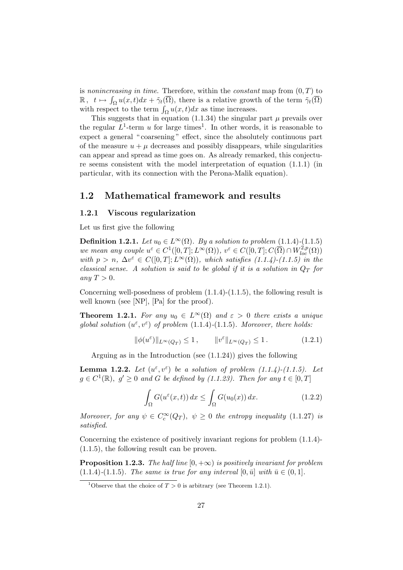is nonincreasing in time. Therefore, within the constant map from  $(0, T)$  to  $\mathbb{R}, t \mapsto \int_{\Omega} u(x, t)dx + \tilde{\gamma}_t(\overline{\Omega}),$  there is a relative growth of the term  $\tilde{\gamma}_t(\overline{\Omega})$ with respect to the term  $\int_{\Omega} u(x, t) dx$  as time increases.

This suggests that in equation (1.1.34) the singular part  $\mu$  prevails over the regular  $L^1$ -term u for large times<sup>1</sup>. In other words, it is reasonable to expect a general "coarsening" effect, since the absolutely continuous part of the measure  $u + \mu$  decreases and possibly disappears, while singularities can appear and spread as time goes on. As already remarked, this conjecture seems consistent with the model interpretation of equation  $(1.1.1)$  (in particular, with its connection with the Perona-Malik equation).

### 1.2 Mathematical framework and results

#### 1.2.1 Viscous regularization

Let us first give the following

**Definition 1.2.1.** Let  $u_0 \in L^{\infty}(\Omega)$ . By a solution to problem (1.1.4)-(1.1.5) we mean any couple  $u^{\varepsilon} \in C^{1}([0, T]; L^{\infty}(\Omega)), v^{\varepsilon} \in C([0, T]; C(\overline{\Omega}) \cap W_{loc}^{2, p}(\Omega))$ with  $p > n$ ,  $\Delta v^{\varepsilon} \in C([0, T]; L^{\infty}(\Omega))$ , which satisfies  $(1.1.4)-(1.1.5)$  in the classical sense. A solution is said to be global if it is a solution in  $Q_T$  for any  $T > 0$ .

Concerning well-posedness of problem (1.1.4)-(1.1.5), the following result is well known (see [NP], [Pa] for the proof).

**Theorem 1.2.1.** For any  $u_0 \in L^{\infty}(\Omega)$  and  $\varepsilon > 0$  there exists a unique global solution  $(u^{\varepsilon}, v^{\varepsilon})$  of problem (1.1.4)-(1.1.5). Moreover, there holds:

$$
\|\phi(u^{\varepsilon})\|_{L^{\infty}(Q_T)} \le 1, \qquad \|v^{\varepsilon}\|_{L^{\infty}(Q_T)} \le 1.
$$
 (1.2.1)

Arguing as in the Introduction (see (1.1.24)) gives the following

**Lemma 1.2.2.** Let  $(u^{\varepsilon}, v^{\varepsilon})$  be a solution of problem  $(1.1.4)-(1.1.5)$ . Let  $g \in C^1(\mathbb{R}), g' \geq 0$  and G be defined by (1.1.23). Then for any  $t \in [0, T]$ 

$$
\int_{\Omega} G(u^{\varepsilon}(x,t)) dx \le \int_{\Omega} G(u_0(x)) dx.
$$
\n(1.2.2)

Moreover, for any  $\psi \in C_c^{\infty}(Q_T)$ ,  $\psi \geq 0$  the entropy inequality (1.1.27) is satisfied.

Concerning the existence of positively invariant regions for problem (1.1.4)- (1.1.5), the following result can be proven.

**Proposition 1.2.3.** The half line  $[0, +\infty)$  is positively invariant for problem (1.1.4)-(1.1.5). The same is true for any interval  $[0, \bar{u}]$  with  $\bar{u} \in (0, 1]$ .

<sup>&</sup>lt;sup>1</sup>Observe that the choice of  $T > 0$  is arbitrary (see Theorem 1.2.1).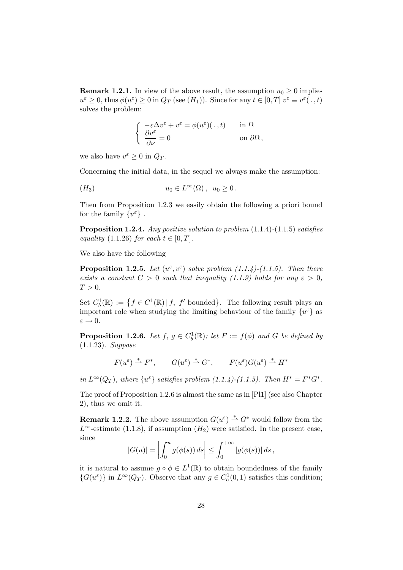**Remark 1.2.1.** In view of the above result, the assumption  $u_0 \geq 0$  implies  $u^{\varepsilon} \geq 0$ , thus  $\phi(u^{\varepsilon}) \geq 0$  in  $Q_T$  (see  $(H_1)$ ). Since for any  $t \in [0, T]$   $v^{\varepsilon} \equiv v^{\varepsilon}(\cdot, t)$ solves the problem:

$$
\begin{cases}\n-\varepsilon \Delta v^{\varepsilon} + v^{\varepsilon} = \phi(u^{\varepsilon})(., t) & \text{in } \Omega \\
\frac{\partial v^{\varepsilon}}{\partial \nu} = 0 & \text{on } \partial \Omega,\n\end{cases}
$$

we also have  $v^{\varepsilon} \geq 0$  in  $Q_T$ .

Concerning the initial data, in the sequel we always make the assumption:

$$
(H_3) \t u_0 \in L^{\infty}(\Omega), u_0 \ge 0.
$$

Then from Proposition 1.2.3 we easily obtain the following a priori bound for the family  $\{u^\varepsilon\}$  .

**Proposition 1.2.4.** Any positive solution to problem  $(1.1.4)-(1.1.5)$  satisfies equality  $(1.1.26)$  for each  $t \in [0, T]$ .

We also have the following

**Proposition 1.2.5.** Let  $(u^{\varepsilon}, v^{\varepsilon})$  solve problem (1.1.4)-(1.1.5). Then there exists a constant  $C > 0$  such that inequality (1.1.9) holds for any  $\varepsilon > 0$ ,  $T > 0$ .

Set  $C_b^1(\mathbb{R}) := \{ f \in C^1(\mathbb{R}) \mid f, f' \text{ bounded} \}.$  The following result plays an important role when studying the limiting behaviour of the family  $\{u^{\varepsilon}\}$  as  $\varepsilon \to 0.$ 

**Proposition 1.2.6.** Let  $f, g \in C_b^1(\mathbb{R})$ ; let  $F := f(\phi)$  and G be defined by (1.1.23). Suppose

$$
F(u^{\varepsilon}) \stackrel{*}{\rightharpoonup} F^*, \qquad G(u^{\varepsilon}) \stackrel{*}{\rightharpoonup} G^*, \qquad F(u^{\varepsilon})G(u^{\varepsilon}) \stackrel{*}{\rightharpoonup} H^*
$$

in  $L^{\infty}(Q_T)$ , where  $\{u^{\varepsilon}\}\$  satisfies problem  $(1.1.4)-(1.1.5)$ . Then  $H^* = F^*G^*$ .

The proof of Proposition 1.2.6 is almost the same as in [Pl1] (see also Chapter 2), thus we omit it.

**Remark 1.2.2.** The above assumption  $G(u^{\varepsilon}) \overset{*}{\rightharpoonup} G^*$  would follow from the L<sup>∞</sup>-estimate (1.1.8), if assumption  $(H_2)$  were satisfied. In the present case, since

$$
|G(u)| = \left| \int_0^u g(\phi(s)) ds \right| \leq \int_0^{+\infty} |g(\phi(s))| ds,
$$

it is natural to assume  $g \circ \phi \in L^1(\mathbb{R})$  to obtain boundedness of the family  $\{G(u^{\varepsilon})\}$  in  $L^{\infty}(Q_T)$ . Observe that any  $g \in C_c^1(0,1)$  satisfies this condition;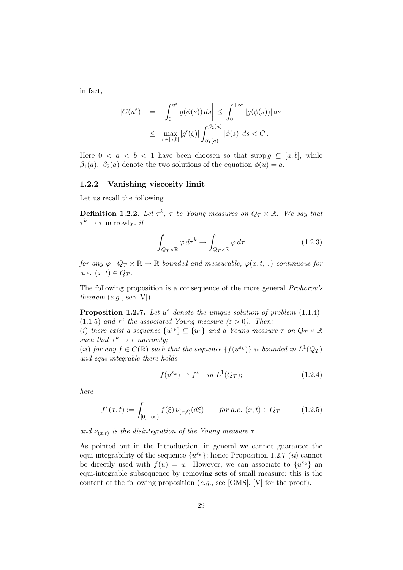in fact,

$$
|G(u^{\varepsilon})| = \left| \int_0^{u^{\varepsilon}} g(\phi(s)) ds \right| \leq \int_0^{+\infty} |g(\phi(s))| ds
$$
  

$$
\leq \max_{\zeta \in [a,b]} |g'(\zeta)| \int_{\beta_1(a)}^{\beta_2(a)} |\phi(s)| ds < C.
$$

Here  $0 < a < b < 1$  have been choosen so that supp  $g \subseteq [a, b]$ , while  $\beta_1(a)$ ,  $\beta_2(a)$  denote the two solutions of the equation  $\phi(u) = a$ .

#### 1.2.2 Vanishing viscosity limit

Let us recall the following

**Definition 1.2.2.** Let  $\tau^k$ ,  $\tau$  be Young measures on  $Q_T \times \mathbb{R}$ . We say that  $\tau^k \to \tau$  narrowly, if

$$
\int_{Q_T \times \mathbb{R}} \varphi \, d\tau^k \to \int_{Q_T \times \mathbb{R}} \varphi \, d\tau \tag{1.2.3}
$$

for any  $\varphi: Q_T \times \mathbb{R} \to \mathbb{R}$  bounded and measurable,  $\varphi(x, t, \cdot)$  continuous for a.e.  $(x, t) \in Q_T$ .

The following proposition is a consequence of the more general Prohorov's theorem  $(e.g., \text{see } [V]).$ 

**Proposition 1.2.7.** Let  $u^{\varepsilon}$  denote the unique solution of problem (1.1.4)-(1.1.5) and  $\tau^{\varepsilon}$  the associated Young measure  $(\varepsilon > 0)$ . Then:

(i) there exist a sequence  $\{u^{\varepsilon_k}\}\subseteq \{u^{\varepsilon}\}\$  and a Young measure  $\tau$  on  $Q_T\times\mathbb{R}$ such that  $\tau^k \to \tau$  narrowly;

(ii) for any  $f \in C(\mathbb{R})$  such that the sequence  $\{f(u^{\varepsilon_k})\}$  is bounded in  $L^1(Q_T)$ and equi-integrable there holds

$$
f(u^{\varepsilon_k}) \rightharpoonup f^* \quad in \ L^1(Q_T); \tag{1.2.4}
$$

here

$$
f^*(x,t) := \int_{[0,+\infty)} f(\xi) \nu_{(x,t)}(d\xi) \qquad \text{for a.e. } (x,t) \in Q_T \tag{1.2.5}
$$

and  $\nu_{(x,t)}$  is the disintegration of the Young measure  $\tau$ .

As pointed out in the Introduction, in general we cannot guarantee the equi-integrability of the sequence  $\{u^{\varepsilon_k}\}$ ; hence Proposition 1.2.7-(*ii*) cannot be directly used with  $f(u) = u$ . However, we can associate to  $\{u^{\varepsilon_k}\}\$ an equi-integrable subsequence by removing sets of small measure; this is the content of the following proposition  $(e.g.,\, see\, [GMS],\, [V]$  for the proof).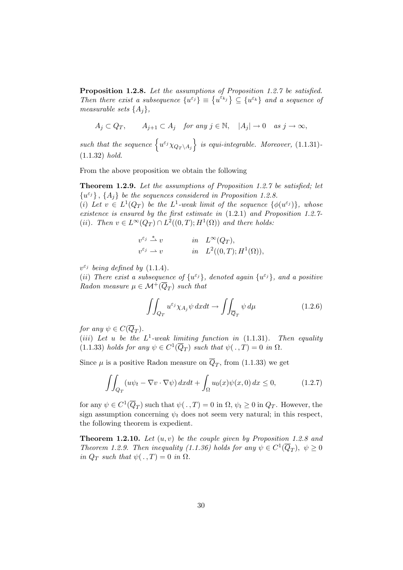Proposition 1.2.8. Let the assumptions of Proposition 1.2.7 be satisfied. Then there exist a subsequence  $\{u^{\varepsilon_j}\}\equiv \{u^{\varepsilon_{k_j}}\}\subseteq \{u^{\varepsilon_k}\}\$  and a sequence of measurable sets  $\{A_i\},\$ 

$$
A_j \subset Q_T, \qquad A_{j+1} \subset A_j \quad \text{for any } j \in \mathbb{N}, \quad |A_j| \to 0 \quad \text{as } j \to \infty,
$$

such that the sequence  $\left\{u^{\varepsilon_j}\chi_{Q_T\setminus A_j}\right\}$  is equi-integrable. Moreover, (1.1.31)-(1.1.32) hold.

From the above proposition we obtain the following

Theorem 1.2.9. Let the assumptions of Proposition 1.2.7 be satisfied; let  ${u^{\varepsilon_j}}$ ,  ${A_j}$  be the sequences considered in Proposition 1.2.8.

(i) Let  $v \in L^1(Q_T)$  be the  $L^1$ -weak limit of the sequence  $\{\phi(u^{\varepsilon_j})\}$ , whose existence is ensured by the first estimate in (1.2.1) and Proposition 1.2.7- (ii). Then  $v \in L^{\infty}(Q_T) \cap L^2((0,T); H^1(\Omega))$  and there holds:

$$
v^{\varepsilon_j} \stackrel{*}{\rightharpoonup} v \qquad \text{in} \quad L^{\infty}(Q_T),
$$
  

$$
v^{\varepsilon_j} \rightharpoonup v \qquad \text{in} \quad L^2((0,T);H^1(\Omega)),
$$

 $v^{\varepsilon_j}$  being defined by (1.1.4).

(ii) There exist a subsequence of  $\{u^{\varepsilon_j}\}\,$  denoted again  $\{u^{\varepsilon_j}\}\,$  and a positive Radon measure  $\mu \in \mathcal{M}^+(\overline{Q}_T)$  such that

$$
\iint_{Q_T} u^{\varepsilon_j} \chi_{A_j} \psi \, dxdt \to \iint_{\overline{Q}_T} \psi \, d\mu \tag{1.2.6}
$$

for any  $\psi \in C(Q_T)$ .

(iii) Let u be the  $L^1$ -weak limiting function in (1.1.31). Then equality (1.1.33) holds for any  $\psi \in C^1(\overline{Q}_T)$  such that  $\psi(.,T) = 0$  in  $\Omega$ .

Since  $\mu$  is a positive Radon measure on  $Q_T$ , from (1.1.33) we get

$$
\iint_{Q_T} (u\psi_t - \nabla v \cdot \nabla \psi) \, dx dt + \int_{\Omega} u_0(x)\psi(x,0) \, dx \le 0,\tag{1.2.7}
$$

for any  $\psi \in C^1(\overline{Q}_T)$  such that  $\psi(., T) = 0$  in  $\Omega, \psi_t \ge 0$  in  $Q_T$ . However, the sign assumption concerning  $\psi_t$  does not seem very natural; in this respect, the following theorem is expedient.

**Theorem 1.2.10.** Let  $(u, v)$  be the couple given by Proposition 1.2.8 and Theorem 1.2.9. Then inequality (1.1.36) holds for any  $\psi \in C^1(\overline{Q}_T)$ ,  $\psi \ge 0$ in  $Q_T$  such that  $\psi(.,T) = 0$  in  $\Omega$ .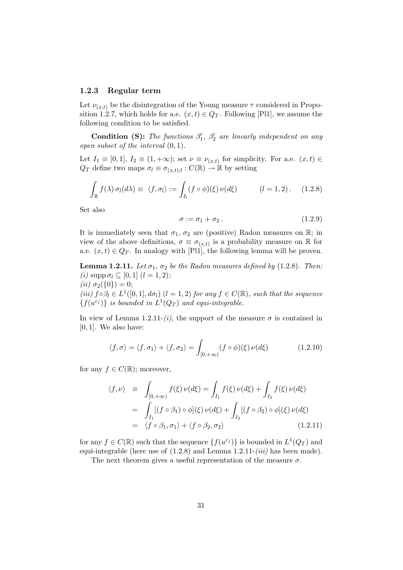#### 1.2.3 Regular term

Let  $\nu_{(x,t)}$  be the disintegration of the Young measure  $\tau$  considered in Proposition 1.2.7, which holds for a.e.  $(x, t) \in Q_T$ . Following [Pl1], we assume the following condition to be satisfied.

**Condition (S):** The functions  $\beta'_1$ ,  $\beta'_2$  are linearly independent on any open subset of the interval (0, 1).

Let  $I_1 \equiv [0,1], I_2 \equiv (1, +\infty)$ ; set  $\nu \equiv \nu_{(x,t)}$  for simplicity. For a.e.  $(x,t) \in$  $Q_T$  define two maps  $\sigma_l \equiv \sigma_{(x,t);l} : C(\mathbb{R}) \to \mathbb{R}$  by setting

$$
\int_{\mathbb{R}} f(\lambda) \,\sigma_l(d\lambda) \equiv \langle f, \sigma_l \rangle := \int_{I_l} (f \circ \phi)(\xi) \,\nu(d\xi) \qquad (l = 1, 2). \quad (1.2.8)
$$

Set also

$$
\sigma := \sigma_1 + \sigma_2. \tag{1.2.9}
$$

It is immediately seen that  $\sigma_1$ ,  $\sigma_2$  are (positive) Radon measures on R; in view of the above definitions,  $\sigma \equiv \sigma_{(x,t)}$  is a probability measure on R for a.e.  $(x, t) \in Q_T$ . In analogy with [Pl1], the following lemma will be proven.

**Lemma 1.2.11.** Let  $\sigma_1$ ,  $\sigma_2$  be the Radon measures defined by (1.2.8). Then: (*i*) supp  $\sigma_l \subseteq [0, 1]$   $(l = 1, 2)$ ; (*ii*)  $\sigma_2({0}) = 0;$ (iii)  $f \circ \beta_l \in L^1([0,1], d\sigma_l)$   $(l = 1, 2)$  for any  $f \in C(\mathbb{R})$ , such that the sequence  ${f(u^{\varepsilon_j})}$  is bounded in  $L^1(Q_T)$  and equi-integrable.

In view of Lemma 1.2.11-(i), the support of the measure  $\sigma$  is contained in  $[0, 1]$ . We also have:

$$
\langle f, \sigma \rangle = \langle f, \sigma_1 \rangle + \langle f, \sigma_2 \rangle = \int_{[0, +\infty)} (f \circ \phi)(\xi) \nu(d\xi)
$$
 (1.2.10)

for any  $f \in C(\mathbb{R})$ ; moreover,

$$
\langle f, \nu \rangle = \int_{[0, +\infty)} f(\xi) \nu(d\xi) = \int_{I_1} f(\xi) \nu(d\xi) + \int_{I_2} f(\xi) \nu(d\xi)
$$
  
= 
$$
\int_{I_1} [(f \circ \beta_1) \circ \phi](\xi) \nu(d\xi) + \int_{I_2} [(f \circ \beta_2) \circ \phi](\xi) \nu(d\xi)
$$
  
= 
$$
\langle f \circ \beta_1, \sigma_1 \rangle + \langle f \circ \beta_2, \sigma_2 \rangle
$$
 (1.2.11)

for any  $f \in C(\mathbb{R})$  such that the sequence  $\{f(u^{\varepsilon_j})\}$  is bounded in  $L^1(Q_T)$  and equi-integrable (here use of  $(1.2.8)$  and Lemma 1.2.11- $(iii)$  has been made).

The next theorem gives a useful representation of the measure  $\sigma$ .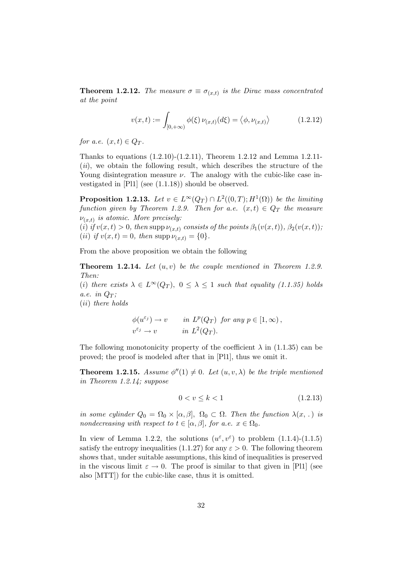**Theorem 1.2.12.** The measure  $\sigma \equiv \sigma_{(x,t)}$  is the Dirac mass concentrated at the point

$$
v(x,t) := \int_{[0,+\infty)} \phi(\xi) \, \nu_{(x,t)}(d\xi) = \langle \phi, \nu_{(x,t)} \rangle \tag{1.2.12}
$$

for a.e.  $(x, t) \in Q_T$ .

Thanks to equations  $(1.2.10)-(1.2.11)$ , Theorem 1.2.12 and Lemma 1.2.11- $(ii)$ , we obtain the following result, which describes the structure of the Young disintegration measure  $\nu$ . The analogy with the cubic-like case investigated in [Pl1] (see (1.1.18)) should be observed.

**Proposition 1.2.13.** Let  $v \in L^{\infty}(Q_T) \cap L^2((0,T); H^1(\Omega))$  be the limiting function given by Theorem 1.2.9. Then for a.e.  $(x,t) \in Q_T$  the measure  $\nu_{(x,t)}$  is atomic. More precisely:

(i) if  $v(x,t) > 0$ , then supp  $\nu_{(x,t)}$  consists of the points  $\beta_1(v(x,t))$ ,  $\beta_2(v(x,t))$ , (*ii*) if  $v(x, t) = 0$ , then supp  $\nu_{(x,t)} = \{0\}.$ 

From the above proposition we obtain the following

**Theorem 1.2.14.** Let  $(u, v)$  be the couple mentioned in Theorem 1.2.9. Then:

(i) there exists  $\lambda \in L^{\infty}(Q_T)$ ,  $0 \leq \lambda \leq 1$  such that equality (1.1.35) holds a.e. in  $Q_T$ :

(ii) there holds

$$
\phi(u^{\varepsilon_j}) \to v \qquad in \ L^p(Q_T) \ \text{ for any } p \in [1, \infty),
$$
  

$$
v^{\varepsilon_j} \to v \qquad in \ L^2(Q_T).
$$

The following monotonicity property of the coefficient  $\lambda$  in (1.1.35) can be proved; the proof is modeled after that in [Pl1], thus we omit it.

**Theorem 1.2.15.** Assume  $\phi''(1) \neq 0$ . Let  $(u, v, \lambda)$  be the triple mentioned in Theorem 1.2.14; suppose

$$
0 < v \le k < 1 \tag{1.2.13}
$$

in some cylinder  $Q_0 = \Omega_0 \times [\alpha, \beta], \Omega_0 \subset \Omega$ . Then the function  $\lambda(x, \cdot)$  is nondecreasing with respect to  $t \in [\alpha, \beta]$ , for a.e.  $x \in \Omega_0$ .

In view of Lemma 1.2.2, the solutions  $(u^{\varepsilon}, v^{\varepsilon})$  to problem  $(1.1.4)-(1.1.5)$ satisfy the entropy inequalities (1.1.27) for any  $\varepsilon > 0$ . The following theorem shows that, under suitable assumptions, this kind of inequalities is preserved in the viscous limit  $\varepsilon \to 0$ . The proof is similar to that given in [Pl1] (see also [MTT]) for the cubic-like case, thus it is omitted.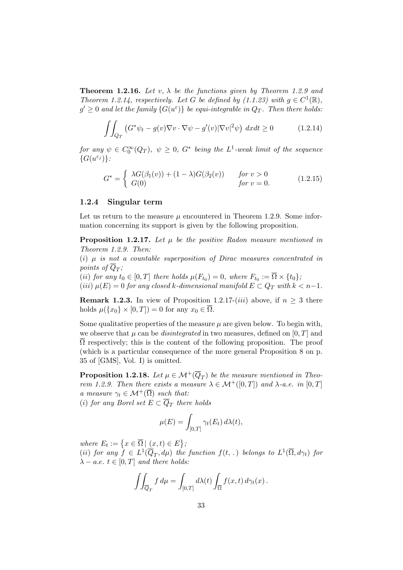**Theorem 1.2.16.** Let v,  $\lambda$  be the functions given by Theorem 1.2.9 and Theorem 1.2.14, respectively. Let G be defined by  $(1.1.23)$  with  $g \in C^1(\mathbb{R})$ ,  $g' \geq 0$  and let the family  $\{G(u^{\varepsilon})\}$  be equi-integrable in  $Q_T$ . Then there holds:

$$
\iint_{Q_T} \left( G^* \psi_t - g(v) \nabla v \cdot \nabla \psi - g'(v) |\nabla v|^2 \psi \right) dx dt \ge 0 \tag{1.2.14}
$$

for any  $\psi \in C_0^{\infty}(Q_T)$ ,  $\psi \geq 0$ ,  $G^*$  being the  $L^1$ -weak limit of the sequence  $\{G(u^{\varepsilon_j})\}$ :

$$
G^* = \begin{cases} \lambda G(\beta_1(v)) + (1 - \lambda)G(\beta_2(v)) & \text{for } v > 0\\ G(0) & \text{for } v = 0. \end{cases}
$$
(1.2.15)

#### 1.2.4 Singular term

Let us return to the measure  $\mu$  encountered in Theorem 1.2.9. Some information concerning its support is given by the following proposition.

**Proposition 1.2.17.** Let  $\mu$  be the positive Radon measure mentioned in Theorem 1.2.9. Then:

(i)  $\mu$  is not a countable superposition of Dirac measures concentrated in points of  $Q_T$ ;

(*ii*) for any  $t_0 \in [0, T]$  there holds  $\mu(F_{t_0}) = 0$ , where  $F_{t_0} := \Omega \times \{t_0\}$ ; (iii)  $\mu(E) = 0$  for any closed k-dimensional manifold  $E \subset Q_T$  with  $k < n-1$ .

**Remark 1.2.3.** In view of Proposition 1.2.17-(iii) above, if  $n \geq 3$  there holds  $\mu({x_0} \times [0,T]) = 0$  for any  $x_0 \in \overline{\Omega}$ .

Some qualitative properties of the measure  $\mu$  are given below. To begin with, we observe that  $\mu$  can be *disintegrated* in two measures, defined on [0, T] and  $\Omega$  respectively; this is the content of the following proposition. The proof (which is a particular consequence of the more general Proposition 8 on p. 35 of [GMS], Vol. I) is omitted.

**Proposition 1.2.18.** Let  $\mu \in \mathcal{M}^+(\overline{Q}_T)$  be the measure mentioned in Theorem 1.2.9. Then there exists a measure  $\lambda \in \mathcal{M}^+([0,T])$  and  $\lambda$ -a.e. in [0, T] a measure  $\gamma_t \in \mathcal{M}^+(\overline{\Omega})$  such that:

(i) for any Borel set  $E \subset Q_T$  there holds

$$
\mu(E) = \int_{[0,T]} \gamma_t(E_t) \, d\lambda(t),
$$

where  $E_t := \left\{ x \in \overline{\Omega} \mid (x, t) \in E \right\}$ ; (ii) for any  $f \in L^1(\overline{Q}_T, d\mu)$  the function  $f(t,.)$  belongs to  $L^1(\overline{\Omega}, d\gamma_t)$  for  $\lambda - a.e. \ t \in [0, T] \ and \ there \ holds:$ 

$$
\iint_{\overline{Q}_T} f d\mu = \int_{[0,T]} d\lambda(t) \int_{\overline{\Omega}} f(x,t) d\gamma_t(x).
$$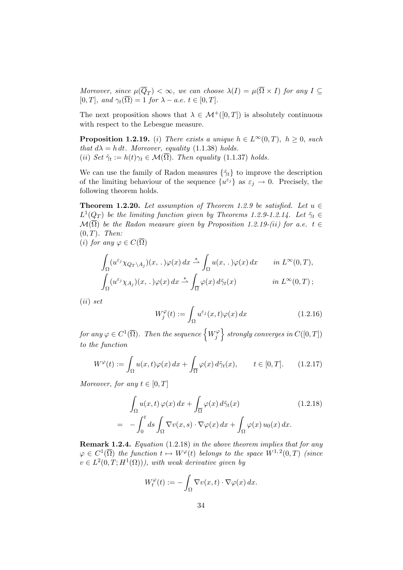Moreover, since  $\mu(Q_T) < \infty$ , we can choose  $\lambda(I) = \mu(\Omega \times I)$  for any  $I \subseteq$  $[0, T]$ , and  $\gamma_t(\overline{\Omega}) = 1$  for  $\lambda - a.e.$   $t \in [0, T]$ .

The next proposition shows that  $\lambda \in \mathcal{M}^+([0,T])$  is absolutely continuous with respect to the Lebesgue measure.

**Proposition 1.2.19.** (i) There exists a unique  $h \in L^{\infty}(0,T)$ ,  $h \geq 0$ , such that  $d\lambda = h dt$ . Moreover, equality (1.1.38) holds. (ii) Set  $\tilde{\gamma}_t := h(t)\gamma_t \in \mathcal{M}(\Omega)$ . Then equality (1.1.37) holds.

We can use the family of Radon measures  $\{\tilde{\gamma}_t\}$  to improve the description of the limiting behaviour of the sequence  $\{u^{\varepsilon_j}\}\$ as  $\varepsilon_j \to 0$ . Precisely, the following theorem holds.

**Theorem 1.2.20.** Let assumption of Theorem 1.2.9 be satisfied. Let  $u \in$  $L^1(\underline{Q_T})$  be the limiting function given by Theorems 1.2.9-1.2.14. Let  $\tilde{\gamma}_t \in$  $\mathcal{M}(\overline{\Omega})$  be the Radon measure given by Proposition 1.2.19-(ii) for a.e. t  $\in$  $(0, T)$ . Then:

(i) for any  $\varphi \in C(\overline{\Omega})$ 

$$
\int_{\Omega} (u^{\varepsilon_j} \chi_{Q_T \setminus A_j})(x,.) \varphi(x) dx \stackrel{*}{\rightharpoonup} \int_{\Omega} u(x,.) \varphi(x) dx \quad in \ L^{\infty}(0,T),
$$
  

$$
\int_{\Omega} (u^{\varepsilon_j} \chi_{A_j})(x,.) \varphi(x) dx \stackrel{*}{\rightharpoonup} \int_{\overline{\Omega}} \varphi(x) d\tilde{\gamma}_t(x) \quad in \ L^{\infty}(0,T);
$$

(ii) set

$$
W_j^{\varphi}(t) := \int_{\Omega} u^{\varepsilon_j}(x, t)\varphi(x) dx \qquad (1.2.16)
$$

for any  $\varphi \in C^1(\overline{\Omega}).$  Then the sequence  $\left\{W_j^{\varphi}\right\}$  $\left\{ \begin{array}{c} \mathcal{C} \neq \emptyset \end{array} \right\} \text{ strongly converges in } C([0,T])$ to the function

$$
W^{\varphi}(t) := \int_{\Omega} u(x, t)\varphi(x) dx + \int_{\overline{\Omega}} \varphi(x) d\tilde{\gamma}_t(x), \qquad t \in [0, T]. \tag{1.2.17}
$$

Moreover, for any  $t \in [0, T]$ 

$$
\int_{\Omega} u(x,t) \,\varphi(x) \, dx + \int_{\overline{\Omega}} \varphi(x) \, d\tilde{\gamma}_t(x) \tag{1.2.18}
$$
\n
$$
= - \int_0^t ds \int_{\Omega} \nabla v(x,s) \cdot \nabla \varphi(x) \, dx + \int_{\Omega} \varphi(x) \, u_0(x) \, dx.
$$

Remark 1.2.4. Equation (1.2.18) in the above theorem implies that for any  $\varphi \in C^1(\overline{\Omega})$  the function  $t \mapsto W^{\varphi}(t)$  belongs to the space  $W^{1,2}(0,T)$  (since  $v \in L^2(0,T;H^1(\Omega)))$ , with weak derivative given by

$$
W_t^{\varphi}(t) := -\int_{\Omega} \nabla v(x,t) \cdot \nabla \varphi(x) dx.
$$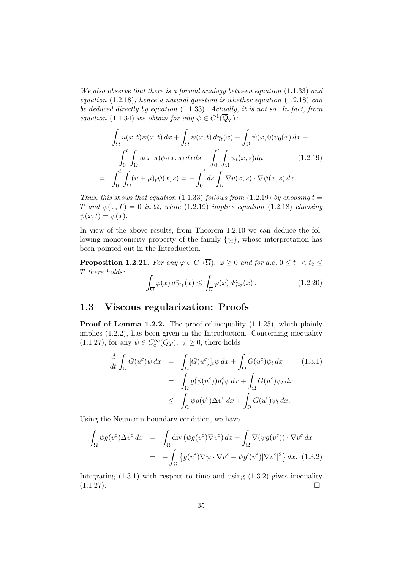We also observe that there is a formal analogy between equation (1.1.33) and equation  $(1.2.18)$ , hence a natural question is whether equation  $(1.2.18)$  can be deduced directly by equation (1.1.33). Actually, it is not so. In fact, from equation (1.1.34) we obtain for any  $\psi \in C^1(\overline{Q}_T)$ .

$$
\int_{\Omega} u(x,t)\psi(x,t) dx + \int_{\overline{\Omega}} \psi(x,t) d\tilde{\gamma}_t(x) - \int_{\Omega} \psi(x,0)u_0(x) dx +
$$

$$
-\int_0^t \int_{\Omega} u(x,s)\psi_t(x,s) dx ds - \int_0^t \int_{\Omega} \psi_t(x,s) d\mu \qquad (1.2.19)
$$

$$
= \int_0^t \int_{\overline{\Omega}} (u+\mu)_t \psi(x,s) = -\int_0^t ds \int_{\Omega} \nabla v(x,s) \cdot \nabla \psi(x,s) dx.
$$

Thus, this shows that equation (1.1.33) follows from (1.2.19) by choosing  $t =$ T and  $\psi(.,T) = 0$  in  $\Omega$ , while (1.2.19) implies equation (1.2.18) choosing  $\psi(x,t) = \psi(x)$ .

In view of the above results, from Theorem 1.2.10 we can deduce the following monotonicity property of the family  $\{\tilde{\gamma}_t\}$ , whose interpretation has been pointed out in the Introduction.

**Proposition 1.2.21.** For any  $\varphi \in C^1(\overline{\Omega})$ ,  $\varphi \geq 0$  and for a.e.  $0 \leq t_1 < t_2 \leq$ T there holds:

$$
\int_{\overline{\Omega}} \varphi(x) d\tilde{\gamma}_{t_1}(x) \le \int_{\overline{\Omega}} \varphi(x) d\tilde{\gamma}_{t_2}(x).
$$
\n(1.2.20)

## 1.3 Viscous regularization: Proofs

Proof of Lemma 1.2.2. The proof of inequality  $(1.1.25)$ , which plainly implies (1.2.2), has been given in the Introduction. Concerning inequality (1.1.27), for any  $\psi \in C_c^{\infty}(Q_T)$ ,  $\psi \ge 0$ , there holds

$$
\frac{d}{dt} \int_{\Omega} G(u^{\varepsilon}) \psi \, dx = \int_{\Omega} [G(u^{\varepsilon})]_t \psi \, dx + \int_{\Omega} G(u^{\varepsilon}) \psi_t \, dx \qquad (1.3.1)
$$
\n
$$
= \int_{\Omega} g(\phi(u^{\varepsilon})) u_t^{\varepsilon} \psi \, dx + \int_{\Omega} G(u^{\varepsilon}) \psi_t \, dx
$$
\n
$$
\leq \int_{\Omega} \psi g(v^{\varepsilon}) \Delta v^{\varepsilon} \, dx + \int_{\Omega} G(u^{\varepsilon}) \psi_t \, dx.
$$

Using the Neumann boundary condition, we have

$$
\int_{\Omega} \psi g(v^{\varepsilon}) \Delta v^{\varepsilon} dx = \int_{\Omega} \text{div} \left( \psi g(v^{\varepsilon}) \nabla v^{\varepsilon} \right) dx - \int_{\Omega} \nabla(\psi g(v^{\varepsilon})) \cdot \nabla v^{\varepsilon} dx
$$
\n
$$
= - \int_{\Omega} \left\{ g(v^{\varepsilon}) \nabla \psi \cdot \nabla v^{\varepsilon} + \psi g'(v^{\varepsilon}) |\nabla v^{\varepsilon}|^{2} \right\} dx. \tag{1.3.2}
$$

Integrating  $(1.3.1)$  with respect to time and using  $(1.3.2)$  gives inequality  $(1.1.27).$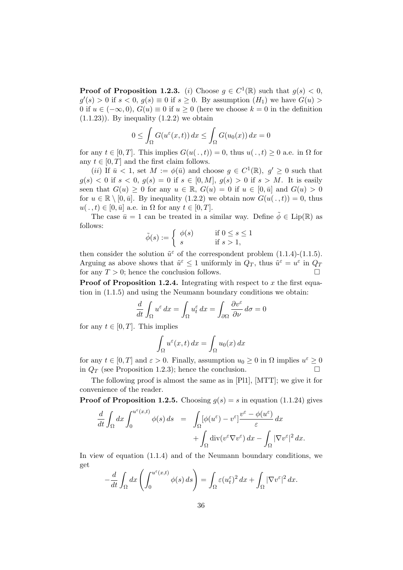**Proof of Proposition 1.2.3.** (i) Choose  $g \in C^1(\mathbb{R})$  such that  $g(s) < 0$ ,  $g'(s) > 0$  if  $s < 0$ ,  $g(s) \equiv 0$  if  $s \ge 0$ . By assumption  $(H_1)$  we have  $G(u) >$ 0 if  $u \in (-\infty, 0)$ ,  $G(u) \equiv 0$  if  $u \ge 0$  (here we choose  $k = 0$  in the definition  $(1.1.23)$ . By inequality  $(1.2.2)$  we obtain

$$
0 \le \int_{\Omega} G(u^{\varepsilon}(x,t)) dx \le \int_{\Omega} G(u_0(x)) dx = 0
$$

for any  $t \in [0, T]$ . This implies  $G(u(\cdot, t)) = 0$ , thus  $u(\cdot, t) \geq 0$  a.e. in  $\Omega$  for any  $t \in [0, T]$  and the first claim follows.

(*ii*) If  $\bar{u}$  < 1, set  $M := \phi(\bar{u})$  and choose  $g \in C^1(\mathbb{R})$ ,  $g' \geq 0$  such that  $g(s) < 0$  if  $s < 0$ ,  $g(s) = 0$  if  $s \in [0, M]$ ,  $g(s) > 0$  if  $s > M$ . It is easily seen that  $G(u) > 0$  for any  $u \in \mathbb{R}$ ,  $G(u) = 0$  if  $u \in [0, \bar{u}]$  and  $G(u) > 0$ for  $u \in \mathbb{R} \setminus [0, \bar{u}]$ . By inequality  $(1.2.2)$  we obtain now  $G(u(\cdot, t)) = 0$ , thus  $u(. , t) \in [0, \bar{u}]$  a.e. in  $\Omega$  for any  $t \in [0, T]$ .

The case  $\bar{u} = 1$  can be treated in a similar way. Define  $\tilde{\phi} \in \text{Lip}(\mathbb{R})$  as follows:

$$
\tilde{\phi}(s) := \begin{cases} \phi(s) & \text{if } 0 \le s \le 1 \\ s & \text{if } s > 1, \end{cases}
$$

then consider the solution  $\tilde{u}^{\varepsilon}$  of the correspondent problem (1.1.4)-(1.1.5). Arguing as above shows that  $\tilde{u}^{\varepsilon} \leq 1$  uniformly in  $Q_T$ , thus  $\tilde{u}^{\varepsilon} = u^{\varepsilon}$  in  $Q_T$ for any  $T > 0$ ; hence the conclusion follows.

**Proof of Proposition 1.2.4.** Integrating with respect to x the first equation in (1.1.5) and using the Neumann boundary conditions we obtain:

$$
\frac{d}{dt} \int_{\Omega} u^{\varepsilon} dx = \int_{\Omega} u^{\varepsilon}_t dx = \int_{\partial \Omega} \frac{\partial v^{\varepsilon}}{\partial \nu} d\sigma = 0
$$

for any  $t \in [0, T]$ . This implies

$$
\int_{\Omega} u^{\varepsilon}(x,t) dx = \int_{\Omega} u_0(x) dx
$$

for any  $t \in [0, T]$  and  $\varepsilon > 0$ . Finally, assumption  $u_0 \ge 0$  in  $\Omega$  implies  $u^{\varepsilon} \ge 0$ in  $Q_T$  (see Proposition 1.2.3); hence the conclusion.

The following proof is almost the same as in [Pl1], [MTT]; we give it for convenience of the reader.

**Proof of Proposition 1.2.5.** Choosing  $g(s) = s$  in equation (1.1.24) gives

$$
\frac{d}{dt} \int_{\Omega} dx \int_{0}^{u^{\varepsilon}(x,t)} \phi(s) ds = \int_{\Omega} [\phi(u^{\varepsilon}) - v^{\varepsilon}] \frac{v^{\varepsilon} - \phi(u^{\varepsilon})}{\varepsilon} dx \n+ \int_{\Omega} \operatorname{div} (v^{\varepsilon} \nabla v^{\varepsilon}) dx - \int_{\Omega} |\nabla v^{\varepsilon}|^{2} dx.
$$

In view of equation (1.1.4) and of the Neumann boundary conditions, we get

$$
-\frac{d}{dt}\int_{\Omega}dx\left(\int_0^{u^{\varepsilon}(x,t)}\phi(s)\,ds\right)=\int_{\Omega}\varepsilon(u_t^{\varepsilon})^2\,dx+\int_{\Omega}|\nabla v^{\varepsilon}|^2\,dx.
$$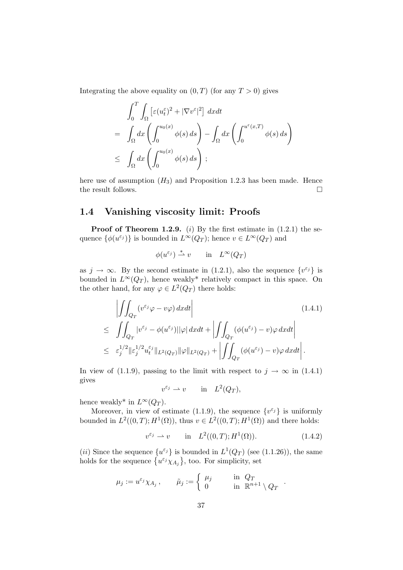Integrating the above equality on  $(0, T)$  (for any  $T > 0$ ) gives

$$
\int_0^T \int_{\Omega} \left[ \varepsilon (u_t^{\varepsilon})^2 + |\nabla v^{\varepsilon}|^2 \right] dx dt
$$
\n
$$
= \int_{\Omega} dx \left( \int_0^{u_0(x)} \phi(s) ds \right) - \int_{\Omega} dx \left( \int_0^{u^{\varepsilon}(x,T)} \phi(s) ds \right)
$$
\n
$$
\leq \int_{\Omega} dx \left( \int_0^{u_0(x)} \phi(s) ds \right);
$$

here use of assumption  $(H_3)$  and Proposition 1.2.3 has been made. Hence the result follows.  $\Box$ 

# 1.4 Vanishing viscosity limit: Proofs

**Proof of Theorem 1.2.9.** (i) By the first estimate in  $(1.2.1)$  the sequence  $\{\phi(u^{\varepsilon_j})\}$  is bounded in  $L^{\infty}(Q_T)$ ; hence  $v \in L^{\infty}(Q_T)$  and

$$
\phi(u^{\varepsilon_j}) \stackrel{*}{\rightharpoonup} v \qquad \text{in} \quad L^{\infty}(Q_T)
$$

as  $j \to \infty$ . By the second estimate in (1.2.1), also the sequence  $\{v^{\varepsilon_j}\}\)$  is bounded in  $L^{\infty}(Q_T)$ , hence weakly<sup>\*</sup> relatively compact in this space. On the other hand, for any  $\varphi \in L^2(Q_T)$  there holds:

$$
\left| \iint_{Q_T} (v^{\varepsilon_j} \varphi - v\varphi) \, dxdt \right| \tag{1.4.1}
$$
\n
$$
\leq \iint_{Q_T} |v^{\varepsilon_j} - \phi(u^{\varepsilon_j})| |\varphi| \, dxdt + \left| \iint_{Q_T} (\phi(u^{\varepsilon_j}) - v)\varphi \, dxdt \right| \leq \varepsilon_j^{1/2} \| \varepsilon_j^{1/2} u_t^{\varepsilon_j} \|_{L^2(Q_T)} \| \varphi \|_{L^2(Q_T)} + \left| \iint_{Q_T} (\phi(u^{\varepsilon_j}) - v)\varphi \, dxdt \right|.
$$

In view of (1.1.9), passing to the limit with respect to  $j \to \infty$  in (1.4.1) gives

$$
v^{\varepsilon_j} \rightharpoonup v \qquad \text{in} \quad L^2(Q_T),
$$

hence weakly<sup>\*</sup> in  $L^{\infty}(Q_T)$ .

Moreover, in view of estimate (1.1.9), the sequence  $\{v^{\varepsilon_j}\}\)$  is uniformly bounded in  $L^2((0,T); H^1(\Omega))$ , thus  $v \in L^2((0,T); H^1(\Omega))$  and there holds:

$$
v^{\varepsilon_j} \rightharpoonup v
$$
 in  $L^2((0,T); H^1(\Omega))$ . (1.4.2)

.

(*ii*) Since the sequence  $\{u^{\varepsilon_j}\}\$ is bounded in  $L^1(Q_T)$  (see (1.1.26)), the same holds for the sequence  $\{u^{\varepsilon_j}\chi_{A_j}\}\,$ , too. For simplicity, set

$$
\mu_j := u^{\varepsilon_j} \chi_{A_j} \,, \qquad \tilde{\mu}_j := \left\{ \begin{array}{ll} \mu_j \qquad & \text{in} \ \ Q_T \\ 0 \qquad & \text{in} \ \ \mathbb{R}^{n+1} \setminus Q_T \end{array} \right.
$$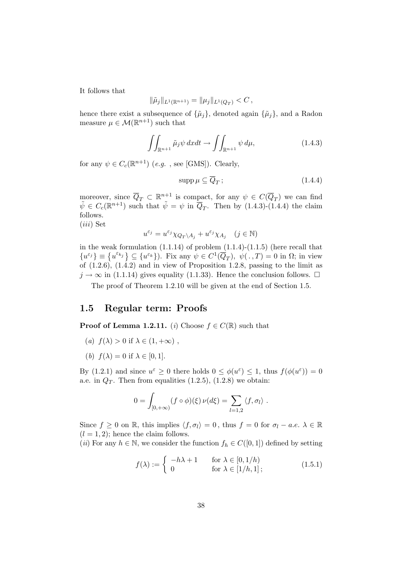It follows that

$$
\|\tilde{\mu}_j\|_{L^1(\mathbb{R}^{n+1})} = \|\mu_j\|_{L^1(Q_T)} < C
$$

hence there exist a subsequence of  $\{\tilde{\mu}_j\}$ , denoted again  $\{\tilde{\mu}_j\}$ , and a Radon measure  $\mu \in \mathcal{M}(\mathbb{R}^{n+1})$  such that

$$
\iint_{\mathbb{R}^{n+1}} \tilde{\mu}_j \psi \, dxdt \to \iint_{\mathbb{R}^{n+1}} \psi \, d\mu,\tag{1.4.3}
$$

for any  $\psi \in C_c(\mathbb{R}^{n+1})$  (*e.g.*, see [GMS]). Clearly,

$$
\operatorname{supp}\mu\subseteq\overline{Q}_T\,;\tag{1.4.4}
$$

moreover, since  $\overline{Q}_T \subset \mathbb{R}^{n+1}$  is compact, for any  $\psi \in C(\overline{Q}_T)$  we can find  $\tilde{\psi} \in C_c(\mathbb{R}^{n+1})$  such that  $\tilde{\psi} = \psi$  in  $\overline{Q}_T$ . Then by (1.4.3)-(1.4.4) the claim follows.

(iii) Set

$$
u^{\varepsilon_j}=u^{\varepsilon_j}\chi_{Q_T\backslash A_j}+u^{\varepsilon_j}\chi_{A_j}\quad(j\in\mathbb{N})
$$

in the weak formulation  $(1.1.14)$  of problem  $(1.1.4)-(1.1.5)$  (here recall that  ${u^{\varepsilon_j}} \equiv {u^{\varepsilon_{k_j}}}\subseteq {u^{\varepsilon_k}}$ ). Fix any  $\psi \in C^1(\overline{Q}_T)$ ,  $\psi(.)$ ,  $T) = 0$  in  $\Omega$ ; in view of  $(1.2.6)$ ,  $(1.4.2)$  and in view of Proposition 1.2.8, passing to the limit as  $j \to \infty$  in (1.1.14) gives equality (1.1.33). Hence the conclusion follows.  $\Box$ 

The proof of Theorem 1.2.10 will be given at the end of Section 1.5.

#### 1.5 Regular term: Proofs

**Proof of Lemma 1.2.11.** (i) Choose  $f \in C(\mathbb{R})$  such that

- (a)  $f(\lambda) > 0$  if  $\lambda \in (1, +\infty)$ ,
- (b)  $f(\lambda) = 0$  if  $\lambda \in [0, 1]$ .

By (1.2.1) and since  $u^{\varepsilon} \ge 0$  there holds  $0 \le \phi(u^{\varepsilon}) \le 1$ , thus  $f(\phi(u^{\varepsilon})) = 0$ a.e. in  $Q_T$ . Then from equalities  $(1.2.5)$ ,  $(1.2.8)$  we obtain:

$$
0 = \int_{[0,+\infty)} (f \circ \phi)(\xi) \nu(d\xi) = \sum_{l=1,2} \langle f, \sigma_l \rangle.
$$

Since  $f \geq 0$  on R, this implies  $\langle f, \sigma_l \rangle = 0$ , thus  $f = 0$  for  $\sigma_l - a.e.$   $\lambda \in \mathbb{R}$  $(l = 1, 2)$ ; hence the claim follows.

(ii) For any  $h \in \mathbb{N}$ , we consider the function  $f_h \in C([0, 1])$  defined by setting

$$
f(\lambda) := \begin{cases} -h\lambda + 1 & \text{for } \lambda \in [0, 1/h) \\ 0 & \text{for } \lambda \in [1/h, 1]; \end{cases}
$$
 (1.5.1)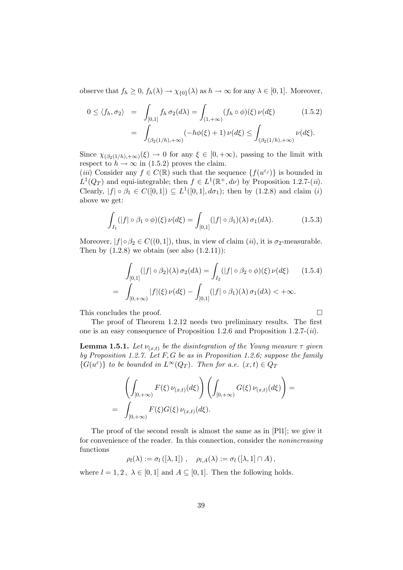observe that  $f_h \geq 0$ ,  $f_h(\lambda) \to \chi_{0}(\lambda)$  as  $h \to \infty$  for any  $\lambda \in [0,1]$ . Moreover,

$$
0 \le \langle f_h, \sigma_2 \rangle = \int_{[0,1]} f_h \, \sigma_2(d\lambda) = \int_{(1,+\infty)} (f_h \circ \phi)(\xi) \, \nu(d\xi) \tag{1.5.2}
$$

$$
= \int_{(\beta_2(1/h),+\infty)} (-h\phi(\xi) + 1) \, \nu(d\xi) \le \int_{(\beta_2(1/h),+\infty)} \nu(d\xi).
$$

Since  $\chi_{(\beta_2(1/h),+\infty)}(\xi) \to 0$  for any  $\xi \in [0,+\infty)$ , passing to the limit with respect to  $h \to \infty$  in (1.5.2) proves the claim.

(*iii*) Consider any  $f \in C(\mathbb{R})$  such that the sequence  $\{f(u^{\varepsilon_j})\}$  is bounded in  $L^1(Q_T)$  and equi-integrable; then  $f \in L^1(\mathbb{R}^+, d\nu)$  by Proposition 1.2.7-(*ii*). Clearly,  $|f| \circ \beta_1 \in C([0,1]) \subseteq L^1([0,1], d\sigma_1)$ ; then by (1.2.8) and claim (i) above we get:

$$
\int_{I_1} (|f| \circ \beta_1 \circ \phi)(\xi) \nu(d\xi) = \int_{[0,1]} (|f| \circ \beta_1)(\lambda) \sigma_1(d\lambda).
$$
 (1.5.3)

Moreover,  $|f| \circ \beta_2 \in C((0, 1])$ , thus, in view of claim  $(ii)$ , it is  $\sigma_2$ -measurable. Then by  $(1.2.8)$  we obtain (see also  $(1.2.11)$ ):

$$
\int_{[0,1]} (|f| \circ \beta_2)(\lambda) \sigma_2(d\lambda) = \int_{I_2} (|f| \circ \beta_2 \circ \phi)(\xi) \nu(d\xi) \qquad (1.5.4)
$$

$$
= \int_{[0,+\infty)} |f|(\xi) \nu(d\xi) - \int_{[0,1]} (|f| \circ \beta_1)(\lambda) \sigma_1(d\lambda) < +\infty.
$$

This concludes the proof.

The proof of Theorem 1.2.12 needs two preliminary results. The first one is an easy consequence of Proposition 1.2.6 and Proposition 1.2.7-(ii).

**Lemma 1.5.1.** Let  $\nu_{(x,t)}$  be the disintegration of the Young measure  $\tau$  given by Proposition 1.2.7. Let  $F, G$  be as in Proposition 1.2.6; suppose the family  ${G(u^{\varepsilon})}$  to be bounded in  $L^{\infty}(Q_T)$ . Then for a.e.  $(x,t) \in Q_T$ 

$$
\left(\int_{[0,+\infty)} F(\xi) \nu_{(x,t)}(d\xi)\right) \left(\int_{[0,+\infty)} G(\xi) \nu_{(x,t)}(d\xi)\right) = \int_{[0,+\infty)} F(\xi) G(\xi) \nu_{(x,t)}(d\xi).
$$

The proof of the second result is almost the same as in [Pl1]; we give it for convenience of the reader. In this connection, consider the nonincreasing functions

$$
\rho_l(\lambda) := \sigma_l([\lambda, 1]) , \quad \rho_{l,A}(\lambda) := \sigma_l([\lambda, 1] \cap A) ,
$$

where  $l = 1, 2, \lambda \in [0, 1]$  and  $A \subseteq [0, 1]$ . Then the following holds.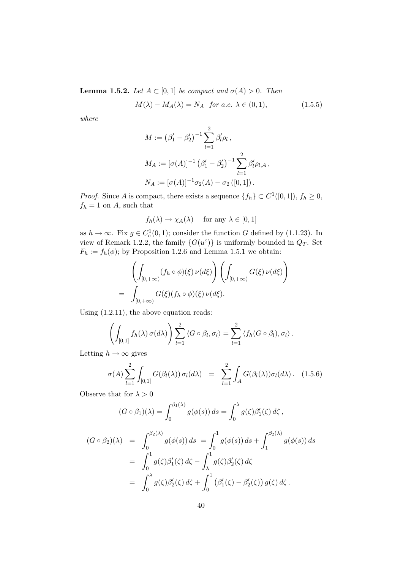**Lemma 1.5.2.** Let  $A \subset [0,1]$  be compact and  $\sigma(A) > 0$ . Then

$$
M(\lambda) - M_A(\lambda) = N_A \quad \text{for a.e. } \lambda \in (0, 1), \tag{1.5.5}
$$

where

$$
M := (\beta'_1 - \beta'_2)^{-1} \sum_{l=1}^2 \beta'_l \rho_l ,
$$
  
\n
$$
M_A := [\sigma(A)]^{-1} (\beta'_1 - \beta'_2)^{-1} \sum_{l=1}^2 \beta'_l \rho_{l,A} ,
$$
  
\n
$$
N_A := [\sigma(A)]^{-1} \sigma_2(A) - \sigma_2 ([0,1]).
$$

*Proof.* Since A is compact, there exists a sequence  $\{f_h\} \subset C^1([0,1])$ ,  $f_h \geq 0$ ,  $f_h = 1$  on A, such that

$$
f_h(\lambda) \to \chi_A(\lambda)
$$
 for any  $\lambda \in [0, 1]$ 

as  $h \to \infty$ . Fix  $g \in C_c^1(0, 1)$ ; consider the function G defined by (1.1.23). In view of Remark 1.2.2, the family  $\{G(u^{\varepsilon})\}$  is uniformly bounded in  $Q_T$ . Set  $F_h := f_h(\phi)$ ; by Proposition 1.2.6 and Lemma 1.5.1 we obtain:

$$
\left(\int_{[0,+\infty)} (f_h \circ \phi)(\xi) \nu(d\xi)\right) \left(\int_{[0,+\infty)} G(\xi) \nu(d\xi)\right)
$$
  
= 
$$
\int_{[0,+\infty)} G(\xi)(f_h \circ \phi)(\xi) \nu(d\xi).
$$

Using (1.2.11), the above equation reads:

$$
\left(\int_{[0,1]} f_h(\lambda) \,\sigma(d\lambda)\right) \sum_{l=1}^2 \left\langle G \circ \beta_l, \sigma_l \right\rangle = \sum_{l=1}^2 \left\langle f_h(G \circ \beta_l), \sigma_l \right\rangle.
$$

Letting  $h \to \infty$  gives

$$
\sigma(A) \sum_{l=1}^{2} \int_{[0,1]} G(\beta_l(\lambda)) \sigma_l(d\lambda) = \sum_{l=1}^{2} \int_A G(\beta_l(\lambda)) \sigma_l(d\lambda).
$$
 (1.5.6)

Observe that for  $\lambda > 0$ 

$$
(G \circ \beta_1)(\lambda) = \int_0^{\beta_1(\lambda)} g(\phi(s)) ds = \int_0^{\lambda} g(\zeta) \beta'_1(\zeta) d\zeta,
$$

$$
(G \circ \beta_2)(\lambda) = \int_0^{\beta_2(\lambda)} g(\phi(s)) ds = \int_0^1 g(\phi(s)) ds + \int_1^{\beta_2(\lambda)} g(\phi(s)) ds = \int_0^1 g(\zeta) \beta'_1(\zeta) d\zeta - \int_{\lambda}^1 g(\zeta) \beta'_2(\zeta) d\zeta = \int_0^{\lambda} g(\zeta) \beta'_2(\zeta) d\zeta + \int_0^1 (\beta'_1(\zeta) - \beta'_2(\zeta)) g(\zeta) d\zeta.
$$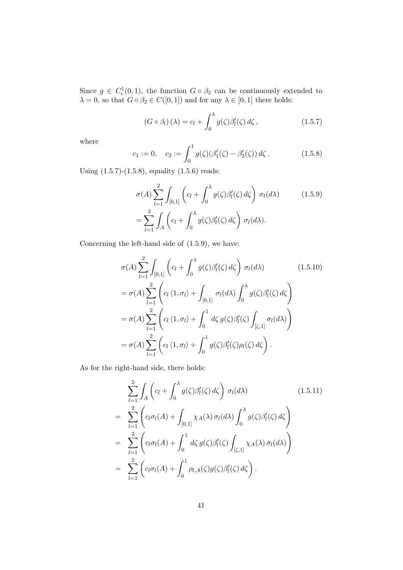Since  $g \in C_c^1(0,1)$ , the function  $G \circ \beta_2$  can be continuously extended to  $\lambda = 0$ , so that  $G \circ \beta_2 \in C([0,1])$  and for any  $\lambda \in [0,1]$  there holds:

$$
(G \circ \beta_l)(\lambda) = c_l + \int_0^{\lambda} g(\zeta) \beta'_l(\zeta) d\zeta, \qquad (1.5.7)
$$

where

$$
c_1 := 0, \quad c_2 := \int_0^1 g(\zeta)(\beta_1'(\zeta) - \beta_2'(\zeta)) d\zeta.
$$
 (1.5.8)

Using (1.5.7)-(1.5.8), equality (1.5.6) reads:

$$
\sigma(A) \sum_{l=1}^{2} \int_{[0,1]} \left( c_l + \int_0^{\lambda} g(\zeta) \beta'_l(\zeta) d\zeta \right) \sigma_l(d\lambda)
$$
(1.5.9)  
= 
$$
\sum_{l=1}^{2} \int_A \left( c_l + \int_0^{\lambda} g(\zeta) \beta'_l(\zeta) d\zeta \right) \sigma_l(d\lambda).
$$

Concerning the left-hand side of (1.5.9), we have:

$$
\sigma(A) \sum_{l=1}^{2} \int_{[0,1]} \left( c_l + \int_0^{\lambda} g(\zeta) \beta'_l(\zeta) d\zeta \right) \sigma_l(d\lambda)
$$
(1.5.10)  
=  $\sigma(A) \sum_{l=1}^{2} \left( c_l \langle 1, \sigma_l \rangle + \int_{[0,1]} \sigma_l(d\lambda) \int_0^{\lambda} g(\zeta) \beta'_l(\zeta) d\zeta \right)$   
=  $\sigma(A) \sum_{l=1}^{2} \left( c_l \langle 1, \sigma_l \rangle + \int_0^1 d\zeta g(\zeta) \beta'_l(\zeta) \int_{[\zeta,1]} \sigma_l(d\lambda) \right)$   
=  $\sigma(A) \sum_{l=1}^{2} \left( c_l \langle 1, \sigma_l \rangle + \int_0^1 g(\zeta) \beta'_l(\zeta) \rho_l(\zeta) d\zeta \right).$ 

As for the right-hand side, there holds:

$$
\sum_{l=1}^{2} \int_{A} \left( c_{l} + \int_{0}^{\lambda} g(\zeta) \beta'_{l}(\zeta) d\zeta \right) \sigma_{l}(d\lambda) \qquad (1.5.11)
$$
\n
$$
= \sum_{l=1}^{2} \left( c_{l} \sigma_{l}(A) + \int_{[0,1]} \chi_{A}(\lambda) \sigma_{l}(d\lambda) \int_{0}^{\lambda} g(\zeta) \beta'_{l}(\zeta) d\zeta \right)
$$
\n
$$
= \sum_{l=1}^{2} \left( c_{l} \sigma_{l}(A) + \int_{0}^{1} d\zeta g(\zeta) \beta'_{l}(\zeta) \int_{[\zeta,1]} \chi_{A}(\lambda) \sigma_{l}(d\lambda) \right)
$$
\n
$$
= \sum_{l=1}^{2} \left( c_{l} \sigma_{l}(A) + \int_{0}^{1} \rho_{l,A}(\zeta) g(\zeta) \beta'_{l}(\zeta) d\zeta \right).
$$
\n(1.5.11)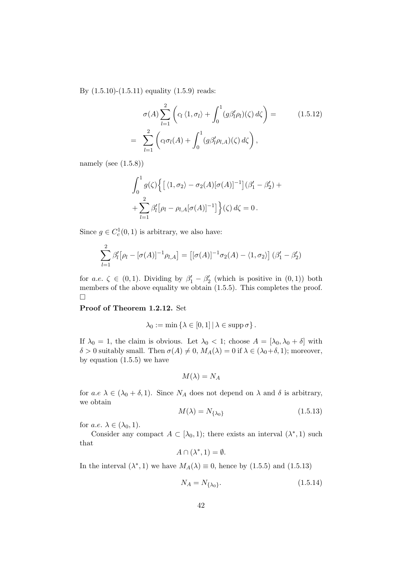By (1.5.10)-(1.5.11) equality (1.5.9) reads:

$$
\sigma(A) \sum_{l=1}^{2} \left( c_l \langle 1, \sigma_l \rangle + \int_0^1 (g \beta'_l \rho_l)(\zeta) d\zeta \right) =
$$
\n
$$
= \sum_{l=1}^{2} \left( c_l \sigma_l(A) + \int_0^1 (g \beta'_l \rho_{l,A})(\zeta) d\zeta \right),
$$
\n(1.5.12)

namely (see  $(1.5.8)$ )

$$
\int_0^1 g(\zeta) \Big\{ \big[ \langle 1, \sigma_2 \rangle - \sigma_2(A) [\sigma(A)]^{-1} \big] (\beta_1' - \beta_2') +
$$
  
+ 
$$
\sum_{l=1}^2 \beta_l' [\rho_l - \rho_{l,A} [\sigma(A)]^{-1} \big] \Big\} (\zeta) d\zeta = 0.
$$

Since  $g \in C_c^1(0,1)$  is arbitrary, we also have:

$$
\sum_{l=1}^{2} \beta_l' [\rho_l - [\sigma(A)]^{-1} \rho_{l,A}] = [[\sigma(A)]^{-1} \sigma_2(A) - \langle 1, \sigma_2 \rangle] (\beta_1' - \beta_2')
$$

for a.e.  $\zeta \in (0,1)$ . Dividing by  $\beta'_1 - \beta'_2$  (which is positive in  $(0,1)$ ) both members of the above equality we obtain  $(1.5.5)$ . This completes the proof.  $\Box$ 

Proof of Theorem 1.2.12. Set

$$
\lambda_0 := \min \left\{ \lambda \in [0,1] \, | \, \lambda \in \operatorname{supp} \sigma \right\}.
$$

If  $\lambda_0 = 1$ , the claim is obvious. Let  $\lambda_0 < 1$ ; choose  $A = [\lambda_0, \lambda_0 + \delta]$  with  $\delta > 0$  suitably small. Then  $\sigma(A) \neq 0$ ,  $M_A(\lambda) = 0$  if  $\lambda \in (\lambda_0 + \delta, 1)$ ; moreover, by equation  $(1.5.5)$  we have

$$
M(\lambda) = N_A
$$

for a.e  $\lambda \in (\lambda_0 + \delta, 1)$ . Since  $N_A$  does not depend on  $\lambda$  and  $\delta$  is arbitrary, we obtain

$$
M(\lambda) = N_{\{\lambda_0\}}\tag{1.5.13}
$$

for *a.e.*  $\lambda \in (\lambda_0, 1)$ .

Consider any compact  $A \subset [\lambda_0, 1)$ ; there exists an interval  $(\lambda^*, 1)$  such that

$$
A\cap (\lambda^*,1)=\emptyset.
$$

In the interval  $(\lambda^*, 1)$  we have  $M_A(\lambda) \equiv 0$ , hence by  $(1.5.5)$  and  $(1.5.13)$ 

$$
N_A = N_{\{\lambda_0\}}.\tag{1.5.14}
$$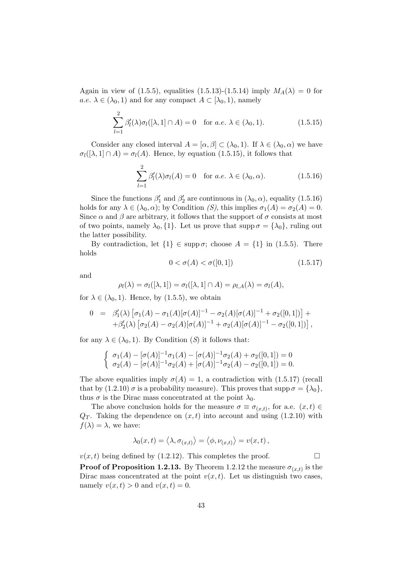Again in view of (1.5.5), equalities (1.5.13)-(1.5.14) imply  $M_A(\lambda) = 0$  for  $a.e. \ \lambda \in (\lambda_0, 1)$  and for any compact  $A \subset [\lambda_0, 1)$ , namely

$$
\sum_{l=1}^{2} \beta_l'(\lambda) \sigma_l([\lambda, 1] \cap A) = 0 \quad \text{for a.e. } \lambda \in (\lambda_0, 1). \tag{1.5.15}
$$

Consider any closed interval  $A = [\alpha, \beta] \subset (\lambda_0, 1)$ . If  $\lambda \in (\lambda_0, \alpha)$  we have  $\sigma_l([\lambda, 1] \cap A) = \sigma_l(A)$ . Hence, by equation (1.5.15), it follows that

$$
\sum_{l=1}^{2} \beta'_l(\lambda)\sigma_l(A) = 0 \quad \text{for a.e. } \lambda \in (\lambda_0, \alpha). \tag{1.5.16}
$$

Since the functions  $\beta'_1$  and  $\beta'_2$  are continuous in  $(\lambda_0, \alpha)$ , equality  $(1.5.16)$ holds for any  $\lambda \in (\lambda_0, \alpha)$ ; by Condition (S), this implies  $\sigma_1(A) = \sigma_2(A) = 0$ . Since  $\alpha$  and  $\beta$  are arbitrary, it follows that the support of  $\sigma$  consists at most of two points, namely  $\lambda_0$ , {1}. Let us prove that supp  $\sigma = {\lambda_0}$ , ruling out the latter possibility.

By contradiction, let  $\{1\} \in \text{supp }\sigma$ ; choose  $A = \{1\}$  in (1.5.5). There holds

$$
0 < \sigma(A) < \sigma([0, 1]) \tag{1.5.17}
$$

and

$$
\rho_l(\lambda) = \sigma_l([\lambda, 1]) = \sigma_l([\lambda, 1] \cap A) = \rho_{l,A}(\lambda) = \sigma_l(A),
$$

for  $\lambda \in (\lambda_0, 1)$ . Hence, by (1.5.5), we obtain

$$
0 = \beta'_1(\lambda) [\sigma_1(A) - \sigma_1(A)[\sigma(A)]^{-1} - \sigma_2(A)[\sigma(A)]^{-1} + \sigma_2([0,1])] +
$$
  
+ $\beta'_2(\lambda) [\sigma_2(A) - \sigma_2(A)[\sigma(A)]^{-1} + \sigma_2(A)[\sigma(A)]^{-1} - \sigma_2([0,1])],$ 

for any  $\lambda \in (\lambda_0, 1)$ . By Condition (S) it follows that:

$$
\begin{cases} \sigma_1(A) - [\sigma(A)]^{-1} \sigma_1(A) - [\sigma(A)]^{-1} \sigma_2(A) + \sigma_2([0,1]) = 0 \\ \sigma_2(A) - [\sigma(A)]^{-1} \sigma_2(A) + [\sigma(A)]^{-1} \sigma_2(A) - \sigma_2([0,1]) = 0. \end{cases}
$$

The above equalities imply  $\sigma(A) = 1$ , a contradiction with (1.5.17) (recall that by (1.2.10)  $\sigma$  is a probability measure). This proves that supp  $\sigma = {\lambda_0},$ thus  $\sigma$  is the Dirac mass concentrated at the point  $\lambda_0$ .

The above conclusion holds for the measure  $\sigma \equiv \sigma_{(x,t)}$ , for a.e.  $(x,t) \in$  $Q_T$ . Taking the dependence on  $(x, t)$  into account and using  $(1.2.10)$  with  $f(\lambda) = \lambda$ , we have:

$$
\lambda_0(x,t) = \langle \lambda, \sigma_{(x,t)} \rangle = \langle \phi, \nu_{(x,t)} \rangle = v(x,t),
$$

 $v(x, t)$  being defined by (1.2.12). This completes the proof.

**Proof of Proposition 1.2.13.** By Theorem 1.2.12 the measure  $\sigma_{(x,t)}$  is the Dirac mass concentrated at the point  $v(x, t)$ . Let us distinguish two cases, namely  $v(x, t) > 0$  and  $v(x, t) = 0$ .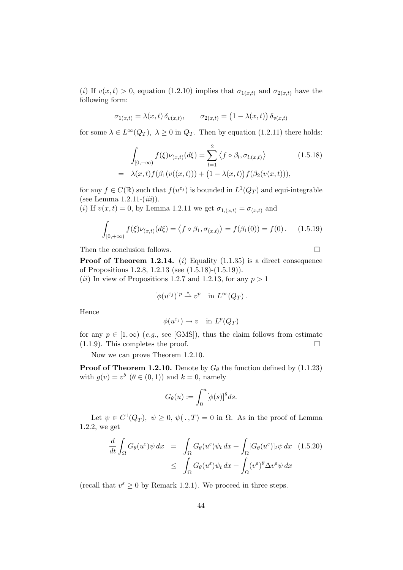(i) If  $v(x, t) > 0$ , equation (1.2.10) implies that  $\sigma_{1(x,t)}$  and  $\sigma_{2(x,t)}$  have the following form:

$$
\sigma_{1(x,t)} = \lambda(x,t) \, \delta_{v(x,t)}, \qquad \sigma_{2(x,t)} = \left(1 - \lambda(x,t)\right) \delta_{v(x,t)}
$$

for some  $\lambda \in L^{\infty}(Q_T)$ ,  $\lambda \geq 0$  in  $Q_T$ . Then by equation (1.2.11) there holds:

$$
\int_{[0,+\infty)} f(\xi) \nu_{(x,t)}(d\xi) = \sum_{l=1}^{2} \langle f \circ \beta_l, \sigma_{l,(x,t)} \rangle \qquad (1.5.18)
$$
\n
$$
= \lambda(x,t) f(\beta_1(v((x,t))) + (1 - \lambda(x,t)) f(\beta_2(v(x,t))),
$$

for any  $f \in C(\mathbb{R})$  such that  $f(u^{\varepsilon_j})$  is bounded in  $L^1(Q_T)$  and equi-integrable (see Lemma  $1.2.11-(iii)$ ).

(i) If  $v(x, t) = 0$ , by Lemma 1.2.11 we get  $\sigma_{1,(x,t)} = \sigma_{(x,t)}$  and

$$
\int_{[0,+\infty)} f(\xi) \nu_{(x,t)}(d\xi) = \langle f \circ \beta_1, \sigma_{(x,t)} \rangle = f(\beta_1(0)) = f(0). \quad (1.5.19)
$$

Then the conclusion follows.  $\hfill \square$ 

**Proof of Theorem 1.2.14.** (i) Equality  $(1.1.35)$  is a direct consequence of Propositions 1.2.8, 1.2.13 (see (1.5.18)-(1.5.19)).

(*ii*) In view of Propositions 1.2.7 and 1.2.13, for any  $p > 1$ 

$$
[\phi(u^{\varepsilon_j})]^p \stackrel{*}{\rightharpoonup} v^p \quad \text{in } L^{\infty}(Q_T) .
$$

Hence

$$
\phi(u^{\varepsilon_j}) \to v \quad \text{in } L^p(Q_T)
$$

for any  $p \in [1, \infty)$  (e.g., see [GMS]), thus the claim follows from estimate (1.1.9). This completes the proof. (1.1.9). This completes the proof.

Now we can prove Theorem 1.2.10.

**Proof of Theorem 1.2.10.** Denote by  $G_{\theta}$  the function defined by (1.1.23) with  $g(v) = v^{\theta}$   $(\theta \in (0, 1))$  and  $k = 0$ , namely

$$
G_{\theta}(u) := \int_0^u [\phi(s)]^{\theta} ds.
$$

Let  $\psi \in C^1(\overline{Q}_T)$ ,  $\psi \geq 0$ ,  $\psi(.,T) = 0$  in  $\Omega$ . As in the proof of Lemma 1.2.2, we get

$$
\frac{d}{dt} \int_{\Omega} G_{\theta}(u^{\varepsilon}) \psi \, dx = \int_{\Omega} G_{\theta}(u^{\varepsilon}) \psi_t \, dx + \int_{\Omega} [G_{\theta}(u^{\varepsilon})]_t \psi \, dx \quad (1.5.20)
$$
\n
$$
\leq \int_{\Omega} G_{\theta}(u^{\varepsilon}) \psi_t \, dx + \int_{\Omega} (v^{\varepsilon})^{\theta} \Delta v^{\varepsilon} \psi \, dx
$$

(recall that  $v^{\varepsilon} \ge 0$  by Remark 1.2.1). We proceed in three steps.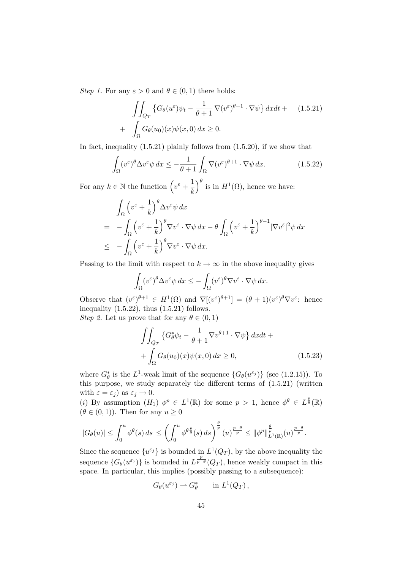Step 1. For any  $\varepsilon > 0$  and  $\theta \in (0,1)$  there holds:

$$
\iint_{Q_T} \left\{ G_{\theta}(u^{\varepsilon}) \psi_t - \frac{1}{\theta + 1} \nabla(v^{\varepsilon})^{\theta + 1} \cdot \nabla \psi \right\} dx dt + \quad (1.5.21)
$$

$$
+ \int_{\Omega} G_{\theta}(u_0)(x) \psi(x, 0) dx \ge 0.
$$

In fact, inequality  $(1.5.21)$  plainly follows from  $(1.5.20)$ , if we show that

$$
\int_{\Omega} (v^{\varepsilon})^{\theta} \Delta v^{\varepsilon} \psi \, dx \le -\frac{1}{\theta + 1} \int_{\Omega} \nabla (v^{\varepsilon})^{\theta + 1} \cdot \nabla \psi \, dx. \tag{1.5.22}
$$

For any  $k \in \mathbb{N}$  the function  $\left(v^{\varepsilon} + \frac{1}{k}\right)$ k  $\int^{\theta}$  is in  $H^{1}(\Omega)$ , hence we have:

$$
\int_{\Omega} \left( v^{\varepsilon} + \frac{1}{k} \right)^{\theta} \Delta v^{\varepsilon} \psi \, dx
$$
\n
$$
= - \int_{\Omega} \left( v^{\varepsilon} + \frac{1}{k} \right)^{\theta} \nabla v^{\varepsilon} \cdot \nabla \psi \, dx - \theta \int_{\Omega} \left( v^{\varepsilon} + \frac{1}{k} \right)^{\theta - 1} |\nabla v^{\varepsilon}|^2 \psi \, dx
$$
\n
$$
\leq - \int_{\Omega} \left( v^{\varepsilon} + \frac{1}{k} \right)^{\theta} \nabla v^{\varepsilon} \cdot \nabla \psi \, dx.
$$

Passing to the limit with respect to  $k \to \infty$  in the above inequality gives

$$
\int_{\Omega} (v^{\varepsilon})^{\theta} \Delta v^{\varepsilon} \psi \, dx \le - \int_{\Omega} (v^{\varepsilon})^{\theta} \nabla v^{\varepsilon} \cdot \nabla \psi \, dx.
$$

Observe that  $(v^{\varepsilon})^{\theta+1} \in H^1(\Omega)$  and  $\nabla[(v^{\varepsilon})^{\theta+1}] = (\theta+1)(v^{\varepsilon})^{\theta} \nabla v^{\varepsilon}$ : hence inequality  $(1.5.22)$ , thus  $(1.5.21)$  follows. *Step 2.* Let us prove that for any  $\theta \in (0, 1)$ 

$$
\iint_{Q_T} \left\{ G_\theta^* \psi_t - \frac{1}{\theta + 1} \nabla v^{\theta + 1} \cdot \nabla \psi \right\} dx dt + \n+ \int_{\Omega} G_\theta(u_0)(x) \psi(x, 0) dx \ge 0,
$$
\n(1.5.23)

where  $G_{\theta}^*$  is the L<sup>1</sup>-weak limit of the sequence  $\{G_{\theta}(u^{\varepsilon_j})\}$  (see (1.2.15)). To this purpose, we study separately the different terms of (1.5.21) (written with  $\varepsilon = \varepsilon_j$  as  $\varepsilon_j \to 0$ .

(i) By assumption  $(H_1)$   $\phi^p \in L^1(\mathbb{R})$  for some  $p > 1$ , hence  $\phi^{\theta} \in L^{\frac{p}{\theta}}(\mathbb{R})$  $(\theta \in (0, 1))$ . Then for any  $u \geq 0$ 

$$
|G_{\theta}(u)| \leq \int_0^u \phi^{\theta}(s) ds \leq \left(\int_0^u \phi^{\theta \frac{p}{\theta}}(s) ds\right)^{\frac{\theta}{p}} (u)^{\frac{p-\theta}{p}} \leq {\|\phi^p\|}_{L^1(\mathbb{R})}^{\frac{\theta}{p}} (u)^{\frac{p-\theta}{p}}.
$$

Since the sequence  $\{u^{\varepsilon_j}\}\$ is bounded in  $L^1(Q_T)$ , by the above inequality the sequence  $\{G_{\theta}(u^{\varepsilon_j})\}$  is bounded in  $L^{\frac{p}{p-\theta}}(Q_T)$ , hence weakly compact in this space. In particular, this implies (possibly passing to a subsequence):

$$
G_{\theta}(u^{\varepsilon_j}) \rightharpoonup G_{\theta}^* \qquad \text{in } L^1(Q_T) ,
$$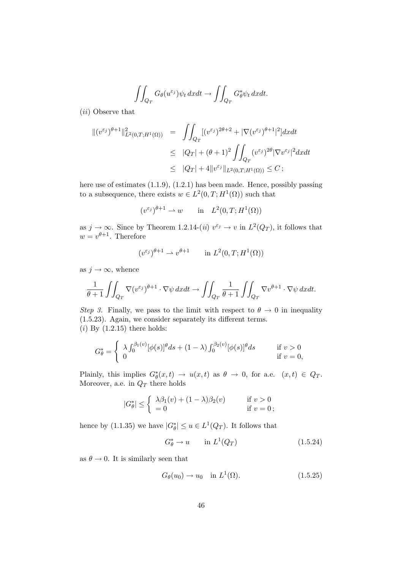$$
\iint_{Q_T} G_{\theta}(u^{\varepsilon_j}) \psi_t \, dxdt \to \iint_{Q_T} G_{\theta}^* \psi_t \, dxdt.
$$

(ii) Observe that

$$
\begin{array}{rcl} \|(v^{\varepsilon_j})^{\theta+1}\|_{L^2(0,T;H^1(\Omega))}^2 & = & \iint_{Q_T} [(v^{\varepsilon_j})^{2\theta+2} + |\nabla (v^{\varepsilon_j})^{\theta+1}|^2] dx dt \\ \\ & \leq & |Q_T| + (\theta+1)^2 \iint_{Q_T} (v^{\varepsilon_j})^{2\theta} |\nabla v^{\varepsilon_j}|^2 dx dt \\ \\ & \leq & |Q_T| + 4 \|v^{\varepsilon_j}\|_{L^2(0,T;H^1(\Omega))} \leq C \, ; \end{array}
$$

here use of estimates (1.1.9), (1.2.1) has been made. Hence, possibly passing to a subsequence, there exists  $w \in L^2(0,T;H^1(\Omega))$  such that

$$
(v^{\varepsilon_j})^{\theta+1} \rightharpoonup w \qquad \text{in} \quad L^2(0,T;H^1(\Omega))
$$

as  $j \to \infty$ . Since by Theorem 1.2.14-(*ii*)  $v^{\varepsilon_j} \to v$  in  $L^2(Q_T)$ , it follows that  $w = v^{\theta+1}$ . Therefore

$$
(v^{\varepsilon_j})^{\theta+1} \rightharpoonup v^{\theta+1} \qquad \text{in } L^2(0,T;H^1(\Omega))
$$

as  $j \to \infty$ , whence

$$
\frac{1}{\theta+1} \iint_{Q_T} \nabla (v^{\varepsilon_j})^{\theta+1} \cdot \nabla \psi \, dxdt \to \iint_{Q_T} \frac{1}{\theta+1} \iint_{Q_T} \nabla v^{\theta+1} \cdot \nabla \psi \, dxdt.
$$

Step 3. Finally, we pass to the limit with respect to  $\theta \to 0$  in inequality (1.5.23). Again, we consider separately its different terms.  $(i)$  By  $(1.2.15)$  there holds:

$$
G_{\theta}^* = \begin{cases} \lambda \int_0^{\beta_1(v)} [\phi(s)]^{\theta} ds + (1 - \lambda) \int_0^{\beta_2(v)} [\phi(s)]^{\theta} ds & \text{if } v > 0 \\ 0 & \text{if } v = 0, \end{cases}
$$

Plainly, this implies  $G^*_{\theta}(x,t) \to u(x,t)$  as  $\theta \to 0$ , for a.e.  $(x,t) \in Q_T$ . Moreover, a.e. in  $Q_T$  there holds

$$
|G_{\theta}^*| \leq \begin{cases} \lambda \beta_1(v) + (1 - \lambda)\beta_2(v) & \text{if } v > 0 \\ = 0 & \text{if } v = 0; \end{cases}
$$

hence by (1.1.35) we have  $|G_{\theta}^*| \le u \in L^1(Q_T)$ . It follows that

$$
G_{\theta}^* \to u \qquad \text{in } L^1(Q_T) \tag{1.5.24}
$$

as  $\theta \to 0$ . It is similarly seen that

$$
G_{\theta}(u_0) \to u_0 \quad \text{in } L^1(\Omega). \tag{1.5.25}
$$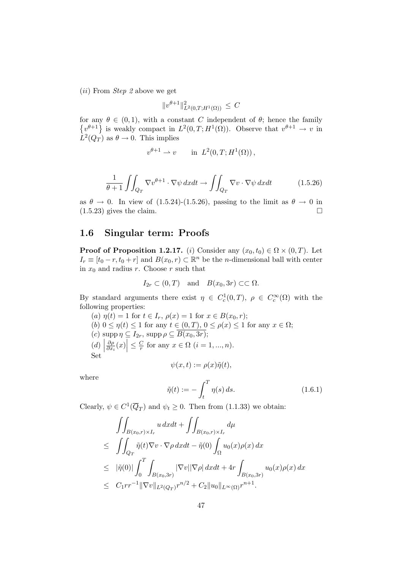(ii) From Step 2 above we get

$$
||v^{\theta+1}||^2_{L^2(0,T;H^1(\Omega))} \leq C
$$

for any  $\theta \in (0,1)$ , with a constant C independent of  $\theta$ ; hence the family  $\{v^{\theta+1}\}\$ is weakly compact in  $L^2(0,T;H^1(\Omega))$ . Observe that  $v^{\theta+1}\to v$  in  $L^2(Q_T)$  as  $\theta \to 0$ . This implies

$$
v^{\theta+1} \rightharpoonup v \qquad \text{in} \ \ L^2(0,T;H^1(\Omega))\,,
$$

$$
\frac{1}{\theta+1} \iint_{Q_T} \nabla v^{\theta+1} \cdot \nabla \psi \, dxdt \to \iint_{Q_T} \nabla v \cdot \nabla \psi \, dxdt \tag{1.5.26}
$$

as  $\theta \to 0$ . In view of (1.5.24)-(1.5.26), passing to the limit as  $\theta \to 0$  in (1.5.23) gives the claim. (1.5.23) gives the claim.

#### 1.6 Singular term: Proofs

**Proof of Proposition 1.2.17.** (i) Consider any  $(x_0, t_0) \in \Omega \times (0, T)$ . Let  $I_r \equiv [t_0 - r, t_0 + r]$  and  $B(x_0, r) \subset \mathbb{R}^n$  be the *n*-dimensional ball with center in  $x_0$  and radius r. Choose r such that

$$
I_{2r} \subset (0,T)
$$
 and  $B(x_0, 3r) \subset\subset \Omega$ .

By standard arguments there exist  $\eta \in C_c^1(0,T)$ ,  $\rho \in C_c^{\infty}(\Omega)$  with the following properties:

(a)  $\eta(t) = 1$  for  $t \in I_r$ ,  $\rho(x) = 1$  for  $x \in B(x_0, r)$ ; (b)  $0 \le \eta(t) \le 1$  for any  $t \in (0, T), 0 \le \rho(x) \le 1$  for any  $x \in \Omega$ ;<br>(c) supp  $\eta \subseteq I_{2r}$ , supp  $\rho \subseteq \overline{B(x_0, 3r)}$ ; (c)  $\text{supp }\eta \subseteq I_{2r}$ ,  $\text{supp }\rho \subseteq B(x_0, 3r);$  $\left(\begin{matrix}d\end{matrix}\right)$ ∂ρ  $\frac{\partial \rho}{\partial x_i}(x)\Big|\leq \frac{C}{r}$  $\frac{C}{r}$  for any  $x \in \Omega$   $(i = 1, ..., n)$ . Set  $\psi(x,t) := \rho(x)\tilde{\eta}(t),$ 

where

$$
\tilde{\eta}(t) := -\int_t^T \eta(s) \, ds. \tag{1.6.1}
$$

Clearly,  $\psi \in C^1(\overline{Q}_T)$  and  $\psi_t \geq 0$ . Then from (1.1.33) we obtain:

$$
\iint_{B(x_0,r)\times I_r} u \, dxdt + \iint_{B(x_0,r)\times I_r} d\mu
$$
\n
$$
\leq \iint_{Q_T} \tilde{\eta}(t) \nabla v \cdot \nabla \rho \, dxdt - \tilde{\eta}(0) \int_{\Omega} u_0(x)\rho(x) \, dx
$$
\n
$$
\leq |\tilde{\eta}(0)| \int_0^T \int_{B(x_0,3r)} |\nabla v||\nabla \rho| \, dxdt + 4r \int_{B(x_0,3r)} u_0(x)\rho(x) \, dx
$$
\n
$$
\leq C_1 r r^{-1} ||\nabla v||_{L^2(Q_T)} r^{n/2} + C_2 ||u_0||_{L^{\infty}(\Omega)} r^{n+1}.
$$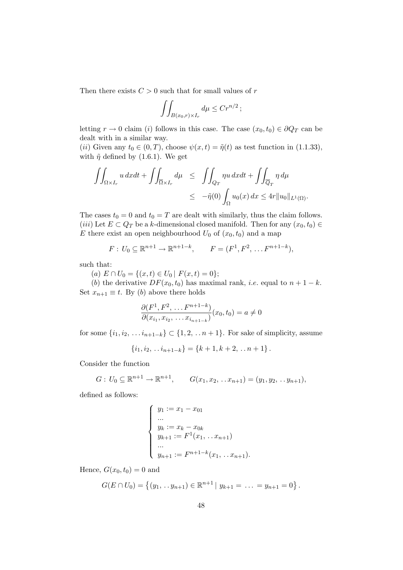Then there exists  $C > 0$  such that for small values of  $r$ 

$$
\iint_{B(x_0,r)\times I_r} d\mu \le Cr^{n/2};
$$

letting  $r \to 0$  claim (i) follows in this case. The case  $(x_0, t_0) \in \partial Q_T$  can be dealt with in a similar way.

(ii) Given any  $t_0 \in (0, T)$ , choose  $\psi(x, t) = \tilde{\eta}(t)$  as test function in (1.1.33), with  $\tilde{\eta}$  defined by (1.6.1). We get

$$
\iint_{\Omega \times I_r} u \, dxdt + \iint_{\overline{\Omega} \times I_r} d\mu \le \iint_{Q_T} \eta u \, dxdt + \iint_{\overline{Q}_T} \eta \, d\mu
$$
  

$$
\le -\tilde{\eta}(0) \int_{\Omega} u_0(x) \, dx \le 4r \|u_0\|_{L^1(\Omega)}.
$$

The cases  $t_0 = 0$  and  $t_0 = T$  are dealt with similarly, thus the claim follows. (iii) Let  $E \subset Q_T$  be a k-dimensional closed manifold. Then for any  $(x_0, t_0) \in$ E there exist an open neighbourhood  $U_0$  of  $(x_0, t_0)$  and a map

$$
F: U_0 \subseteq \mathbb{R}^{n+1} \to \mathbb{R}^{n+1-k}, \qquad F = (F^1, F^2, \dots F^{n+1-k}),
$$

such that:

(a)  $E \cap U_0 = \{(x, t) \in U_0 \mid F(x, t) = 0\};$ 

(b) the derivative  $DF(x_0, t_0)$  has maximal rank, *i.e.* equal to  $n + 1 - k$ . Set  $x_{n+1} \equiv t$ . By (b) above there holds

$$
\frac{\partial(F^1, F^2, \dots, F^{n+1-k})}{\partial(x_{i_1}, x_{i_2}, \dots, x_{i_{n+1-k}})}(x_0, t_0) = a \neq 0
$$

for some  $\{i_1, i_2, \ldots i_{n+1-k}\} \subset \{1, 2, \ldots n+1\}$ . For sake of simplicity, assume

$$
\{i_1, i_2, \ldots i_{n+1-k}\} = \{k+1, k+2, \ldots n+1\}.
$$

Consider the function

$$
G: U_0 \subseteq \mathbb{R}^{n+1} \to \mathbb{R}^{n+1}, \qquad G(x_1, x_2, \ldots x_{n+1}) = (y_1, y_2, \ldots y_{n+1}),
$$

defined as follows:

$$
\begin{cases}\ny_1 := x_1 - x_{01} \\
\dots \\
y_k := x_k - x_{0k} \\
y_{k+1} := F^1(x_1, \dots x_{n+1}) \\
\dots \\
y_{n+1} := F^{n+1-k}(x_1, \dots x_{n+1}).\n\end{cases}
$$

Hence,  $G(x_0, t_0) = 0$  and

$$
G(E \cap U_0) = \{(y_1, \ldots y_{n+1}) \in \mathbb{R}^{n+1} \mid y_{k+1} = \ldots = y_{n+1} = 0\}.
$$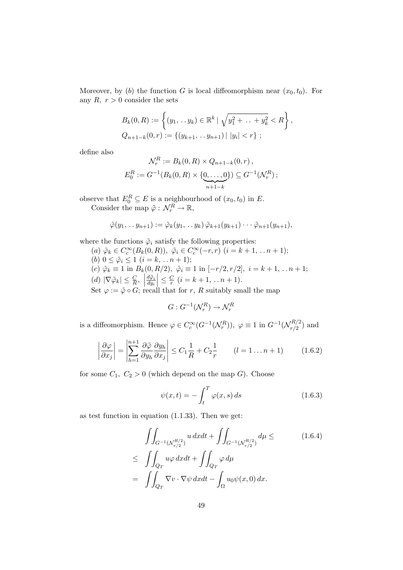Moreover, by (b) the function G is local diffeomorphism near  $(x_0, t_0)$ . For any  $R, r > 0$  consider the sets

$$
B_k(0, R) := \left\{ (y_1, \ldots y_k) \in \mathbb{R}^k \mid \sqrt{y_1^2 + \ldots + y_k^2} < R \right\},
$$
\n
$$
Q_{n+1-k}(0, r) := \left\{ (y_{k+1}, \ldots y_{n+1}) \mid |y_i| < r \right\};
$$

define also

$$
\mathcal{N}_r^R := B_k(0, R) \times Q_{n+1-k}(0, r),
$$
  

$$
E_0^R := G^{-1}(B_k(0, R) \times \{0, \dots, 0\}) \subseteq G^{-1}(\mathcal{N}_r^R);
$$

observe that  $E_0^R \subseteq E$  is a neighbourhood of  $(x_0, t_0)$  in E. Consider the map  $\tilde{\varphi}: \mathcal{N}_r^R \to \mathbb{R},$ 

$$
\tilde{\varphi}(y_1,\ldots y_{n+1}) := \tilde{\varphi}_k(y_1,\ldots y_k) \tilde{\varphi}_{k+1}(y_{k+1}) \cdots \tilde{\varphi}_{n+1}(y_{n+1}),
$$

where the functions  $\tilde{\varphi}_i$  satisfy the following properties:

(a)  $\tilde{\varphi}_k \in C_c^{\infty}(B_k(0,R)), \ \tilde{\varphi}_i \in C_c^{\infty}(-r,r) \ (i = k+1, \ldots n+1);$ (b)  $0 \leq \tilde{\varphi}_i \leq 1$   $(i = k, ..., n + 1);$ (c)  $\tilde{\varphi}_k \equiv 1$  in  $B_k(0, R/2), \ \tilde{\varphi}_i \equiv 1$  in  $[-r/2, r/2], i = k+1, \ldots n+1;$  $\left| \begin{matrix} (d) \ |\nabla \tilde{\varphi}_k| \leq \frac{C}{R}, \\ 0 & \tilde{C} \end{matrix} \right|$  $d\tilde{\varphi}_i$  $dy_i$  $\leq \frac{C}{r}$  $\frac{C}{r}$   $(i = k + 1, \ldots n + 1).$ Set  $\varphi := \tilde{\varphi} \circ G$ ; recall that for r, R suitably small the map

$$
G: G^{-1}(\mathcal{N}_r^R) \to \mathcal{N}_r^R
$$

is a diffeomorphism. Hence  $\varphi \in C_c^{\infty}(G^{-1}(\mathcal{N}_r^R)), \varphi \equiv 1$  in  $G^{-1}(\mathcal{N}_{r/2}^{R/2})$  $\binom{n/2}{r/2}$  and

$$
\left| \frac{\partial \varphi}{\partial x_j} \right| = \left| \sum_{h=1}^{n+1} \frac{\partial \tilde{\varphi}}{\partial y_h} \frac{\partial y_h}{\partial x_j} \right| \le C_1 \frac{1}{R} + C_2 \frac{1}{r} \qquad (l = 1 \dots n+1) \tag{1.6.2}
$$

for some  $C_1, C_2 > 0$  (which depend on the map G). Choose

$$
\psi(x,t) = -\int_{t}^{T} \varphi(x,s) \, ds \tag{1.6.3}
$$

as test function in equation (1.1.33). Then we get:

$$
\iint_{G^{-1}(N_{r/2}^{R/2})} u \, dxdt + \iint_{G^{-1}(N_{r/2}^{R/2})} d\mu \le \qquad (1.6.4)
$$
\n
$$
\le \iint_{Q_T} u\varphi \, dxdt + \iint_{Q_T} \varphi \, d\mu
$$
\n
$$
= \iint_{Q_T} \nabla v \cdot \nabla \psi \, dxdt - \int_{\Omega} u_0 \psi(x,0) \, dx.
$$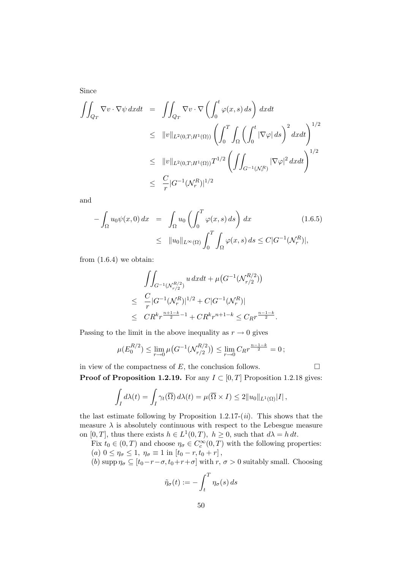Since

$$
\iint_{Q_T} \nabla v \cdot \nabla \psi \, dxdt = \iint_{Q_T} \nabla v \cdot \nabla \left( \int_0^t \varphi(x, s) \, ds \right) \, dxdt
$$
\n
$$
\leq \|v\|_{L^2(0,T;H^1(\Omega))} \left( \int_0^T \int_{\Omega} \left( \int_0^t |\nabla \varphi| \, ds \right)^2 dxdt \right)^{1/2}
$$
\n
$$
\leq \|v\|_{L^2(0,T;H^1(\Omega))} T^{1/2} \left( \iint_{G^{-1}(\mathcal{N}_r^R)} |\nabla \varphi|^2 \, dxdt \right)^{1/2}
$$
\n
$$
\leq \frac{C}{r} |G^{-1}(\mathcal{N}_r^R)|^{1/2}
$$

and

$$
-\int_{\Omega} u_0 \psi(x,0) dx = \int_{\Omega} u_0 \left( \int_0^T \varphi(x,s) ds \right) dx \qquad (1.6.5)
$$
  

$$
\leq \|u_0\|_{L^{\infty}(\Omega)} \int_0^T \int_{\Omega} \varphi(x,s) ds \leq C|G^{-1}(\mathcal{N}_r^R)|,
$$

from  $(1.6.4)$  we obtain:

$$
\iint_{G^{-1}(N_r^{R/2})} u \, dxdt + \mu \big( G^{-1}(N_{r/2}^{R/2}) \big)
$$
\n
$$
\leq \frac{C}{r} |G^{-1}(N_r^{R})|^{1/2} + C|G^{-1}(N_r^{R})|
$$
\n
$$
\leq CR^k r^{\frac{n+1-k}{2}-1} + CR^k r^{n+1-k} \leq C_R r^{\frac{n-1-k}{2}}.
$$

Passing to the limit in the above inequality as  $r \to 0$  gives

$$
\mu(E_0^{R/2})\leq \lim_{r\to 0}\mu\big(G^{-1}(\mathcal{N}_{r/2}^{R/2})\big)\leq \lim_{r\to 0}C_Rr^{\frac{n-1-k}{2}}=0\,;
$$

in view of the compactness of  $E$ , the conclusion follows.  $\Box$ 

**Proof of Proposition 1.2.19.** For any  $I \subset [0, T]$  Proposition 1.2.18 gives:

$$
\int_I d\lambda(t) = \int_I \gamma_t(\overline{\Omega}) d\lambda(t) = \mu(\overline{\Omega} \times I) \le 2||u_0||_{L^1(\Omega)}|I|,
$$

the last estimate following by Proposition 1.2.17- $(ii)$ . This shows that the measure  $\lambda$  is absolutely continuous with respect to the Lebesgue measure on [0, T], thus there exists  $h \in L^1(0,T)$ ,  $h \geq 0$ , such that  $d\lambda = h dt$ .

Fix  $t_0 \in (0, T)$  and choose  $\eta_{\sigma} \in C_c^{\infty}(0, T)$  with the following properties: (a)  $0 \leq \eta_{\sigma} \leq 1$ ,  $\eta_{\sigma} \equiv 1$  in  $[t_0 - r, t_0 + r]$ ,

(b) supp  $\eta_{\sigma} \subseteq [t_0-r-\sigma, t_0+r+\sigma]$  with  $r, \sigma > 0$  suitably small. Choosing

$$
\tilde{\eta}_{\sigma}(t) := -\int_{t}^{T} \eta_{\sigma}(s) \, ds
$$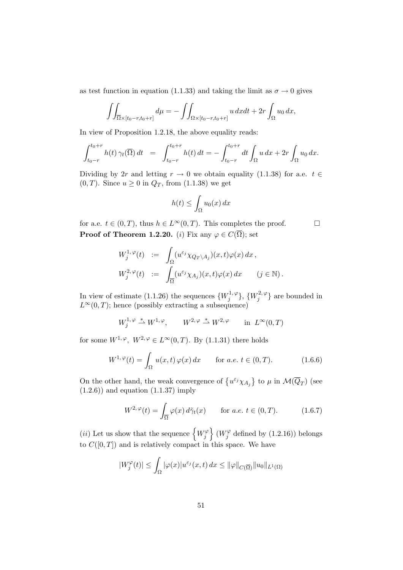as test function in equation (1.1.33) and taking the limit as  $\sigma \to 0$  gives

$$
\iint_{\overline{\Omega}\times[t_0-r,t_0+r]}d\mu = -\iint_{\Omega\times[t_0-r,t_0+r]} u\,dxdt + 2r\int_{\Omega}u_0\,dx,
$$

In view of Proposition 1.2.18, the above equality reads:

$$
\int_{t_0-r}^{t_0+r} h(t) \,\gamma_t(\overline{\Omega}) \,dt \;\; = \;\; \int_{t_0-r}^{t_0+r} h(t) \,dt = -\int_{t_0-r}^{t_0+r} dt \int_{\Omega} u \,dx + 2r \int_{\Omega} u_0 \,dx.
$$

Dividing by 2r and letting  $r \to 0$  we obtain equality (1.1.38) for a.e.  $t \in$  $(0, T)$ . Since  $u \geq 0$  in  $Q_T$ , from  $(1.1.38)$  we get

$$
h(t) \le \int_{\Omega} u_0(x) \, dx
$$

for a.e.  $t \in (0, T)$ , thus  $h \in L^{\infty}(0, T)$ . This completes the proof. **Proof of Theorem 1.2.20.** (i) Fix any  $\varphi \in C(\overline{\Omega})$ ; set

$$
W_j^{1,\varphi}(t) := \int_{\Omega} (u^{\varepsilon_j} \chi_{Q_T \setminus A_j})(x,t) \varphi(x) dx,
$$
  

$$
W_j^{2,\varphi}(t) := \int_{\overline{\Omega}} (u^{\varepsilon_j} \chi_{A_j})(x,t) \varphi(x) dx \qquad (j \in \mathbb{N}).
$$

In view of estimate (1.1.26) the sequences  $\{W_j^{1,\varphi}\}$  $\{W_j^{1,\,\varphi}\},\, \{W_j^{2,\,\varphi}\}$  $\{f_j^{2,\varphi}\}\)$  are bounded in  $L^{\infty}(0,T)$ ; hence (possibly extracting a subsequence)

$$
W_j^{1, \varphi} \stackrel{*}{\rightharpoonup} W^{1, \varphi}, \qquad W^{2, \varphi} \stackrel{*}{\rightharpoonup} W^{2, \varphi} \qquad \text{in} \ \ L^{\infty}(0, T)
$$

for some  $W^{1,\varphi}, W^{2,\varphi} \in L^{\infty}(0,T)$ . By (1.1.31) there holds

$$
W^{1,\,\varphi}(t) = \int_{\Omega} u(x,t)\,\varphi(x)\,dx \qquad \text{for a.e. } t \in (0,T). \tag{1.6.6}
$$

On the other hand, the weak convergence of  $\{u^{\varepsilon_j}\chi_{A_j}\}\)$  to  $\mu$  in  $\mathcal{M}(\overline{Q}_T)$  (see  $(1.2.6)$ ) and equation  $(1.1.37)$  imply

$$
W^{2,\varphi}(t) = \int_{\overline{\Omega}} \varphi(x) d\tilde{\gamma}_t(x) \quad \text{for a.e. } t \in (0, T). \quad (1.6.7)
$$

(*ii*) Let us show that the sequence  $\left\{W_j^{\varphi}\right\}$  $\left\{ \begin{array}{c} \mathbf{\varphi}\ y \end{array} \right\}$   $(W_{j}^{\varphi}% )=\left\{ \begin{array}{c} \mathbf{\varphi}\left( \mathbf{r}\right) \mathbf{\varphi}\left( \mathbf{r}\right) \end{array} \right\}$  $j^{\varphi}$  defined by  $(1.2.16)$ ) belongs to  $C([0,T])$  and is relatively compact in this space. We have

$$
|W_j^{\varphi}(t)| \leq \int_{\Omega} |\varphi(x)| u^{\varepsilon_j}(x,t) dx \leq ||\varphi||_{C(\overline{\Omega})} ||u_0||_{L^1(\Omega)}
$$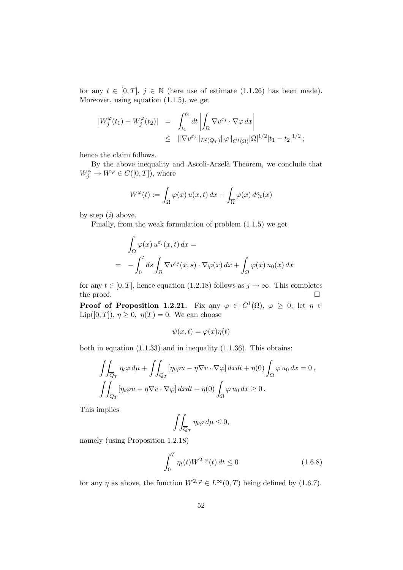for any  $t \in [0, T]$ ,  $j \in \mathbb{N}$  (here use of estimate (1.1.26) has been made). Moreover, using equation (1.1.5), we get

$$
\begin{array}{rcl} |W_j^{\varphi}(t_1) - W_j^{\varphi}(t_2)| & = & \int_{t_1}^{t_2} dt \left| \int_{\Omega} \nabla v^{\varepsilon_j} \cdot \nabla \varphi \, dx \right| \\ & \leq & \|\nabla v^{\varepsilon_j}\|_{L^2(Q_T)} \|\varphi\|_{C^1(\overline{\Omega})} |\Omega|^{1/2} |t_1 - t_2|^{1/2} \, ; \end{array}
$$

hence the claim follows.

By the above inequality and Ascoli-Arzelà Theorem, we conclude that  $W_j^{\varphi} \to W^{\varphi} \in C([0,T]),$  where

$$
W^{\varphi}(t) := \int_{\Omega} \varphi(x) u(x, t) dx + \int_{\overline{\Omega}} \varphi(x) d\tilde{\gamma}_t(x)
$$

by step  $(i)$  above.

Finally, from the weak formulation of problem (1.1.5) we get

$$
\int_{\Omega} \varphi(x) u^{\varepsilon_j}(x, t) dx =
$$
\n
$$
= - \int_0^t ds \int_{\Omega} \nabla v^{\varepsilon_j}(x, s) \cdot \nabla \varphi(x) dx + \int_{\Omega} \varphi(x) u_0(x) dx
$$

for any  $t \in [0, T]$ , hence equation (1.2.18) follows as  $j \to \infty$ . This completes the proof. the proof.

**Proof of Proposition 1.2.21.** Fix any  $\varphi \in C^1(\overline{\Omega})$ ,  $\varphi \geq 0$ ; let  $\eta \in$  $\text{Lip}([0,T]), \eta \geq 0, \eta(T) = 0.$  We can choose

$$
\psi(x,t) = \varphi(x)\eta(t)
$$

both in equation (1.1.33) and in inequality (1.1.36). This obtains:

$$
\iint_{\overline{Q}_T} \eta_t \varphi \, d\mu + \iint_{Q_T} [\eta_t \varphi u - \eta \nabla v \cdot \nabla \varphi] \, dx dt + \eta(0) \int_{\Omega} \varphi \, u_0 \, dx = 0,
$$
  

$$
\iint_{Q_T} [\eta_t \varphi u - \eta \nabla v \cdot \nabla \varphi] \, dx dt + \eta(0) \int_{\Omega} \varphi \, u_0 \, dx \ge 0.
$$

This implies

$$
\iint_{\overline{Q}_T} \eta_t \varphi \, d\mu \le 0,
$$

namely (using Proposition 1.2.18)

$$
\int_0^T \eta_t(t)W^{2,\varphi}(t) dt \le 0 \qquad (1.6.8)
$$

for any  $\eta$  as above, the function  $W^{2,\varphi} \in L^{\infty}(0,T)$  being defined by (1.6.7).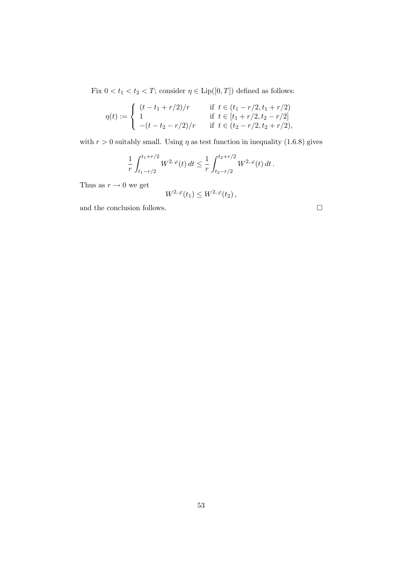Fix  $0 < t_1 < t_2 < T$ ; consider  $\eta \in \text{Lip}([0,T])$  defined as follows:

$$
\eta(t) := \begin{cases}\n(t - t_1 + r/2)/r & \text{if } t \in (t_1 - r/2, t_1 + r/2) \\
1 & \text{if } t \in [t_1 + r/2, t_2 - r/2] \\
-(t - t_2 - r/2)/r & \text{if } t \in (t_2 - r/2, t_2 + r/2),\n\end{cases}
$$

with  $r > 0$  suitably small. Using  $\eta$  as test function in inequality (1.6.8) gives

$$
\frac{1}{r} \int_{t_1 - r/2}^{t_1 + r/2} W^{2, \, \varphi}(t) \, dt \leq \frac{1}{r} \int_{t_2 - r/2}^{t_2 + r/2} W^{2, \, \varphi}(t) \, dt \, .
$$

Thus as  $r \to 0$  we get

$$
W^{2,\,\varphi}(t_1)\leq W^{2,\,\varphi}(t_2)\,,
$$

and the conclusion follows.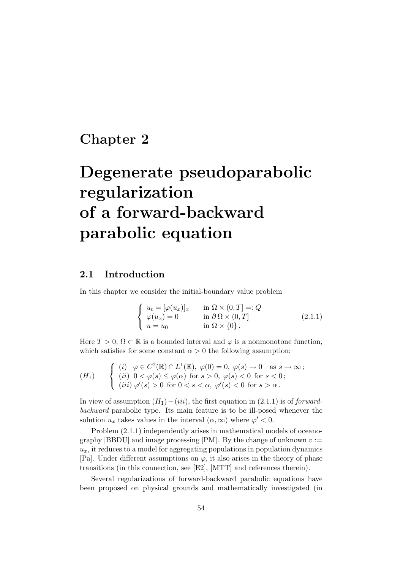# Chapter 2

# Degenerate pseudoparabolic regularization of a forward-backward parabolic equation

# 2.1 Introduction

In this chapter we consider the initial-boundary value problem

$$
\begin{cases}\n u_t = [\varphi(u_x)]_x & \text{in } \Omega \times (0, T] =: Q \\
 \varphi(u_x) = 0 & \text{in } \partial \Omega \times (0, T] \\
 u = u_0 & \text{in } \Omega \times \{0\}.\n\end{cases}
$$
\n(2.1.1)

Here  $T > 0$ ,  $\Omega \subset \mathbb{R}$  is a bounded interval and  $\varphi$  is a nonmonotone function, which satisfies for some constant  $\alpha > 0$  the following assumption:

$$
(H_1) \qquad \begin{cases} (i) \quad \varphi \in C^2(\mathbb{R}) \cap L^1(\mathbb{R}), \ \varphi(0) = 0, \ \varphi(s) \to 0 \quad \text{as } s \to \infty; \\ (ii) \ \ 0 < \varphi(s) \le \varphi(\alpha) \ \text{for } s > 0, \ \varphi(s) < 0 \ \text{for } s < 0; \\ (iii) \ \varphi'(s) > 0 \ \text{for } 0 < s < \alpha, \ \varphi'(s) < 0 \ \text{for } s > \alpha \, . \end{cases}
$$

In view of assumption  $(H_1) - (iii)$ , the first equation in  $(2.1.1)$  is of *forward*backward parabolic type. Its main feature is to be ill-posed whenever the solution  $u_x$  takes values in the interval  $(\alpha, \infty)$  where  $\varphi' < 0$ .

Problem (2.1.1) independently arises in mathematical models of oceanography [BBDU] and image processing [PM]. By the change of unknown  $v :=$  $u_x$ , it reduces to a model for aggregating populations in population dynamics [Pa]. Under different assumptions on  $\varphi$ , it also arises in the theory of phase transitions (in this connection, see [E2], [MTT] and references therein).

Several regularizations of forward-backward parabolic equations have been proposed on physical grounds and mathematically investigated (in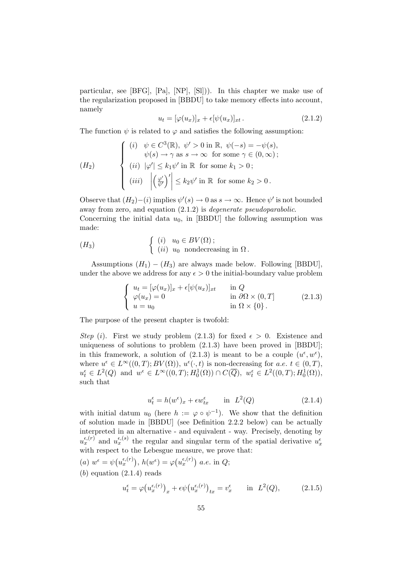particular, see [BFG], [Pa], [NP], [Sl])). In this chapter we make use of the regularization proposed in [BBDU] to take memory effects into account, namely

$$
u_t = [\varphi(u_x)]_x + \epsilon[\psi(u_x)]_{xt}.
$$
\n(2.1.2)

The function  $\psi$  is related to  $\varphi$  and satisfies the following assumption:

$$
(H_2) \qquad \begin{cases} \begin{array}{l} (i) & \psi \in C^3(\mathbb{R}), \ \psi' > 0 \text{ in } \mathbb{R}, \ \psi(-s) = -\psi(s), \\ \psi(s) \to \gamma \text{ as } s \to \infty \text{ for some } \gamma \in (0, \infty); \end{array} \\ \begin{array}{l} (ii) & |\varphi'| \leq k_1 \psi' \text{ in } \mathbb{R} \text{ for some } k_1 > 0; \\ (iii) & |\left(\frac{\varphi'}{\psi'}\right)'| \leq k_2 \psi' \text{ in } \mathbb{R} \text{ for some } k_2 > 0. \end{array} \end{cases}
$$

Observe that  $(H_2) - (i)$  implies  $\psi'(s) \to 0$  as  $s \to \infty$ . Hence  $\psi'$  is not bounded away from zero, and equation (2.1.2) is degenerate pseudoparabolic. Concerning the initial data  $u_0$ , in [BBDU] the following assumption was made:

$$
(H_3) \qquad \qquad \left\{ \begin{array}{ll} (i) & u_0 \in BV(\Omega) \, ; \\ (ii) & u_0 \text{ nondecreasing in } \Omega \, . \end{array} \right.
$$

Assumptions  $(H_1) - (H_3)$  are always made below. Following [BBDU], under the above we address for any  $\epsilon > 0$  the initial-boundary value problem

$$
\begin{cases}\n u_t = [\varphi(u_x)]_x + \epsilon [\psi(u_x)]_{xt} & \text{in } Q \\
 \varphi(u_x) = 0 & \text{in } \partial\Omega \times (0, T] \\
 u = u_0 & \text{in } \Omega \times \{0\}.\n\end{cases}
$$
\n(2.1.3)

The purpose of the present chapter is twofold:

Step (i). First we study problem (2.1.3) for fixed  $\epsilon > 0$ . Existence and uniqueness of solutions to problem  $(2.1.3)$  have been proved in [BBDU]; in this framework, a solution of (2.1.3) is meant to be a couple  $(u^{\epsilon}, w^{\epsilon}),$ where  $u^{\epsilon} \in L^{\infty}((0,T);BV(\Omega)), u^{\epsilon}(\cdot,t)$  is non-decreasing for  $a.e. t \in (0,T)$ ,  $u_t^{\epsilon} \in L^2(Q)$  and  $w^{\epsilon} \in L^{\infty}((0,T); H_0^1(\Omega)) \cap C(\overline{Q}), w_t^{\epsilon} \in L^2((0,T); H_0^1(\Omega)),$ such that

$$
u_t^{\epsilon} = h(w^{\epsilon})_x + \epsilon w_{tx}^{\epsilon} \qquad \text{in} \quad L^2(Q) \tag{2.1.4}
$$

with initial datum  $u_0$  (here  $h := \varphi \circ \psi^{-1}$ ). We show that the definition of solution made in [BBDU] (see Definition 2.2.2 below) can be actually interpreted in an alternative - and equivalent - way. Precisely, denoting by  $u_x^{\epsilon,(r)}$  and  $u_x^{\epsilon,(s)}$  the regular and singular term of the spatial derivative  $u_x^{\epsilon}$ with respect to the Lebesgue measure, we prove that:

(a) 
$$
w^{\epsilon} = \psi(u_x^{\epsilon,(r)})
$$
,  $h(w^{\epsilon}) = \varphi(u_x^{\epsilon,(r)})$  a.e. in Q;  
(b) equation (2.1.4) reads

$$
u_t^{\epsilon} = \varphi(u_x^{\epsilon,(r)})_x + \epsilon \psi(u_x^{\epsilon,(r)})_{tx} = v_x^{\epsilon} \quad \text{in} \quad L^2(Q), \tag{2.1.5}
$$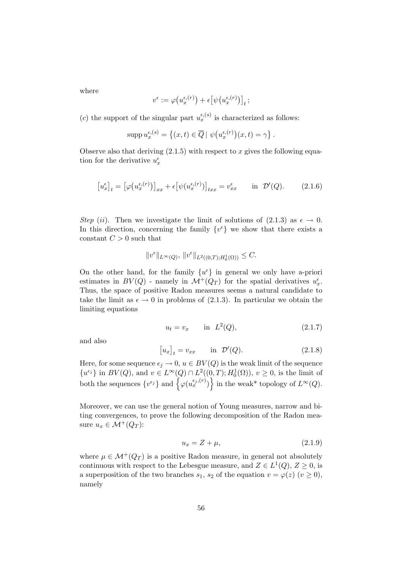where

$$
v^{\epsilon} := \varphi\big(u_x^{\epsilon,(r)}\big) + \epsilon \big[\psi\big(u_x^{\epsilon,(r)}\big)\big]_t \,;
$$

(c) the support of the singular part  $u_x^{\epsilon,(s)}$  is characterized as follows:

$$
\operatorname{supp} u_x^{\epsilon,(s)} = \left\{ (x,t) \in \overline{Q} \mid \psi\big( u_x^{\epsilon,(r)} \big)(x,t) = \gamma \right\}.
$$

Observe also that deriving  $(2.1.5)$  with respect to x gives the following equation for the derivative  $u^\epsilon_x$ 

$$
\left[u_x^{\epsilon}\right]_t = \left[\varphi\big(u_x^{\epsilon,(r)}\big)\right]_{xx} + \epsilon \left[\psi(u_x^{\epsilon,(r)})\right]_{txx} = v_{xx}^{\epsilon} \quad \text{in } \mathcal{D}'(Q). \tag{2.1.6}
$$

Step (ii). Then we investigate the limit of solutions of (2.1.3) as  $\epsilon \to 0$ . In this direction, concerning the family  $\{v^{\epsilon}\}$  we show that there exists a constant  $C > 0$  such that

$$
||v^{\epsilon}||_{L^{\infty}(Q)}, ||v^{\epsilon}||_{L^{2}((0,T);H_{0}^{1}(\Omega))} \leq C.
$$

On the other hand, for the family  $\{u^{\epsilon}\}\$ in general we only have a-priori estimates in  $BV(Q)$  - namely in  $\mathcal{M}^+(Q_T)$  for the spatial derivatives  $u_x^{\epsilon}$ . Thus, the space of positive Radon measures seems a natural candidate to take the limit as  $\epsilon \to 0$  in problems of (2.1.3). In particular we obtain the limiting equations

$$
u_t = v_x \t\t \text{in} \tL^2(Q), \t\t (2.1.7)
$$

and also

$$
[u_x]_t = v_{xx} \qquad \text{in } \mathcal{D}'(Q). \tag{2.1.8}
$$

Here, for some sequence  $\epsilon_j \to 0$ ,  $u \in BV(Q)$  is the weak limit of the sequence  ${u^{\epsilon_j}}$  in  $BV(Q)$ , and  $v \in L^{\infty}(Q) \cap L^2((0,T); H_0^1(\Omega)), v \geq 0$ , is the limit of both the sequences  $\{v^{\epsilon_j}\}\$  and  $\{\varphi(u_x^{\epsilon_j,(r)})\}$  in the weak\* topology of  $L^{\infty}(Q)$ .

Moreover, we can use the general notion of Young measures, narrow and biting convergences, to prove the following decomposition of the Radon measure  $u_x \in \mathcal{M}^+(Q_T)$ :

$$
u_x = Z + \mu,\tag{2.1.9}
$$

where  $\mu \in \mathcal{M}^+(Q_T)$  is a positive Radon measure, in general not absolutely continuous with respect to the Lebesgue measure, and  $Z \in L^1(Q)$ ,  $Z \ge 0$ , is a superposition of the two branches  $s_1$ ,  $s_2$  of the equation  $v = \varphi(z)$   $(v \ge 0)$ , namely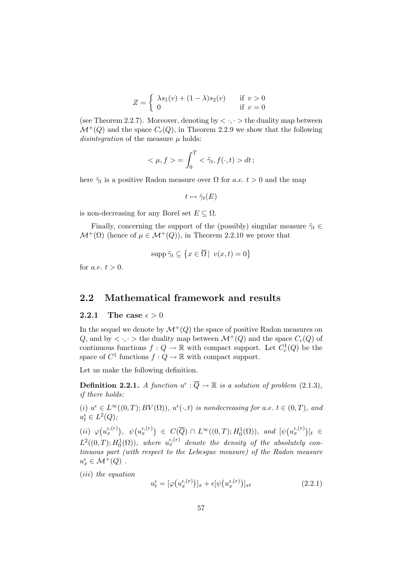$$
Z = \begin{cases} \lambda s_1(v) + (1 - \lambda)s_2(v) & \text{if } v > 0\\ 0 & \text{if } v = 0 \end{cases}
$$

(see Theorem 2.2.7). Moreover, denoting by  $\langle \cdot, \cdot \rangle$  the duality map between  $\mathcal{M}^+(Q)$  and the space  $C_c(Q)$ , in Theorem 2.2.9 we show that the following disintegration of the measure  $\mu$  holds:

$$
\langle \mu, f \rangle = \int_0^T \langle \tilde{\gamma}_t, f(\cdot, t) \rangle dt;
$$

here  $\tilde{\gamma}_t$  is a positive Radon measure over  $\Omega$  for a.e.  $t > 0$  and the map

$$
t\mapsto\tilde{\gamma}_t(E)
$$

is non-decreasing for any Borel set  $E \subseteq \Omega$ .

Finally, concerning the support of the (possibly) singular measure  $\tilde{\gamma}_t \in$  $\mathcal{M}^+(\Omega)$  (hence of  $\mu \in \mathcal{M}^+(Q)$ ), in Theorem 2.2.10 we prove that

$$
\operatorname{supp}\tilde{\gamma}_t \subseteq \left\{x \in \overline{\Omega} \middle| v(x,t) = 0\right\}
$$

for *a.e.*  $t > 0$ .

### 2.2 Mathematical framework and results

#### 2.2.1 The case  $\epsilon > 0$

In the sequel we denote by  $\mathcal{M}^+(Q)$  the space of positive Radon measures on Q, and by  $\langle \cdot, \cdot \rangle$  the duality map between  $\mathcal{M}^+(Q)$  and the space  $C_c(Q)$  of continuous functions  $f: Q \to \mathbb{R}$  with compact support. Let  $C_c^1(Q)$  be the space of  $C^1$  functions  $f: Q \to \mathbb{R}$  with compact support.

Let us make the following definition.

**Definition 2.2.1.** A function  $u^{\epsilon}$  :  $\overline{Q} \rightarrow \mathbb{R}$  is a solution of problem (2.1.3), if there holds:

(i)  $u^{\epsilon} \in L^{\infty}((0,T);BV(\Omega)), u^{\epsilon}(\cdot,t)$  is nondecreasing for a.e.  $t \in (0,T)$ , and  $u_t^{\epsilon} \in L^2(Q);$ 

 $(ii) \varphi(u_x^{\epsilon,(r)}), \psi(u_x^{\epsilon,(r)}) \in C(\overline{Q}) \cap L^{\infty}((0,T);H_0^1(\Omega)), \text{ and } [\psi(u_x^{\epsilon,(r)})]_t \in$  $L^2((0,T); H_0^1(\Omega))$ , where  $u_x^{\epsilon,(r)}$  denote the density of the absolutely continuous part (with respect to the Lebesgue measure) of the Radon measure  $u_x^{\epsilon} \in \mathcal{M}^+(Q)$ .

(iii) the equation

$$
u_t^{\epsilon} = [\varphi(u_x^{\epsilon,(r)})]_x + \epsilon [\psi(u_x^{\epsilon,(r)})]_{xt}
$$
\n(2.2.1)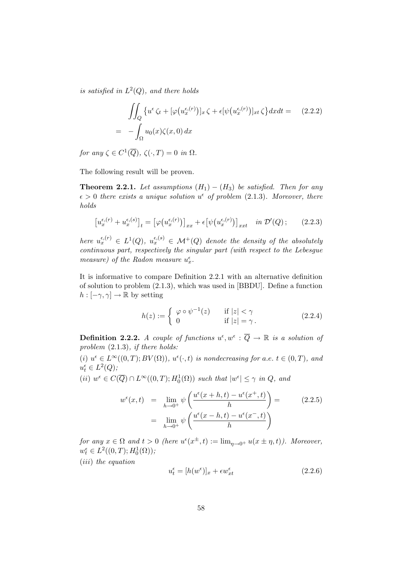is satisfied in  $L^2(Q)$ , and there holds

$$
\iint_{Q} \{ u^{\epsilon} \zeta_{t} + [\varphi(u_{x}^{\epsilon,(r)})]_{x} \zeta + \epsilon [\psi(u_{x}^{\epsilon,(r)})]_{xt} \zeta \} dx dt = (2.2.2)
$$

$$
= - \int_{\Omega} u_{0}(x) \zeta(x, 0) dx
$$

for any  $\zeta \in C^1(\overline{Q}), \ \zeta(\cdot, T) = 0 \ \text{in} \ \Omega.$ 

The following result will be proven.

**Theorem 2.2.1.** Let assumptions  $(H_1) - (H_3)$  be satisfied. Then for any  $\epsilon > 0$  there exists a unique solution  $u^{\epsilon}$  of problem (2.1.3). Moreover, there holds

$$
\left[u_x^{\epsilon,(r)} + u_x^{\epsilon,(s)}\right]_t = \left[\varphi\big(u_x^{\epsilon,(r)}\big)\right]_{xx} + \epsilon\big[\psi\big(u_x^{\epsilon,(r)}\big)\big]_{xxt} \quad in \ \mathcal{D}'(Q)\,;\tag{2.2.3}
$$

here  $u_x^{\epsilon,(r)} \in L^1(Q)$ ,  $u_x^{\epsilon,(s)} \in \mathcal{M}^+(Q)$  denote the density of the absolutely continuous part, respectively the singular part (with respect to the Lebesgue measure) of the Radon measure  $u_x^{\epsilon}$ .

It is informative to compare Definition 2.2.1 with an alternative definition of solution to problem (2.1.3), which was used in [BBDU]. Define a function  $h : [-\gamma, \gamma] \to \mathbb{R}$  by setting

$$
h(z) := \begin{cases} \varphi \circ \psi^{-1}(z) & \text{if } |z| < \gamma \\ 0 & \text{if } |z| = \gamma \end{cases} \tag{2.2.4}
$$

**Definition 2.2.2.** A couple of functions  $u^{\epsilon}, w^{\epsilon} : \overline{Q} \to \mathbb{R}$  is a solution of problem  $(2.1.3)$ , if there holds:

(i)  $u^{\epsilon} \in L^{\infty}((0,T);BV(\Omega)), u^{\epsilon}(\cdot,t)$  is nondecreasing for a.e.  $t \in (0,T)$ , and  $u_t^{\epsilon} \in L^2(Q);$ 

(*ii*)  $w^{\epsilon} \in C(\overline{Q}) \cap L^{\infty}((0,T); H_0^1(\Omega))$  such that  $|w^{\epsilon}| \leq \gamma$  in  $Q$ , and

$$
w^{\epsilon}(x,t) = \lim_{h \to 0^{+}} \psi\left(\frac{u^{\epsilon}(x+h,t) - u^{\epsilon}(x^{+},t)}{h}\right) =
$$
  

$$
= \lim_{h \to 0^{+}} \psi\left(\frac{u^{\epsilon}(x-h,t) - u^{\epsilon}(x^{-},t)}{h}\right)
$$
(2.2.5)

for any  $x \in \Omega$  and  $t > 0$  (here  $u^{\epsilon}(x^{\pm}, t) := \lim_{\eta \to 0^+} u(x \pm \eta, t)$ ). Moreover,  $w_t^{\epsilon} \in L^2((0,T); H_0^1(\Omega));$ 

(iii) the equation

$$
u_t^{\epsilon} = [h(w^{\epsilon})]_x + \epsilon w_{xt}^{\epsilon}
$$
 (2.2.6)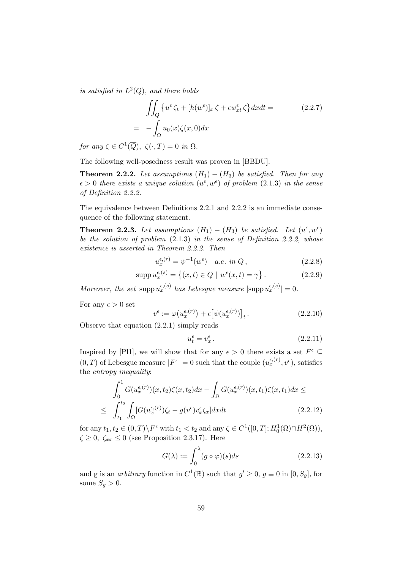is satisfied in  $L^2(Q)$ , and there holds

$$
\iint_{Q} \{ u^{\epsilon} \zeta_{t} + [h(w^{\epsilon})]_{x} \zeta + \epsilon w_{xt}^{\epsilon} \zeta \} dx dt =
$$
\n
$$
= - \int_{\Omega} u_{0}(x) \zeta(x, 0) dx
$$
\n(2.2.7)

for any  $\zeta \in C^1(\overline{Q}), \ \zeta(\cdot,T) = 0 \text{ in } \Omega.$ 

The following well-posedness result was proven in [BBDU].

**Theorem 2.2.2.** Let assumptions  $(H_1) - (H_3)$  be satisfied. Then for any  $\epsilon > 0$  there exists a unique solution  $(u^{\epsilon}, w^{\epsilon})$  of problem (2.1.3) in the sense of Definition 2.2.2.

The equivalence between Definitions 2.2.1 and 2.2.2 is an immediate consequence of the following statement.

**Theorem 2.2.3.** Let assumptions  $(H_1) - (H_3)$  be satisfied. Let  $(u^{\epsilon}, w^{\epsilon})$ be the solution of problem (2.1.3) in the sense of Definition 2.2.2, whose existence is asserted in Theorem 2.2.2. Then

$$
u_x^{\epsilon,(r)} = \psi^{-1}(w^{\epsilon}) \quad a.e. \in \Omega \,, \tag{2.2.8}
$$

$$
\operatorname{supp} u_x^{\epsilon,(s)} = \left\{ (x,t) \in \overline{Q} \mid w^{\epsilon}(x,t) = \gamma \right\}. \tag{2.2.9}
$$

Moreover, the set supp  $u_x^{\epsilon,(s)}$  has Lebesgue measure  $|\text{supp } u_x^{\epsilon,(s)}| = 0$ .

For any  $\epsilon > 0$  set

$$
v^{\epsilon} := \varphi(u_x^{\epsilon,(r)}) + \epsilon [\psi(u_x^{\epsilon,(r)})]_t.
$$
 (2.2.10)

Observe that equation (2.2.1) simply reads

$$
u_t^{\epsilon} = v_x^{\epsilon}.
$$
\n<sup>(2.2.11)</sup>

Inspired by [Pl1], we will show that for any  $\epsilon > 0$  there exists a set  $F^{\epsilon} \subseteq$  $(0, T)$  of Lebesgue measure  $|F^{\epsilon}| = 0$  such that the couple  $(u_x^{\epsilon, (r)}, v^{\epsilon})$ , satisfies the entropy inequality:

$$
\int_0^1 G(u_x^{\epsilon,(r)})(x,t_2)\zeta(x,t_2)dx - \int_{\Omega} G(u_x^{\epsilon,(r)})(x,t_1)\zeta(x,t_1)dx \le
$$
\n
$$
\leq \int_{t_1}^{t_2} \int_{\Omega} [G(u_x^{\epsilon,(r)})\zeta_t - g(v^{\epsilon})v_x^{\epsilon}\zeta_x] dx dt \qquad (2.2.12)
$$

for any  $t_1, t_2 \in (0,T) \backslash F^{\epsilon}$  with  $t_1 < t_2$  and any  $\zeta \in C^1([0,T]; H_0^1(\Omega) \cap H^2(\Omega)),$  $\zeta \geq 0$ ,  $\zeta_{xx} \leq 0$  (see Proposition 2.3.17). Here

$$
G(\lambda) := \int_0^{\lambda} (g \circ \varphi)(s) ds \qquad (2.2.13)
$$

and g is an *arbitrary* function in  $C^1(\mathbb{R})$  such that  $g' \geq 0$ ,  $g \equiv 0$  in  $[0, S_g]$ , for some  $S_g > 0$ .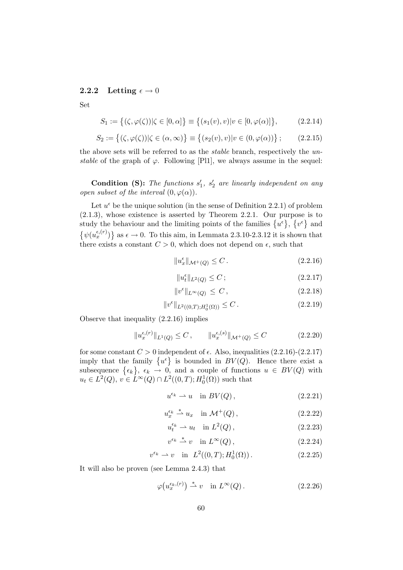#### 2.2.2 Letting  $\epsilon \to 0$

Set

$$
S_1 := \{ (\zeta, \varphi(\zeta)) | \zeta \in [0, \alpha] \} \equiv \{ (s_1(v), v) | v \in [0, \varphi(\alpha)] \},
$$
 (2.2.14)

$$
S_2 := \{ (\zeta, \varphi(\zeta)) | \zeta \in (\alpha, \infty) \} \equiv \{ (s_2(v), v) | v \in (0, \varphi(\alpha)) \};
$$
 (2.2.15)

the above sets will be referred to as the stable branch, respectively the unstable of the graph of  $\varphi$ . Following [Pl1], we always assume in the sequel:

**Condition (S):** The functions  $s'_1$ ,  $s'_2$  are linearly independent on any open subset of the interval  $(0, \varphi(\alpha))$ .

Let  $u^{\epsilon}$  be the unique solution (in the sense of Definition 2.2.1) of problem (2.1.3), whose existence is asserted by Theorem 2.2.1. Our purpose is to study the behaviour and the limiting points of the families  $\{u^{\epsilon}\}, \{v^{\epsilon}\}\$ and  $\{\psi(u_x^{\epsilon,(r)})\}$  as  $\epsilon \to 0$ . To this aim, in Lemmata 2.3.10-2.3.12 it is shown that there exists a constant  $C > 0$ , which does not depend on  $\epsilon$ , such that

$$
||u_x^{\epsilon}||_{\mathcal{M}^+(Q)} \leq C. \tag{2.2.16}
$$

$$
||u_t^{\epsilon}||_{L^2(Q)} \le C \tag{2.2.17}
$$

$$
||v^{\epsilon}||_{L^{\infty}(Q)} \leq C, \qquad (2.2.18)
$$

$$
||v^{\epsilon}||_{L^{2}((0,T);H^{1}_{0}(\Omega))} \leq C.
$$
\n(2.2.19)

Observe that inequality (2.2.16) implies

$$
||u_x^{\epsilon,(r)}||_{L^1(Q)} \le C \,, \qquad ||u_x^{\epsilon,(s)}||_{\mathcal{M}^+(Q)} \le C \tag{2.2.20}
$$

for some constant  $C > 0$  independent of  $\epsilon$ . Also, inequalities (2.2.16)-(2.2.17) imply that the family  $\{u^{\epsilon}\}\$ is bounded in  $BV(Q)$ . Hence there exist a subsequence  $\{\epsilon_k\}, \epsilon_k \to 0$ , and a couple of functions  $u \in BV(Q)$  with  $u_t \in L^2(Q)$ ,  $v \in L^{\infty}(Q) \cap L^2((0,T); H_0^1(\Omega))$  such that

$$
u^{\epsilon_k} \rightharpoonup u \quad \text{in } BV(Q)\,,\tag{2.2.21}
$$

$$
u_x^{\epsilon_k} \stackrel{*}{\rightharpoonup} u_x \quad \text{in } \mathcal{M}^+(Q) \,, \tag{2.2.22}
$$

$$
u_t^{\epsilon_k} \rightharpoonup u_t \quad \text{in } L^2(Q) \,, \tag{2.2.23}
$$

$$
v^{\epsilon_k} \stackrel{*}{\rightharpoonup} v \quad \text{in } L^{\infty}(Q) \,, \tag{2.2.24}
$$

$$
v^{\epsilon_k} \rightharpoonup v \quad \text{in} \quad L^2((0,T); H_0^1(\Omega)). \tag{2.2.25}
$$

It will also be proven (see Lemma 2.4.3) that

$$
\varphi\big(u_x^{\epsilon_k,(r)}\big) \stackrel{*}{\rightharpoonup} v \quad \text{in } L^{\infty}(Q) \,. \tag{2.2.26}
$$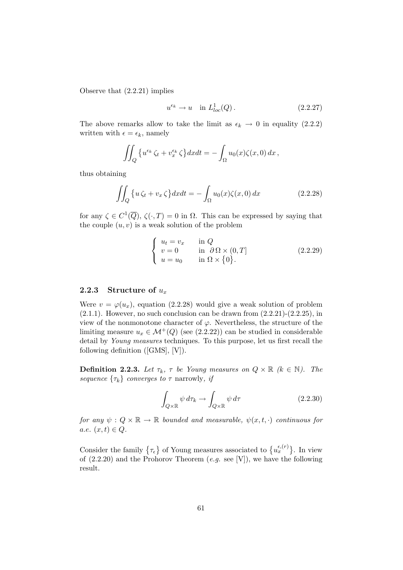Observe that (2.2.21) implies

$$
u^{\epsilon_k} \to u
$$
 in  $L^1_{loc}(Q)$ . (2.2.27)

The above remarks allow to take the limit as  $\epsilon_k \to 0$  in equality (2.2.2) written with  $\epsilon = \epsilon_k$ , namely

$$
\iint_Q \left\{ u^{\epsilon_k} \zeta_t + v^{\epsilon_k}_x \zeta \right\} dx dt = - \int_\Omega u_0(x) \zeta(x,0) dx,
$$

thus obtaining

$$
\iint_{Q} \{ u \zeta_{t} + v_{x} \zeta \} dx dt = - \int_{\Omega} u_{0}(x) \zeta(x, 0) dx \qquad (2.2.28)
$$

for any  $\zeta \in C^1(\overline{Q})$ ,  $\zeta(\cdot,T) = 0$  in  $\Omega$ . This can be expressed by saying that the couple  $(u, v)$  is a weak solution of the problem

$$
\begin{cases}\n u_t = v_x & \text{in } Q \\
 v = 0 & \text{in } \partial \Omega \times (0, T] \\
 u = u_0 & \text{in } \Omega \times \{0\}.\n\end{cases}
$$
\n(2.2.29)

#### 2.2.3 Structure of  $u_x$

Were  $v = \varphi(u_x)$ , equation (2.2.28) would give a weak solution of problem  $(2.1.1)$ . However, no such conclusion can be drawn from  $(2.2.21)-(2.2.25)$ , in view of the nonmonotone character of  $\varphi$ . Nevertheless, the structure of the limiting measure  $u_x \in \mathcal{M}^+(Q)$  (see (2.2.22)) can be studied in considerable detail by Young measures techniques. To this purpose, let us first recall the following definition ([GMS], [V]).

**Definition 2.2.3.** Let  $\tau_k$ ,  $\tau$  be Young measures on  $Q \times \mathbb{R}$  ( $k \in \mathbb{N}$ ). The sequence  $\{\tau_k\}$  converges to  $\tau$  narrowly, if

$$
\int_{Q\times\mathbb{R}} \psi \, d\tau_k \to \int_{Q\times\mathbb{R}} \psi \, d\tau \tag{2.2.30}
$$

for any  $\psi: Q \times \mathbb{R} \to \mathbb{R}$  bounded and measurable,  $\psi(x, t, \cdot)$  continuous for a.e.  $(x, t) \in Q$ .

Consider the family  $\{\tau_{\epsilon}\}\$  of Young measures associated to  $\{u_x^{\epsilon,(r)}\}\$ . In view of  $(2.2.20)$  and the Prohorov Theorem  $(e.g. \text{ see } |V|)$ , we have the following result.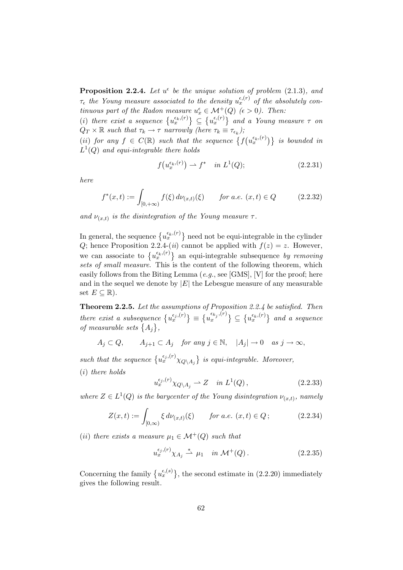**Proposition 2.2.4.** Let  $u^{\epsilon}$  be the unique solution of problem (2.1.3), and  $\tau_{\epsilon}$  the Young measure associated to the density  $u_{x}^{\epsilon,(r)}$  of the absolutely continuous part of the Radon measure  $u_x^{\epsilon} \in \mathcal{M}^+(Q)$  ( $\epsilon > 0$ ). Then:

(i) there exist a sequence  $\{u_x^{\epsilon_k,(r)}\}\subseteq \{u_x^{\epsilon,(r)}\}$  and a Young measure  $\tau$  on  $Q_T \times \mathbb{R}$  such that  $\tau_k \to \tau$  narrowly (here  $\tau_k \equiv \tau_{\epsilon_k}$ );

(ii) for any  $f \in C(\mathbb{R})$  such that the sequence  $\{f(u_x^{\epsilon_k(r)})\}$  is bounded in  $L^1(Q)$  and equi-integrable there holds

$$
f(u_x^{\epsilon_k,(r)}) \rightharpoonup f^* \quad in \ L^1(Q); \tag{2.2.31}
$$

here

$$
f^*(x,t) := \int_{[0,+\infty)} f(\xi) d\nu_{(x,t)}(\xi) \qquad \text{for a.e. } (x,t) \in Q \tag{2.2.32}
$$

and  $\nu_{(x,t)}$  is the disintegration of the Young measure  $\tau$ .

In general, the sequence  $\{u_x^{\epsilon_k,(r)}\}$  need not be equi-integrable in the cylinder Q; hence Proposition 2.2.4-(*ii*) cannot be applied with  $f(z) = z$ . However, we can associate to  $\{u_x^{\epsilon_k(r)}\}$  an equi-integrable subsequence by removing sets of small measure. This is the content of the following theorem, which easily follows from the Biting Lemma  $(e.g.,\, see\,[GMS],\,[V]$  for the proof; here and in the sequel we denote by  $|E|$  the Lebesgue measure of any measurable set  $E \subseteq \mathbb{R}$ ).

Theorem 2.2.5. Let the assumptions of Proposition 2.2.4 be satisfied. Then there exist a subsequence  ${u_x^{\epsilon_{j},(r)}} \equiv {u_x^{\epsilon_{k_j},(r)}}$  $\{x^{(r)}(x)\}\subseteq \{u_x^{\epsilon_k,(r)}\}\$ and a sequence of measurable sets  $\{A_j\},\$ 

 $A_j \subset Q$ ,  $A_{j+1} \subset A_j$  for any  $j \in \mathbb{N}$ ,  $|A_j| \to 0$  as  $j \to \infty$ ,

such that the sequence  $\{u_x^{\epsilon_j,(r)}\chi_{Q\setminus A_j}\}$  is equi-integrable. Moreover, (i) there holds

$$
u_x^{\epsilon_j,(r)} \chi_{Q \setminus A_j} \rightharpoonup Z \quad \text{in } L^1(Q) \,, \tag{2.2.33}
$$

where  $Z \in L^1(Q)$  is the barycenter of the Young disintegration  $\nu_{(x,t)}$ , namely

$$
Z(x,t) := \int_{[0,\infty)} \xi \, d\nu_{(x,t)}(\xi) \qquad \text{for a.e. } (x,t) \in Q \, ; \tag{2.2.34}
$$

(ii) there exists a measure  $\mu_1 \in \mathcal{M}^+(Q)$  such that

$$
u_x^{\epsilon_j,(r)} \chi_{A_j} \stackrel{*}{\rightharpoonup} \mu_1 \quad \text{in } \mathcal{M}^+(Q) \,. \tag{2.2.35}
$$

Concerning the family  $\{u_x^{\epsilon,(s)}\}$ , the second estimate in (2.2.20) immediately gives the following result.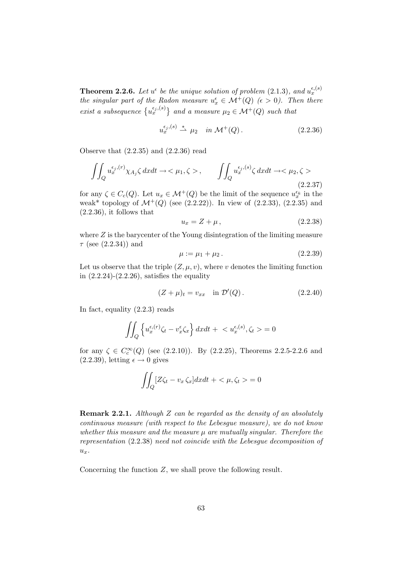**Theorem 2.2.6.** Let  $u^{\epsilon}$  be the unique solution of problem (2.1.3), and  $u^{\epsilon,(s)}_x$ the singular part of the Radon measure  $u_x^{\epsilon} \in \mathcal{M}^+(Q)$  ( $\epsilon > 0$ ). Then there exist a subsequence  $\{u_x^{\epsilon_j,(s)}\}$  and a measure  $\mu_2 \in \mathcal{M}^+(Q)$  such that

$$
u_x^{\epsilon_j,(s)} \stackrel{*}{\rightharpoonup} \mu_2 \quad in \ \mathcal{M}^+(Q) \,. \tag{2.2.36}
$$

Observe that (2.2.35) and (2.2.36) read

$$
\iint_{Q} u_{x}^{\epsilon_{j},(r)} \chi_{A_{j}} \zeta \, dxdt \to \langle \mu_{1}, \zeta \rangle, \qquad \iint_{Q} u_{x}^{\epsilon_{j},(s)} \zeta \, dxdt \to \langle \mu_{2}, \zeta \rangle
$$
\n(2.2.37)

for any  $\zeta \in C_c(Q)$ . Let  $u_x \in \mathcal{M}^+(Q)$  be the limit of the sequence  $u_x^{\epsilon_k}$  in the weak\* topology of  $\mathcal{M}^+(Q)$  (see (2.2.22)). In view of (2.2.33), (2.2.35) and (2.2.36), it follows that

$$
u_x = Z + \mu, \qquad (2.2.38)
$$

where  $Z$  is the barycenter of the Young disintegration of the limiting measure  $\tau$  (see (2.2.34)) and

$$
\mu := \mu_1 + \mu_2. \tag{2.2.39}
$$

Let us observe that the triple  $(Z, \mu, v)$ , where v denotes the limiting function in  $(2.2.24)-(2.2.26)$ , satisfies the equality

$$
(Z + \mu)_t = v_{xx} \quad \text{in } \mathcal{D}'(Q). \tag{2.2.40}
$$

In fact, equality (2.2.3) reads

$$
\iint_Q \left\{ u_x^{\epsilon,(r)} \zeta_t - v_x^{\epsilon} \zeta_x \right\} dx dt + \langle u_x^{\epsilon,(s)}, \zeta_t \rangle = 0
$$

for any  $\zeta \in C_c^{\infty}(Q)$  (see (2.2.10)). By (2.2.25), Theorems 2.2.5-2.2.6 and  $(2.2.39)$ , letting  $\epsilon \rightarrow 0$  gives

$$
\iint_Q [Z\zeta_t - v_x\zeta_x] dx dt + \langle \mu, \zeta_t \rangle = 0
$$

**Remark 2.2.1.** Although Z can be regarded as the density of an absolutely continuous measure (with respect to the Lebesgue measure), we do not know whether this measure and the measure  $\mu$  are mutually singular. Therefore the representation (2.2.38) need not coincide with the Lebesgue decomposition of  $u_x$ .

Concerning the function Z, we shall prove the following result.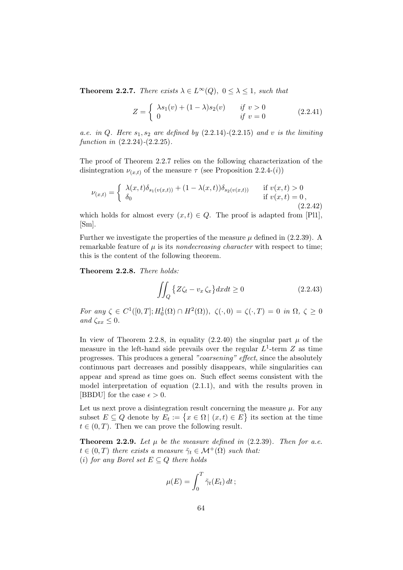**Theorem 2.2.7.** There exists  $\lambda \in L^{\infty}(Q)$ ,  $0 \leq \lambda \leq 1$ , such that

$$
Z = \begin{cases} \lambda s_1(v) + (1 - \lambda)s_2(v) & \text{if } v > 0\\ 0 & \text{if } v = 0 \end{cases}
$$
 (2.2.41)

a.e. in Q. Here  $s_1, s_2$  are defined by  $(2.2.14)-(2.2.15)$  and v is the limiting function in  $(2.2.24)-(2.2.25)$ .

The proof of Theorem 2.2.7 relies on the following characterization of the disintegration  $\nu_{(x,t)}$  of the measure  $\tau$  (see Proposition 2.2.4-(i))

$$
\nu_{(x,t)} = \begin{cases}\n\lambda(x,t)\delta_{s_1(v(x,t))} + (1 - \lambda(x,t))\delta_{s_2(v(x,t))} & \text{if } v(x,t) > 0 \\
\delta_0 & \text{if } v(x,t) = 0, \\
(2.2.42)\n\end{cases}
$$

which holds for almost every  $(x, t) \in Q$ . The proof is adapted from [Pl1], [Sm].

Further we investigate the properties of the measure  $\mu$  defined in (2.2.39). A remarkable feature of  $\mu$  is its *nondecreasing character* with respect to time; this is the content of the following theorem.

Theorem 2.2.8. There holds:

$$
\iint_{Q} \left\{ Z \zeta_t - v_x \zeta_x \right\} dx dt \ge 0 \tag{2.2.43}
$$

For any  $\zeta \in C^1([0,T]; H_0^1(\Omega) \cap H^2(\Omega)), \ \zeta(\cdot,0) = \zeta(\cdot,T) = 0$  in  $\Omega, \ \zeta \geq 0$ and  $\zeta_{xx} \leq 0$ .

In view of Theorem 2.2.8, in equality (2.2.40) the singular part  $\mu$  of the measure in the left-hand side prevails over the regular  $L^1$ -term Z as time progresses. This produces a general "coarsening" effect, since the absolutely continuous part decreases and possibly disappears, while singularities can appear and spread as time goes on. Such effect seems consistent with the model interpretation of equation (2.1.1), and with the results proven in [BBDU] for the case  $\epsilon > 0$ .

Let us next prove a disintegration result concerning the measure  $\mu$ . For any subset  $E \subseteq Q$  denote by  $E_t := \{x \in \Omega \mid (x, t) \in E\}$  its section at the time  $t \in (0, T)$ . Then we can prove the following result.

**Theorem 2.2.9.** Let  $\mu$  be the measure defined in (2.2.39). Then for a.e.  $t \in (0,T)$  there exists a measure  $\tilde{\gamma}_t \in \mathcal{M}^+(\Omega)$  such that: (i) for any Borel set  $E \subseteq Q$  there holds

$$
\mu(E) = \int_0^T \tilde{\gamma}_t(E_t) dt ;
$$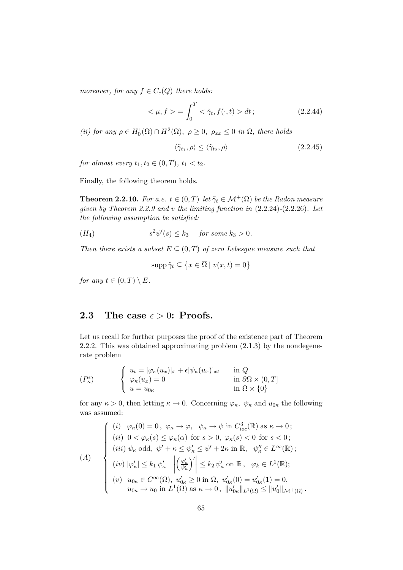moreover, for any  $f \in C_c(Q)$  there holds:

$$
<\mu, f> = \int_0^T \langle \tilde{\gamma}_t, f(\cdot, t) > dt;
$$
 (2.2.44)

(ii) for any  $\rho \in H_0^1(\Omega) \cap H^2(\Omega)$ ,  $\rho \ge 0$ ,  $\rho_{xx} \le 0$  in  $\Omega$ , there holds

$$
\langle \tilde{\gamma}_{t_1}, \rho \rangle \le \langle \tilde{\gamma}_{t_2}, \rho \rangle \tag{2.2.45}
$$

for almost every  $t_1, t_2 \in (0, T), t_1 < t_2$ .

Finally, the following theorem holds.

**Theorem 2.2.10.** For a.e.  $t \in (0,T)$  let  $\tilde{\gamma}_t \in \mathcal{M}^+(\Omega)$  be the Radon measure given by Theorem 2.2.9 and v the limiting function in (2.2.24)-(2.2.26). Let the following assumption be satisfied:

$$
(H_4) \t s2\psi'(s) \leq k_3 \t \text{ for some } k_3 > 0.
$$

Then there exists a subset  $E \subseteq (0,T)$  of zero Lebesgue measure such that

$$
\operatorname{supp}\tilde{\gamma}_t\subseteq\left\{x\in\overline{\Omega}\,|\,v(x,t)=0\right\}
$$

for any  $t \in (0,T) \setminus E$ .

### 2.3 The case  $\epsilon > 0$ : Proofs.

Let us recall for further purposes the proof of the existence part of Theorem 2.2.2. This was obtained approximating problem (2.1.3) by the nondegenerate problem

$$
(P_{\kappa}^{\epsilon}) \qquad \begin{cases} u_{t} = [\varphi_{\kappa}(u_{x})]_{x} + \epsilon [\psi_{\kappa}(u_{x})]_{xt} & \text{in } Q \\ \varphi_{\kappa}(u_{x}) = 0 & \text{in } \partial\Omega \times (0, T] \\ u = u_{0\kappa} & \text{in } \Omega \times \{0\} \end{cases}
$$

for any  $\kappa > 0$ , then letting  $\kappa \to 0$ . Concerning  $\varphi_{\kappa}, \psi_{\kappa}$  and  $u_{0\kappa}$  the following was assumed:

$$
(A) \quad \begin{cases} \begin{array}{l} (i) \quad \varphi_{\kappa}(0) = 0 \,, \ \varphi_{\kappa} \to \varphi, \quad \psi_{\kappa} \to \psi \text{ in } C_{loc}^{3}(\mathbb{R}) \text{ as } \kappa \to 0 \,; \\ (ii) \quad 0 < \varphi_{\kappa}(s) \leq \varphi_{\kappa}(\alpha) \text{ for } s > 0, \ \varphi_{\kappa}(s) < 0 \text{ for } s < 0 \,; \\ (iii) \ \psi_{\kappa} \text{ odd}, \ \psi' + \kappa \leq \psi'_{\kappa} \leq \psi' + 2\kappa \text{ in } \mathbb{R}, \quad \psi''_{\kappa} \in L^{\infty}(\mathbb{R}) \,; \\ (iv) \ |\varphi'_{\kappa}| \leq k_{1} \ \psi'_{\kappa} \quad \left| \left( \frac{\varphi'_{\kappa}}{\psi'_{\kappa}} \right)' \right| \leq k_{2} \ \psi'_{\kappa} \text{ on } \mathbb{R}, \quad \varphi_{k} \in L^{1}(\mathbb{R}) \,; \\ (v) \quad u_{0\kappa} \in C^{\infty}(\overline{\Omega}), \ u'_{0\kappa} \geq 0 \text{ in } \Omega, \ u'_{0\kappa}(0) = u'_{0\kappa}(1) = 0, \\ u_{0\kappa} \to u_{0} \text{ in } L^{1}(\Omega) \text{ as } \kappa \to 0, \ \| u'_{0\kappa} \|_{L^{1}(\Omega)} \leq \| u'_{0} \|_{\mathcal{M}^{+}(\Omega)} \, . \end{array} \end{cases}
$$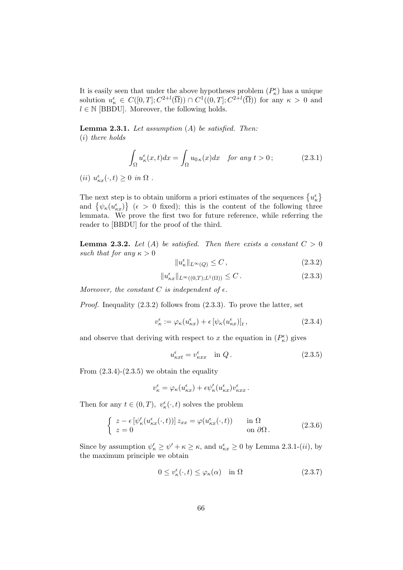It is easily seen that under the above hypotheses problem  $(P_{\kappa}^{\epsilon})$  has a unique solution  $u_{\kappa}^{\epsilon} \in C([0,T]; C^{2+l}(\overline{\Omega})) \cap C^{1}((0,T]; C^{2+l}(\overline{\Omega}))$  for any  $\kappa > 0$  and  $l \in \mathbb{N}$  [BBDU]. Moreover, the following holds.

**Lemma 2.3.1.** Let assumption  $(A)$  be satisfied. Then: (i) there holds

$$
\int_{\Omega} u_{\kappa}^{\epsilon}(x,t)dx = \int_{\Omega} u_{0\,\kappa}(x)dx \quad \text{for any } t > 0;
$$
 (2.3.1)

(*ii*)  $u_{\kappa x}^{\epsilon}(\cdot, t) \ge 0$  in  $\Omega$ .

The next step is to obtain uniform a priori estimates of the sequences  $\{u_{\kappa}^{\epsilon}\}$ and  $\{\psi_{\kappa}(u_{\kappa x}^{\epsilon})\}\; (\epsilon > 0 \text{ fixed});$  this is the content of the following three lemmata. We prove the first two for future reference, while referring the reader to [BBDU] for the proof of the third.

**Lemma 2.3.2.** Let (A) be satisfied. Then there exists a constant  $C > 0$ such that for any  $\kappa > 0$ 

$$
||u_{\kappa}^{\epsilon}||_{L^{\infty}(Q)} \leq C, \qquad (2.3.2)
$$

$$
||u_{\kappa x}^{\epsilon}||_{L^{\infty}((0,T);L^{1}(\Omega))} \leq C.
$$
\n(2.3.3)

Moreover, the constant C is independent of  $\epsilon$ .

Proof. Inequality (2.3.2) follows from (2.3.3). To prove the latter, set

$$
v_{\kappa}^{\epsilon} := \varphi_{\kappa}(u_{\kappa x}^{\epsilon}) + \epsilon \left[ \psi_{\kappa}(u_{\kappa x}^{\epsilon}) \right]_{t}, \tag{2.3.4}
$$

and observe that deriving with respect to x the equation in  $(P_{\kappa}^{\epsilon})$  gives

$$
u_{\kappa x t}^{\epsilon} = v_{\kappa x x}^{\epsilon} \quad \text{in } Q. \tag{2.3.5}
$$

From  $(2.3.4)-(2.3.5)$  we obtain the equality

$$
v_{\kappa}^{\epsilon} = \varphi_{\kappa}(u_{\kappa x}^{\epsilon}) + \epsilon \psi_{\kappa}'(u_{\kappa x}^{\epsilon}) v_{\kappa xx}^{\epsilon}.
$$

Then for any  $t \in (0,T),\ v^\epsilon_\kappa(\cdot,t)$  solves the problem

$$
\begin{cases}\n z - \epsilon \left[ \psi_{\kappa}'(u_{\kappa x}^{\epsilon}(\cdot, t)) \right] z_{xx} = \varphi(u_{\kappa x}^{\epsilon}(\cdot, t)) & \text{in } \Omega \\
 z = 0 & \text{on } \partial \Omega\n\end{cases}
$$
\n(2.3.6)

Since by assumption  $\psi'_\kappa \ge \psi' + \kappa \ge \kappa$ , and  $u_{\kappa x}^{\epsilon} \ge 0$  by Lemma 2.3.1-(*ii*), by the maximum principle we obtain

$$
0 \le v_{\kappa}^{\epsilon}(\cdot, t) \le \varphi_{\kappa}(\alpha) \quad \text{in } \Omega \tag{2.3.7}
$$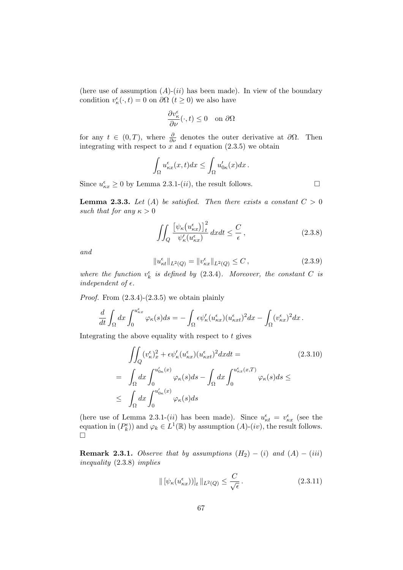(here use of assumption  $(A)-(ii)$  has been made). In view of the boundary condition  $v_{\kappa}^{\epsilon}(\cdot, t) = 0$  on  $\partial \Omega$   $(t \ge 0)$  we also have

$$
\frac{\partial v_{\kappa}^{\epsilon}}{\partial \nu}(\cdot, t) \le 0 \quad \text{on } \partial \Omega
$$

for any  $t \in (0,T)$ , where  $\frac{\partial}{\partial \nu}$  denotes the outer derivative at  $\partial \Omega$ . Then integrating with respect to x and t equation  $(2.3.5)$  we obtain

$$
\int_{\Omega} u_{\kappa x}^{\epsilon}(x,t)dx \leq \int_{\Omega} u'_{0\kappa}(x)dx.
$$

Since  $u_{\kappa x}^{\epsilon} \ge 0$  by Lemma 2.3.1-(*ii*), the result follows.

**Lemma 2.3.3.** Let (A) be satisfied. Then there exists a constant  $C > 0$ such that for any  $\kappa > 0$ 

$$
\iint_{Q} \frac{\left[\psi_{\kappa}\left(u_{\kappa x}^{\epsilon}\right)\right]_{t}^{2}}{\psi_{\kappa}'(u_{\kappa x}^{\epsilon})} dxdt \leq \frac{C}{\epsilon},\tag{2.3.8}
$$

and

$$
||u_{\kappa t}^{\epsilon}||_{L^{2}(Q)} = ||v_{\kappa x}^{\epsilon}||_{L^{2}(Q)} \leq C , \qquad (2.3.9)
$$

where the function  $v_k^{\epsilon}$  is defined by (2.3.4). Moreover, the constant C is independent of  $\epsilon$ .

*Proof.* From  $(2.3.4)-(2.3.5)$  we obtain plainly

$$
\frac{d}{dt} \int_{\Omega} dx \int_0^{u_{\kappa x}^{\epsilon}} \varphi_{\kappa}(s) ds = - \int_{\Omega} \epsilon \psi_{\kappa}'(u_{\kappa x}^{\epsilon})(u_{\kappa x t}^{\epsilon})^2 dx - \int_{\Omega} (v_{\kappa x}^{\epsilon})^2 dx.
$$

Integrating the above equality with respect to  $t$  gives

$$
\iint_{Q} (v_{\kappa}^{\epsilon})_{x}^{2} + \epsilon \psi_{\kappa}'(u_{\kappa x}^{\epsilon})(u_{\kappa x t}^{\epsilon})^{2} dx dt =
$$
\n
$$
= \int_{\Omega} dx \int_{0}^{u_{0\kappa}'(x)} \varphi_{\kappa}(s) ds - \int_{\Omega} dx \int_{0}^{u_{\kappa x}^{\epsilon}(x,T)} \varphi_{\kappa}(s) ds \le
$$
\n
$$
\leq \int_{\Omega} dx \int_{0}^{u_{0\kappa}'(x)} \varphi_{\kappa}(s) ds
$$
\n(2.3.10)

(here use of Lemma 2.3.1-(*ii*) has been made). Since  $u_{\kappa t}^{\epsilon} = v_{\kappa x}^{\epsilon}$  (see the equation in  $(P_k^{\epsilon})$  and  $\varphi_k \in L^1(\mathbb{R})$  by assumption  $(A)$ - $(iv)$ , the result follows.  $\Box$ 

**Remark 2.3.1.** Observe that by assumptions  $(H_2) - (i)$  and  $(A) - (iii)$ inequality (2.3.8) implies

$$
\| \left[ \psi_{\kappa}(u_{\kappa x}^{\epsilon}) \right]_{t} \|_{L^{2}(Q)} \leq \frac{C}{\sqrt{\epsilon}}.
$$
\n(2.3.11)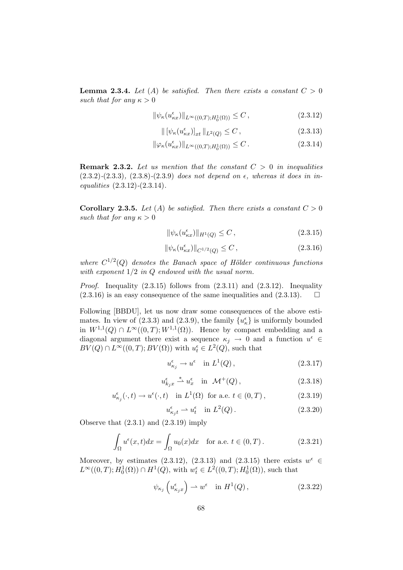**Lemma 2.3.4.** Let (A) be satisfied. Then there exists a constant  $C > 0$ such that for any  $\kappa > 0$ 

$$
\|\psi_{\kappa}(u_{\kappa x}^{\epsilon})\|_{L^{\infty}((0,T);H_0^1(\Omega))} \le C, \qquad (2.3.12)
$$

$$
\| \left[ \psi_{\kappa}(u_{\kappa x}^{\epsilon}) \right]_{xt} \|_{L^{2}(Q)} \leq C , \qquad (2.3.13)
$$

$$
\|\varphi_{\kappa}(u_{\kappa x}^{\epsilon})\|_{L^{\infty}((0,T);H_0^1(\Omega))} \leq C.
$$
\n(2.3.14)

**Remark 2.3.2.** Let us mention that the constant  $C > 0$  in inequalities  $(2.3.2)$ - $(2.3.3)$ ,  $(2.3.8)$ - $(2.3.9)$  does not depend on  $\epsilon$ , whereas it does in inequalities  $(2.3.12)-(2.3.14)$ .

**Corollary 2.3.5.** Let (A) be satisfied. Then there exists a constant  $C > 0$ such that for any  $\kappa > 0$ 

$$
\|\psi_{\kappa}(u_{\kappa x}^{\epsilon})\|_{H^{1}(Q)} \leq C, \qquad (2.3.15)
$$

$$
\|\psi_{\kappa}(u_{\kappa x}^{\epsilon})\|_{C^{1/2}(Q)} \leq C, \qquad (2.3.16)
$$

where  $C^{1/2}(Q)$  denotes the Banach space of Hölder continuous functions with exponent  $1/2$  in  $Q$  endowed with the usual norm.

*Proof.* Inequality  $(2.3.15)$  follows from  $(2.3.11)$  and  $(2.3.12)$ . Inequality  $(2.3.16)$  is an easy consequence of the same inequalities and  $(2.3.13)$ .  $\Box$ 

Following [BBDU], let us now draw some consequences of the above estimates. In view of (2.3.3) and (2.3.9), the family  $\{u_{\kappa}^{\epsilon}\}\)$  is uniformly bounded in  $W^{1,1}(Q) \cap L^{\infty}((0,T);W^{1,1}(\Omega))$ . Hence by compact embedding and a diagonal argument there exist a sequence  $\kappa_j \to 0$  and a function  $u^{\epsilon} \in$  $BV(Q) \cap L^{\infty}((0,T); BV(\Omega))$  with  $u_t^{\epsilon} \in L^2(Q)$ , such that

$$
u_{\kappa_j}^{\epsilon} \to u^{\epsilon} \quad \text{in } L^1(Q) \,, \tag{2.3.17}
$$

$$
u_{k_jx}^{\epsilon} \stackrel{*}{\rightharpoonup} u_x^{\epsilon} \quad \text{in} \quad \mathcal{M}^+(Q) \,, \tag{2.3.18}
$$

$$
u_{\kappa_j}^{\epsilon}(\cdot, t) \to u^{\epsilon}(\cdot, t) \quad \text{in } L^1(\Omega) \text{ for a.e. } t \in (0, T), \tag{2.3.19}
$$

$$
u_{\kappa_j t}^{\epsilon} \rightharpoonup u_t^{\epsilon} \quad \text{in } L^2(Q) \,. \tag{2.3.20}
$$

Observe that (2.3.1) and (2.3.19) imply

$$
\int_{\Omega} u^{\epsilon}(x,t)dx = \int_{\Omega} u_0(x)dx \quad \text{for a.e. } t \in (0,T).
$$
 (2.3.21)

Moreover, by estimates (2.3.12), (2.3.13) and (2.3.15) there exists  $w^{\epsilon} \in$  $L^{\infty}((0,T); H_0^1(\Omega)) \cap H^1(Q)$ , with  $w_t^{\epsilon} \in L^2((0,T); H_0^1(\Omega))$ , such that

$$
\psi_{\kappa_j} \left( u_{\kappa_j x}^{\epsilon} \right) \rightharpoonup w^{\epsilon} \quad \text{in } H^1(Q) \,, \tag{2.3.22}
$$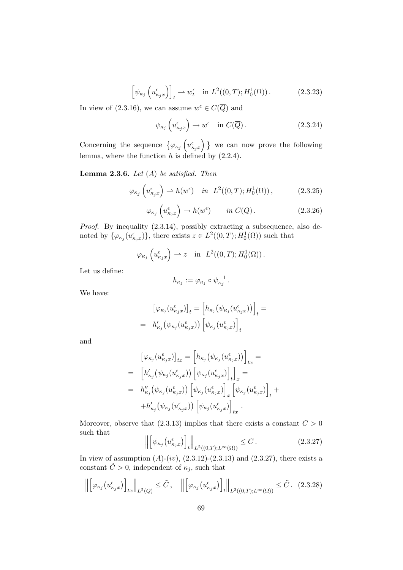$$
\left[\psi_{\kappa_j}\left(u_{\kappa_jx}^{\epsilon}\right)\right]_t \rightharpoonup w_t^{\epsilon} \quad \text{in } L^2((0,T);H_0^1(\Omega))\,. \tag{2.3.23}
$$

In view of (2.3.16), we can assume  $w^{\epsilon} \in C(\overline{Q})$  and

$$
\psi_{\kappa_j} \left( u_{\kappa_j x}^{\epsilon} \right) \to w^{\epsilon} \quad \text{in } C(\overline{Q}). \tag{2.3.24}
$$

Concerning the sequence  $\{\varphi_{\kappa_j}\left(u_{\kappa_jx}^{\epsilon}\right)\}\$  we can now prove the following lemma, where the function  $h$  is defined by  $(2.2.4)$ .

**Lemma 2.3.6.** Let  $(A)$  be satisfied. Then

$$
\varphi_{\kappa_j}\left(u_{\kappa_j x}^{\epsilon}\right) \rightharpoonup h(w^{\epsilon}) \quad \text{in} \ \ L^2((0,T);H_0^1(\Omega)),\tag{2.3.25}
$$

$$
\varphi_{\kappa_j}\left(u_{\kappa_j x}^{\epsilon}\right) \to h(w^{\epsilon}) \qquad \text{in } C(\overline{Q}). \tag{2.3.26}
$$

Proof. By inequality (2.3.14), possibly extracting a subsequence, also denoted by  $\{\varphi_{\kappa_j}(u_{\kappa_jx}^{\epsilon})\}$ , there exists  $z \in L^2((0,T);H_0^1(\Omega))$  such that

$$
\varphi_{\kappa_j}\left(u_{\kappa_jx}^{\epsilon}\right) \rightharpoonup z \quad \text{in} \ \ L^2((0,T);H_0^1(\Omega)).
$$

Let us define:

$$
h_{\kappa_j} := \varphi_{\kappa_j} \circ \psi_{\kappa_j}^{-1}.
$$

We have:

$$
\begin{aligned} \left[\varphi_{\kappa_j}(u_{\kappa_jx}^{\epsilon})\right]_t &= \left[h_{\kappa_j}\left(\psi_{\kappa_j}(u_{\kappa_jx}^{\epsilon})\right)\right]_t = \\ &= h_{\kappa_j}'\left(\psi_{\kappa_j}(u_{\kappa_jx}^{\epsilon})\right)\left[\psi_{\kappa_j}(u_{\kappa_jx}^{\epsilon})\right]_t \end{aligned}
$$

and

$$
\begin{split}\n&\left[\varphi_{\kappa_j}(u_{\kappa_j x}^{\epsilon})\right]_{tx} = \left[h_{\kappa_j}(\psi_{\kappa_j}(u_{\kappa_j x}^{\epsilon}))\right]_{tx} = \\
&= \left[h'_{\kappa_j}(\psi_{\kappa_j}(u_{\kappa_j x}^{\epsilon}))\left[\psi_{\kappa_j}(u_{\kappa_j x}^{\epsilon})\right]_{t}\right]_{x} = \\
&= h''_{\kappa_j}(\psi_{\kappa_j}(u_{\kappa_j x}^{\epsilon}))\left[\psi_{\kappa_j}(u_{\kappa_j x}^{\epsilon})\right]_{x}\left[\psi_{\kappa_j}(u_{\kappa_j x}^{\epsilon})\right]_{t} + \\
&+ h'_{\kappa_j}(\psi_{\kappa_j}(u_{\kappa_j x}^{\epsilon}))\left[\psi_{\kappa_j}(u_{\kappa_j x}^{\epsilon})\right]_{tx}.\n\end{split}
$$

Moreover, observe that  $(2.3.13)$  implies that there exists a constant  $C > 0$ such that

$$
\left\| \left[ \psi_{\kappa_j} \left( u_{\kappa_j x}^\epsilon \right) \right]_t \right\|_{L^2((0,T); L^\infty(\Omega))} \le C \,. \tag{2.3.27}
$$

In view of assumption  $(A)-(iv)$ ,  $(2.3.12)-(2.3.13)$  and  $(2.3.27)$ , there exists a constant  $\tilde{C} > 0$ , independent of  $\kappa_j$ , such that

$$
\left\| \left[ \varphi_{\kappa_j} \left( u_{\kappa_j x}^{\epsilon} \right) \right]_{tx} \right\|_{L^2(Q)} \leq \tilde{C}, \quad \left\| \left[ \varphi_{\kappa_j} \left( u_{\kappa_j x}^{\epsilon} \right) \right]_t \right\|_{L^2((0,T);L^{\infty}(\Omega))} \leq \tilde{C}. \tag{2.3.28}
$$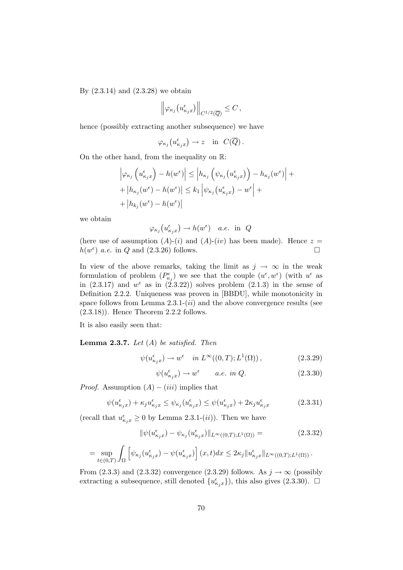By  $(2.3.14)$  and  $(2.3.28)$  we obtain

$$
\left\|\varphi_{\kappa_j}\big(u_{\kappa_jx}^\epsilon\big)\right\|_{C^{1/2}(\overline{Q})}\leq C\,,
$$

hence (possibly extracting another subsequence) we have

$$
\varphi_{\kappa_j}\left(u_{\kappa_jx}^{\epsilon}\right) \to z \quad \text{in} \ \ C(\overline{Q}) .
$$

On the other hand, from the inequality on R:

$$
\left| \varphi_{\kappa_j} \left( u_{\kappa_j x}^{\epsilon} \right) - h(w^{\epsilon}) \right| \le \left| h_{\kappa_j} \left( \psi_{\kappa_j} \left( u_{\kappa_j x}^{\epsilon} \right) \right) - h_{\kappa_j}(w^{\epsilon}) \right| + + \left| h_{\kappa_j} (w^{\epsilon}) - h(w^{\epsilon}) \right| \le k_1 \left| \psi_{\kappa_j} \left( u_{\kappa_j x}^{\epsilon} \right) - w^{\epsilon} \right| + + \left| h_{k_j} (w^{\epsilon}) - h(w^{\epsilon}) \right|
$$

we obtain

$$
\varphi_{\kappa_j}(u_{\kappa_jx}^{\epsilon}) \to h(w^{\epsilon})
$$
 a.e. in Q

(here use of assumption  $(A)-(i)$  and  $(A)-(iv)$  has been made). Hence  $z =$  $h(w^{\epsilon})$  a.e. in Q and (2.3.26) follows.

In view of the above remarks, taking the limit as  $j \to \infty$  in the weak formulation of problem  $(P_{\kappa_j}^{\epsilon})$  we see that the couple  $(u^{\epsilon}, w^{\epsilon})$  (with  $u^{\epsilon}$  as in  $(2.3.17)$  and  $w^{\epsilon}$  as in  $(2.3.22)$  solves problem  $(2.1.3)$  in the sense of Definition 2.2.2. Uniqueness was proven in [BBDU], while monotonicity in space follows from Lemma  $2.3.1-(ii)$  and the above convergence results (see (2.3.18)). Hence Theorem 2.2.2 follows.

It is also easily seen that:

**Lemma 2.3.7.** Let  $(A)$  be satisfied. Then

$$
\psi(u_{\kappa_j x}^{\epsilon}) \to w^{\epsilon} \quad in \ L^{\infty}((0,T); L^{1}(\Omega)), \tag{2.3.29}
$$

$$
\psi(u_{\kappa_j x}^\epsilon) \to w^\epsilon \qquad a.e. \in \mathcal{U}.
$$
 (2.3.30)

*Proof.* Assumption  $(A) - (iii)$  implies that

$$
\psi(u_{\kappa_j x}^{\epsilon}) + \kappa_j u_{\kappa_j x}^{\epsilon} \le \psi_{\kappa_j}(u_{\kappa_j x}^{\epsilon}) \le \psi(u_{\kappa_j x}^{\epsilon}) + 2\kappa_j u_{\kappa_j x}^{\epsilon}
$$
\n(2.3.31)

(recall that  $u_{\kappa_j x}^{\epsilon} \geq 0$  by Lemma 2.3.1-(*ii*)). Then we have

$$
\|\psi(u_{\kappa_j x}^{\epsilon}) - \psi_{\kappa_j}(u_{\kappa_j x}^{\epsilon})\|_{L^{\infty}((0,T);L^1(\Omega))} =
$$
\n(2.3.32)

$$
= \sup_{t \in (0,T)} \int_{\Omega} \left[ \psi_{\kappa_j}(u_{\kappa_j x}^{\epsilon}) - \psi(u_{\kappa_j x}^{\epsilon}) \right] (x,t) dx \leq 2\kappa_j \|u_{\kappa_j x}^{\epsilon}\|_{L^{\infty}((0,T);L^1(\Omega))}.
$$

From (2.3.3) and (2.3.32) convergence (2.3.29) follows. As  $j \to \infty$  (possibly extracting a subsequence, still denoted  $\{u_{\kappa_j x}^{\epsilon}\}\)$ , this also gives (2.3.30).  $\Box$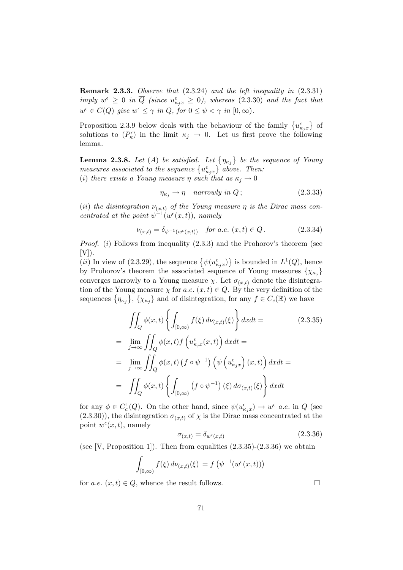Remark 2.3.3. Observe that (2.3.24) and the left inequality in (2.3.31) imply  $w^{\epsilon} \geq 0$  in  $\overline{Q}$  (since  $u^{\epsilon}_{\kappa_j x} \geq 0$ ), whereas (2.3.30) and the fact that  $w^{\epsilon} \in C(\overline{Q})$  give  $w^{\epsilon} \leq \gamma$  in  $\overline{Q}$ , for  $0 \leq \psi < \gamma$  in  $[0, \infty)$ .

Proposition 2.3.9 below deals with the behaviour of the family  $\{u_{\kappa_j x}^{\epsilon}\}$  of solutions to  $(P_{\kappa}^{\epsilon})$  in the limit  $\kappa_j \to 0$ . Let us first prove the following lemma.

**Lemma 2.3.8.** Let (A) be satisfied. Let  $\{\eta_{\kappa_j}\}\$  be the sequence of Young measures associated to the sequence  $\{u_{\kappa_jx}^{\epsilon}\}\$  above. Then: (i) there exists a Young measure  $\eta$  such that as  $\kappa_j \to 0$ 

$$
\eta_{\kappa_j} \to \eta \quad \text{narrowly in } Q \, ; \tag{2.3.33}
$$

(ii) the disintegration  $\nu_{(x,t)}$  of the Young measure  $\eta$  is the Dirac mass concentrated at the point  $\psi^{-1}(w^{\epsilon}(x,t))$ , namely

$$
\nu_{(x,t)} = \delta_{\psi^{-1}(w^{\epsilon}(x,t))} \quad \text{for a.e. } (x,t) \in Q. \tag{2.3.34}
$$

*Proof.* (i) Follows from inequality  $(2.3.3)$  and the Prohorov's theorem (see  $[V]$ ).

(*ii*) In view of (2.3.29), the sequence  $\{\psi(u_{\kappa_j x}^{\epsilon})\}$  is bounded in  $L^1(Q)$ , hence by Prohorov's theorem the associated sequence of Young measures  $\{\chi_{\kappa_j}\}$ converges narrowly to a Young measure  $\chi$ . Let  $\sigma_{(x,t)}$  denote the disintegration of the Young measure  $\chi$  for a.e.  $(x, t) \in Q$ . By the very definition of the sequences  $\{\eta_{\kappa_j}\},\,\{\chi_{\kappa_j}\}$  and of disintegration, for any  $f\in C_c(\mathbb{R})$  we have

$$
\iint_{Q} \phi(x,t) \left\{ \int_{[0,\infty)} f(\xi) d\nu_{(x,t)}(\xi) \right\} dx dt =
$$
\n
$$
= \lim_{j \to \infty} \iint_{Q} \phi(x,t) f\left(u_{\kappa_j x}^{\epsilon}(x,t)\right) dx dt =
$$
\n
$$
= \lim_{j \to \infty} \iint_{Q} \phi(x,t) \left(f \circ \psi^{-1}\right) \left(\psi\left(u_{\kappa_j x}^{\epsilon}\right)(x,t)\right) dx dt =
$$
\n
$$
= \iint_{Q} \phi(x,t) \left\{ \int_{[0,\infty)} \left(f \circ \psi^{-1}\right) (\xi) d\sigma_{(x,t)}(\xi) \right\} dx dt
$$
\n(2.3.35)

for any  $\phi \in C_c^1(Q)$ . On the other hand, since  $\psi(u_{\kappa_j x}^{\epsilon}) \to w^{\epsilon}$  *a.e.* in Q (see  $(2.3.30)$ , the disintegration  $\sigma_{(x,t)}$  of  $\chi$  is the Dirac mass concentrated at the point  $w^{\epsilon}(x,t)$ , namely

$$
\sigma_{(x,t)} = \delta_{w^{\epsilon}(x,t)} \tag{2.3.36}
$$

(see [V, Proposition 1]). Then from equalities  $(2.3.35)-(2.3.36)$  we obtain

$$
\int_{[0,\infty)} f(\xi) d\nu_{(x,t)}(\xi) = f(\psi^{-1}(w^{\epsilon}(x,t)))
$$

for *a.e.*  $(x, t) \in Q$ , whence the result follows.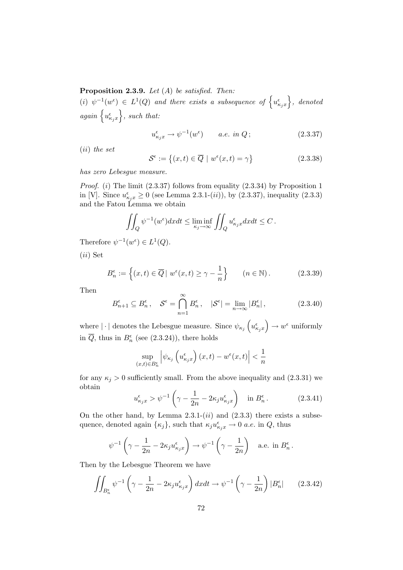**Proposition 2.3.9.** Let  $(A)$  be satisfied. Then:

 $(i) \psi^{-1}(w^{\epsilon}) \in L^{1}(Q)$  and there exists a subsequence of  $\left\{u_{\kappa_{j}x}^{\epsilon}\right\}$ , denoted again  $\left\{u_{\kappa_jx}^{\epsilon}\right\}$ , such that:

$$
u_{\kappa_j x}^{\epsilon} \to \psi^{-1}(w^{\epsilon}) \qquad a.e. \in \Omega \, ; \tag{2.3.37}
$$

(ii) the set

$$
\mathcal{S}^{\epsilon} := \left\{ (x, t) \in \overline{Q} \mid w^{\epsilon}(x, t) = \gamma \right\}
$$
 (2.3.38)

has zero Lebesgue measure.

*Proof.* (i) The limit  $(2.3.37)$  follows from equality  $(2.3.34)$  by Proposition 1 in [V]. Since  $u_{\kappa_j x}^{\epsilon} \ge 0$  (see Lemma 2.3.1-(*ii*)), by (2.3.37), inequality (2.3.3) and the Fatou Lemma we obtain

$$
\iint_Q \psi^{-1}(w^{\epsilon}) dx dt \le \liminf_{\kappa_j \to \infty} \iint_Q u_{\kappa_j x}^{\epsilon} dx dt \le C.
$$

Therefore  $\psi^{-1}(w^{\epsilon}) \in L^1(Q)$ .

(ii) Set

$$
B_n^{\epsilon} := \left\{ (x, t) \in \overline{Q} \mid w^{\epsilon}(x, t) \ge \gamma - \frac{1}{n} \right\} \qquad (n \in \mathbb{N}). \tag{2.3.39}
$$

Then

$$
B_{n+1}^{\epsilon} \subseteq B_n^{\epsilon}, \quad \mathcal{S}^{\epsilon} = \bigcap_{n=1}^{\infty} B_n^{\epsilon}, \quad |\mathcal{S}^{\epsilon}| = \lim_{n \to \infty} |B_n^{\epsilon}|,
$$
 (2.3.40)

where  $|\cdot|$  denotes the Lebesgue measure. Since  $\psi_{\kappa_j}\left(u_{\kappa_jx}^{\epsilon}\right) \to w^{\epsilon}$  uniformly in  $\overline{Q}$ , thus in  $B_n^{\epsilon}$  (see (2.3.24)), there holds

$$
\sup_{(x,t)\in B_n^{\epsilon}} \left| \psi_{\kappa_j} \left( u_{\kappa_j x}^{\epsilon} \right) (x,t) - w^{\epsilon}(x,t) \right| < \frac{1}{n}
$$

for any  $\kappa_j > 0$  sufficiently small. From the above inequality and (2.3.31) we obtain

$$
u_{\kappa_j x}^{\epsilon} > \psi^{-1} \left( \gamma - \frac{1}{2n} - 2\kappa_j u_{\kappa_j x}^{\epsilon} \right) \quad \text{in } B_n^{\epsilon} \,. \tag{2.3.41}
$$

On the other hand, by Lemma  $2.3.1-(ii)$  and  $(2.3.3)$  there exists a subsequence, denoted again  $\{\kappa_j\}$ , such that  $\kappa_j u_{\kappa_j x}^{\epsilon} \to 0$  *a.e.* in  $Q$ , thus

$$
\psi^{-1}\left(\gamma - \frac{1}{2n} - 2\kappa_j u_{\kappa_j x}^{\epsilon}\right) \to \psi^{-1}\left(\gamma - \frac{1}{2n}\right) \quad \text{a.e. in } B_n^{\epsilon}.
$$

Then by the Lebesgue Theorem we have

$$
\iint_{B_n^{\epsilon}} \psi^{-1} \left( \gamma - \frac{1}{2n} - 2\kappa_j u_{\kappa_j x}^{\epsilon} \right) dx dt \to \psi^{-1} \left( \gamma - \frac{1}{2n} \right) |B_n^{\epsilon}| \qquad (2.3.42)
$$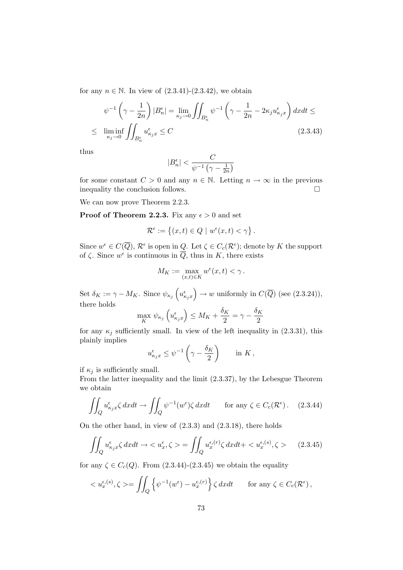for any  $n \in \mathbb{N}$ . In view of  $(2.3.41)-(2.3.42)$ , we obtain

$$
\psi^{-1}\left(\gamma - \frac{1}{2n}\right)|B_n^{\epsilon}| = \lim_{\kappa_j \to 0} \iint_{B_n^{\epsilon}} \psi^{-1}\left(\gamma - \frac{1}{2n} - 2\kappa_j u_{\kappa_j x}^{\epsilon}\right) dx dt \le
$$
  

$$
\leq \liminf_{\kappa_j \to 0} \iint_{B_n^{\epsilon}} u_{\kappa_j x}^{\epsilon} \leq C \qquad (2.3.43)
$$

thus

$$
|B_n^{\epsilon}| < \frac{C}{\psi^{-1} \left(\gamma - \frac{1}{2n}\right)}
$$

for some constant  $C > 0$  and any  $n \in \mathbb{N}$ . Letting  $n \to \infty$  in the previous inequality the conclusion follows. inequality the conclusion follows.

We can now prove Theorem 2.2.3.

**Proof of Theorem 2.2.3.** Fix any  $\epsilon > 0$  and set

$$
\mathcal{R}^{\epsilon}:=\left\{(x,t)\in Q\,\,|\,\,w^{\epsilon}(x,t)<\gamma\right\}
$$

.

Since  $w^{\epsilon} \in C(\overline{Q})$ ,  $\mathcal{R}^{\epsilon}$  is open in  $\underline{Q}$ . Let  $\zeta \in C_c(\mathcal{R}^{\epsilon})$ ; denote by K the support of  $\zeta$ . Since  $w^{\epsilon}$  is continuous in  $\overline{Q}$ , thus in K, there exists

$$
M_K:=\max_{(x,t)\in K}w^\epsilon(x,t)<\gamma\,.
$$

Set  $\delta_K := \gamma - M_K$ . Since  $\psi_{\kappa_j}\left(u_{\kappa_j x}^{\epsilon}\right) \to w$  uniformly in  $C(\overline{Q})$  (see (2.3.24)), there holds

$$
\max_{K} \psi_{\kappa_j} \left( u_{\kappa_j x}^{\epsilon} \right) \leq M_K + \frac{\delta_K}{2} = \gamma - \frac{\delta_K}{2}
$$

for any  $\kappa_j$  sufficiently small. In view of the left inequality in (2.3.31), this plainly implies

$$
u_{\kappa_j x}^{\epsilon} \leq \psi^{-1} \left( \gamma - \frac{\delta_K}{2} \right) \quad \text{in } K \,,
$$

if  $\kappa_i$  is sufficiently small.

From the latter inequality and the limit (2.3.37), by the Lebesgue Theorem we obtain

$$
\iint_{Q} u_{\kappa_j x}^{\epsilon} \zeta \, dxdt \to \iint_{Q} \psi^{-1}(w^{\epsilon}) \zeta \, dxdt \qquad \text{for any } \zeta \in C_c(\mathcal{R}^{\epsilon}). \tag{2.3.44}
$$

On the other hand, in view of (2.3.3) and (2.3.18), there holds

$$
\iint_{Q} u_{\kappa_j x}^{\epsilon} \zeta \, dxdt \to \langle u_x^{\epsilon}, \zeta \rangle = \iint_{Q} u_x^{\epsilon, (r)} \zeta \, dxdt + \langle u_x^{\epsilon, (s)}, \zeta \rangle \tag{2.3.45}
$$

for any  $\zeta \in C_c(Q)$ . From  $(2.3.44)-(2.3.45)$  we obtain the equality

$$
\langle u_x^{\epsilon,(s)}, \zeta \rangle = \iint_Q \left\{ \psi^{-1}(w^{\epsilon}) - u_x^{\epsilon,(r)} \right\} \zeta \, dxdt \qquad \text{for any } \zeta \in C_c(\mathcal{R}^{\epsilon}),
$$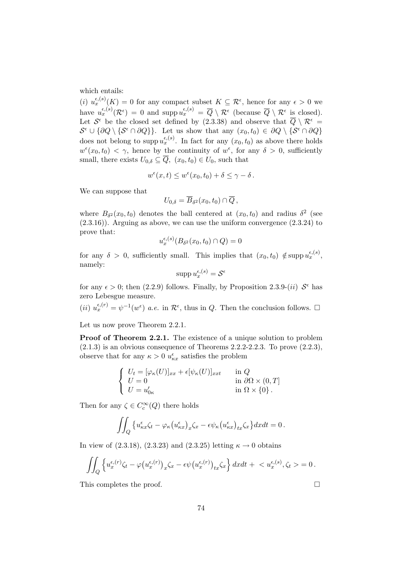which entails:

(i)  $u_x^{\epsilon,(s)}(K) = 0$  for any compact subset  $K \subseteq \mathcal{R}^{\epsilon}$ , hence for any  $\epsilon > 0$  we have  $u_x^{\epsilon,(s)}(\mathcal{R}^{\epsilon}) = 0$  and supp  $u_x^{\epsilon,(s)} = \overline{Q} \setminus \mathcal{R}^{\epsilon}$  (because  $\overline{Q} \setminus \mathcal{R}^{\epsilon}$  is closed). Let  $S^{\epsilon}$  be the closed set defined by (2.3.38) and observe that  $\overline{Q} \setminus \mathcal{R}^{\epsilon} =$  $\mathcal{S}^{\epsilon} \cup \{\partial Q \setminus \{\mathcal{S}^{\epsilon} \cap \partial Q\}\}\$ . Let us show that any  $(x_0, t_0) \in \partial Q \setminus \{\mathcal{S}^{\epsilon} \cap \partial Q\}$ does not belong to supp  $u_x^{\epsilon,(s)}$ . In fact for any  $(x_0, t_0)$  as above there holds  $w^{\epsilon}(x_0, t_0) < \gamma$ , hence by the continuity of  $w^{\epsilon}$ , for any  $\delta > 0$ , sufficiently small, there exists  $U_{0,\delta} \subseteq \overline{Q}$ ,  $(x_0, t_0) \in U_0$ , such that

$$
w^{\epsilon}(x,t) \leq w^{\epsilon}(x_0,t_0) + \delta \leq \gamma - \delta.
$$

We can suppose that

$$
U_{0,\delta} = \overline{B}_{\delta^2}(x_0,t_0) \cap \overline{Q},
$$

where  $B_{\delta^2}(x_0,t_0)$  denotes the ball centered at  $(x_0,t_0)$  and radius  $\delta^2$  (see  $(2.3.16)$ . Arguing as above, we can use the uniform convergence  $(2.3.24)$  to prove that:

$$
u_x^{\epsilon,(s)}(B_{\delta^2}(x_0,t_0)\cap Q)=0
$$

for any  $\delta > 0$ , sufficiently small. This implies that  $(x_0, t_0) \notin \text{supp } u_x^{\epsilon,(s)},$ namely:

$$
\operatorname{supp} u_x^{\epsilon,(s)} = \mathcal{S}^{\epsilon}
$$

for any  $\epsilon > 0$ ; then (2.2.9) follows. Finally, by Proposition 2.3.9-(*ii*)  $S^{\epsilon}$  has zero Lebesgue measure.

(*ii*)  $u_x^{\epsilon,(r)} = \psi^{-1}(w^{\epsilon})$  *a.e.* in  $\mathcal{R}^{\epsilon}$ , thus in *Q*. Then the conclusion follows.  $\Box$ 

Let us now prove Theorem 2.2.1.

**Proof of Theorem 2.2.1.** The existence of a unique solution to problem  $(2.1.3)$  is an obvious consequence of Theorems 2.2.2-2.2.3. To prove  $(2.2.3)$ , observe that for any  $\kappa > 0$   $u_{\kappa x}^{\epsilon}$  satisfies the problem

$$
\begin{cases}\nU_t = [\varphi_\kappa(U)]_{xx} + \epsilon [\psi_\kappa(U)]_{xxt} & \text{in } Q \\
U = 0 & \text{in } \partial \Omega \times (0, T] \\
U = u'_{0\kappa} & \text{in } \Omega \times \{0\}.\n\end{cases}
$$

Then for any  $\zeta \in C_c^{\infty}(Q)$  there holds

$$
\iint_Q \left\{ u_{\kappa x}^\epsilon \zeta_t - \varphi_\kappa \left( u_{\kappa x}^\epsilon \right)_x \zeta_x - \epsilon \psi_\kappa \left( u_{\kappa x}^\epsilon \right)_{tx} \zeta_x \right\} dx dt = 0.
$$

In view of  $(2.3.18)$ ,  $(2.3.23)$  and  $(2.3.25)$  letting  $\kappa \to 0$  obtains

$$
\iint_Q \left\{ u_x^{\epsilon,(r)} \zeta_t - \varphi \big(u_x^{\epsilon,(r)}\big)_x \zeta_x - \epsilon \psi \big(u_x^{\epsilon,(r)}\big)_{tx} \zeta_x \right\} dx dt + \langle u_x^{\epsilon,(s)}, \zeta_t \rangle = 0.
$$

This completes the proof.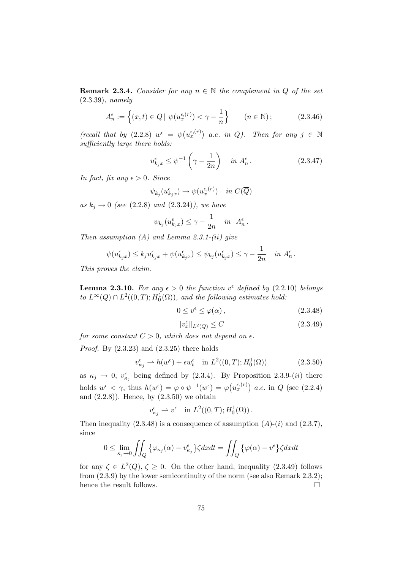**Remark 2.3.4.** Consider for any  $n \in \mathbb{N}$  the complement in Q of the set (2.3.39), namely

$$
A_n^{\epsilon} := \left\{ (x, t) \in Q \mid \psi(u_x^{\epsilon, (r)}) < \gamma - \frac{1}{n} \right\} \qquad (n \in \mathbb{N});\tag{2.3.46}
$$

(recall that by  $(2.2.8)$   $w^{\epsilon} = \psi(u_x^{\epsilon,(r)})$  a.e. in Q). Then for any  $j \in \mathbb{N}$ sufficiently large there holds:

$$
u_{k_j x}^{\epsilon} \le \psi^{-1} \left(\gamma - \frac{1}{2n}\right) \quad in \ A_n^{\epsilon}.
$$
 (2.3.47)

In fact, fix any  $\epsilon > 0$ . Since

$$
\psi_{k_j}(u_{k_jx}^{\epsilon}) \to \psi(u_x^{\epsilon,(r)}) \quad in \ C(\overline{Q})
$$

as  $k_j \to 0$  (see (2.2.8) and (2.3.24)), we have

$$
\psi_{k_j}(u_{k_jx}^{\epsilon}) \leq \gamma - \frac{1}{2n}
$$
 in  $A_n^{\epsilon}$ .

Then assumption  $(A)$  and Lemma 2.3.1- $(ii)$  give

$$
\psi(u_{k_jx}^{\epsilon}) \leq k_j u_{k_jx}^{\epsilon} + \psi(u_{k_jx}^{\epsilon}) \leq \psi_{k_j}(u_{k_jx}^{\epsilon}) \leq \gamma - \frac{1}{2n} \quad \text{in } A_n^{\epsilon}.
$$

This proves the claim.

**Lemma 2.3.10.** For any  $\epsilon > 0$  the function  $v^{\epsilon}$  defined by (2.2.10) belongs to  $L^{\infty}(Q) \cap L^2((0,T); H_0^1(\Omega))$ , and the following estimates hold:

$$
0 \le v^{\epsilon} \le \varphi(\alpha) \,, \tag{2.3.48}
$$

$$
||v_x^{\epsilon}||_{L^2(Q)} \le C \tag{2.3.49}
$$

for some constant  $C > 0$ , which does not depend on  $\epsilon$ .

*Proof.* By  $(2.3.23)$  and  $(2.3.25)$  there holds

$$
v_{\kappa_j}^{\epsilon} \rightharpoonup h(w^{\epsilon}) + \epsilon w_t^{\epsilon} \quad \text{in } L^2((0,T); H_0^1(\Omega))
$$
\n
$$
(2.3.50)
$$

as  $\kappa_j \to 0$ ,  $v_{\kappa_j}^{\epsilon}$  being defined by (2.3.4). By Proposition 2.3.9-(*ii*) there holds  $w^{\epsilon} < \gamma$ , thus  $h(w^{\epsilon}) = \varphi \circ \psi^{-1}(w^{\epsilon}) = \varphi(u_x^{\epsilon,(r)})$  a.e. in Q (see (2.2.4) and  $(2.2.8)$ . Hence, by  $(2.3.50)$  we obtain

$$
v_{\kappa_j}^{\epsilon} \rightharpoonup v^{\epsilon} \quad \text{in } L^2((0,T);H_0^1(\Omega))\,.
$$

Then inequality  $(2.3.48)$  is a consequence of assumption  $(A)-(i)$  and  $(2.3.7)$ , since

$$
0 \leq \lim_{\kappa_j \to 0} \iint_Q \left\{ \varphi_{\kappa_j}(\alpha) - v_{\kappa_j}^{\epsilon} \right\} \zeta dx dt = \iint_Q \left\{ \varphi(\alpha) - v^{\epsilon} \right\} \zeta dx dt
$$

for any  $\zeta \in L^2(Q)$ ,  $\zeta \ge 0$ . On the other hand, inequality (2.3.49) follows from (2.3.9) by the lower semicontinuity of the norm (see also Remark 2.3.2); hence the result follows.  $\hfill \square$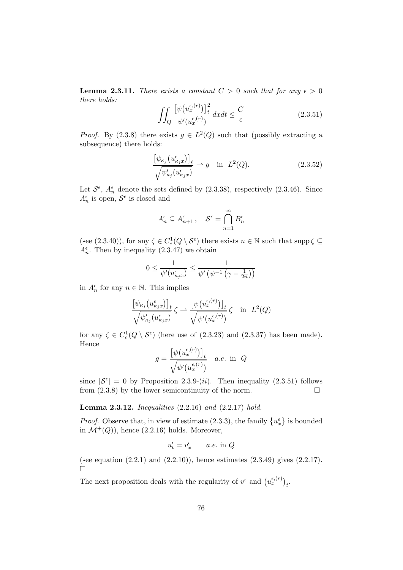**Lemma 2.3.11.** There exists a constant  $C > 0$  such that for any  $\epsilon > 0$ there holds:

$$
\iint_{Q} \frac{\left[\psi(u_x^{\epsilon,(r)})\right]_t^2}{\psi'(u_x^{\epsilon,(r)})} dxdt \le \frac{C}{\epsilon}
$$
\n(2.3.51)

*Proof.* By (2.3.8) there exists  $g \in L^2(Q)$  such that (possibly extracting a subsequence) there holds:

$$
\frac{\left[\psi_{\kappa_j}\left(u_{\kappa_jx}^{\epsilon}\right)\right]_t}{\sqrt{\psi_{\kappa_j}'\left(u_{\kappa_jx}^{\epsilon}\right)}} \rightharpoonup g \quad \text{in} \quad L^2(Q). \tag{2.3.52}
$$

Let  $S^{\epsilon}$ ,  $A_{n}^{\epsilon}$  denote the sets defined by (2.3.38), respectively (2.3.46). Since  $A_n^{\epsilon}$  is open,  $S^{\epsilon}$  is closed and

$$
A_n^{\epsilon} \subseteq A_{n+1}^{\epsilon}, \quad \mathcal{S}^{\epsilon} = \bigcap_{n=1}^{\infty} B_n^{\epsilon}
$$

(see (2.3.40)), for any  $\zeta \in C_c^1(Q \setminus \mathcal{S}^{\epsilon})$  there exists  $n \in \mathbb{N}$  such that supp $\zeta \subseteq$  $A_n^{\epsilon}$ . Then by inequality (2.3.47) we obtain

$$
0 \le \frac{1}{\psi'(u_{\kappa_j x}^{\epsilon})} \le \frac{1}{\psi'\left(\psi^{-1}\left(\gamma - \frac{1}{2n}\right)\right)}
$$

in  $A_n^{\epsilon}$  for any  $n \in \mathbb{N}$ . This implies

$$
\frac{\left[\psi_{\kappa_j}\left(u_{\kappa_jx}^{\epsilon}\right)\right]_t}{\sqrt{\psi_{\kappa_j}'\left(u_{\kappa_jx}^{\epsilon}\right)}}\zeta \rightharpoonup \frac{\left[\psi\left(u_x^{\epsilon,(r)}\right)\right]_t}{\sqrt{\psi'\left(u_x^{\epsilon,(r)}\right)}}\zeta \quad \text{in} \quad L^2(Q)
$$

for any  $\zeta \in C_c^1(Q \setminus \mathcal{S}^{\epsilon})$  (here use of (2.3.23) and (2.3.37) has been made). Hence

$$
g = \frac{\left[\psi\big(u_x^{\epsilon,(r)}\big)\right]_t}{\sqrt{\psi'\big(u_x^{\epsilon,(r)}\big)}} \quad a.e. \text{ in } Q
$$

since  $|S^{\epsilon}| = 0$  by Proposition 2.3.9-(*ii*). Then inequality (2.3.51) follows from  $(2.3.8)$  by the lower semicontinuity of the norm.

Lemma 2.3.12. Inequalities (2.2.16) and (2.2.17) hold.

*Proof.* Observe that, in view of estimate (2.3.3), the family  $\{u_x^{\epsilon}\}\$ is bounded in  $\mathcal{M}^+(Q)$ , hence (2.2.16) holds. Moreover,

$$
u_t^{\epsilon} = v_x^{\epsilon} \qquad a.e. \text{ in } Q
$$

(see equation  $(2.2.1)$  and  $(2.2.10)$ ), hence estimates  $(2.3.49)$  gives  $(2.2.17)$ .  $\Box$ 

The next proposition deals with the regularity of  $v^{\epsilon}$  and  $(u_x^{\epsilon,(r)})_t$ .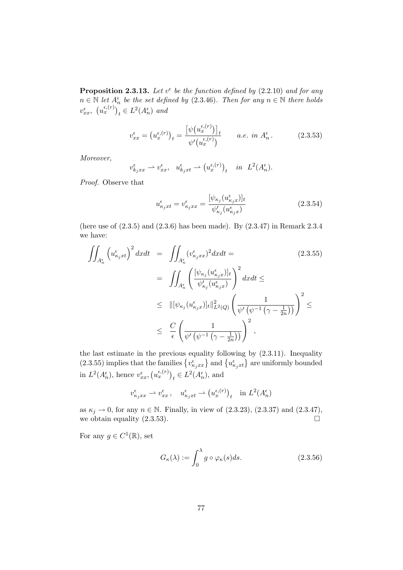**Proposition 2.3.13.** Let  $v^{\epsilon}$  be the function defined by (2.2.10) and for any  $n \in \mathbb{N}$  let  $A_n^{\epsilon}$  be the set defined by (2.3.46). Then for any  $n \in \mathbb{N}$  there holds  $v_{xx}^{\epsilon}$ ,  $(u_x^{\epsilon,(r)})_t \in L^2(A_n^{\epsilon})$  and

$$
v_{xx}^{\epsilon} = (u_x^{\epsilon,(r)})_t = \frac{\left[\psi(u_x^{\epsilon,(r)})\right]_t}{\psi'(u_x^{\epsilon,(r)})} \qquad a.e. \in \mathbb{R}^4, \tag{2.3.53}
$$

Moreover,

$$
v_{k_jxx}^{\epsilon} \rightharpoonup v_{xx}^{\epsilon}, \quad u_{k_jxt}^{\epsilon} \rightharpoonup (u_x^{\epsilon,(r)})_t \quad in \quad L^2(A_n^{\epsilon}).
$$

Proof. Observe that

$$
u_{\kappa_j x t}^{\epsilon} = v_{\kappa_j x x}^{\epsilon} = \frac{[\psi_{\kappa_j}(u_{\kappa_j x}^{\epsilon})]_t}{\psi_{\kappa_j}'(u_{\kappa_j x}^{\epsilon})}
$$
(2.3.54)

(here use of (2.3.5) and (2.3.6) has been made). By (2.3.47) in Remark 2.3.4 we have:

$$
\iint_{A_n^{\epsilon}} \left( u_{\kappa_j x t}^{\epsilon} \right)^2 dx dt = \iint_{A_n^{\epsilon}} (v_{\kappa_j x x}^{\epsilon})^2 dx dt =
$$
\n
$$
= \iint_{A_n^{\epsilon}} \left( \frac{[\psi_{\kappa_j}(u_{\kappa_j x}^{\epsilon})]_t}{\psi_{\kappa_j}'(u_{\kappa_j x}^{\epsilon})} \right)^2 dx dt \le
$$
\n
$$
\leq \| [\psi_{\kappa_j}(u_{\kappa_j x}^{\epsilon})]_t \|_{L^2(Q)}^2 \left( \frac{1}{\psi'(\psi^{-1}(\gamma - \frac{1}{2n}))} \right)^2 \le
$$
\n
$$
\leq \frac{C}{\epsilon} \left( \frac{1}{\psi'(\psi^{-1}(\gamma - \frac{1}{2n}))} \right)^2,
$$
\n(2.3.55)

the last estimate in the previous equality following by (2.3.11). Inequality (2.3.55) implies that the families  $\{v_{\kappa_jxx}^{\epsilon}\}\$  and  $\{u_{\kappa_jxt}^{\epsilon}\}\$  are uniformly bounded in  $L^2(A_n^{\epsilon}),$  hence  $v_{xx}^{\epsilon}, (\nu_x^{\epsilon,(r)})_t \in L^2(A_n^{\epsilon}),$  and

$$
v_{\kappa_j xx}^{\epsilon} \rightharpoonup v_{xx}^{\epsilon}, \quad u_{\kappa_j xt}^{\epsilon} \rightharpoonup (u_x^{\epsilon,(r)})_t \quad \text{in } L^2(A_n^{\epsilon})
$$

as  $\kappa_j \to 0$ , for any  $n \in \mathbb{N}$ . Finally, in view of (2.3.23), (2.3.37) and (2.3.47), we obtain equality (2.3.53). we obtain equality  $(2.3.53)$ .

For any  $g \in C^1(\mathbb{R})$ , set

$$
G_{\kappa}(\lambda) := \int_0^{\lambda} g \circ \varphi_{\kappa}(s) ds.
$$
 (2.3.56)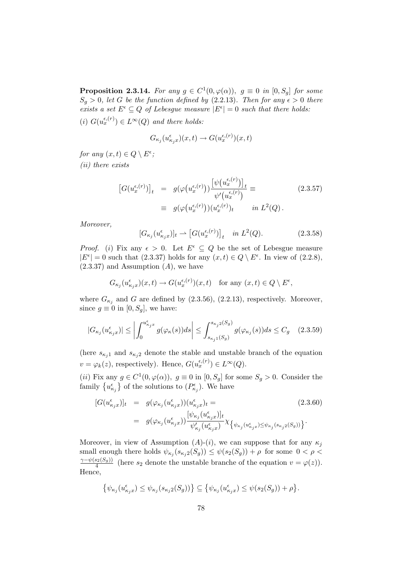**Proposition 2.3.14.** For any  $g \in C^1(0, \varphi(\alpha))$ ,  $g \equiv 0$  in  $[0, S_g]$  for some  $S_g > 0$ , let G be the function defined by (2.2.13). Then for any  $\epsilon > 0$  there exists a set  $E^{\epsilon} \subseteq Q$  of Lebesgue measure  $|E^{\epsilon}| = 0$  such that there holds: (i)  $G(u_x^{\epsilon,(r)}) \in L^{\infty}(Q)$  and there holds:

$$
G_{\kappa_j}(u_{\kappa_jx}^{\epsilon})(x,t) \to G(u_x^{\epsilon,(r)})(x,t)
$$

for any  $(x,t) \in Q \setminus E^{\epsilon}$ ; (ii) there exists

$$
\begin{array}{rcl}\n\left[G(u_x^{\epsilon,(r)})\right]_t & = & g(\varphi(u_x^{\epsilon,(r)})) \frac{\left[\psi(u_x^{\epsilon,(r)})\right]_t}{\psi'(u_x^{\epsilon,(r)})} \equiv \\
& = & g(\varphi(u_x^{\epsilon,(r)})) (u_x^{\epsilon,(r)})_t \qquad \text{in } L^2(Q)\,. \n\end{array} \tag{2.3.57}
$$

Moreover,

$$
[G_{\kappa_j}(u_{\kappa_j x}^\epsilon)]_t \rightharpoonup [G(u_x^{\epsilon,(r)})]_t \quad in \ L^2(Q). \tag{2.3.58}
$$

*Proof.* (i) Fix any  $\epsilon > 0$ . Let  $E^{\epsilon} \subseteq Q$  be the set of Lebesgue measure  $|E^{\epsilon}| = 0$  such that (2.3.37) holds for any  $(x, t) \in Q \setminus E^{\epsilon}$ . In view of (2.2.8),  $(2.3.37)$  and Assumption  $(A)$ , we have

$$
G_{\kappa_j}(u_{\kappa_jx}^{\epsilon})(x,t) \to G(u_x^{\epsilon,(r)})(x,t) \quad \text{for any } (x,t) \in Q \setminus E^{\epsilon},
$$

where  $G_{\kappa_j}$  and G are defined by (2.3.56), (2.2.13), respectively. Moreover, since  $g \equiv 0$  in [0,  $S_q$ ], we have:

$$
|G_{\kappa_j}(u_{\kappa_j x}^\epsilon)| \le \left| \int_0^{u_{\kappa_j x}^\epsilon} g(\varphi_\kappa(s)) ds \right| \le \int_{s_{\kappa_j 1}(S_g)}^{s_{\kappa_j 2}(S_g)} g(\varphi_{\kappa_j}(s)) ds \le C_g \quad (2.3.59)
$$

(here  $s_{\kappa_j 1}$  and  $s_{\kappa_j 2}$  denote the stable and unstable branch of the equation  $v = \varphi_k(z)$ , respectively). Hence,  $G(u_x^{\epsilon,(r)}) \in L^{\infty}(Q)$ .

(*ii*) Fix any  $g \in C^1(0, \varphi(\alpha))$ ,  $g \equiv 0$  in  $[0, S_g]$  for some  $S_g > 0$ . Consider the family  $\{u_{\kappa_j}^{\epsilon}\}\)$  of the solutions to  $(P_{\kappa_j}^{\epsilon})$ . We have

$$
[G(u_{\kappa_j x}^{\epsilon})]_t = g(\varphi_{\kappa_j}(u_{\kappa_j x}^{\epsilon})) (u_{\kappa_j x}^{\epsilon})_t = (2.3.60)
$$
  

$$
= g(\varphi_{\kappa_j}(u_{\kappa_j x}^{\epsilon})) \frac{[\psi_{\kappa_j}(u_{\kappa_j x}^{\epsilon})]_t}{\psi_{\kappa_j}'(u_{\kappa_j x}^{\epsilon})} \chi_{\{\psi_{\kappa_j}(u_{\kappa_j x}^{\epsilon}) \le \psi_{\kappa_j}(s_{\kappa_j 2}(S_g))\}}.
$$

Moreover, in view of Assumption  $(A)-(i)$ , we can suppose that for any  $\kappa_i$ small enough there holds  $\psi_{\kappa_j}(s_{\kappa_j 2}(S_g)) \leq \psi(s_2(S_g)) + \rho$  for some  $0 < \rho <$  $\gamma-\psi(s_2(S_g))$  $\frac{s_2(s_g)}{4}$  (here  $s_2$  denote the unstable branche of the equation  $v = \varphi(z)$ ). Hence,

$$
\{\psi_{\kappa_j}(u_{\kappa_jx}^{\epsilon}) \leq \psi_{\kappa_j}(s_{\kappa_j2}(S_g))\} \subseteq \{\psi_{\kappa_j}(u_{\kappa_jx}^{\epsilon}) \leq \psi(s_2(S_g)) + \rho\}.
$$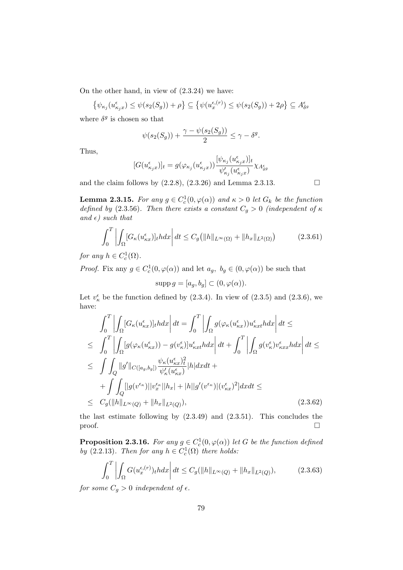On the other hand, in view of (2.3.24) we have:

$$
\{\psi_{\kappa_j}(u_{\kappa_jx}^{\epsilon}) \leq \psi(s_2(S_g)) + \rho\} \subseteq \{\psi(u_x^{\epsilon, (r)}) \leq \psi(s_2(S_g)) + 2\rho\} \subseteq A_{\delta^g}^{\epsilon}
$$

where  $\delta^g$  is chosen so that

$$
\psi(s_2(S_g)) + \frac{\gamma - \psi(s_2(S_g))}{2} \le \gamma - \delta^g.
$$

Thus,

$$
[G(u_{\kappa_jx}^\epsilon)]_t=g(\varphi_{\kappa_j}(u_{\kappa_jx}^\epsilon))\frac{[\psi_{\kappa_j}(u_{\kappa_jx}^\epsilon)]_t}{\psi_{\kappa_j}'(u_{\kappa_jx}^\epsilon)}\chi_{A_{\delta g}^\epsilon}
$$

and the claim follows by  $(2.2.8), (2.3.26)$  and Lemma 2.3.13.

**Lemma 2.3.15.** For any  $g \in C_c^1(0, \varphi(\alpha))$  and  $\kappa > 0$  let  $G_k$  be the function defined by (2.3.56). Then there exists a constant  $C_g > 0$  (independent of  $\kappa$ and  $\epsilon$ ) such that

$$
\int_0^T \left| \int_{\Omega} [G_{\kappa}(u_{\kappa x}^{\epsilon})]_t h dx \right| dt \le C_g \left( \|h\|_{L^{\infty}(\Omega)} + \|h_x\|_{L^2(\Omega)} \right) \tag{2.3.61}
$$

for any  $h \in C_c^1(\Omega)$ .

*Proof.* Fix any  $g \in C_c^1(0, \varphi(\alpha))$  and let  $a_g$ ,  $b_g \in (0, \varphi(\alpha))$  be such that

$$
supp g = [a_g, b_g] \subset (0, \varphi(\alpha)).
$$

Let  $v_{\kappa}^{\epsilon}$  be the function defined by (2.3.4). In view of (2.3.5) and (2.3.6), we have:

$$
\int_{0}^{T} \left| \int_{\Omega} [G_{\kappa}(u_{\kappa x}^{\epsilon})]_{t} h dx \right| dt = \int_{0}^{T} \left| \int_{\Omega} g(\varphi_{\kappa}(u_{\kappa x}^{\epsilon})) u_{\kappa x t}^{\epsilon} h dx \right| dt \le
$$
\n
$$
\leq \int_{0}^{T} \left| \int_{\Omega} [g(\varphi_{\kappa}(u_{\kappa x}^{\epsilon})) - g(v_{\kappa}^{\epsilon})] u_{\kappa x t}^{\epsilon} h dx \right| dt + \int_{0}^{T} \left| \int_{\Omega} g(v_{\kappa}^{\epsilon}) v_{\kappa x x}^{\epsilon} h dx \right| dt \le
$$
\n
$$
\leq \int \int_{Q} ||g'||_{C([a_{g},b_{g}])} \frac{\psi_{\kappa}(u_{\kappa x}^{\epsilon})^{2}}{\psi_{\kappa}'(u_{\kappa x}^{\epsilon})} |h| dx dt +
$$
\n
$$
+ \int \int_{Q} [|g(v^{\epsilon_{\kappa}})||v_{x}^{\epsilon_{\kappa}}||h_{x}| + |h||g'(v^{\epsilon_{\kappa}})|(v_{\kappa x}^{\epsilon})^{2}] dx dt \le
$$
\n
$$
\leq C_{g}(\|h\|_{L^{\infty}(Q)} + \|h_{x}\|_{L^{2}(Q)}), \qquad (2.3.62)
$$

the last estimate following by (2.3.49) and (2.3.51). This concludes the  $\Box$ 

**Proposition 2.3.16.** For any  $g \in C_c^1(0, \varphi(\alpha))$  let G be the function defined by (2.2.13). Then for any  $h \in C_c^1(\Omega)$  there holds:

$$
\int_0^T \left| \int_{\Omega} G(u_x^{\epsilon,(r)})_t h dx \right| dt \le C_g(||h||_{L^{\infty}(Q)} + ||h_x||_{L^2(Q)}),
$$
\n(2.3.63)

for some  $C_q > 0$  independent of  $\epsilon$ .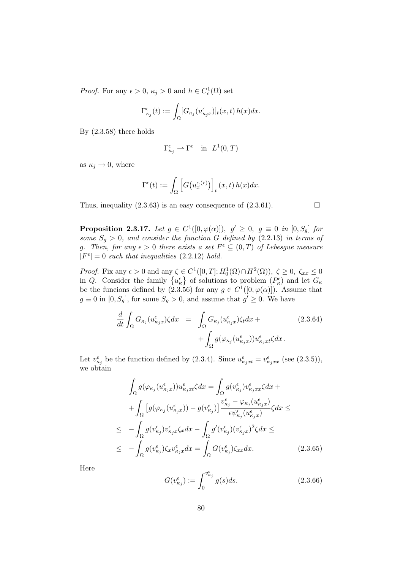*Proof.* For any  $\epsilon > 0$ ,  $\kappa_j > 0$  and  $h \in C_c^1(\Omega)$  set

$$
\Gamma_{\kappa_j}^{\epsilon}(t) := \int_{\Omega} [G_{\kappa_j}(u_{\kappa_j x}^{\epsilon})]_t(x,t) h(x) dx.
$$

By (2.3.58) there holds

$$
\Gamma_{\kappa_j}^\epsilon \rightharpoonup \Gamma^\epsilon \quad \text{in} \ \ L^1(0,T)
$$

as  $\kappa_i \rightarrow 0$ , where

$$
\Gamma^{\epsilon}(t) := \int_{\Omega} \left[ G(u_x^{\epsilon,(r)}) \right]_t (x,t) h(x) dx.
$$

Thus, inequality  $(2.3.63)$  is an easy consequence of  $(2.3.61)$ .

**Proposition 2.3.17.** Let  $g \in C^1([0,\varphi(\alpha)]), g' \geq 0, g \equiv 0$  in  $[0, S_g]$  for some  $S_q > 0$ , and consider the function G defined by (2.2.13) in terms of g. Then, for any  $\epsilon > 0$  there exists a set  $F^{\epsilon} \subseteq (0,T)$  of Lebesgue measure  $|F^{\epsilon}| = 0$  such that inequalities (2.2.12) hold.

*Proof.* Fix any  $\epsilon > 0$  and any  $\zeta \in C^1([0, T]; H_0^1(\Omega) \cap H^2(\Omega)), \ \zeta \geq 0, \ \zeta_{xx} \leq 0$ in Q. Consider the family  $\{u_{\kappa}^{\epsilon}\}\)$  of solutions to problem  $(P_{\kappa}^{\epsilon})\)$  and let  $G_{\kappa}$ be the funcions defined by (2.3.56) for any  $g \in C^1([0,\varphi(\alpha)])$ . Assume that  $g \equiv 0$  in  $[0, S_g]$ , for some  $S_g > 0$ , and assume that  $g' \geq 0$ . We have

$$
\frac{d}{dt} \int_{\Omega} G_{\kappa_j}(u_{\kappa_j x}^{\epsilon}) \zeta dx = \int_{\Omega} G_{\kappa_j}(u_{\kappa_j x}^{\epsilon}) \zeta_t dx + \int_{\Omega} g(\varphi_{\kappa_j}(u_{\kappa_j x}^{\epsilon})) u_{\kappa_j xt}^{\epsilon} \zeta dx.
$$
\n(2.3.64)

Let  $v_{\kappa_j}^{\epsilon}$  be the function defined by (2.3.4). Since  $u_{\kappa_j x t}^{\epsilon} = v_{\kappa_j x x}^{\epsilon}$  (see (2.3.5)), we obtain

$$
\int_{\Omega} g(\varphi_{\kappa_j}(u_{\kappa_j x}^{\epsilon})) u_{\kappa_j x t}^{\epsilon} \zeta dx = \int_{\Omega} g(v_{\kappa_j}^{\epsilon}) v_{\kappa_j x x}^{\epsilon} \zeta dx + \n+ \int_{\Omega} \left[ g(\varphi_{\kappa_j}(u_{\kappa_j x}^{\epsilon})) - g(v_{\kappa_j}^{\epsilon}) \right] \frac{v_{\kappa_j}^{\epsilon} - \varphi_{\kappa_j}(u_{\kappa_j x}^{\epsilon})}{\epsilon \psi_{\kappa_j}'(u_{\kappa_j x}^{\epsilon})} \zeta dx \le \n\le - \int_{\Omega} g(v_{\kappa_j}^{\epsilon}) v_{\kappa_j x}^{\epsilon} \zeta_x dx - \int_{\Omega} g'(v_{\kappa_j}^{\epsilon}) (v_{\kappa_j x}^{\epsilon})^2 \zeta dx \le \n\le - \int_{\Omega} g(v_{\kappa_j}^{\epsilon}) \zeta_x v_{\kappa_j x}^{\epsilon} dx = \int_{\Omega} G(v_{\kappa_j}^{\epsilon}) \zeta_{xx} dx.
$$
\n(2.3.65)

Here

$$
G(v_{\kappa_j}^{\epsilon}) := \int_0^{v_{\kappa_j}^{\epsilon}} g(s)ds.
$$
 (2.3.66)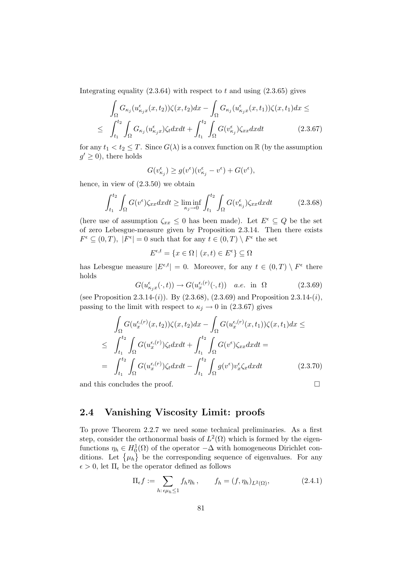Integrating equality  $(2.3.64)$  with respect to t and using  $(2.3.65)$  gives

$$
\int_{\Omega} G_{\kappa_j}(u_{\kappa_j x}^{\epsilon}(x, t_2))\zeta(x, t_2)dx - \int_{\Omega} G_{\kappa_j}(u_{\kappa_j x}^{\epsilon}(x, t_1))\zeta(x, t_1)dx \le
$$
\n
$$
\leq \int_{t_1}^{t_2} \int_{\Omega} G_{\kappa_j}(u_{\kappa_j x}^{\epsilon})\zeta_t dxdt + \int_{t_1}^{t_2} \int_{\Omega} G(v_{\kappa_j}^{\epsilon})\zeta_{xx} dxdt \qquad (2.3.67)
$$

for any  $t_1 < t_2 \leq T$ . Since  $G(\lambda)$  is a convex function on  $\mathbb R$  (by the assumption  $g' \geq 0$ ), there holds

$$
G(v_{\kappa_j}^{\epsilon}) \ge g(v^{\epsilon})(v_{\kappa_j}^{\epsilon} - v^{\epsilon}) + G(v^{\epsilon}),
$$

hence, in view of (2.3.50) we obtain

$$
\int_{t_1}^{t_2} \int_{\Omega} G(v^{\epsilon}) \zeta_{xx} dx dt \ge \liminf_{\kappa_j \to 0} \int_{t_1}^{t_2} \int_{\Omega} G(v^{\epsilon}_{\kappa_j}) \zeta_{xx} dx dt \tag{2.3.68}
$$

(here use of assumption  $\zeta_{xx} \leq 0$  has been made). Let  $E^{\epsilon} \subseteq Q$  be the set of zero Lebesgue-measure given by Proposition 2.3.14. Then there exists  $F^\epsilon \subseteq (0,T),\ |F^\epsilon| = 0$  such that for any  $t \in (0,T) \setminus F^\epsilon$  the set

$$
E^{\epsilon,t} = \{ x \in \Omega \mid (x,t) \in E^{\epsilon} \} \subseteq \Omega
$$

has Lebesgue measure  $|E^{\epsilon,t}| = 0$ . Moreover, for any  $t \in (0,T) \setminus F^{\epsilon}$  there holds

$$
G(u_{\kappa_j x}^{\epsilon}(\cdot, t)) \to G(u_x^{\epsilon, (r)}(\cdot, t)) \quad a.e. \text{ in } \Omega \tag{2.3.69}
$$

(see Proposition 2.3.14-(i)). By  $(2.3.68)$ ,  $(2.3.69)$  and Proposition 2.3.14-(i), passing to the limit with respect to  $\kappa_j \rightarrow 0$  in (2.3.67) gives

$$
\int_{\Omega} G(u_x^{\epsilon,(r)}(x,t_2))\zeta(x,t_2)dx - \int_{\Omega} G(u_x^{\epsilon,(r)}(x,t_1))\zeta(x,t_1)dx \le
$$
\n
$$
\leq \int_{t_1}^{t_2} \int_{\Omega} G(u_x^{\epsilon,(r)})\zeta_t dxdt + \int_{t_1}^{t_2} \int_{\Omega} G(v^{\epsilon})\zeta_{xx} dxdt =
$$
\n
$$
= \int_{t_1}^{t_2} \int_{\Omega} G(u_x^{\epsilon,(r)})\zeta_t dxdt - \int_{t_1}^{t_2} \int_{\Omega} g(v^{\epsilon})v_x^{\epsilon}\zeta_x dxdt \qquad (2.3.70)
$$

and this concludes the proof.  $\hfill \square$ 

### 2.4 Vanishing Viscosity Limit: proofs

To prove Theorem 2.2.7 we need some technical preliminaries. As a first step, consider the orthonormal basis of  $L^2(\Omega)$  which is formed by the eigenfunctions  $\eta_h \in H_0^1(\Omega)$  of the operator  $-\Delta$  with homogeneous Dirichlet conditions. Let  $\{\mu_h\}$  be the corresponding sequence of eigenvalues. For any  $\epsilon > 0$ , let  $\Pi_{\epsilon}$  be the operator defined as follows

$$
\Pi_{\epsilon} f := \sum_{h: \epsilon \mu_h \le 1} f_h \eta_h, \qquad f_h = (f, \eta_h)_{L^2(\Omega)}, \tag{2.4.1}
$$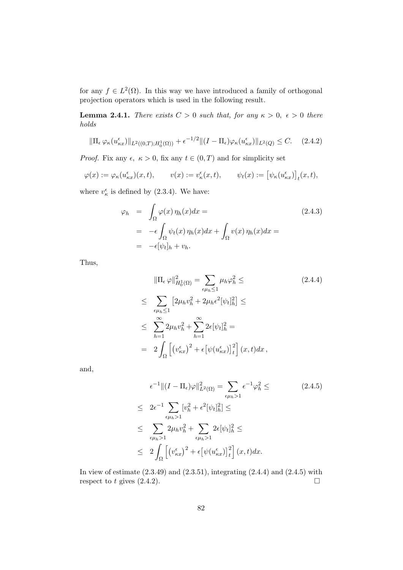for any  $f \in L^2(\Omega)$ . In this way we have introduced a family of orthogonal projection operators which is used in the following result.

**Lemma 2.4.1.** There exists  $C > 0$  such that, for any  $\kappa > 0$ ,  $\epsilon > 0$  there holds

$$
\|\Pi_{\epsilon}\varphi_{\kappa}(u_{\kappa x}^{\epsilon})\|_{L^{2}((0,T);H_{0}^{1}(\Omega))}+\epsilon^{-1/2}\|(I-\Pi_{\epsilon})\varphi_{\kappa}(u_{\kappa x}^{\epsilon})\|_{L^{2}(Q)}\leq C.\tag{2.4.2}
$$

*Proof.* Fix any  $\epsilon, \ \kappa > 0$ , fix any  $t \in (0, T)$  and for simplicity set

$$
\varphi(x) := \varphi_{\kappa}(u_{\kappa x}^{\epsilon})(x,t), \qquad v(x) := v_{\kappa}^{\epsilon}(x,t), \qquad \psi_t(x) := \big[\psi_{\kappa}(u_{\kappa x}^{\epsilon})\big]_t(x,t),
$$

where  $v_{\kappa}^{\epsilon}$  is defined by (2.3.4). We have:

$$
\varphi_h = \int_{\Omega} \varphi(x) \eta_h(x) dx =
$$
\n
$$
= -\epsilon \int_{\Omega} \psi_t(x) \eta_h(x) dx + \int_{\Omega} v(x) \eta_h(x) dx =
$$
\n
$$
= -\epsilon [\psi_t]_h + v_h.
$$
\n(2.4.3)

Thus,

$$
\|\Pi_{\epsilon}\varphi\|_{H_0^1(\Omega)}^2 = \sum_{\epsilon\mu_h\leq 1} \mu_h \varphi_h^2 \leq
$$
\n
$$
\leq \sum_{\epsilon\mu_h\leq 1} \left[2\mu_h v_h^2 + 2\mu_h \epsilon^2 [\psi_t]_h^2\right] \leq
$$
\n
$$
\leq \sum_{h=1}^{\infty} 2\mu_h v_h^2 + \sum_{h=1}^{\infty} 2\epsilon [\psi_t]_h^2 =
$$
\n
$$
= 2 \int_{\Omega} \left[ \left(v_{\kappa x}^{\epsilon}\right)^2 + \epsilon \left[\psi(u_{\kappa x}^{\epsilon})\right]_t^2 \right] (x, t) dx,
$$
\n(2.4.4)

and,

$$
\epsilon^{-1} \|(I - \Pi_{\epsilon})\varphi\|_{L^2(\Omega)}^2 = \sum_{\epsilon \mu_h > 1} \epsilon^{-1} \varphi_h^2 \leq
$$
\n
$$
\leq 2\epsilon^{-1} \sum_{\epsilon \mu_h > 1} [v_h^2 + \epsilon^2 [\psi_t]_h^2] \leq
$$
\n
$$
\leq \sum_{\epsilon \mu_h > 1} 2\mu_h v_h^2 + \sum_{\epsilon \mu_h > 1} 2\epsilon [\psi_t]_h^2 \leq
$$
\n
$$
\leq 2 \int_{\Omega} \left[ (v_{\kappa x}^{\epsilon})^2 + \epsilon [\psi(u_{\kappa x}^{\epsilon})]_t^2 \right] (x, t) dx.
$$
\n
$$
(2.4.5)
$$

In view of estimate  $(2.3.49)$  and  $(2.3.51)$ , integrating  $(2.4.4)$  and  $(2.4.5)$  with respect to t gives  $(2.4.2)$ .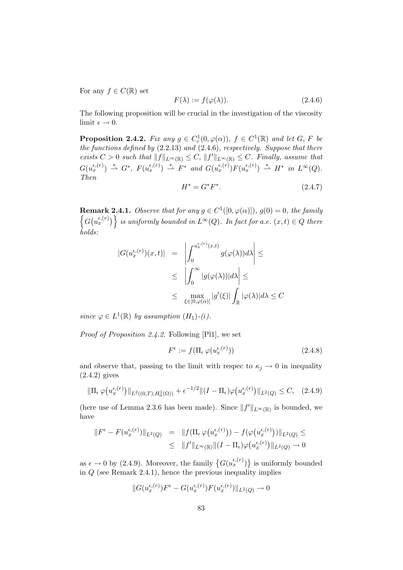For any  $f \in C(\mathbb{R})$  set

$$
F(\lambda) := f(\varphi(\lambda)).\tag{2.4.6}
$$

The following proposition will be crucial in the investigation of the viscosity limit  $\epsilon \to 0$ .

**Proposition 2.4.2.** Fix any  $g \in C_c^1(0, \varphi(\alpha))$ ,  $f \in C^1(\mathbb{R})$  and let G, F be the functions defined by (2.2.13) and (2.4.6), respectively. Suppose that there exists  $C > 0$  such that  $||f||_{L^{\infty}(\mathbb{R})} \leq C$ ,  $||f'||_{L^{\infty}(\mathbb{R})} \leq C$ . Finally, assume that  $G(u_x^{\epsilon,(r)}) \stackrel{*}{\rightharpoonup} G^*,$   $F(u_x^{\epsilon,(r)}) \stackrel{*}{\rightharpoonup} F^*$  and  $G(u_x^{\epsilon,(r)})F(u_x^{\epsilon,(r)}) \stackrel{*}{\rightharpoonup} H^*$  in  $L^{\infty}(Q)$ . Then

$$
H^* = G^* F^*.
$$
\n(2.4.7)

**Remark 2.4.1.** Observe that for any  $g \in C^1([0,\varphi(\alpha)]), g(0) = 0$ , the family  $\left\{G(u_x^{\epsilon,(r)})\right\}$  is uniformly bounded in  $L^{\infty}(Q)$ . In fact for a.e.  $(x,t) \in Q$  there holds:

$$
|G(u_x^{\epsilon,(r)})(x,t)| = \left| \int_0^{u_x^{\epsilon,(r)}(x,t)} g(\varphi(\lambda))d\lambda \right| \le
$$
  

$$
\leq \left| \int_0^{\infty} |g(\varphi(\lambda))|d\lambda \right| \le
$$
  

$$
\leq \max_{\xi \in [0,\varphi(\alpha)]} |g'(\xi)| \int_{\mathbb{R}} |\varphi(\lambda)|d\lambda \leq C
$$

since  $\varphi \in L^1(\mathbb{R})$  by assumption  $(H_1)$ - $(i)$ .

Proof of Proposition 2.4.2. Following [Pl1], we set

$$
F^{\epsilon} := f(\Pi_{\epsilon} \varphi(u_x^{\epsilon,(r)})) \tag{2.4.8}
$$

and observe that, passing to the limit with respec to  $\kappa_j \to 0$  in inequality (2.4.2) gives

$$
\|\Pi_{\epsilon}\,\varphi\big(u_x^{\epsilon,(r)}\big)\|_{L^2((0,T);H_0^1(\Omega))} + \epsilon^{-1/2} \|(I-\Pi_{\epsilon})\varphi\big(u_x^{\epsilon,(r)}\big)\|_{L^2(Q)} \leq C, \quad (2.4.9)
$$

(here use of Lemma 2.3.6 has been made). Since  $||f'||_{L^{\infty}(\mathbb{R})}$  is bounded, we have

$$
||F^{\epsilon} - F(u_x^{\epsilon,(r)})||_{L^2(Q)} = ||f(\Pi_{\epsilon} \varphi(u_x^{\epsilon,(r)})) - f(\varphi(u_x^{\epsilon,(r)}))||_{L^2(Q)} \le
$$
  

$$
\leq ||f'||_{L^{\infty}(\mathbb{R})} ||(I - \Pi_{\epsilon})\varphi(u_x^{\epsilon,(r)})||_{L^2(Q)} \to 0
$$

as  $\epsilon \to 0$  by (2.4.9). Moreover, the family  $\{G(u_x^{\epsilon,(r)})\}$  is uniformly bounded in  $Q$  (see Remark 2.4.1), hence the previous inequality implies

$$
\|G(u^{\epsilon,(r)}_x)F^\epsilon-G(u^{\epsilon,(r)}_x)F(u^{\epsilon,(r)}_x)\|_{L^2(Q)}\rightarrow 0
$$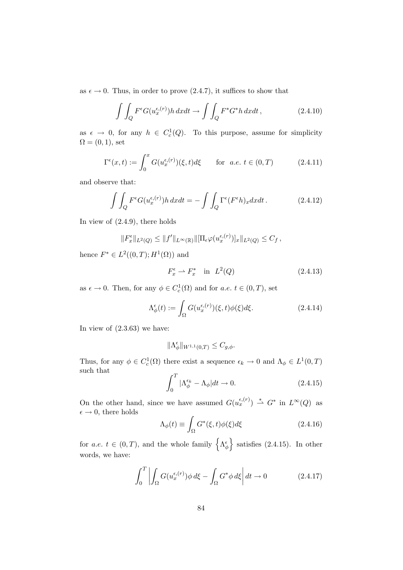as  $\epsilon \to 0$ . Thus, in order to prove (2.4.7), it suffices to show that

$$
\int \int_{Q} F^{\epsilon} G(u_x^{\epsilon,(r)}) h \, dxdt \to \int \int_{Q} F^* G^* h \, dxdt \,, \tag{2.4.10}
$$

as  $\epsilon \to 0$ , for any  $h \in C_c^1(Q)$ . To this purpose, assume for simplicity  $\Omega = (0, 1)$ , set

$$
\Gamma^{\epsilon}(x,t) := \int_0^x G(u_x^{\epsilon,(r)})(\xi,t)d\xi \quad \text{for a.e. } t \in (0,T)
$$
 (2.4.11)

and observe that:

$$
\int \int_{Q} F^{\epsilon} G(u_x^{\epsilon,(r)}) h \, dx dt = - \int \int_{Q} \Gamma^{\epsilon}(F^{\epsilon} h)_x dx dt. \tag{2.4.12}
$$

In view of (2.4.9), there holds

$$
||F_x^{\epsilon}||_{L^2(Q)} \leq ||f'||_{L^{\infty}(\mathbb{R})} ||[\Pi_{\epsilon} \varphi(u_x^{\epsilon,(r)})]_x||_{L^2(Q)} \leq C_f,
$$

hence  $F^* \in L^2((0,T); H^1(\Omega))$  and

$$
F_x^{\epsilon} \rightharpoonup F_x^* \quad \text{in} \quad L^2(Q) \tag{2.4.13}
$$

as  $\epsilon \to 0$ . Then, for any  $\phi \in C_c^1(\Omega)$  and for a.e.  $t \in (0, T)$ , set

$$
\Lambda^{\epsilon}_{\phi}(t) := \int_{\Omega} G(u^{\epsilon,(r)}_x)(\xi, t) \phi(\xi) d\xi.
$$
 (2.4.14)

In view of  $(2.3.63)$  we have:

$$
\|\Lambda_\phi^\epsilon\|_{W^{1,1}(0,T)}\leq C_{g,\phi}.
$$

Thus, for any  $\phi \in C_c^1(\Omega)$  there exist a sequence  $\epsilon_k \to 0$  and  $\Lambda_\phi \in L^1(0,T)$ such that

$$
\int_0^T |\Lambda_{\phi}^{\epsilon_k} - \Lambda_{\phi}| dt \to 0.
$$
 (2.4.15)

On the other hand, since we have assumed  $G(u_x^{\epsilon,(r)}) \stackrel{*}{\rightharpoonup} G^*$  in  $L^{\infty}(Q)$  as  $\epsilon \rightarrow 0$ , there holds

$$
\Lambda_{\phi}(t) \equiv \int_{\Omega} G^*(\xi, t) \phi(\xi) d\xi \qquad (2.4.16)
$$

for a.e.  $t \in (0, T)$ , and the whole family  $\left\{\Lambda_{\phi}^{\epsilon}\right\}$  satisfies (2.4.15). In other words, we have:

$$
\int_0^T \left| \int_{\Omega} G(u_x^{\epsilon,(r)}) \phi \, d\xi - \int_{\Omega} G^* \phi \, d\xi \right| dt \to 0 \tag{2.4.17}
$$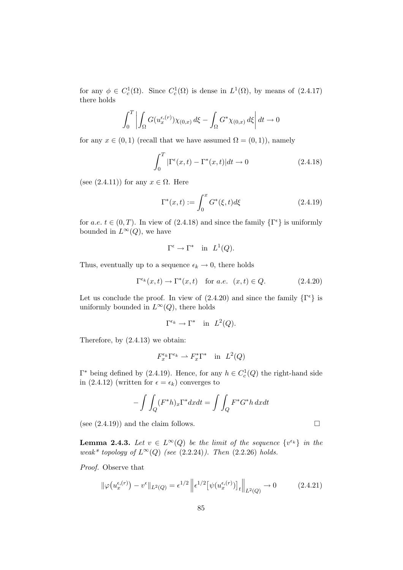for any  $\phi \in C_c^1(\Omega)$ . Since  $C_c^1(\Omega)$  is dense in  $L^1(\Omega)$ , by means of  $(2.4.17)$ there holds

$$
\int_0^T \left| \int_{\Omega} G(u_x^{\epsilon,(r)}) \chi_{(0,x)} d\xi - \int_{\Omega} G^* \chi_{(0,x)} d\xi \right| dt \to 0
$$

for any  $x \in (0,1)$  (recall that we have assumed  $\Omega = (0,1)$ ), namely

$$
\int_0^T |\Gamma^{\epsilon}(x,t) - \Gamma^*(x,t)| dt \to 0 \qquad (2.4.18)
$$

(see  $(2.4.11)$ ) for any  $x \in \Omega$ . Here

$$
\Gamma^*(x,t) := \int_0^x G^*(\xi, t) d\xi
$$
 (2.4.19)

for a.e.  $t \in (0, T)$ . In view of  $(2.4.18)$  and since the family  $\{\Gamma^{\epsilon}\}\$ is uniformly bounded in  $L^{\infty}(Q)$ , we have

$$
\Gamma^{\epsilon} \to \Gamma^* \quad \text{in} \ \ L^1(Q).
$$

Thus, eventually up to a sequence  $\epsilon_k \to 0$ , there holds

$$
\Gamma^{\epsilon_k}(x,t) \to \Gamma^*(x,t) \quad \text{for a.e. } (x,t) \in Q. \tag{2.4.20}
$$

Let us conclude the proof. In view of  $(2.4.20)$  and since the family  $\{\Gamma^{\epsilon}\}\$ is uniformly bounded in  $L^{\infty}(Q)$ , there holds

$$
\Gamma^{\epsilon_k} \to \Gamma^* \quad \text{in} \ \ L^2(Q).
$$

Therefore, by (2.4.13) we obtain:

$$
F_x^{\epsilon_k} \Gamma^{\epsilon_k} \rightharpoonup F_x^* \Gamma^* \quad \text{in} \ \ L^2(Q)
$$

 $\Gamma^*$  being defined by (2.4.19). Hence, for any  $h \in C_c^1(Q)$  the right-hand side in (2.4.12) (written for  $\epsilon = \epsilon_k$ ) converges to

$$
-\int \int_Q (F^*h)_x \Gamma^* dx dt = \int \int_Q F^*G^*h dx dt
$$

(see  $(2.4.19)$ ) and the claim follows.

**Lemma 2.4.3.** Let  $v \in L^{\infty}(Q)$  be the limit of the sequence  $\{v^{\epsilon_k}\}\$ in the weak\* topology of  $L^{\infty}(Q)$  (see (2.2.24)). Then (2.2.26) holds.

Proof. Observe that

$$
\|\varphi(u_x^{\epsilon,(r)}) - v^{\epsilon}\|_{L^2(Q)} = \epsilon^{1/2} \left\| \epsilon^{1/2} \left[ \psi(u_x^{\epsilon,(r)}) \right]_t \right\|_{L^2(Q)} \to 0 \tag{2.4.21}
$$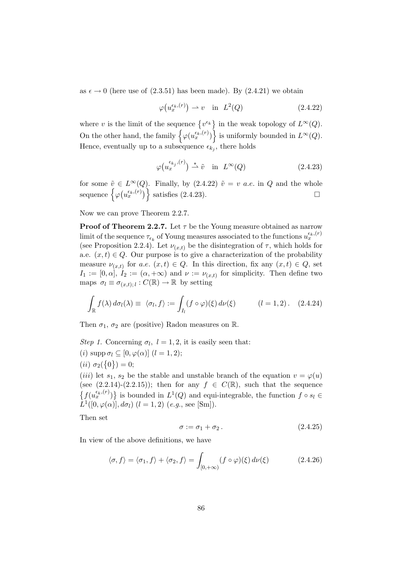as  $\epsilon \to 0$  (here use of (2.3.51) has been made). By (2.4.21) we obtain

$$
\varphi(u_x^{\epsilon_k,(r)}) \rightharpoonup v \quad \text{in} \quad L^2(Q) \tag{2.4.22}
$$

where v is the limit of the sequence  $\{v^{\epsilon_k}\}\$ in the weak topology of  $L^{\infty}(Q)$ . On the other hand, the family  $\{\varphi(u_x^{\epsilon_k,(r)})\}$  is uniformly bounded in  $L^{\infty}(Q)$ . Hence, eventually up to a subsequence  $\epsilon_{k_j}$ , there holds

$$
\varphi(u_x^{\epsilon_{k_j},(r)}) \stackrel{*}{\rightharpoonup} \tilde{v} \quad \text{in} \quad L^{\infty}(Q) \tag{2.4.23}
$$

for some  $\tilde{v} \in L^{\infty}(Q)$ . Finally, by (2.4.22)  $\tilde{v} = v$  *a.e.* in Q and the whole sequence  $\{\varphi(u_x^{\epsilon_k,(r)})\}$  satisfies (2.4.23).

Now we can prove Theorem 2.2.7.

**Proof of Theorem 2.2.7.** Let  $\tau$  be the Young measure obtained as narrow limit of the sequence  $\tau_{\epsilon_k}$  of Young measures associated to the functions  $u_x^{\epsilon_k,(r)}$ (see Proposition 2.2.4). Let  $\nu(x,t)$  be the disintegration of  $\tau$ , which holds for a.e.  $(x, t) \in Q$ . Our purpose is to give a characterization of the probability measure  $\nu_{(x,t)}$  for a.e.  $(x,t) \in Q$ . In this direction, fix any  $(x,t) \in Q$ , set  $I_1 := [0, \alpha], I_2 := (\alpha, +\infty)$  and  $\nu := \nu_{(x,t)}$  for simplicity. Then define two maps  $\sigma_l \equiv \sigma_{(x,t);l} : C(\mathbb{R}) \to \mathbb{R}$  by setting

$$
\int_{\mathbb{R}} f(\lambda) d\sigma_l(\lambda) \equiv \langle \sigma_l, f \rangle := \int_{I_l} (f \circ \varphi)(\xi) d\nu(\xi) \qquad (l = 1, 2). \quad (2.4.24)
$$

Then  $\sigma_1$ ,  $\sigma_2$  are (positive) Radon measures on R.

Step 1. Concerning  $\sigma_l$ ,  $l = 1, 2$ , it is easily seen that: (i)  $\text{supp }\sigma_l \subset [0, \varphi(\alpha)]$   $(l = 1, 2);$ (*ii*)  $\sigma_2(\{0\}) = 0;$ 

(*iii*) let  $s_1, s_2$  be the stable and unstable branch of the equation  $v = \varphi(u)$ (see  $(2.2.14)-(2.2.15)$ ); then for any  $f \in C(\mathbb{R})$ , such that the sequence  $\{f(u_x^{\epsilon_k,(r)})\}$  is bounded in  $L^1(Q)$  and equi-integrable, the function  $f \circ s_l \in$  $\hat{L}^{1}([0,\varphi(\alpha)],d\sigma_{l})$   $(l = 1,2)$   $(e.g.,$  see [Sm]).

Then set

$$
\sigma := \sigma_1 + \sigma_2. \tag{2.4.25}
$$

In view of the above definitions, we have

$$
\langle \sigma, f \rangle = \langle \sigma_1, f \rangle + \langle \sigma_2, f \rangle = \int_{[0, +\infty)} (f \circ \varphi)(\xi) d\nu(\xi)
$$
 (2.4.26)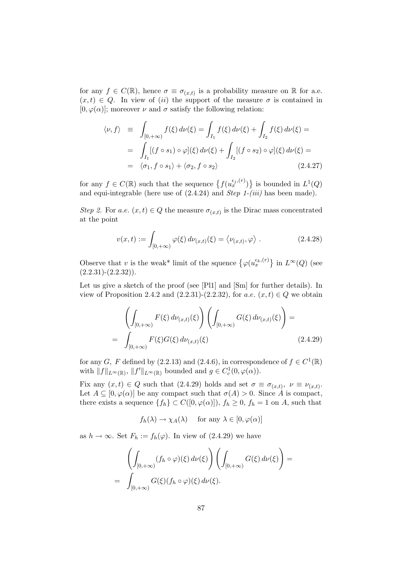for any  $f \in C(\mathbb{R})$ , hence  $\sigma \equiv \sigma_{(x,t)}$  is a probability measure on  $\mathbb R$  for a.e.  $(x, t) \in Q$ . In view of (ii) the support of the measure  $\sigma$  is contained in  $[0, \varphi(\alpha)]$ ; moreover  $\nu$  and  $\sigma$  satisfy the following relation:

$$
\langle \nu, f \rangle = \int_{[0, +\infty)} f(\xi) d\nu(\xi) = \int_{I_1} f(\xi) d\nu(\xi) + \int_{I_2} f(\xi) d\nu(\xi) =
$$
  
= 
$$
\int_{I_1} [(f \circ s_1) \circ \varphi](\xi) d\nu(\xi) + \int_{I_2} [(f \circ s_2) \circ \varphi](\xi) d\nu(\xi) =
$$
  
= 
$$
\langle \sigma_1, f \circ s_1 \rangle + \langle \sigma_2, f \circ s_2 \rangle
$$
 (2.4.27)

for any  $f \in C(\mathbb{R})$  such that the sequence  $\{f(u_x^{\epsilon_j,(r)})\}$  is bounded in  $L^1(Q)$ and equi-integrable (here use of  $(2.4.24)$  and *Step 1-(iii)* has been made).

Step 2. For a.e.  $(x,t) \in Q$  the measure  $\sigma_{(x,t)}$  is the Dirac mass concentrated at the point

$$
v(x,t) := \int_{[0,+\infty)} \varphi(\xi) d\nu_{(x,t)}(\xi) = \langle \nu_{(x,t)}, \varphi \rangle.
$$
 (2.4.28)

Observe that v is the weak\* limit of the squence  $\{\varphi(u_x^{\epsilon_k,(r)}\}\)$  in  $L^{\infty}(Q)$  (see  $(2.2.31)$ - $(2.2.32)$ ).

Let us give a sketch of the proof (see [Pl1] and [Sm] for further details). In view of Proposition 2.4.2 and  $(2.2.31)-(2.2.32)$ , for a.e.  $(x, t) \in Q$  we obtain

$$
\left(\int_{[0,+\infty)} F(\xi) d\nu_{(x,t)}(\xi)\right) \left(\int_{[0,+\infty)} G(\xi) d\nu_{(x,t)}(\xi)\right) =
$$
\n
$$
= \int_{[0,+\infty)} F(\xi) G(\xi) d\nu_{(x,t)}(\xi) \qquad (2.4.29)
$$

for any G, F defined by (2.2.13) and (2.4.6), in correspondence of  $f \in C^1(\mathbb{R})$ with  $||f||_{L^{\infty}(\mathbb{R})}$ ,  $||f'||_{L^{\infty}(\mathbb{R})}$  bounded and  $g \in C_c^1(0, \varphi(\alpha))$ .

Fix any  $(x,t) \in Q$  such that  $(2.4.29)$  holds and set  $\sigma \equiv \sigma_{(x,t)}$ ,  $\nu \equiv \nu_{(x,t)}$ . Let  $A \subseteq [0, \varphi(\alpha)]$  be any compact such that  $\sigma(A) > 0$ . Since A is compact, there exists a sequence  $\{f_h\} \subset C([0,\varphi(\alpha)]), f_h \geq 0, f_h = 1$  on A, such that

$$
f_h(\lambda) \to \chi_A(\lambda)
$$
 for any  $\lambda \in [0, \varphi(\alpha)]$ 

as  $h \to \infty$ . Set  $F_h := f_h(\varphi)$ . In view of (2.4.29) we have

$$
\left(\int_{[0,+\infty)} (f_h \circ \varphi)(\xi) d\nu(\xi)\right) \left(\int_{[0,+\infty)} G(\xi) d\nu(\xi)\right) = \int_{[0,+\infty)} G(\xi)(f_h \circ \varphi)(\xi) d\nu(\xi).
$$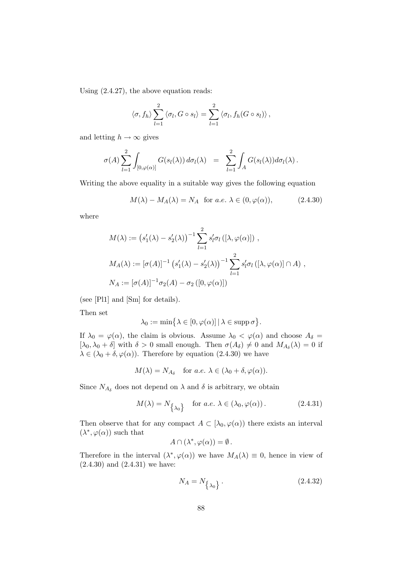Using (2.4.27), the above equation reads:

$$
\langle \sigma, f_h \rangle \sum_{l=1}^2 \langle \sigma_l, G \circ s_l \rangle = \sum_{l=1}^2 \langle \sigma_l, f_h(G \circ s_l) \rangle,
$$

and letting  $h \to \infty$  gives

$$
\sigma(A) \sum_{l=1}^2 \int_{[0,\varphi(\alpha)]} G(s_l(\lambda)) d\sigma_l(\lambda) = \sum_{l=1}^2 \int_A G(s_l(\lambda)) d\sigma_l(\lambda).
$$

Writing the above equality in a suitable way gives the following equation

$$
M(\lambda) - M_A(\lambda) = N_A \text{ for a.e. } \lambda \in (0, \varphi(\alpha)), \tag{2.4.30}
$$

where

$$
M(\lambda) := (s'_1(\lambda) - s'_2(\lambda))^{-1} \sum_{l=1}^2 s'_l \sigma_l ([\lambda, \varphi(\alpha)]) ,
$$
  
\n
$$
M_A(\lambda) := [\sigma(A)]^{-1} (s'_1(\lambda) - s'_2(\lambda))^{-1} \sum_{l=1}^2 s'_l \sigma_l ([\lambda, \varphi(\alpha)] \cap A) ,
$$
  
\n
$$
N_A := [\sigma(A)]^{-1} \sigma_2(A) - \sigma_2 ([0, \varphi(\alpha)])
$$

(see [Pl1] and [Sm] for details).

Then set

$$
\lambda_0 := \min\bigl\{\lambda \in [0, \varphi(\alpha)] \,|\, \lambda \in \operatorname{supp} \sigma\bigr\}.
$$

If  $\lambda_0 = \varphi(\alpha)$ , the claim is obvious. Assume  $\lambda_0 < \varphi(\alpha)$  and choose  $A_\delta =$  $[\lambda_0, \lambda_0 + \delta]$  with  $\delta > 0$  small enough. Then  $\sigma(A_\delta) \neq 0$  and  $M_{A_\delta}(\lambda) = 0$  if  $\lambda \in (\lambda_0 + \delta, \varphi(\alpha))$ . Therefore by equation (2.4.30) we have

$$
M(\lambda) = N_{A_{\delta}}
$$
 for  $a.e. \lambda \in (\lambda_0 + \delta, \varphi(\alpha)).$ 

Since  $N_{A_{\delta}}$  does not depend on  $\lambda$  and  $\delta$  is arbitrary, we obtain

$$
M(\lambda) = N_{\{\lambda_0\}} \quad \text{for a.e. } \lambda \in (\lambda_0, \varphi(\alpha)). \tag{2.4.31}
$$

Then observe that for any compact  $A \subset [\lambda_0, \varphi(\alpha)]$  there exists an interval  $(\lambda^*, \varphi(\alpha))$  such that

$$
A\cap(\lambda^*,\varphi(\alpha))=\emptyset.
$$

Therefore in the interval  $(\lambda^*, \varphi(\alpha))$  we have  $M_A(\lambda) \equiv 0$ , hence in view of (2.4.30) and (2.4.31) we have:

$$
N_A = N_{\{\lambda_0\}}.\tag{2.4.32}
$$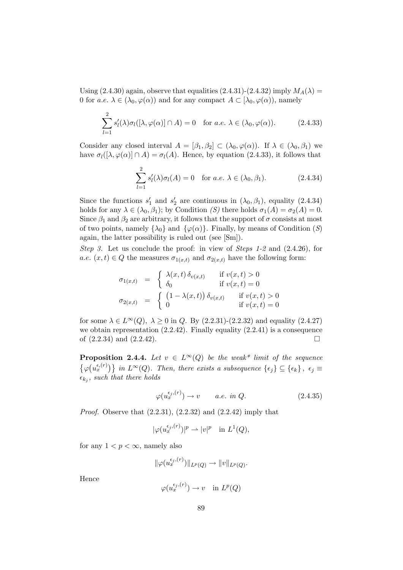Using  $(2.4.30)$  again, observe that equalities  $(2.4.31)-(2.4.32)$  imply  $M_A(\lambda)$  = 0 for a.e.  $\lambda \in (\lambda_0, \varphi(\alpha))$  and for any compact  $A \subset [\lambda_0, \varphi(\alpha))$ , namely

$$
\sum_{l=1}^{2} s'_l(\lambda) \sigma_l([\lambda, \varphi(\alpha)] \cap A) = 0 \quad \text{for a.e. } \lambda \in (\lambda_0, \varphi(\alpha)). \tag{2.4.33}
$$

Consider any closed interval  $A = [\beta_1, \beta_2] \subset (\lambda_0, \varphi(\alpha))$ . If  $\lambda \in (\lambda_0, \beta_1)$  we have  $\sigma_l([\lambda, \varphi(\alpha)] \cap A) = \sigma_l(A)$ . Hence, by equation (2.4.33), it follows that

$$
\sum_{l=1}^{2} s'_l(\lambda)\sigma_l(A) = 0 \quad \text{for a.e. } \lambda \in (\lambda_0, \beta_1). \tag{2.4.34}
$$

Since the functions  $s'_1$  and  $s'_2$  are continuous in  $(\lambda_0, \beta_1)$ , equality  $(2.4.34)$ holds for any  $\lambda \in (\lambda_0, \beta_1)$ ; by Condition  $(S)$  there holds  $\sigma_1(A) = \sigma_2(A) = 0$ . Since  $\beta_1$  and  $\beta_2$  are arbitrary, it follows that the support of  $\sigma$  consists at most of two points, namely  $\{\lambda_0\}$  and  $\{\varphi(\alpha)\}\$ . Finally, by means of Condition (S) again, the latter possibility is ruled out (see [Sm]).

Step 3. Let us conclude the proof: in view of Steps 1-2 and  $(2.4.26)$ , for a.e.  $(x, t) \in Q$  the measures  $\sigma_{1(x,t)}$  and  $\sigma_{2(x,t)}$  have the following form:

$$
\sigma_{1(x,t)} = \begin{cases}\n\lambda(x,t) \, \delta_{v(x,t)} & \text{if } v(x,t) > 0 \\
\delta_0 & \text{if } v(x,t) = 0\n\end{cases}
$$
\n
$$
\sigma_{2(x,t)} = \begin{cases}\n(1 - \lambda(x,t)) \, \delta_{v(x,t)} & \text{if } v(x,t) > 0 \\
0 & \text{if } v(x,t) = 0\n\end{cases}
$$

for some  $\lambda \in L^{\infty}(Q)$ ,  $\lambda \geq 0$  in Q. By (2.2.31)-(2.2.32) and equality (2.4.27) we obtain representation  $(2.2.42)$ . Finally equality  $(2.2.41)$  is a consequence of  $(2.2.34)$  and  $(2.2.42)$ .

**Proposition 2.4.4.** Let  $v \in L^{\infty}(Q)$  be the weak\* limit of the sequence  $\{\varphi(u_x^{\epsilon,(r)})\}$  in  $L^{\infty}(Q)$ . Then, there exists a subsequence  $\{\epsilon_j\} \subseteq \{\epsilon_k\}, \epsilon_j \equiv$  $\epsilon_{k_j}$ , such that there holds

$$
\varphi(u_x^{\epsilon_j,(r)}) \to v \qquad a.e. \in \Omega. \tag{2.4.35}
$$

*Proof.* Observe that  $(2.2.31)$ ,  $(2.2.32)$  and  $(2.2.42)$  imply that

$$
|\varphi(u_x^{\epsilon_j,(r)})|^p \rightharpoonup |v|^p \quad \text{in } L^1(Q),
$$

for any  $1 < p < \infty$ , namely also

$$
\|\varphi(u_x^{\epsilon_j,(r)})\|_{L^p(Q)}\to \|v\|_{L^p(Q)}.
$$

Hence

$$
\varphi(u_x^{\epsilon_j,(r)}) \to v \quad \text{in } L^p(Q)
$$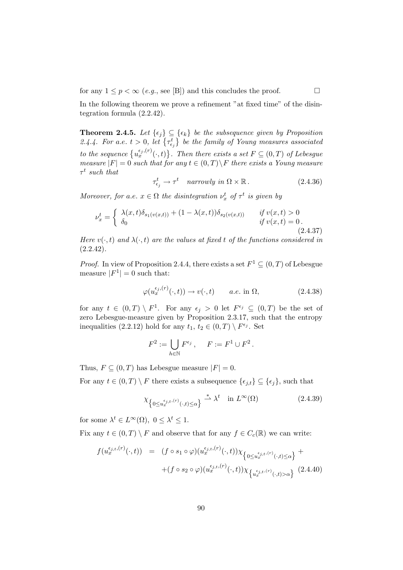for any  $1 \leq p < \infty$  (e.g., see [B]) and this concludes the proof.

In the following theorem we prove a refinement "at fixed time" of the disintegration formula (2.2.42).

**Theorem 2.4.5.** Let  $\{\epsilon_j\} \subseteq \{\epsilon_k\}$  be the subsequence given by Proposition 2.4.4. For a.e.  $t > 0$ , let  $\{\tau_{\epsilon_j}^t\}$  be the family of Young measures associated to the sequence  $\{u_x^{\epsilon_j,(r)}(\cdot,t)\}$ . Then there exists a set  $F \subseteq (0,T)$  of Lebesgue measure  $|F| = 0$  such that for any  $t \in (0,T) \backslash F$  there exists a Young measure  $\tau^t$  such that

$$
\tau_{\epsilon_j}^t \to \tau^t \quad \text{narrowly in } \Omega \times \mathbb{R} \,. \tag{2.4.36}
$$

Moreover, for a.e.  $x \in \Omega$  the disintegration  $\nu_x^t$  of  $\tau^t$  is given by

$$
\nu_x^t = \begin{cases}\n\lambda(x, t)\delta_{s_1(v(x, t))} + (1 - \lambda(x, t))\delta_{s_2(v(x, t))} & \text{if } v(x, t) > 0 \\
\delta_0 & \text{if } v(x, t) = 0.\n\end{cases}
$$
\n(2.4.37)

Here  $v(\cdot, t)$  and  $\lambda(\cdot, t)$  are the values at fixed t of the functions considered in  $(2.2.42).$ 

*Proof.* In view of Proposition 2.4.4, there exists a set  $F^1 \subseteq (0, T)$  of Lebesgue measure  $|F^1| = 0$  such that:

$$
\varphi(u_x^{\epsilon_j,(r)}(\cdot,t)) \to v(\cdot,t) \qquad a.e. \text{ in } \Omega,
$$
\n(2.4.38)

for any  $t \in (0,T) \setminus F^1$ . For any  $\epsilon_j > 0$  let  $F^{\epsilon_j} \subseteq (0,T)$  be the set of zero Lebesgue-measure given by Proposition 2.3.17, such that the entropy inequalities (2.2.12) hold for any  $t_1, t_2 \in (0,T) \setminus F^{\epsilon_j}$ . Set

$$
F^2 := \bigcup_{h \in \mathbb{N}} F^{\epsilon_j} , \quad F := F^1 \cup F^2 .
$$

Thus,  $F \subseteq (0, T)$  has Lebesgue measure  $|F| = 0$ .

For any  $t \in (0, T) \setminus F$  there exists a subsequence  $\{\epsilon_{j,t}\}\subseteq \{\epsilon_j\}$ , such that

$$
\chi_{\left\{0 \le u_x^{\epsilon_{j,t},(r)}(\cdot,t) \le \alpha\right\}} \stackrel{*}{\rightharpoonup} \lambda^t \quad \text{in } L^{\infty}(\Omega)
$$
\n(2.4.39)

for some  $\lambda^t \in L^{\infty}(\Omega)$ ,  $0 \leq \lambda^t \leq 1$ .

Fix any  $t \in (0,T) \setminus F$  and observe that for any  $f \in C_c(\mathbb{R})$  we can write:

$$
f(u_x^{\epsilon_{j,t},(r)}(\cdot,t)) = (f \circ s_1 \circ \varphi)(u_x^{\epsilon_{j,t},(r)}(\cdot,t)) \chi_{\left\{0 \le u_x^{\epsilon_{j,t},(r)}(\cdot,t) \le \alpha\right\}} + +(f \circ s_2 \circ \varphi)(u_x^{\epsilon_{j,t},(r)}(\cdot,t)) \chi_{\left\{u_x^{\epsilon_{j,t},(r)}(\cdot,t) > \alpha\right\}} (2.4.40)
$$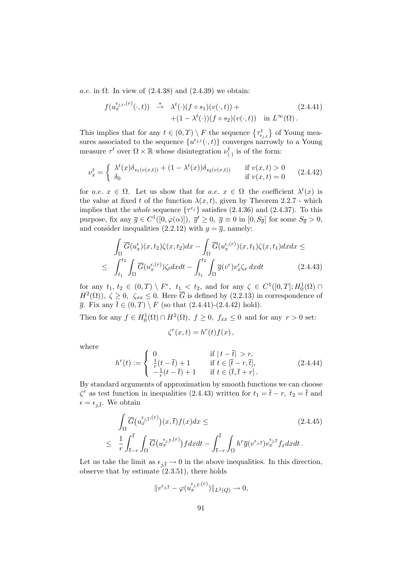a.e. in  $\Omega$ . In view of  $(2.4.38)$  and  $(2.4.39)$  we obtain:

$$
f(u_x^{\epsilon_{j,t},(r)}(\cdot,t)) \stackrel{*}{\longrightarrow} \lambda^t(\cdot)(f \circ s_1)(v(\cdot,t)) + (1 - \lambda^t(\cdot))(f \circ s_2)(v(\cdot,t)) \quad \text{in } L^{\infty}(\Omega).
$$
\n(2.4.41)

This implies that for any  $t \in (0,T) \setminus F$  the sequence  $\{\tau_{\epsilon_{j,t}}^t\}$  of Young measures associated to the sequence  $\{u^{\epsilon_{j,t}}(\cdot,t)\}$  converges narrowly to a Young measure  $\tau^t$  over  $\Omega \times \mathbb{R}$  whose disintegration  $\nu_{(\cdot)}^t$  is of the form:

$$
\nu_x^t = \begin{cases} \lambda^t(x)\delta_{s_1(v(x,t))} + (1 - \lambda^t(x))\delta_{s_2(v(x,t))} & \text{if } v(x,t) > 0\\ \delta_0 & \text{if } v(x,t) = 0 \end{cases}
$$
 (2.4.42)

for a.e.  $x \in \Omega$ . Let us show that for a.e.  $x \in \Omega$  the coefficient  $\lambda^t(x)$  is the value at fixed t of the function  $\lambda(x, t)$ , given by Theorem 2.2.7 - which implies that the *whole* sequence  $\{\tau^{\epsilon_j}\}$  satisfies (2.4.36) and (2.4.37). To this purpose, fix any  $\overline{g} \in C^1([0,\varphi(\alpha)]), \ \overline{g}' \ge 0, \ \overline{g} \equiv 0 \text{ in } [0, S_{\overline{g}}]$  for some  $S_{\overline{g}} > 0$ , and consider inequalities (2.2.12) with  $g = \overline{g}$ , namely:

$$
\int_{\Omega} \overline{G}(u_x^{\epsilon})(x, t_2)\zeta(x, t_2)dx - \int_{\Omega} \overline{G}(u_x^{\epsilon,(r)})(x, t_1)\zeta(x, t_1)dx dx \le
$$
\n
$$
\leq \int_{t_1}^{t_2} \int_{\Omega} \overline{G}(u_x^{\epsilon,(r)})\zeta_t dx dt - \int_{t_1}^{t_2} \int_{\Omega} \overline{g}(v^{\epsilon})v_x^{\epsilon}\zeta_x dx dt \qquad (2.4.43)
$$

for any  $t_1, t_2 \in (0,T) \setminus F^{\epsilon}, t_1 \leq t_2$ , and for any  $\zeta \in C^1([0,T]; H_0^1(\Omega) \cap$  $H^2(\Omega)$ ,  $\zeta \geq 0$ ,  $\zeta_{xx} \leq 0$ . Here  $\overline{G}$  is defined by  $(2.2.13)$  in correspondence of  $\overline{g}$ . Fix any  $\overline{t} \in (0,T) \setminus F$  (so that  $(2.4.41)-(2.4.42)$  hold).

Then for any  $f \in H_0^1(\Omega) \cap H^2(\Omega)$ ,  $f \ge 0$ ,  $f_{xx} \le 0$  and for any  $r > 0$  set:

$$
\zeta^{r}(x,t) = h^{r}(t)f(x) ,
$$

where

$$
h^{r}(t) := \begin{cases} 0 & \text{if } |t - \bar{t}| > r, \\ \frac{1}{r}(t - \bar{t}) + 1 & \text{if } t \in [\bar{t} - r, \bar{t}], \\ -\frac{1}{r}(t - \bar{t}) + 1 & \text{if } t \in (\bar{t}, \bar{t} + r]. \end{cases}
$$
(2.4.44)

By standard arguments of approximation by smooth functions we can choose  $\zeta^r$  as test function in inequalities (2.4.43) written for  $t_1 = \overline{t} - r$ ,  $t_2 = \overline{t}$  and  $\epsilon = \epsilon_{j,\bar{t}}$ . We obtain

$$
\int_{\Omega} \overline{G}(u_x^{\epsilon_{j,\bar{t}},(r)})(x,\bar{t}) f(x) dx \leq \qquad (2.4.45)
$$
\n
$$
\leq \frac{1}{r} \int_{\bar{t}-r}^{\bar{t}} \int_{\Omega} \overline{G}(u_x^{\epsilon_{j,\bar{t}},(r)}) f dx dt - \int_{\bar{t}-r}^{\bar{t}} \int_{\Omega} h^r \overline{g}(v^{\epsilon_{j,\bar{t}}}) v_x^{\epsilon_{j,\bar{t}}} f_x dx dt.
$$

Let us take the limit as  $\epsilon_{i,\bar{t}} \to 0$  in the above inequalities. In this direction, observe that by estimate  $(2.3.51)$ , there holds

$$
||v^{\epsilon_{j,\bar{t}}} - \varphi(u_x^{\epsilon_{j,\bar{t}},(r)})||_{L^2(Q)} \to 0,
$$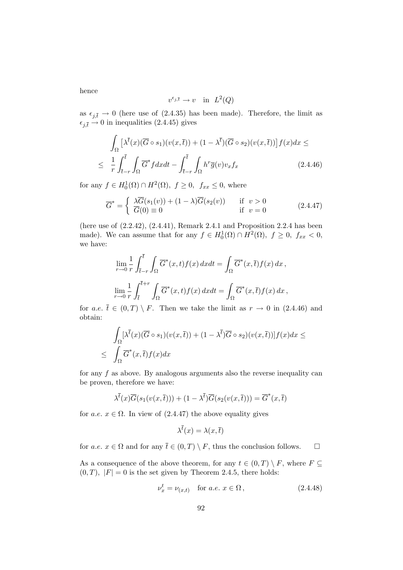hence

$$
v^{\epsilon_{j,\bar{t}}} \to v \quad \text{in} \ \ L^2(Q)
$$

as  $\epsilon_{j,\bar{t}} \to 0$  (here use of (2.4.35) has been made). Therefore, the limit as  $\epsilon_{j,\bar{t}} \to 0$  in inequalities (2.4.45) gives

$$
\int_{\Omega} \left[ \lambda^{\overline{t}}(x) (\overline{G} \circ s_1)(v(x,\overline{t})) + (1 - \lambda^{\overline{t}})(\overline{G} \circ s_2)(v(x,\overline{t})) \right] f(x) dx \le
$$
\n
$$
\leq \frac{1}{r} \int_{\overline{t}-r}^{\overline{t}} \int_{\Omega} \overline{G}^* f dx dt - \int_{\overline{t}-r}^{\overline{t}} \int_{\Omega} h^r \overline{g}(v) v_x f_x \qquad (2.4.46)
$$

for any  $f \in H_0^1(\Omega) \cap H^2(\Omega)$ ,  $f \ge 0$ ,  $f_{xx} \le 0$ , where

$$
\overline{G}^* = \begin{cases} \n\lambda \overline{G}(s_1(v)) + (1 - \lambda) \overline{G}(s_2(v)) & \text{if } v > 0 \\ \n\overline{G}(0) \equiv 0 & \text{if } v = 0 \n\end{cases} \tag{2.4.47}
$$

(here use of (2.2.42), (2.4.41), Remark 2.4.1 and Proposition 2.2.4 has been made). We can assume that for any  $f \in H_0^1(\Omega) \cap H^2(\Omega)$ ,  $f \ge 0$ ,  $f_{xx} < 0$ , we have:

$$
\lim_{r \to 0} \frac{1}{r} \int_{\bar{t}-r}^{\bar{t}} \int_{\Omega} \overline{G}^*(x,t) f(x) dx dt = \int_{\Omega} \overline{G}^*(x,\bar{t}) f(x) dx,
$$
  

$$
\lim_{r \to 0} \frac{1}{r} \int_{\bar{t}}^{\bar{t}+r} \int_{\Omega} \overline{G}^*(x,t) f(x) dx dt = \int_{\Omega} \overline{G}^*(x,\bar{t}) f(x) dx,
$$

for a.e.  $\overline{t} \in (0,T) \setminus F$ . Then we take the limit as  $r \to 0$  in (2.4.46) and obtain:

$$
\int_{\Omega} \left[\lambda^{\overline{t}}(x) (\overline{G} \circ s_1)(v(x,\overline{t})) + (1 - \lambda^{\overline{t}}) \overline{G} \circ s_2)(v(x,\overline{t}))\right] f(x) dx \le
$$
  

$$
\leq \int_{\Omega} \overline{G}^*(x,\overline{t}) f(x) dx
$$

for any  $f$  as above. By analogous arguments also the reverse inequality can be proven, therefore we have:

$$
\lambda^{\overline{t}}(x)\overline{G}(s_1(v(x,\overline{t}))) + (1 - \lambda^{\overline{t}})\overline{G}(s_2(v(x,\overline{t}))) = \overline{G}^*(x,\overline{t})
$$

for a.e.  $x \in \Omega$ . In view of  $(2.4.47)$  the above equality gives

$$
\lambda^{\bar{t}}(x) = \lambda(x, \bar{t})
$$

for a.e.  $x \in \Omega$  and for any  $\overline{t} \in (0,T) \setminus F$ , thus the conclusion follows.  $\square$ 

As a consequence of the above theorem, for any  $t \in (0, T) \setminus F$ , where  $F \subseteq$  $(0, T)$ ,  $|F| = 0$  is the set given by Theorem 2.4.5, there holds:

$$
\nu_x^t = \nu_{(x,t)} \quad \text{for } a.e. \ x \in \Omega \,, \tag{2.4.48}
$$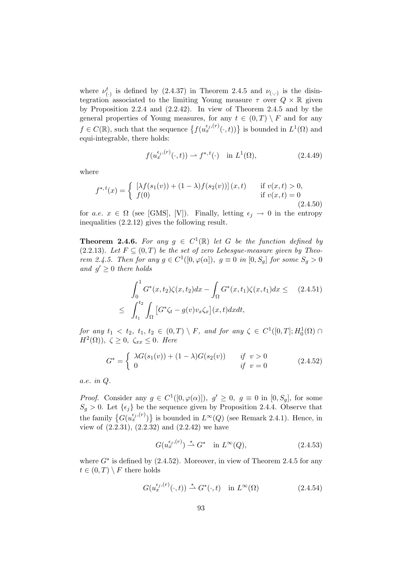where  $\nu_{(\cdot)}^t$  is defined by (2.4.37) in Theorem 2.4.5 and  $\nu_{(\cdot,\cdot)}$  is the disintegration associated to the limiting Young measure  $\tau$  over  $Q \times \mathbb{R}$  given by Proposition 2.2.4 and (2.2.42). In view of Theorem 2.4.5 and by the general properties of Young measures, for any  $t \in (0,T) \setminus F$  and for any  $f \in C(\mathbb{R})$ , such that the sequence  $\{f(u_x^{\epsilon_j,(r)}(\cdot,t))\}$  is bounded in  $L^1(\Omega)$  and equi-integrable, there holds:

$$
f(u_x^{\epsilon_j,(r)}(\cdot,t)) \rightharpoonup f^{*,t}(\cdot) \quad \text{in } L^1(\Omega), \tag{2.4.49}
$$

where

$$
f^{*,t}(x) = \begin{cases} \left[ \lambda f(s_1(v)) + (1 - \lambda)f(s_2(v)) \right](x, t) & \text{if } v(x, t) > 0, \\ f(0) & \text{if } v(x, t) = 0 \end{cases}
$$
\n(2.4.50)

for a.e.  $x \in \Omega$  (see [GMS], [V]). Finally, letting  $\epsilon_i \to 0$  in the entropy inequalities (2.2.12) gives the following result.

**Theorem 2.4.6.** For any  $g \in C^1(\mathbb{R})$  let G be the function defined by (2.2.13). Let  $F \subseteq (0,T)$  be the set of zero Lebesgue-measure given by Theorem 2.4.5. Then for any  $g \in C^1([0, \varphi(\alpha]), g \equiv 0 \text{ in } [0, S_g]$  for some  $S_g > 0$ and  $g' \geq 0$  there holds

$$
\int_0^1 G^*(x, t_2) \zeta(x, t_2) dx - \int_{\Omega} G^*(x, t_1) \zeta(x, t_1) dx \leq (2.4.51)
$$
  

$$
\leq \int_{t_1}^{t_2} \int_{\Omega} \left[ G^* \zeta_t - g(v) v_x \zeta_x \right](x, t) dx dt,
$$

for any  $t_1 < t_2, t_1, t_2 \in (0,T) \setminus F$ , and for any  $\zeta \in C^1([0,T]; H_0^1(\Omega) \cap$  $H^2(\Omega)$ ),  $\zeta \geq 0$ ,  $\zeta_{xx} \leq 0$ . Here

$$
G^* = \begin{cases} \lambda G(s_1(v)) + (1 - \lambda)G(s_2(v)) & \text{if } v > 0\\ 0 & \text{if } v = 0 \end{cases}
$$
 (2.4.52)

a.e. in Q.

*Proof.* Consider any  $g \in C^1([0, \varphi(\alpha)]), g' \ge 0, g \equiv 0$  in  $[0, S_g]$ , for some  $S_g > 0$ . Let  $\{\epsilon_j\}$  be the sequence given by Proposition 2.4.4. Observe that the family  $\{G(u_x^{\epsilon_j,(r)})\}$  is bounded in  $L^{\infty}(Q)$  (see Remark 2.4.1). Hence, in view of  $(2.2.31)$ ,  $(2.2.32)$  and  $(2.2.42)$  we have

$$
G(u_x^{\epsilon_j,(r)}) \stackrel{*}{\rightharpoonup} G^* \quad \text{in } L^{\infty}(Q),\tag{2.4.53}
$$

where  $G^*$  is defined by  $(2.4.52)$ . Moreover, in view of Theorem 2.4.5 for any  $t \in (0, T) \setminus F$  there holds

$$
G(u_x^{\epsilon_j,(r)}(\cdot,t)) \stackrel{*}{\rightharpoonup} G^*(\cdot,t) \quad \text{in } L^{\infty}(\Omega)
$$
\n
$$
(2.4.54)
$$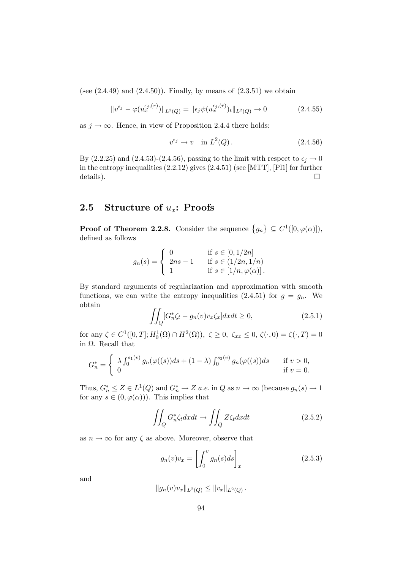(see  $(2.4.49)$  and  $(2.4.50)$ ). Finally, by means of  $(2.3.51)$  we obtain

$$
||v^{\epsilon_j} - \varphi(u_x^{\epsilon_j,(r)})||_{L^2(Q)} = ||\epsilon_j \psi(u_x^{\epsilon_j,(r)})_t||_{L^2(Q)} \to 0
$$
\n(2.4.55)

as  $j \to \infty$ . Hence, in view of Proposition 2.4.4 there holds:

$$
v^{\epsilon_j} \to v \quad \text{in } L^2(Q) \,. \tag{2.4.56}
$$

By (2.2.25) and (2.4.53)-(2.4.56), passing to the limit with respect to  $\epsilon_i \rightarrow 0$ in the entropy inequalities (2.2.12) gives (2.4.51) (see [MTT], [Pl1] for further details).  $\Box$ 

## 2.5 Structure of  $u_x$ : Proofs

**Proof of Theorem 2.2.8.** Consider the sequence  $\{g_n\} \subseteq C^1([0,\varphi(\alpha)]),$ defined as follows

$$
g_n(s) = \begin{cases} 0 & \text{if } s \in [0, 1/2n] \\ 2ns - 1 & \text{if } s \in (1/2n, 1/n) \\ 1 & \text{if } s \in [1/n, \varphi(\alpha)]. \end{cases}
$$

By standard arguments of regularization and approximation with smooth functions, we can write the entropy inequalities (2.4.51) for  $g = g_n$ . We obtain

$$
\iint_{Q} [G_n^*\zeta_t - g_n(v)v_x\zeta_x] dx dt \ge 0,
$$
\n(2.5.1)

for any  $\zeta \in C^1([0, T]; H_0^1(\Omega) \cap H^2(\Omega)), \ \zeta \ge 0, \ \zeta_{xx} \le 0, \ \zeta(\cdot, 0) = \zeta(\cdot, T) = 0$ in Ω. Recall that

$$
G_n^* = \begin{cases} \lambda \int_0^{s_1(v)} g_n(\varphi((s))ds + (1-\lambda) \int_0^{s_2(v)} g_n(\varphi((s))ds & \text{if } v > 0, \\ 0 & \text{if } v = 0. \end{cases}
$$

Thus,  $G_n^* \le Z \in L^1(Q)$  and  $G_n^* \to Z$  a.e. in Q as  $n \to \infty$  (because  $g_n(s) \to 1$ for any  $s \in (0, \varphi(\alpha))$ . This implies that

$$
\iint_{Q} G_{n}^{*} \zeta_{t} dxdt \to \iint_{Q} Z \zeta_{t} dxdt \qquad (2.5.2)
$$

as  $n \to \infty$  for any  $\zeta$  as above. Moreover, observe that

$$
g_n(v)v_x = \left[\int_0^v g_n(s)ds\right]_x\tag{2.5.3}
$$

and

$$
||g_n(v)v_x||_{L^2(Q)} \leq ||v_x||_{L^2(Q)}.
$$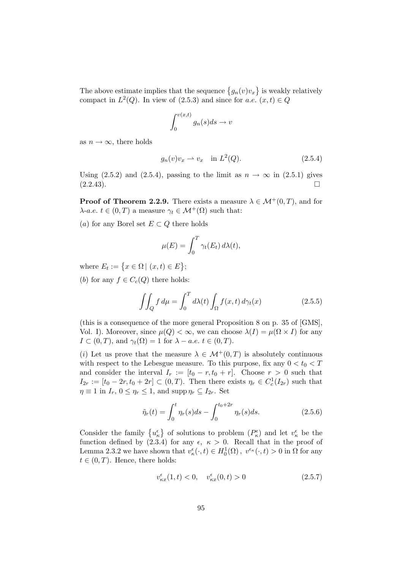The above estimate implies that the sequence  $\{g_n(v)v_x\}$  is weakly relatively compact in  $L^2(Q)$ . In view of (2.5.3) and since for a.e.  $(x, t) \in Q$ 

$$
\int_0^{v(x,t)} g_n(s)ds \to v
$$

as  $n \to \infty$ , there holds

$$
g_n(v)v_x \rightharpoonup v_x \quad \text{in } L^2(Q). \tag{2.5.4}
$$

Using (2.5.2) and (2.5.4), passing to the limit as  $n \to \infty$  in (2.5.1) gives (2.2.43).  $(2.2.43).$ 

**Proof of Theorem 2.2.9.** There exists a measure  $\lambda \in \mathcal{M}^+(0,T)$ , and for  $\lambda$ -a.e.  $t \in (0, T)$  a measure  $\gamma_t \in \mathcal{M}^+(\Omega)$  such that:

(a) for any Borel set  $E \subset Q$  there holds

$$
\mu(E) = \int_0^T \gamma_t(E_t) \, d\lambda(t),
$$

where  $E_t := \{x \in \Omega \mid (x, t) \in E\};$ 

(b) for any  $f \in C_c(Q)$  there holds:

$$
\iint_{Q} f d\mu = \int_{0}^{T} d\lambda(t) \int_{\Omega} f(x, t) d\gamma_t(x) \tag{2.5.5}
$$

(this is a consequence of the more general Proposition 8 on p. 35 of  $[GMS]$ , Vol. I). Moreover, since  $\mu(Q) < \infty$ , we can choose  $\lambda(I) = \mu(\Omega \times I)$  for any  $I \subset (0,T)$ , and  $\gamma_t(\Omega) = 1$  for  $\lambda - a.e.$   $t \in (0,T)$ .

(i) Let us prove that the measure  $\lambda \in \mathcal{M}^+(0,T)$  is absolutely continuous with respect to the Lebesgue measure. To this purpose, fix any  $0 < t_0 < T$ and consider the interval  $I_r := [t_0 - r, t_0 + r]$ . Choose  $r > 0$  such that  $I_{2r} := [t_0 - 2r, t_0 + 2r] \subset (0, T)$ . Then there exists  $\eta_r \in C_c^1(I_{2r})$  such that  $\eta \equiv 1$  in  $I_r$ ,  $0 \leq \eta_r \leq 1$ , and supp  $\eta_r \subseteq I_{2r}$ . Set

$$
\tilde{\eta}_r(t) = \int_0^t \eta_r(s)ds - \int_0^{t_0 + 2r} \eta_r(s)ds.
$$
 (2.5.6)

Consider the family  $\{u_{\kappa}^{\epsilon}\}\)$  of solutions to problem  $(P_{\kappa}^{\epsilon})$  and let  $v_{\kappa}^{\epsilon}$  be the function defined by (2.3.4) for any  $\epsilon, \ \kappa > 0$ . Recall that in the proof of Lemma 2.3.2 we have shown that  $v_{\kappa}^{\epsilon}(\cdot,t) \in H_0^1(\Omega)$ ,  $v^{\epsilon_{\kappa}}(\cdot,t) > 0$  in  $\Omega$  for any  $t \in (0, T)$ . Hence, there holds:

$$
v_{\kappa x}^{\epsilon}(1, t) < 0, \quad v_{\kappa x}^{\epsilon}(0, t) > 0 \tag{2.5.7}
$$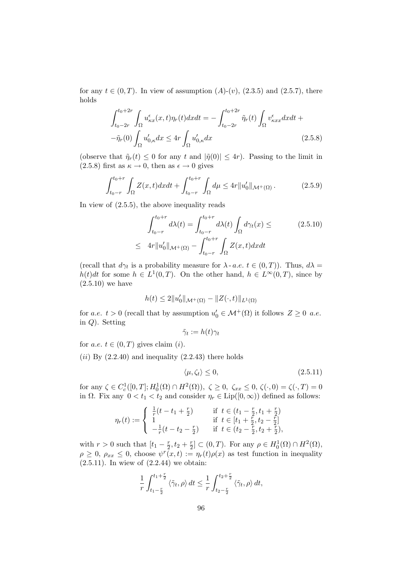for any  $t \in (0, T)$ . In view of assumption  $(A)-(v)$ ,  $(2.3.5)$  and  $(2.5.7)$ , there holds

$$
\int_{t_0-2r}^{t_0+2r} \int_{\Omega} u_{\kappa x}^{\epsilon}(x,t) \eta_r(t) dx dt = -\int_{t_0-2r}^{t_0+2r} \tilde{\eta}_r(t) \int_{\Omega} v_{\kappa xx}^{\epsilon} dx dt +
$$

$$
-\tilde{\eta}_r(0) \int_{\Omega} u_{0,\kappa}' dx \le 4r \int_{\Omega} u_{0,\kappa}' dx \qquad (2.5.8)
$$

(observe that  $\tilde{\eta}_r(t) \leq 0$  for any t and  $|\tilde{\eta}(0)| \leq 4r$ ). Passing to the limit in  $(2.5.8)$  first as  $\kappa \to 0$ , then as  $\epsilon \to 0$  gives

$$
\int_{t_0-r}^{t_0+r} \int_{\Omega} Z(x,t) dx dt + \int_{t_0-r}^{t_0+r} \int_{\Omega} d\mu \le 4r \|u_0'\|_{\mathcal{M}^+(\Omega)}.
$$
 (2.5.9)

In view of (2.5.5), the above inequality reads

$$
\int_{t_0-r}^{t_0+r} d\lambda(t) = \int_{t_0-r}^{t_0+r} d\lambda(t) \int_{\Omega} d\gamma_t(x) \le \qquad (2.5.10)
$$
  

$$
\leq 4r \|u'_0\|_{\mathcal{M}^+(\Omega)} - \int_{t_0-r}^{t_0+r} \int_{\Omega} Z(x,t) dx dt
$$

(recall that  $d\gamma_t$  is a probability measure for  $\lambda$ -a.e.  $t \in (0, T)$ ). Thus,  $d\lambda =$  $h(t)dt$  for some  $h \in L^1(0,T)$ . On the other hand,  $h \in L^{\infty}(0,T)$ , since by (2.5.10) we have

$$
h(t) \le 2||u'_0||_{\mathcal{M}^+(\Omega)} - ||Z(\cdot,t)||_{L^1(\Omega)}
$$

for *a.e.*  $t > 0$  (recall that by assumption  $u'_0 \in \mathcal{M}^+(\Omega)$  it follows  $Z \geq 0$  *a.e.* in Q). Setting

$$
\tilde{\gamma}_t := h(t)\gamma_t
$$

for a.e.  $t \in (0, T)$  gives claim (i).

 $(ii)$  By  $(2.2.40)$  and inequality  $(2.2.43)$  there holds

$$
\langle \mu, \zeta_t \rangle \le 0,\tag{2.5.11}
$$

for any  $\zeta \in C_c^1([0,T]; H_0^1(\Omega) \cap H^2(\Omega)), \ \zeta \ge 0, \ \zeta_{xx} \le 0, \ \zeta(\cdot, 0) = \zeta(\cdot, T) = 0$ in  $\Omega$ . Fix any  $0 < t_1 < t_2$  and consider  $\eta_r \in \text{Lip}([0,\infty))$  defined as follows:

$$
\eta_r(t) := \begin{cases} \frac{1}{r}(t - t_1 + \frac{r}{2}) & \text{if } t \in (t_1 - \frac{r}{2}, t_1 + \frac{r}{2})\\ 1 & \text{if } t \in [t_1 + \frac{r}{2}, t_2 - \frac{r}{2}]\\ -\frac{1}{r}(t - t_2 - \frac{r}{2}) & \text{if } t \in (t_2 - \frac{r}{2}, t_2 + \frac{r}{2}), \end{cases}
$$

with  $r > 0$  such that  $[t_1 - \frac{r}{2}]$  $\frac{r}{2}, t_2 + \frac{r}{2}$  $\mathbb{Z}_2^r \subset (0,T)$ . For any  $\rho \in H_0^1(\Omega) \cap H^2(\Omega)$ ,  $\rho \geq 0$ ,  $\rho_{xx} \leq 0$ , choose  $\psi^r(x,t) := \eta_r(t)\rho(x)$  as test function in inequality (2.5.11). In wiew of (2.2.44) we obtain:

$$
\frac{1}{r}\int_{t_1-\frac{r}{2}}^{t_1+\frac{r}{2}} \langle \tilde{\gamma}_t, \rho \rangle dt \leq \frac{1}{r}\int_{t_2-\frac{r}{2}}^{t_2+\frac{r}{2}} \langle \tilde{\gamma}_t, \rho \rangle dt,
$$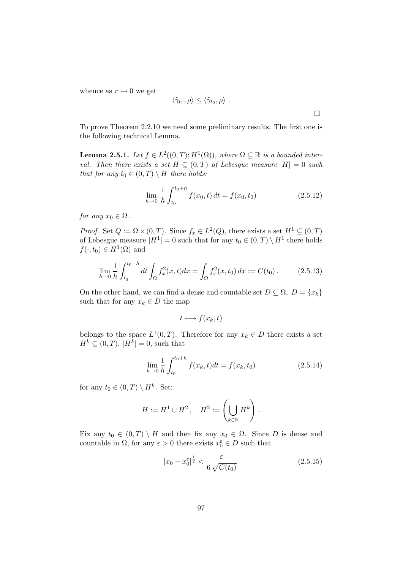whence as  $r \to 0$  we get

$$
\langle \tilde{\gamma}_{t_1}, \rho \rangle \leq \langle \tilde{\gamma}_{t_2}, \rho \rangle .
$$

To prove Theorem 2.2.10 we need some preliminary results. The first one is the following technical Lemma.

**Lemma 2.5.1.** Let  $f \in L^2((0,T); H^1(\Omega))$ , where  $\Omega \subseteq \mathbb{R}$  is a bounded interval. Then there exists a set  $H \subseteq (0,T)$  of Lebesgue measure  $|H| = 0$  such that for any  $t_0 \in (0,T) \setminus H$  there holds:

$$
\lim_{h \to 0} \frac{1}{h} \int_{t_0}^{t_0 + h} f(x_0, t) dt = f(x_0, t_0)
$$
\n(2.5.12)

for any  $x_0 \in \Omega$ .

*Proof.* Set  $Q := \Omega \times (0, T)$ . Since  $f_x \in L^2(Q)$ , there exists a set  $H^1 \subseteq (0, T)$ of Lebesgue measure  $|H^1| = 0$  such that for any  $t_0 \in (0, T) \setminus H^1$  there holds  $f(\cdot, t_0) \in H^1(\Omega)$  and

$$
\lim_{h \to 0} \frac{1}{h} \int_{t_0}^{t_0 + h} dt \int_{\Omega} f_x^2(x, t) dx = \int_{\Omega} f_x^2(x, t_0) dx := C(t_0).
$$
 (2.5.13)

On the other hand, we can find a dense and countable set  $D \subseteq \Omega$ ,  $D = \{x_k\}$ such that for any  $x_k \in D$  the map

$$
t \longmapsto f(x_k, t)
$$

belongs to the space  $L^1(0,T)$ . Therefore for any  $x_k \in D$  there exists a set  $H^k \subseteq (0,T)$ ,  $|H^k| = 0$ , such that

$$
\lim_{h \to 0} \frac{1}{h} \int_{t_0}^{t_0 + h} f(x_k, t) dt = f(x_k, t_0)
$$
\n(2.5.14)

for any  $t_0 \in (0,T) \setminus H^k$ . Set:

$$
H := H1 \cup H2, \quad H2 := \left(\bigcup_{k \in \mathbb{N}} Hk\right).
$$

Fix any  $t_0 \in (0,T) \setminus H$  and then fix any  $x_0 \in \Omega$ . Since D is dense and countable in  $\Omega$ , for any  $\varepsilon > 0$  there exists  $x_0^{\varepsilon} \in D$  such that

$$
|x_0 - x_0^{\varepsilon}|^{\frac{1}{2}} < \frac{\varepsilon}{6\sqrt{C(t_0)}}\tag{2.5.15}
$$

 $\Box$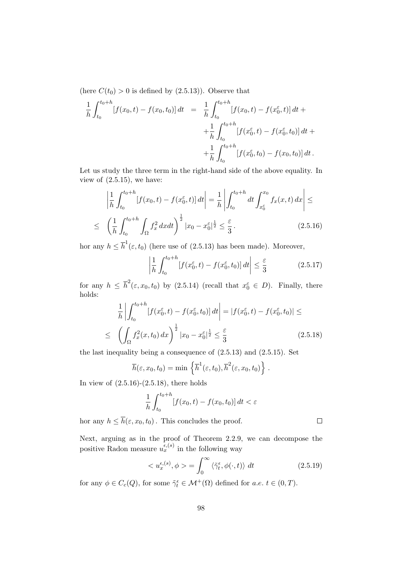(here  $C(t_0) > 0$  is defined by  $(2.5.13)$ ). Observe that

$$
\frac{1}{h} \int_{t_0}^{t_0+h} [f(x_0, t) - f(x_0, t_0)] dt = \frac{1}{h} \int_{t_0}^{t_0+h} [f(x_0, t) - f(x_0^{\varepsilon}, t)] dt +\n+ \frac{1}{h} \int_{t_0}^{t_0+h} [f(x_0^{\varepsilon}, t) - f(x_0^{\varepsilon}, t_0)] dt +\n+ \frac{1}{h} \int_{t_0}^{t_0+h} [f(x_0^{\varepsilon}, t_0) - f(x_0, t_0)] dt.
$$

Let us study the three term in the right-hand side of the above equality. In view of  $(2.5.15)$ , we have:

$$
\left| \frac{1}{h} \int_{t_0}^{t_0+h} [f(x_0, t) - f(x_0^{\varepsilon}, t)] dt \right| = \frac{1}{h} \left| \int_{t_0}^{t_0+h} dt \int_{x_0^{\varepsilon}}^{x_0} f_x(x, t) dx \right| \le
$$
  

$$
\leq \left( \frac{1}{h} \int_{t_0}^{t_0+h} \int_{\Omega} f_x^2 dx dt \right)^{\frac{1}{2}} |x_0 - x_0^{\varepsilon}|^{\frac{1}{2}} \leq \frac{\varepsilon}{3}.
$$
 (2.5.16)

hor any  $h \leq \overline{h}^1(\varepsilon, t_0)$  (here use of (2.5.13) has been made). Moreover,

$$
\left| \frac{1}{h} \int_{t_0}^{t_0+h} [f(x_0^\varepsilon, t) - f(x_0^\varepsilon, t_0)] dt \right| \le \frac{\varepsilon}{3}
$$
 (2.5.17)

for any  $h \leq \bar{h}^2(\varepsilon, x_0, t_0)$  by  $(2.5.14)$  (recall that  $x_0^{\varepsilon} \in D$ ). Finally, there holds:

$$
\frac{1}{h} \left| \int_{t_0}^{t_0+h} [f(x_0^{\varepsilon}, t) - f(x_0^{\varepsilon}, t_0)] dt \right| = |f(x_0^{\varepsilon}, t) - f(x_0^{\varepsilon}, t_0)| \le
$$
  

$$
\leq \left( \int_{\Omega} f_x^2(x, t_0) dx \right)^{\frac{1}{2}} |x_0 - x_0^{\varepsilon}|^{\frac{1}{2}} \leq \frac{\varepsilon}{3}
$$
(2.5.18)

the last inequality being a consequence of (2.5.13) and (2.5.15). Set

$$
\overline{h}(\varepsilon, x_0, t_0) = \min \left\{ \overline{h}^1(\varepsilon, t_0), \overline{h}^2(\varepsilon, x_0, t_0) \right\}.
$$

In view of  $(2.5.16)-(2.5.18)$ , there holds

$$
\frac{1}{h} \int_{t_0}^{t_0+h} \left[ f(x_0, t) - f(x_0, t_0) \right] dt < \varepsilon
$$

hor any  $h \leq \overline{h}(\varepsilon, x_0, t_0)$ . This concludes the proof.

Next, arguing as in the proof of Theorem 2.2.9, we can decompose the positive Radon measure  $u_x^{\epsilon,(s)}$  in the following way

$$
\langle u_x^{\epsilon,(s)}, \phi \rangle = \int_0^\infty \langle \tilde{\gamma}_t^{\epsilon}, \phi(\cdot, t) \rangle dt \qquad (2.5.19)
$$

 $\Box$ 

for any  $\phi \in C_c(Q)$ , for some  $\tilde{\gamma}_t^{\epsilon} \in \mathcal{M}^+(\Omega)$  defined for  $a.e.$   $t \in (0, T)$ .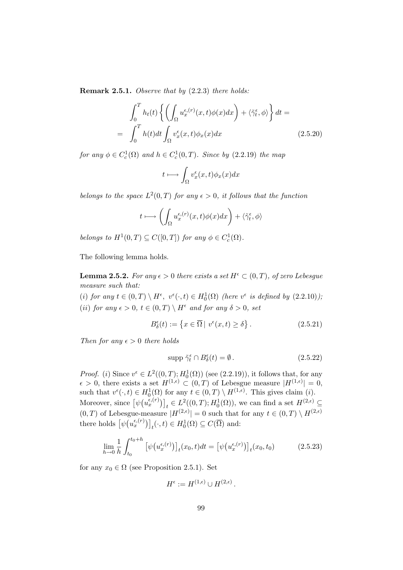Remark 2.5.1. Observe that by (2.2.3) there holds:

$$
\int_0^T h_t(t) \left\{ \left( \int_{\Omega} u_x^{\epsilon, (r)}(x, t) \phi(x) dx \right) + \langle \tilde{\gamma}_t^{\epsilon}, \phi \rangle \right\} dt =
$$
\n
$$
= \int_0^T h(t) dt \int_{\Omega} v_x^{\epsilon}(x, t) \phi_x(x) dx \qquad (2.5.20)
$$

for any  $\phi \in C_c^1(\Omega)$  and  $h \in C_c^1(0,T)$ . Since by (2.2.19) the map

$$
t \longmapsto \int_{\Omega} v_x^{\epsilon}(x,t) \phi_x(x) dx
$$

belongs to the space  $L^2(0,T)$  for any  $\epsilon > 0$ , it follows that the function

$$
t \longmapsto \left( \int_{\Omega} u_x^{\epsilon,(r)}(x,t) \phi(x) dx \right) + \langle \tilde{\gamma}_t^{\epsilon}, \phi \rangle
$$

belongs to  $H^1(0,T) \subseteq C([0,T])$  for any  $\phi \in C_c^1(\Omega)$ .

The following lemma holds.

**Lemma 2.5.2.** For any  $\epsilon > 0$  there exists a set  $H^{\epsilon} \subset (0,T)$ , of zero Lebesgue measure such that:

(i) for any  $t \in (0,T) \setminus H^{\epsilon}$ ,  $v^{\epsilon}(\cdot,t) \in H_0^1(\Omega)$  (here  $v^{\epsilon}$  is defined by  $(2.2.10)$ ); (ii) for any  $\epsilon > 0$ ,  $t \in (0,T) \setminus H^{\epsilon}$  and for any  $\delta > 0$ , set

$$
B_{\delta}^{\epsilon}(t) := \left\{ x \in \overline{\Omega} \mid v^{\epsilon}(x, t) \ge \delta \right\}.
$$
 (2.5.21)

Then for any  $\epsilon > 0$  there holds

$$
\text{supp }\tilde{\gamma}_t^{\epsilon} \cap B_{\delta}^{\epsilon}(t) = \emptyset. \tag{2.5.22}
$$

*Proof.* (i) Since  $v^{\epsilon} \in L^2((0,T); H_0^1(\Omega))$  (see (2.2.19)), it follows that, for any  $\epsilon > 0$ , there exists a set  $H^{(1,\epsilon)} \subset (0,T)$  of Lebesgue measure  $|H^{(1,\epsilon)}| = 0$ , such that  $v^{\epsilon}(\cdot,t) \in H_0^1(\Omega)$  for any  $t \in (0,T) \setminus H^{(1,\epsilon)}$ . This gives claim (*i*). Moreover, since  $[\psi(u_x^{\epsilon,(r)})]_t \in L^2((0,T); H_0^1(\Omega))$ , we can find a set  $H^{(2,\epsilon)} \subseteq$  $(0,T)$  of Lebesgue-measure  $|H^{(2,\epsilon)}|=0$  such that for any  $t \in (0,T) \setminus H^{(2,\epsilon)}$ there holds  $[\psi(u_x^{\epsilon,(r)})]_t(\cdot,t) \in H_0^1(\Omega) \subseteq C(\overline{\Omega})$  and:

$$
\lim_{h \to 0} \frac{1}{h} \int_{t_0}^{t_0+h} \left[ \psi(u_x^{\epsilon,(r)}) \right]_t(x_0, t) dt = \left[ \psi(u_x^{\epsilon,(r)}) \right]_t(x_0, t_0) \tag{2.5.23}
$$

for any  $x_0 \in \Omega$  (see Proposition 2.5.1). Set

$$
H^{\epsilon} := H^{(1,\epsilon)} \cup H^{(2,\epsilon)}.
$$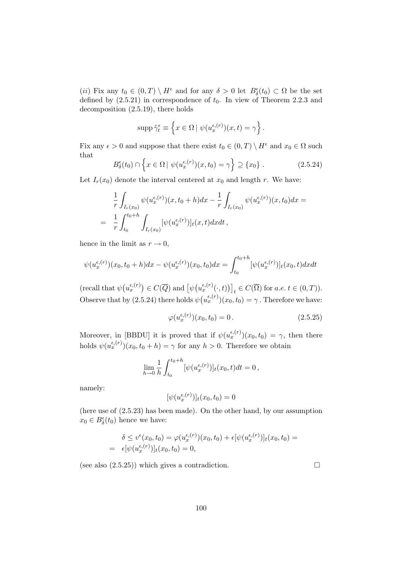(*ii*) Fix any  $t_0 \in (0,T) \setminus H^{\epsilon}$  and for any  $\delta > 0$  let  $B_{\delta}^{\epsilon}(t_0) \subset \Omega$  be the set defined by  $(2.5.21)$  in correspondence of  $t_0$ . In view of Theorem 2.2.3 and decomposition (2.5.19), there holds

$$
\operatorname{supp}\tilde{\gamma}_t^{\epsilon} \equiv \left\{ x \in \Omega \mid \psi(u_x^{\epsilon,(r)})(x,t) = \gamma \right\}.
$$

Fix any  $\epsilon > 0$  and suppose that there exist  $t_0 \in (0, T) \setminus H^{\epsilon}$  and  $x_0 \in \Omega$  such that

$$
B_{\delta}^{\epsilon}(t_0) \cap \left\{ x \in \Omega \mid \psi(u_x^{\epsilon,(r)})(x,t_0) = \gamma \right\} \supseteq \{x_0\} . \tag{2.5.24}
$$

Let  $I_r(x_0)$  denote the interval centered at  $x_0$  and length r. We have:

$$
\frac{1}{r} \int_{I_r(x_0)} \psi(u_x^{\epsilon,(r)})(x,t_0+h)dx - \frac{1}{r} \int_{I_r(x_0)} \psi(u_x^{\epsilon,(r)})(x,t_0)dx =
$$
\n
$$
= \frac{1}{r} \int_{t_0}^{t_0+h} \int_{I_r(x_0)} [\psi(u_x^{\epsilon,(r)})]_t(x,t)dxdt,
$$

hence in the limit as  $r \to 0$ ,

$$
\psi(u_x^{\epsilon,(r)})(x_0,t_0+h)dx - \psi(u_x^{\epsilon,(r)})(x_0,t_0)dx = \int_{t_0}^{t_0+h} [\psi(u_x^{\epsilon,(r)})]_t(x_0,t)dxdt
$$

(recall that  $\psi(u_x^{\epsilon,(r)}) \in C(\overline{Q})$  and  $\left[\psi(u_x^{\epsilon,(r)}(\cdot,t))\right]_t \in C(\overline{\Omega})$  for  $a.e. t \in (0,T)$ ). Observe that by (2.5.24) there holds  $\psi(u_x^{\epsilon,(r)})(x_0,t_0) = \gamma$ . Therefore we have:

$$
\varphi(u_x^{\epsilon,(r)})(x_0, t_0) = 0.
$$
\n(2.5.25)

Moreover, in [BBDU] it is proved that if  $\psi(u_x^{\epsilon,(r)})(x_0,t_0) = \gamma$ , then there holds  $\psi(u_x^{\epsilon,(r)}) (x_0, t_0 + h) = \gamma$  for any  $h > 0$ . Therefore we obtain

$$
\lim_{h \to 0} \frac{1}{h} \int_{t_0}^{t_0+h} [\psi(u_x^{\epsilon,(r)})]_t(x_0, t) dt = 0,
$$

namely:

$$
[\psi(u_x^{\epsilon,(r)})]_t(x_0,t_0)=0
$$

(here use of (2.5.23) has been made). On the other hand, by our assumption  $x_0 \in B_\delta^{\epsilon}(t_0)$  hence we have:

$$
\delta \le v^{\epsilon}(x_0, t_0) = \varphi(u_x^{\epsilon,(r)})(x_0, t_0) + \epsilon[\psi(u_x^{\epsilon,(r)})]_t(x_0, t_0) =
$$
  
=  $\epsilon[\psi(u_x^{\epsilon,(r)})]_t(x_0, t_0) = 0,$ 

(see also  $(2.5.25)$ ) which gives a contradiction.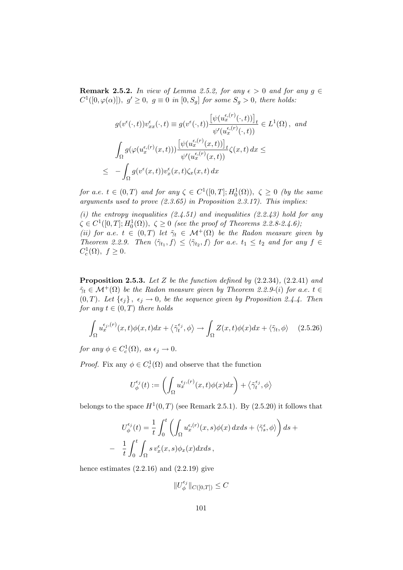**Remark 2.5.2.** In view of Lemma 2.5.2, for any  $\epsilon > 0$  and for any  $g \in \mathbb{R}$  $C^1([0,\varphi(\alpha)]),\ g'\geq 0,\ g\equiv 0\ in\ [0,S_g]\ for\ some\ S_g>0,\ there\ holds:$ 

$$
g(v^{\epsilon}(\cdot,t))v_{xx}^{\epsilon}(\cdot,t) \equiv g(v^{\epsilon}(\cdot,t)) \frac{\left[\psi(u_x^{\epsilon,(r)}(\cdot,t))\right]_t}{\psi'(u_x^{\epsilon,(r)}(\cdot,t))} \in L^1(\Omega), \text{ and}
$$

$$
\int_{\Omega} g(\varphi(u_x^{\epsilon,(r)}(x,t))) \frac{\left[\psi(u_x^{\epsilon,(r)}(x,t))\right]_t}{\psi'(u_x^{\epsilon,(r)}(x,t))} \zeta(x,t) dx \le
$$

$$
\leq -\int_{\Omega} g(v^{\epsilon}(x,t))v_x^{\epsilon}(x,t) \zeta_x(x,t) dx
$$

for a.e.  $t \in (0,T)$  and for any  $\zeta \in C^1([0,T];H_0^1(\Omega))$ ,  $\zeta \geq 0$  (by the same arguments used to prove  $(2.3.65)$  in Proposition 2.3.17). This implies:

(i) the entropy inequalities  $(2.4.51)$  and inequalities  $(2.2.43)$  hold for any  $\zeta \in C^1([0,T]; H_0^1(\Omega)), \ \zeta \geq 0 \ \text{ (see the proof of Theorems 2.2.8-2.4.6)};$ (ii) for a.e.  $t \in (0,T)$  let  $\tilde{\gamma}_t \in \mathcal{M}^+(\Omega)$  be the Radon measure given by Theorem 2.2.9. Then  $\langle \tilde{\gamma}_{t_1}, f \rangle \leq \langle \tilde{\gamma}_{t_2}, f \rangle$  for a.e.  $t_1 \leq t_2$  and for any  $f \in$  $C_c^1(\Omega)$ ,  $f \geq 0$ .

**Proposition 2.5.3.** Let Z be the function defined by  $(2.2.34)$ ,  $(2.2.41)$  and  $\tilde{\gamma}_t \in \mathcal{M}^+(\Omega)$  be the Radon measure given by Theorem 2.2.9-(i) for a.e.  $t \in$  $(0, T)$ . Let  $\{\epsilon_j\}, \epsilon_j \to 0$ , be the sequence given by Proposition 2.4.4. Then for any  $t \in (0, T)$  there holds

$$
\int_{\Omega} u_x^{\epsilon_j,(r)}(x,t)\phi(x,t)dx + \langle \tilde{\gamma}_t^{\epsilon_j}, \phi \rangle \to \int_{\Omega} Z(x,t)\phi(x)dx + \langle \tilde{\gamma}_t, \phi \rangle \tag{2.5.26}
$$

for any  $\phi \in C_c^1(\Omega)$ , as  $\epsilon_j \to 0$ .

*Proof.* Fix any  $\phi \in C_c^1(\Omega)$  and observe that the function

$$
U_{\phi}^{\epsilon_j}(t) := \left(\int_{\Omega} u_x^{\epsilon_j,(r)}(x,t)\phi(x)dx\right) + \left\langle \tilde{\gamma}_t^{\epsilon_j}, \phi \right\rangle
$$

belongs to the space  $H^1(0,T)$  (see Remark 2.5.1). By (2.5.20) it follows that

$$
U_{\phi}^{\epsilon_j}(t) = \frac{1}{t} \int_0^t \left( \int_{\Omega} u_x^{\epsilon_j(r)}(x, s) \phi(x) dx ds + \langle \tilde{\gamma}_s^{\epsilon}, \phi \rangle \right) ds +
$$
  
- 
$$
\frac{1}{t} \int_0^t \int_{\Omega} s v_x^{\epsilon}(x, s) \phi_x(x) dx ds,
$$

hence estimates  $(2.2.16)$  and  $(2.2.19)$  give

 $\|U_\phi^{\epsilon_j}$  $\int_{\phi}^{\epsilon_j}$   $\|C([0,T]) \leq C$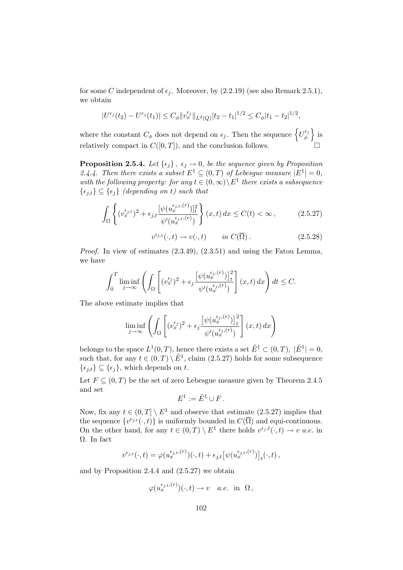for some C independent of  $\epsilon_j$ . Moreover, by (2.2.19) (see also Remark 2.5.1), we obtain

$$
|U^{\epsilon_j}(t_2) - U^{\epsilon_j}(t_1)| \leq C_{\phi} \|v_x^{\epsilon_j}\|_{L^2(Q)} |t_2 - t_1|^{1/2} \leq C_{\phi} |t_1 - t_2|^{1/2},
$$

where the constant  $C_{\phi}$  does not depend on  $\epsilon_j$ . Then the sequence  $\left\{U_{\phi}^{\epsilon_j}$  $\left\{\begin{array}{c} \epsilon_j \\ \phi \end{array}\right\}$  is relatively compact in  $C([0,T])$ , and the conclusion follows.

**Proposition 2.5.4.** Let  $\{\epsilon_j\}, \epsilon_j \to 0$ , be the sequence given by Proposition 2.4.4. Then there exists a subset  $E^1 \subseteq (0,T)$  of Lebesgue measure  $|E^1| = 0$ , with the following property: for any  $t \in (0, \infty) \setminus E^1$  there exists a subsequence  $\{\epsilon_{i,t}\}\subseteq {\epsilon_i}$  (depending on t) such that

$$
\int_{\Omega} \left\{ (v_x^{\epsilon_{j,t}})^2 + \epsilon_{j,t} \frac{[\psi(u_x^{\epsilon_{j,t},(r)})]_t^2}{\psi'(u_x^{\epsilon_{j,t},(r)})} \right\} (x,t) \, dx \le C(t) < \infty \,, \tag{2.5.27}
$$

 $v^{\epsilon_{j,t}}(\cdot,t) \to v(\cdot,t) \quad in \ C(\overline{\Omega}).$  (2.5.28)

Proof. In view of estimates (2.3.49), (2.3.51) and using the Fatou Lemma, we have

$$
\int_0^T \liminf_{j \to \infty} \left( \int_{\Omega} \left[ (v_x^{\epsilon_j})^2 + \epsilon_j \frac{\left[ \psi(u_x^{\epsilon_j, (r)} \right) \right]_t^2}{\psi'(u_x^{\epsilon_j, (r)})} \right] (x, t) dx \right) dt \le C.
$$

The above estimate implies that

$$
\liminf_{j \to \infty} \left( \int_{\Omega} \left[ (v_x^{\epsilon_j})^2 + \epsilon_j \frac{\left[ \psi(u_x^{\epsilon_j,(r)}) \right]_t^2}{\psi'(u_x^{\epsilon_j,(r)})} \right] (x,t) \, dx \right)
$$

belongs to the space  $L^1(0,T)$ , hence there exists a set  $\tilde{E}^1 \subset (0,T)$ ,  $|\tilde{E}^1| = 0$ , such that, for any  $t \in (0,T) \setminus \tilde{E}^1$ , claim  $(2.5.27)$  holds for some subsequence  $\{\epsilon_{i,t}\}\subseteq \{\epsilon_i\}$ , which depends on t.

Let  $F \subseteq (0,T)$  be the set of zero Lebesgue measure given by Theorem 2.4.5 and set

$$
E^1 := \tilde{E}^1 \cup F.
$$

Now, fix any  $t \in (0, T] \setminus E^1$  and observe that estimate (2.5.27) implies that the sequence  $\{v^{\epsilon_{j,t}}(\cdot,t)\}\)$  is uniformly bounded in  $C(\overline{\Omega})$  and equi-continuous. On the other hand, for any  $t \in (0, T) \setminus E^1$  there holds  $v^{\epsilon_j, t}(\cdot, t) \to v$  a.e. in Ω. In fact

$$
v^{\epsilon_{j,t}}(\cdot,t) = \varphi(u_x^{\epsilon_{j,t},(r)})(\cdot,t) + \epsilon_{j,t} \big[\psi(u_x^{\epsilon_{j,t},(r)})\big]_t(\cdot,t),
$$

and by Proposition 2.4.4 and (2.5.27) we obtain

$$
\varphi(u_x^{\epsilon_{j,t},(r)})(\cdot,t)\to v\quad a.e.\ \ \text{in}\ \ \Omega\,,
$$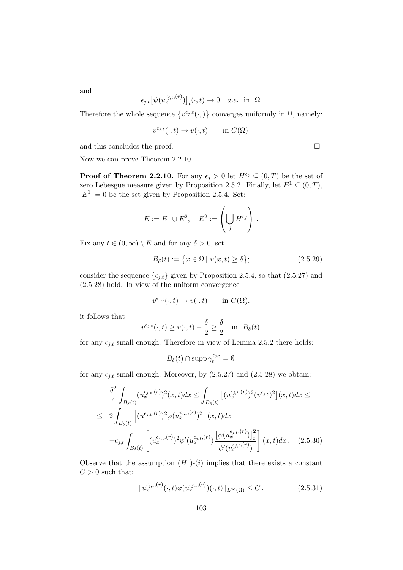and

$$
\epsilon_{j,t} \big[ \psi(u_x^{\epsilon_{j,t},(r)}) \big]_t(\cdot,t) \to 0 \quad a.e. \text{ in } \Omega
$$

Therefore the whole sequence  $\{v^{\epsilon_j,t}(\cdot,\cdot)\}$  converges uniformly in  $\overline{\Omega}$ , namely:

$$
v^{\epsilon_{j,t}}(\cdot,t)\to v(\cdot,t) \qquad \text{in } C(\overline{\Omega})
$$

and this concludes the proof.  $\Box$ 

Now we can prove Theorem 2.2.10.

 $|E^1| = 0$  be the set given by Proposition 2.5.4. Set:

**Proof of Theorem 2.2.10.** For any  $\epsilon_j > 0$  let  $H^{\epsilon_j} \subseteq (0, T)$  be the set of zero Lebesgue measure given by Proposition 2.5.2. Finally, let  $E^1 \subseteq (0, T)$ ,

$$
E := E1 \cup E2, \quad E2 := \left(\bigcup_j H^{\epsilon_j}\right).
$$

Fix any  $t \in (0, \infty) \setminus E$  and for any  $\delta > 0$ , set

$$
B_{\delta}(t) := \left\{ x \in \overline{\Omega} \mid v(x, t) \ge \delta \right\};\tag{2.5.29}
$$

consider the sequence  $\{\epsilon_{j,t}\}$  given by Proposition 2.5.4, so that (2.5.27) and (2.5.28) hold. In view of the uniform convergence

$$
v^{\epsilon_{j,t}}(\cdot,t)\to v(\cdot,t) \quad \text{in } C(\overline{\Omega}),
$$

it follows that

$$
v^{\epsilon_{j,t}}(\cdot,t) \ge v(\cdot,t) - \frac{\delta}{2} \ge \frac{\delta}{2} \quad \text{in} \ \ B_\delta(t)
$$

for any  $\epsilon_{j,t}$  small enough. Therefore in view of Lemma 2.5.2 there holds:

$$
B_{\delta}(t) \cap \operatorname{supp} \tilde{\gamma}_t^{\epsilon_{j,t}} = \emptyset
$$

for any  $\epsilon_{j,t}$  small enough. Moreover, by (2.5.27) and (2.5.28) we obtain:

$$
\frac{\delta^2}{4} \int_{B_{\delta}(t)} (u_x^{\epsilon_{j,t},(r)})^2(x,t)dx \le \int_{B_{\delta}(t)} \left[ (u_x^{\epsilon_{j,t},(r)})^2 (v^{\epsilon_{j,t}})^2 \right](x,t)dx \le
$$
\n
$$
\le 2 \int_{B_{\delta}(t)} \left[ (u^{\epsilon_{j,t},(r)})^2 \varphi(u_x^{\epsilon_{j,t},(r)})^2 \right](x,t)dx
$$
\n
$$
+ \epsilon_{j,t} \int_{B_{\delta}(t)} \left[ (u_x^{\epsilon_{j,t},(r)})^2 \psi'(u_x^{\epsilon_{j,t},(r)}) \frac{\left[ \psi(u_x^{\epsilon_{j,t},(r)}) \right]_t^2}{\psi'(u_x^{\epsilon_{j,t},(r)})} \right](x,t)dx. \quad (2.5.30)
$$

Observe that the assumption  $(H_1)-(i)$  implies that there exists a constant  $C > 0$  such that:

$$
||u_x^{\epsilon_{j,t},(r)}(\cdot,t)\varphi(u_x^{\epsilon_{j,t},(r)})(\cdot,t)||_{L^{\infty}(\Omega)} \leq C.
$$
 (2.5.31)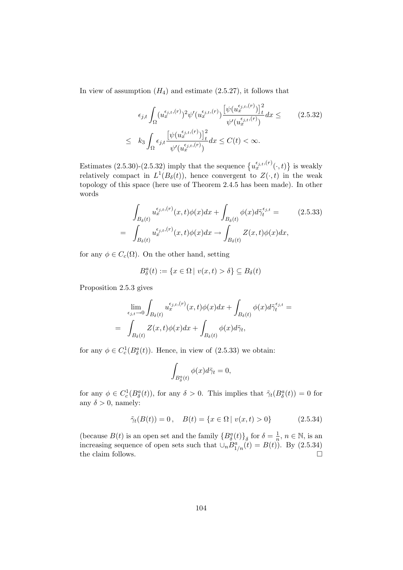In view of assumption  $(H_4)$  and estimate  $(2.5.27)$ , it follows that

$$
\epsilon_{j,t} \int_{\Omega} (u_x^{\epsilon_{j,t},(r)})^2 \psi'(u_x^{\epsilon_{j,t},(r)}) \frac{\left[\psi(u_x^{\epsilon_{j,t},(r)})\right]_t^2}{\psi'(u_x^{\epsilon_{j,t},(r)})} dx \leq \qquad (2.5.32)
$$
\n
$$
\leq k_3 \int_{\Omega} \epsilon_{j,t} \frac{\left[\psi(u_x^{\epsilon_{j,t},(r)})\right]_t^2}{\psi'(u_x^{\epsilon_{j,t},(r)})} dx \leq C(t) < \infty.
$$

Estimates (2.5.30)-(2.5.32) imply that the sequence  $\{u_x^{\epsilon_{j,t},(r)}(\cdot,t)\}$  is weakly relatively compact in  $L^1(B_\delta(t))$ , hence convergent to  $Z(\cdot,t)$  in the weak topology of this space (here use of Theorem 2.4.5 has been made). In other words

$$
\int_{B_{\delta}(t)} u_x^{\epsilon_{j,t},(r)}(x,t)\phi(x)dx + \int_{B_{\delta}(t)} \phi(x)d\tilde{\gamma}_t^{\epsilon_{j,t}} = (2.5.33)
$$
\n
$$
= \int_{B_{\delta}(t)} u_x^{\epsilon_{j,t},(r)}(x,t)\phi(x)dx \to \int_{B_{\delta}(t)} Z(x,t)\phi(x)dx,
$$

for any  $\phi \in C_c(\Omega)$ . On the other hand, setting

$$
B_{\delta}^{a}(t) := \{ x \in \Omega \mid v(x,t) > \delta \} \subseteq B_{\delta}(t)
$$

Proposition 2.5.3 gives

$$
\lim_{\epsilon_{j,t}\to 0} \int_{B_{\delta}(t)} u_x^{\epsilon_{j,t},(r)}(x,t)\phi(x)dx + \int_{B_{\delta}(t)} \phi(x)d\tilde{\gamma}_t^{\epsilon_{j,t}} =
$$
\n
$$
= \int_{B_{\delta}(t)} Z(x,t)\phi(x)dx + \int_{B_{\delta}(t)} \phi(x)d\tilde{\gamma}_t,
$$

for any  $\phi \in C_c^1(B_\delta^a(t))$ . Hence, in view of (2.5.33) we obtain:

$$
\int_{B^a_{\delta}(t)} \phi(x) d\tilde{\gamma}_t = 0,
$$

for any  $\phi \in C_c^1(B_\delta^a(t))$ , for any  $\delta > 0$ . This implies that  $\tilde{\gamma}_t(B_\delta^a(t)) = 0$  for any  $\delta > 0$ , namely:

$$
\tilde{\gamma}_t(B(t)) = 0, \quad B(t) = \{x \in \Omega \mid v(x, t) > 0\}
$$
\n(2.5.34)

(because  $B(t)$  is an open set and the family  ${B^a_\delta(t)}_{\delta}$  for  $\delta = \frac{1}{n}$  $\frac{1}{n}, n \in \mathbb{N}$ , is an increasing sequence of open sets such that  $\cup_n \overline{B}_{1/n}^a(t) = B(t)$ . By (2.5.34) the claim follows.  $\Box$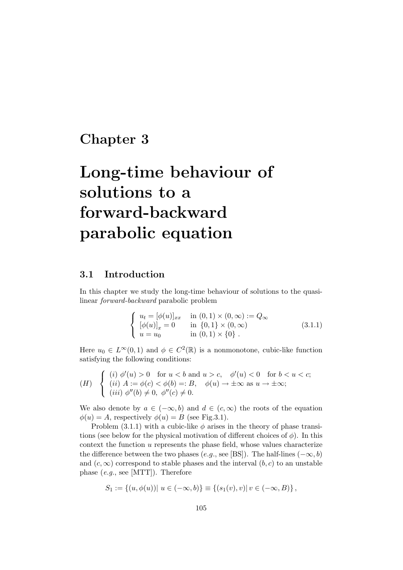## Chapter 3

# Long-time behaviour of solutions to a forward-backward parabolic equation

## 3.1 Introduction

In this chapter we study the long-time behaviour of solutions to the quasilinear forward-backward parabolic problem

$$
\begin{cases}\n u_t = [\phi(u)]_{xx} & \text{in } (0,1) \times (0,\infty) := Q_{\infty} \\
 [\phi(u)]_x = 0 & \text{in } \{0,1\} \times (0,\infty) \\
 u = u_0 & \text{in } (0,1) \times \{0\} \n\end{cases}
$$
\n(3.1.1)

Here  $u_0 \in L^{\infty}(0,1)$  and  $\phi \in C^2(\mathbb{R})$  is a nonmonotone, cubic-like function satisfying the following conditions:

$$
(H) \quad \begin{cases} \begin{array}{l} (i) \ \phi'(u) > 0 \quad \text{for } u < b \text{ and } u > c, \quad \phi'(u) < 0 \quad \text{for } b < u < c; \\ (ii) \ A := \phi(c) < \phi(b) =: B, \quad \phi(u) \to \pm \infty \text{ as } u \to \pm \infty; \\ (iii) \ \phi''(b) \neq 0, \ \phi''(c) \neq 0. \end{array} \end{cases}
$$

We also denote by  $a \in (-\infty, b)$  and  $d \in (c, \infty)$  the roots of the equation  $\phi(u) = A$ , respectively  $\phi(u) = B$  (see Fig.3.1).

Problem (3.1.1) with a cubic-like  $\phi$  arises in the theory of phase transitions (see below for the physical motivation of different choices of  $\phi$ ). In this context the function u represents the phase field, whose values characterize the difference between the two phases (e.g., see [BS]). The half-lines  $(-\infty, b)$ and  $(c, \infty)$  correspond to stable phases and the interval  $(b, c)$  to an unstable phase  $(e.q.,\text{ see }[MTT]).$  Therefore

$$
S_1 := \{(u, \phi(u)) | u \in (-\infty, b)\} \equiv \{(s_1(v), v) | v \in (-\infty, B)\},\
$$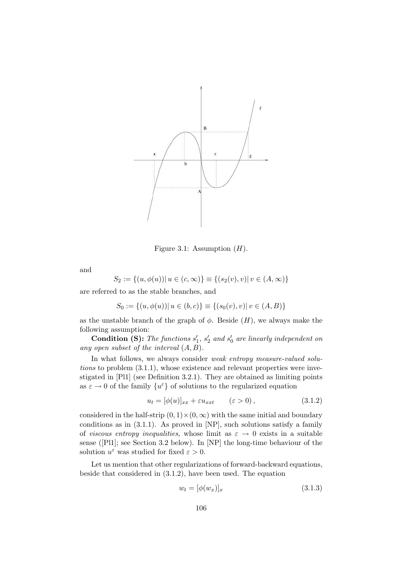

Figure 3.1: Assumption  $(H)$ .

and

$$
S_2 := \{(u, \phi(u)) | u \in (c, \infty)\} \equiv \{(s_2(v), v) | v \in (A, \infty)\}\
$$

are referred to as the stable branches, and

 $S_0 := \{(u, \phi(u)) | u \in (b, c)\} \equiv \{(s_0(v), v) | v \in (A, B)\}$ 

as the unstable branch of the graph of  $\phi$ . Beside  $(H)$ , we always make the following assumption:

**Condition (S):** The functions  $s'_1$ ,  $s'_2$  and  $s'_0$  are linearly independent on any open subset of the interval  $(A, B)$ .

In what follows, we always consider *weak entropy measure-valued solu*tions to problem (3.1.1), whose existence and relevant properties were investigated in [Pl1] (see Definition 3.2.1). They are obtained as limiting points as  $\varepsilon \to 0$  of the family  $\{u^\varepsilon\}$  of solutions to the regularized equation

$$
u_t = [\phi(u)]_{xx} + \varepsilon u_{xxt} \qquad (\varepsilon > 0), \qquad (3.1.2)
$$

considered in the half-strip  $(0, 1) \times (0, \infty)$  with the same initial and boundary conditions as in (3.1.1). As proved in [NP], such solutions satisfy a family of viscous entropy inequalities, whose limit as  $\varepsilon \to 0$  exists in a suitable sense ([Pl1]; see Section 3.2 below). In [NP] the long-time behaviour of the solution  $u^{\varepsilon}$  was studied for fixed  $\varepsilon > 0$ .

Let us mention that other regularizations of forward-backward equations, beside that considered in (3.1.2), have been used. The equation

$$
w_t = [\phi(w_x)]_x \tag{3.1.3}
$$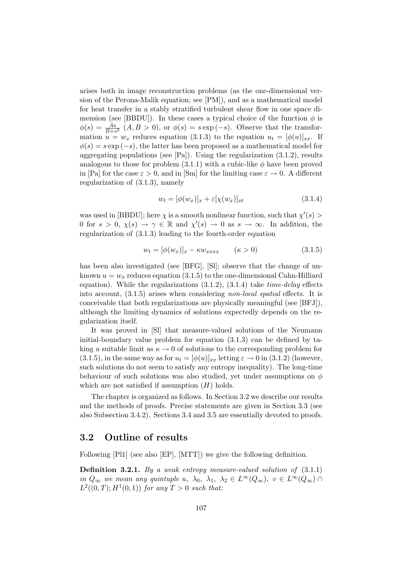arises both in image reconstruction problems (as the one-dimensional version of the Perona-Malik equation; see [PM]), and as a mathematical model for heat transfer in a stably stratified turbulent shear flow in one space dimension (see [BBDU]). In these cases a typical choice of the function  $\phi$  is  $\phi(s) = \frac{As}{B+s^2}$   $(A, B > 0)$ , or  $\phi(s) = s \exp(-s)$ . Observe that the transformation  $u = w_x$  reduces equation (3.1.3) to the equation  $u_t = [\phi(u)]_{xx}$ . If  $\phi(s) = s \exp(-s)$ , the latter has been proposed as a mathematical model for aggregating populations (see [Pa]). Using the regularization (3.1.2), results analogous to those for problem  $(3.1.1)$  with a cubic-like  $\phi$  have been proved in [Pa] for the case  $\varepsilon > 0$ , and in [Sm] for the limiting case  $\varepsilon \to 0$ . A different regularization of (3.1.3), namely

$$
w_t = [\phi(w_x)]_x + \varepsilon[\chi(w_x)]_{xt} \tag{3.1.4}
$$

was used in [BBDU]; here  $\chi$  is a smooth nonlinear function, such that  $\chi'(s)$ 0 for  $s > 0$ ,  $\chi(s) \to \gamma \in \mathbb{R}$  and  $\chi'(s) \to 0$  as  $s \to \infty$ . In addition, the regularization of (3.1.3) leading to the fourth-order equation

$$
w_t = [\phi(w_x)]_x - \kappa w_{xxxx} \qquad (\kappa > 0)
$$
\n(3.1.5)

has been also investigated (see [BFG], [Sl]; observe that the change of unknown  $u = w_x$  reduces equation (3.1.5) to the one-dimensional Cahn-Hilliard equation). While the regularizations  $(3.1.2)$ ,  $(3.1.4)$  take *time-delay* effects into account, (3.1.5) arises when considering non-local spatial effects. It is conceivable that both regularizations are physically meaningful (see [BFJ]), although the limiting dynamics of solutions expectedly depends on the regularization itself.

It was proved in [Sl] that measure-valued solutions of the Neumann initial-boundary value problem for equation (3.1.3) can be defined by taking a suitable limit as  $\kappa \to 0$  of solutions to the corresponding problem for  $(3.1.5)$ , in the same way as for  $u_t = [\phi(u)]_{xx}$  letting  $\varepsilon \to 0$  in  $(3.1.2)$  (however, such solutions do not seem to satisfy any entropy inequality). The long-time behaviour of such solutions was also studied, yet under assumptions on  $\phi$ which are not satisfied if assumption  $(H)$  holds.

The chapter is organized as follows. In Section 3.2 we describe our results and the methods of proofs. Precise statements are given in Section 3.3 (see also Subsection 3.4.2). Sections 3.4 and 3.5 are essentially devoted to proofs.

## 3.2 Outline of results

Following [Pl1] (see also [EP], [MTT]) we give the following definition.

Definition 3.2.1. By a weak entropy measure-valued solution of  $(3.1.1)$ in  $Q_{\infty}$  we mean any quintuple u,  $\lambda_0$ ,  $\lambda_1$ ,  $\lambda_2 \in L^{\infty}(Q_{\infty})$ ,  $v \in L^{\infty}(Q_{\infty})$  $L^2((0,T); H^1(0,1))$  for any  $T > 0$  such that: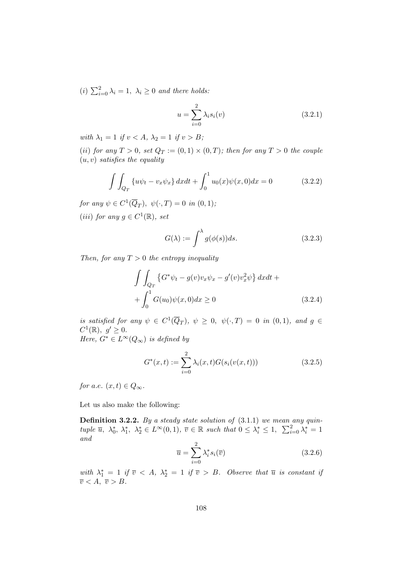(i)  $\sum_{i=0}^{2} \lambda_i = 1$ ,  $\lambda_i \geq 0$  and there holds:

$$
u = \sum_{i=0}^{2} \lambda_i s_i(v)
$$
 (3.2.1)

with  $\lambda_1 = 1$  if  $v < A$ ,  $\lambda_2 = 1$  if  $v > B$ ;

(ii) for any  $T > 0$ , set  $Q_T := (0,1) \times (0,T)$ ; then for any  $T > 0$  the couple  $(u, v)$  satisfies the equality

$$
\int \int_{Q_T} \{u\psi_t - v_x \psi_x\} dx dt + \int_0^1 u_0(x)\psi(x,0) dx = 0
$$
\n(3.2.2)

for any  $\psi \in C^1(\overline{Q}_T)$ ,  $\psi(\cdot,T) = 0$  in  $(0,1)$ ; (iii) for any  $g \in C^1(\mathbb{R})$ , set

$$
G(\lambda) := \int^{\lambda} g(\phi(s))ds.
$$
 (3.2.3)

Then, for any  $T > 0$  the entropy inequality

$$
\int \int_{Q_T} \left\{ G^* \psi_t - g(v) v_x \psi_x - g'(v) v_x^2 \psi \right\} dx dt +
$$
  
+ 
$$
\int_0^1 G(u_0) \psi(x, 0) dx \ge 0
$$
 (3.2.4)

is satisfied for any  $\psi \in C^1(\overline{Q}_T)$ ,  $\psi \geq 0$ ,  $\psi(\cdot,T) = 0$  in  $(0,1)$ , and  $g \in$  $C^1(\mathbb{R}),\ g'\geq 0.$ 

$$
Here,\,G^*\in L^\infty(Q_\infty)\,\;is\,\,defined\,\,by
$$

$$
G^*(x,t) := \sum_{i=0}^{2} \lambda_i(x,t) G(s_i(v(x,t)))
$$
\n(3.2.5)

for a.e.  $(x, t) \in Q_{\infty}$ .

Let us also make the following:

**Definition 3.2.2.** By a steady state solution of  $(3.1.1)$  we mean any quintuple  $\overline{u}$ ,  $\lambda_0^*$ ,  $\lambda_1^*$ ,  $\lambda_2^* \in L^{\infty}(0,1)$ ,  $\overline{v} \in \mathbb{R}$  such that  $0 \leq \lambda_i^* \leq 1$ ,  $\sum_{i=0}^2 \lambda_i^* = 1$ and

$$
\overline{u} = \sum_{i=0}^{2} \lambda_i^* s_i(\overline{v})
$$
\n(3.2.6)

with  $\lambda_1^* = 1$  if  $\overline{v} < A$ ,  $\lambda_2^* = 1$  if  $\overline{v} > B$ . Observe that  $\overline{u}$  is constant if  $\overline{v} < A, \ \overline{v} > B.$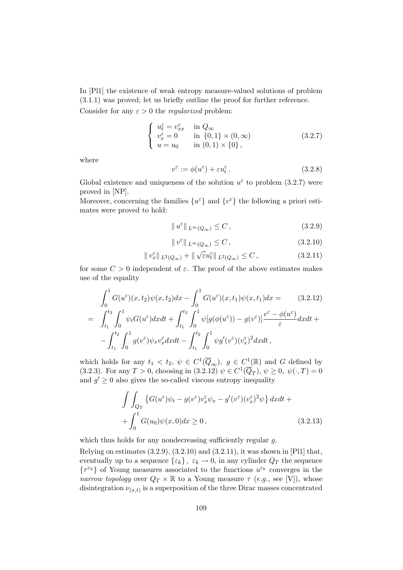In [Pl1] the existence of weak entropy measure-valued solutions of problem (3.1.1) was proved; let us briefly outline the proof for further reference. Consider for any  $\varepsilon > 0$  the *regularized* problem:

$$
\begin{cases}\n u_t^{\varepsilon} = v_{xx}^{\varepsilon} & \text{in } Q_{\infty} \\
 v_x^{\varepsilon} = 0 & \text{in } \{0, 1\} \times (0, \infty) \\
 u = u_0 & \text{in } (0, 1) \times \{0\},\n\end{cases}
$$
\n(3.2.7)

where

$$
v^{\varepsilon} := \phi(u^{\varepsilon}) + \varepsilon u_t^{\varepsilon}.
$$
\n(3.2.8)

Global existence and uniqueness of the solution  $u^{\varepsilon}$  to problem (3.2.7) were proved in [NP].

Moreover, concerning the families  $\{u^{\varepsilon}\}\$  and  $\{v^{\varepsilon}\}\$  the following a priori estimates were proved to hold:

$$
||u^{\varepsilon}||_{L^{\infty}(Q_{\infty})} \leq C, \qquad (3.2.9)
$$

$$
\|v^{\varepsilon}\|_{L^{\infty}(Q_{\infty})} \leq C, \qquad (3.2.10)
$$

$$
\|v_x^{\varepsilon}\|_{L^2(Q_{\infty})} + \|\sqrt{\varepsilon}u_t^{\varepsilon}\|_{L^2(Q_{\infty})} \leq C, \qquad (3.2.11)
$$

for some  $C > 0$  independent of  $\varepsilon$ . The proof of the above estimates makes use of the equality

$$
\int_{0}^{1} G(u^{\varepsilon})(x, t_{2})\psi(x, t_{2})dx - \int_{0}^{1} G(u^{\varepsilon})(x, t_{1})\psi(x, t_{1})dx = (3.2.12)
$$
\n
$$
= \int_{t_{1}}^{t_{2}} \int_{0}^{1} \psi_{t}G(u^{\varepsilon})dxdt + \int_{t_{1}}^{t_{2}} \int_{0}^{1} \psi[g(\phi(u^{\varepsilon})) - g(v^{\varepsilon})] \frac{v^{\varepsilon} - \phi(u^{\varepsilon})}{\varepsilon}dxdt +
$$
\n
$$
- \int_{t_{1}}^{t_{2}} \int_{0}^{1} g(v^{\varepsilon})\psi_{x}v_{x}^{\varepsilon}dxdt - \int_{t_{1}}^{t_{2}} \int_{0}^{1} \psi g'(v^{\varepsilon})(v_{x}^{\varepsilon})^{2}dxdt,
$$

which holds for any  $t_1 < t_2$ ,  $\psi \in C^1(\overline{Q}_{\infty})$ ,  $g \in C^1(\mathbb{R})$  and G defined by (3.2.3). For any  $T > 0$ , choosing in (3.2.12)  $\psi \in C^1(\overline{Q}_T)$ ,  $\psi \ge 0$ ,  $\psi(\cdot, T) = 0$ and  $g' \geq 0$  also gives the so-called viscous entropy inequality

$$
\int \int_{Q_T} \left\{ G(u^{\varepsilon}) \psi_t - g(v^{\varepsilon}) v_x^{\varepsilon} \psi_x - g'(v^{\varepsilon}) (v_x^{\varepsilon})^2 \psi \right\} dx dt + \int_0^1 G(u_0) \psi(x, 0) dx \ge 0,
$$
\n(3.2.13)

which thus holds for any nondecreasing sufficiently regular g.

Relying on estimates  $(3.2.9)$ ,  $(3.2.10)$  and  $(3.2.11)$ , it was shown in [Pl1] that, eventually up to a sequence  $\{\varepsilon_k\}, \varepsilon_k \to 0$ , in any cylinder  $Q_T$  the sequence  $\{\tau^{\varepsilon_k}\}$  of Young measures associated to the functions  $u^{\varepsilon_k}$  converges in the narrow topology over  $Q_T \times \mathbb{R}$  to a Young measure  $\tau$  (e.g., see [V]), whose disintegration  $\nu_{(x,t)}$  is a superposition of the three Dirac masses concentrated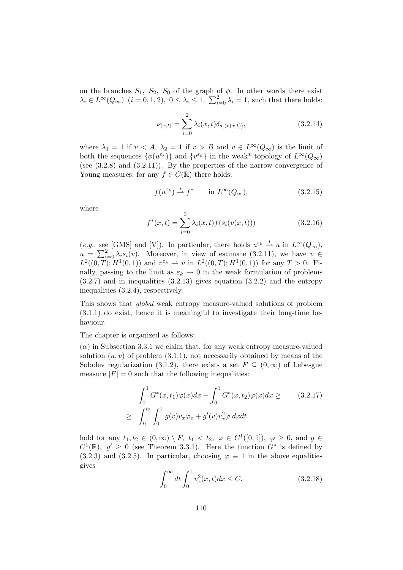on the branches  $S_1$ ,  $S_2$ ,  $S_0$  of the graph of  $\phi$ . In other words there exist  $\lambda_i \in L^{\infty}(Q_{\infty})$   $(i = 0, 1, 2), 0 \leq \lambda_i \leq 1, \sum_{i=0}^{2} \lambda_i = 1$ , such that there holds:

$$
\nu_{(x,t)} = \sum_{i=0}^{2} \lambda_i(x,t) \delta_{s_i(v(x,t))},
$$
\n(3.2.14)

where  $\lambda_1 = 1$  if  $v < A$ ,  $\lambda_2 = 1$  if  $v > B$  and  $v \in L^{\infty}(Q_{\infty})$  is the limit of both the sequences  $\{\phi(u^{\varepsilon_k})\}$  and  $\{v^{\varepsilon_k}\}$  in the weak\* topology of  $L^{\infty}(Q_{\infty})$ (see  $(3.2.8)$  and  $(3.2.11)$ ). By the properties of the narrow convergence of Young measures, for any  $f \in C(\mathbb{R})$  there holds:

$$
f(u^{\varepsilon_k}) \stackrel{*}{\rightharpoonup} f^* \qquad \text{in } L^{\infty}(Q_{\infty}), \tag{3.2.15}
$$

where

$$
f^*(x,t) = \sum_{i=0}^{2} \lambda_i(x,t) f(s_i(v(x,t)))
$$
\n(3.2.16)

(e.g., see [GMS] and [V]). In particular, there holds  $u^{\varepsilon_k} \stackrel{*}{\rightharpoonup} u$  in  $L^{\infty}(Q_{\infty})$ ,  $u = \sum_{i=0}^{2} \lambda_i s_i(v)$ . Moreover, in view of estimate (3.2.11), we have  $v \in$  $L^2((0,T); H^1(0,1))$  and  $v^{\varepsilon_k} \rightharpoonup v$  in  $L^2((0,T); H^1(0,1))$  for any  $T > 0$ . Finally, passing to the limit as  $\varepsilon_k \to 0$  in the weak formulation of problems  $(3.2.7)$  and in inequalities  $(3.2.13)$  gives equation  $(3.2.2)$  and the entropy inequalities (3.2.4), respectively.

This shows that global weak entropy measure-valued solutions of problem (3.1.1) do exist, hence it is meaningful to investigate their long-time behaviour.

The chapter is organized as follows:

 $(\alpha)$  in Subsection 3.3.1 we claim that, for any weak entropy measure-valued solution  $(u, v)$  of problem  $(3.1.1)$ , not necessarily obtained by means of the Sobolev regularization (3.1.2), there exists a set  $F \subseteq (0,\infty)$  of Lebesgue measure  $|F| = 0$  such that the following inequalities:

$$
\int_0^1 G^*(x, t_1)\varphi(x)dx - \int_0^1 G^*(x, t_2)\varphi(x)dx \geq \qquad (3.2.17)
$$
  

$$
\geq \int_{t_1}^{t_2} \int_0^1 [g(v)v_x \varphi_x + g'(v)v_x^2 \varphi] dxdt
$$

hold for any  $t_1, t_2 \in (0, \infty) \setminus F$ ,  $t_1 < t_2$ ,  $\varphi \in C^1([0, 1])$ ,  $\varphi \geq 0$ , and  $g \in$  $C^1(\mathbb{R}), g' \geq 0$  (see Theorem 3.3.1). Here the function  $G^*$  is defined by (3.2.3) and (3.2.5). In particular, choosing  $\varphi \equiv 1$  in the above equalities gives

$$
\int_0^\infty dt \int_0^1 v_x^2(x, t) dx \le C. \tag{3.2.18}
$$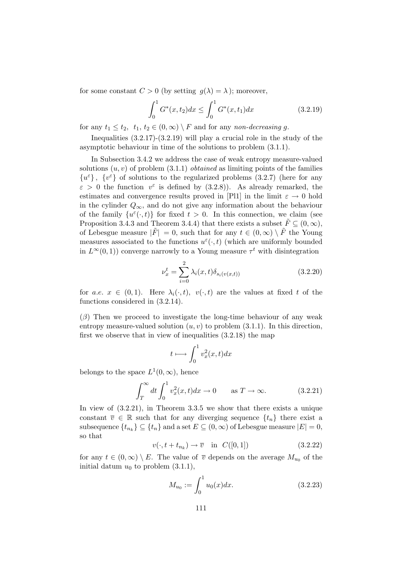for some constant  $C > 0$  (by setting  $q(\lambda) = \lambda$ ); moreover,

$$
\int_0^1 G^*(x, t_2) dx \le \int_0^1 G^*(x, t_1) dx \tag{3.2.19}
$$

for any  $t_1 \leq t_2$ ,  $t_1, t_2 \in (0, \infty) \setminus F$  and for any non-decreasing g.

Inequalities  $(3.2.17)-(3.2.19)$  will play a crucial role in the study of the asymptotic behaviour in time of the solutions to problem (3.1.1).

In Subsection 3.4.2 we address the case of weak entropy measure-valued solutions  $(u, v)$  of problem  $(3.1.1)$  *obtained* as limiting points of the families  $\{u^\varepsilon\}$  ,  $\{v^\varepsilon\}$  of solutions to the regularized problems (3.2.7) (here for any  $\varepsilon > 0$  the function  $v^{\varepsilon}$  is defined by (3.2.8)). As already remarked, the estimates and convergence results proved in [Pl1] in the limit  $\varepsilon \to 0$  hold in the cylinder  $Q_{\infty}$ , and do not give any information about the behaviour of the family  $\{u^{\varepsilon}(\cdot,t)\}\)$  for fixed  $t>0$ . In this connection, we claim (see Proposition 3.4.3 and Theorem 3.4.4) that there exists a subset  $\tilde{F} \subseteq (0, \infty)$ , of Lebesgue measure  $|\tilde{F}| = 0$ , such that for any  $t \in (0, \infty) \setminus \tilde{F}$  the Young measures associated to the functions  $u^{\varepsilon}(\cdot,t)$  (which are uniformly bounded in  $L^{\infty}(0, 1)$  converge narrowly to a Young measure  $\tau^t$  with disintegration

$$
\nu_x^t = \sum_{i=0}^2 \lambda_i(x, t) \delta_{s_i(v(x, t))}
$$
\n(3.2.20)

for a.e.  $x \in (0,1)$ . Here  $\lambda_i(\cdot,t)$ ,  $v(\cdot,t)$  are the values at fixed t of the functions considered in (3.2.14).

 $(\beta)$  Then we proceed to investigate the long-time behaviour of any weak entropy measure-valued solution  $(u, v)$  to problem  $(3.1.1)$ . In this direction, first we observe that in view of inequalities (3.2.18) the map

$$
t \longmapsto \int_0^1 v_x^2(x,t) dx
$$

belongs to the space  $L^1(0, \infty)$ , hence

$$
\int_{T}^{\infty} dt \int_{0}^{1} v_x^2(x, t) dx \to 0 \quad \text{as } T \to \infty.
$$
 (3.2.21)

In view of (3.2.21), in Theorem 3.3.5 we show that there exists a unique constant  $\overline{v} \in \mathbb{R}$  such that for any diverging sequence  $\{t_n\}$  there exist a subsequence  $\{t_{n_k}\}\subseteq \{t_n\}$  and a set  $E\subseteq (0,\infty)$  of Lebesgue measure  $|E|=0$ , so that

$$
v(\cdot, t + t_{n_k}) \to \overline{v} \quad \text{in} \quad C([0, 1]) \tag{3.2.22}
$$

for any  $t \in (0, \infty) \setminus E$ . The value of  $\overline{v}$  depends on the average  $M_{u_0}$  of the initial datum  $u_0$  to problem  $(3.1.1)$ ,

$$
M_{u_0} := \int_0^1 u_0(x) dx.
$$
 (3.2.23)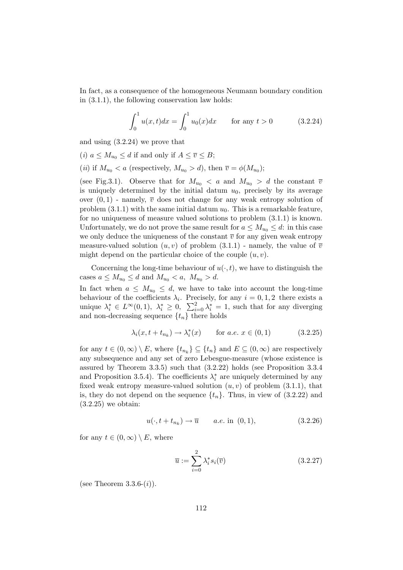In fact, as a consequence of the homogeneous Neumann boundary condition in (3.1.1), the following conservation law holds:

$$
\int_0^1 u(x,t)dx = \int_0^1 u_0(x)dx \quad \text{for any } t > 0 \quad (3.2.24)
$$

and using (3.2.24) we prove that

- (*i*)  $a \leq M_{u_0} \leq d$  if and only if  $A \leq \overline{v} \leq B$ ;
- (*ii*) if  $M_{u_0} < a$  (respectively,  $M_{u_0} > d$ ), then  $\overline{v} = \phi(M_{u_0})$ ;

(see Fig.3.1). Observe that for  $M_{u_0} < a$  and  $M_{u_0} > d$  the constant  $\overline{v}$ is uniquely determined by the initial datum  $u_0$ , precisely by its average over  $(0, 1)$  - namely,  $\overline{v}$  does not change for any weak entropy solution of problem  $(3.1.1)$  with the same initial datum  $u<sub>0</sub>$ . This is a remarkable feature, for no uniqueness of measure valued solutions to problem (3.1.1) is known. Unfortunately, we do not prove the same result for  $a \leq M_{u_0} \leq d$ : in this case we only deduce the uniqueness of the constant  $\bar{v}$  for any given weak entropy measure-valued solution  $(u, v)$  of problem  $(3.1.1)$  - namely, the value of  $\overline{v}$ might depend on the particular choice of the couple  $(u, v)$ .

Concerning the long-time behaviour of  $u(\cdot, t)$ , we have to distinguish the cases  $a \leq M_{u_0} \leq d$  and  $M_{u_0} < a$ ,  $M_{u_0} > d$ .

In fact when  $a \leq M_{u_0} \leq d$ , we have to take into account the long-time behaviour of the coefficients  $\lambda_i$ . Precisely, for any  $i = 0, 1, 2$  there exists a unique  $\lambda_i^* \in L^{\infty}(0,1)$ ,  $\lambda_i^* \geq 0$ ,  $\sum_{i=0}^2 \lambda_i^* = 1$ , such that for any diverging and non-decreasing sequence  $\{t_n\}$  there holds

$$
\lambda_i(x, t + t_{n_k}) \to \lambda_i^*(x) \qquad \text{for a.e. } x \in (0, 1)
$$
 (3.2.25)

for any  $t \in (0, \infty) \setminus E$ , where  $\{t_{n_k}\} \subseteq \{t_n\}$  and  $E \subseteq (0, \infty)$  are respectively any subsequence and any set of zero Lebesgue-measure (whose existence is assured by Theorem 3.3.5) such that (3.2.22) holds (see Proposition 3.3.4 and Proposition 3.5.4). The coefficients  $\lambda_i^*$  are uniquely determined by any fixed weak entropy measure-valued solution  $(u, v)$  of problem  $(3.1.1)$ , that is, they do not depend on the sequence  $\{t_n\}$ . Thus, in view of  $(3.2.22)$  and  $(3.2.25)$  we obtain:

$$
u(\cdot, t + t_{n_k}) \to \overline{u} \qquad a.e. \text{ in } (0, 1), \tag{3.2.26}
$$

for any  $t \in (0, \infty) \setminus E$ , where

$$
\overline{u} := \sum_{i=0}^{2} \lambda_i^* s_i(\overline{v})
$$
\n(3.2.27)

(see Theorem 3.3.6- $(i)$ ).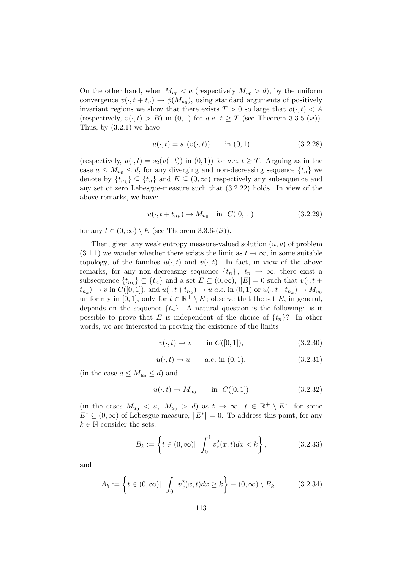On the other hand, when  $M_{u_0} < a$  (respectively  $M_{u_0} > d$ ), by the uniform convergence  $v(\cdot, t + t_n) \to \phi(M_{u_0})$ , using standard arguments of positively invariant regions we show that there exists  $T > 0$  so large that  $v(\cdot, t) < A$ (respectively,  $v(\cdot, t) > B$ ) in  $(0, 1)$  for a.e.  $t \geq T$  (see Theorem 3.3.5-(ii)). Thus, by  $(3.2.1)$  we have

$$
u(\cdot, t) = s_1(v(\cdot, t)) \qquad \text{in } (0, 1) \tag{3.2.28}
$$

(respectively,  $u(\cdot, t) = s_2(v(\cdot, t))$  in  $(0, 1)$ ) for a.e.  $t \geq T$ . Arguing as in the case  $a \leq M_{u_0} \leq d$ , for any diverging and non-decreasing sequence  $\{t_n\}$  we denote by  $\{t_{n_k}\}\subseteq \{t_n\}$  and  $E\subseteq (0,\infty)$  respectively any subsequence and any set of zero Lebesgue-measure such that (3.2.22) holds. In view of the above remarks, we have:

$$
u(\cdot, t + t_{n_k}) \to M_{u_0}
$$
 in  $C([0, 1])$  (3.2.29)

for any  $t \in (0, \infty) \setminus E$  (see Theorem 3.3.6- $(ii)$ ).

Then, given any weak entropy measure-valued solution  $(u, v)$  of problem  $(3.1.1)$  we wonder whether there exists the limit as  $t \to \infty$ , in some suitable topology, of the families  $u(\cdot, t)$  and  $v(\cdot, t)$ . In fact, in view of the above remarks, for any non-decreasing sequence  $\{t_n\}, t_n \to \infty$ , there exist a subsequence  $\{t_{n_k}\}\subseteq \{t_n\}$  and a set  $E\subseteq (0,\infty)$ ,  $|E|=0$  such that  $v(\cdot, t +$  $(t_{n_k}) \to \overline{v}$  in  $C([0,1]),$  and  $u(\cdot, t+t_{n_k}) \to \overline{u}$  a.e. in  $(0,1)$  or  $u(\cdot, t+t_{n_k}) \to M_{u_0}$ uniformly in [0, 1], only for  $t \in \mathbb{R}^+ \setminus E$ ; observe that the set E, in general, depends on the sequence  $\{t_n\}$ . A natural question is the following: is it possible to prove that E is independent of the choice of  $\{t_n\}$ ? In other words, we are interested in proving the existence of the limits

$$
v(\cdot, t) \to \overline{v} \qquad \text{in } C([0, 1]), \tag{3.2.30}
$$

$$
u(\cdot, t) \to \overline{u} \qquad a.e. \text{ in } (0, 1), \tag{3.2.31}
$$

(in the case  $a \leq M_{u_0} \leq d$ ) and

$$
u(\cdot, t) \to M_{u_0}
$$
 in  $C([0, 1])$  (3.2.32)

(in the cases  $M_{u_0} < a$ ,  $M_{u_0} > d$ ) as  $t \to \infty$ ,  $t \in \mathbb{R}^+ \setminus E^*$ , for some  $E^* \subseteq (0, \infty)$  of Lebesgue measure,  $|E^*| = 0$ . To address this point, for any  $k \in \mathbb{N}$  consider the sets:

$$
B_k := \left\{ t \in (0, \infty) | \int_0^1 v_x^2(x, t) dx < k \right\},\tag{3.2.33}
$$

and

$$
A_k := \left\{ t \in (0, \infty) | \int_0^1 v_x^2(x, t) dx \ge k \right\} \equiv (0, \infty) \setminus B_k. \tag{3.2.34}
$$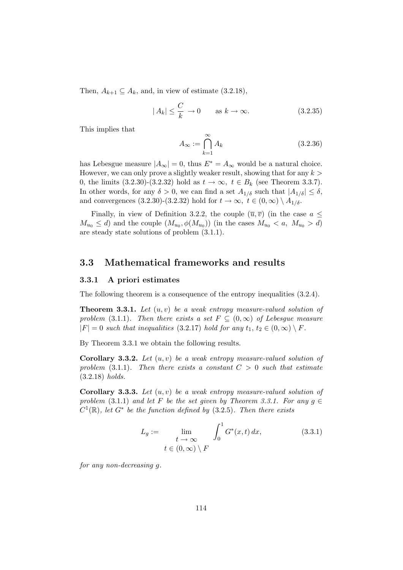Then,  $A_{k+1} \subseteq A_k$ , and, in view of estimate  $(3.2.18)$ ,

$$
|A_k| \le \frac{C}{k} \to 0 \quad \text{as } k \to \infty. \tag{3.2.35}
$$

This implies that

$$
A_{\infty} := \bigcap_{k=1}^{\infty} A_k \tag{3.2.36}
$$

has Lebesgue measure  $|A_{\infty}| = 0$ , thus  $E^* = A_{\infty}$  would be a natural choice. However, we can only prove a slightly weaker result, showing that for any  $k >$ 0, the limits (3.2.30)-(3.2.32) hold as  $t \to \infty$ ,  $t \in B_k$  (see Theorem 3.3.7). In other words, for any  $\delta > 0$ , we can find a set  $A_{1/\delta}$  such that  $|A_{1/\delta}| \leq \delta$ , and convergences (3.2.30)-(3.2.32) hold for  $t \to \infty$ ,  $t \in (0, \infty) \setminus A_{1/\delta}$ .

Finally, in view of Definition 3.2.2, the couple  $(\overline{u}, \overline{v})$  (in the case  $a \leq$  $M_{u_0} \le d$  and the couple  $(M_{u_0}, \phi(M_{u_0}))$  (in the cases  $M_{u_0} < a$ ,  $M_{u_0} > d$ ) are steady state solutions of problem (3.1.1).

## 3.3 Mathematical frameworks and results

#### 3.3.1 A priori estimates

The following theorem is a consequence of the entropy inequalities  $(3.2.4)$ .

**Theorem 3.3.1.** Let  $(u, v)$  be a weak entropy measure-valued solution of problem (3.1.1). Then there exists a set  $F \subseteq (0,\infty)$  of Lebesgue measure  $|F| = 0$  such that inequalities (3.2.17) hold for any  $t_1, t_2 \in (0, \infty) \setminus F$ .

By Theorem 3.3.1 we obtain the following results.

**Corollary 3.3.2.** Let  $(u, v)$  be a weak entropy measure-valued solution of problem (3.1.1). Then there exists a constant  $C > 0$  such that estimate (3.2.18) holds.

**Corollary 3.3.3.** Let  $(u, v)$  be a weak entropy measure-valued solution of problem (3.1.1) and let F be the set given by Theorem 3.3.1. For any  $g \in$  $C^1(\mathbb{R})$ , let  $G^*$  be the function defined by (3.2.5). Then there exists

$$
L_g := \lim_{\begin{array}{l} t \to \infty \\ t \in (0, \infty) \setminus F \end{array}} \int_0^1 G^*(x, t) dx,
$$
 (3.3.1)

for any non-decreasing g.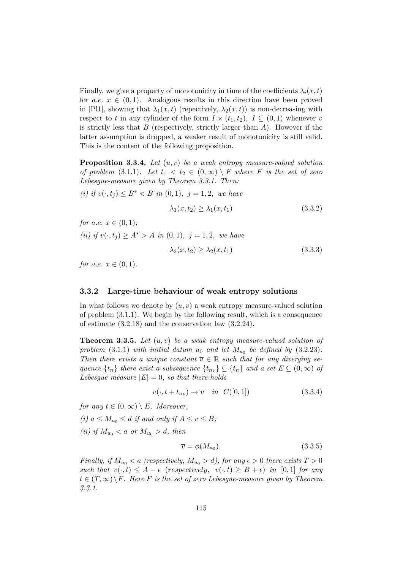Finally, we give a property of monotonicity in time of the coefficients  $\lambda_i(x,t)$ for a.e.  $x \in (0,1)$ . Analogous results in this direction have been proved in [Pl1], showing that  $\lambda_1(x,t)$  (repectively,  $\lambda_2(x,t)$ ) is non-decreasing with respect to t in any cylinder of the form  $I \times (t_1, t_2)$ ,  $I \subseteq (0, 1)$  whenever v is strictly less that  $B$  (respectively, strictly larger than  $A$ ). However if the latter assumption is dropped, a weaker result of monotonicity is still valid. This is the content of the following proposition.

**Proposition 3.3.4.** Let  $(u, v)$  be a weak entropy measure-valued solution of problem (3.1.1). Let  $t_1 < t_2 \in (0,\infty) \setminus F$  where F is the set of zero Lebesgue-measure given by Theorem 3.3.1. Then:

(i) if  $v(\cdot, t_i) \leq B^* < B$  in  $(0, 1), j = 1, 2$ , we have

$$
\lambda_1(x, t_2) \ge \lambda_1(x, t_1) \tag{3.3.2}
$$

*for a.e.*  $x \in (0,1)$ ; (ii) if  $v(\cdot, t_i) \ge A^* > A$  in  $(0, 1), j = 1, 2$ , we have

$$
\lambda_2(x, t_2) \ge \lambda_2(x, t_1) \tag{3.3.3}
$$

for a.e.  $x \in (0, 1)$ .

#### 3.3.2 Large-time behaviour of weak entropy solutions

In what follows we denote by  $(u, v)$  a weak entropy measure-valued solution of problem (3.1.1). We begin by the following result, which is a consequence of estimate (3.2.18) and the conservation law (3.2.24).

**Theorem 3.3.5.** Let  $(u, v)$  be a weak entropy measure-valued solution of problem (3.1.1) with initial datum  $u_0$  and let  $M_{u_0}$  be defined by (3.2.23). Then there exists a unique constant  $\overline{v} \in \mathbb{R}$  such that for any diverging sequence  $\{t_n\}$  there exist a subsequence  $\{t_{n_k}\}\subseteq \{t_n\}$  and a set  $E\subseteq (0,\infty)$  of Lebesque measure  $|E|=0$ , so that there holds

$$
v(\cdot, t + t_{n_k}) \to \overline{v} \quad in \ \ C([0, 1]) \tag{3.3.4}
$$

for any  $t \in (0, \infty) \setminus E$ . Moreover,

(i)  $a \leq M_{u_0} \leq d$  if and only if  $A \leq \overline{v} \leq B$ ;

(ii) if  $M_{u_0} < a$  or  $M_{u_0} > d$ , then

$$
\overline{v} = \phi(M_{u_0}).\tag{3.3.5}
$$

Finally, if  $M_{u_0} < a$  (respectively,  $M_{u_0} > d$ ), for any  $\epsilon > 0$  there exists  $T > 0$ such that  $v(\cdot, t) \leq A - \epsilon$  (respectively,  $v(\cdot, t) \geq B + \epsilon$ ) in [0,1] for any  $t \in (T, \infty) \backslash F$ . Here F is the set of zero Lebesque-measure given by Theorem 3.3.1.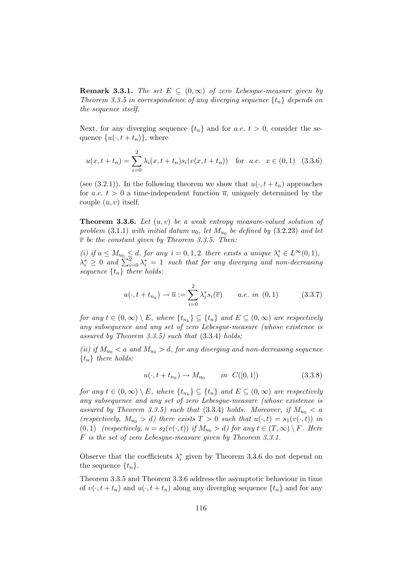**Remark 3.3.1.** The set  $E \subseteq (0,\infty)$  of zero Lebesgue-measure given by Theorem 3.3.5 in correspondence of any diverging sequence  $\{t_n\}$  depends on the sequence itself.

Next, for any diverging sequence  $\{t_n\}$  and for a.e.  $t > 0$ , consider the sequence  $\{u(\cdot, t + t_n)\}\,$ , where

$$
u(x, t + t_n) = \sum_{i=0}^{2} \lambda_i(x, t + t_n) s_i(v(x, t + t_n)) \quad \text{for a.e. } x \in (0, 1) \tag{3.3.6}
$$

(see (3.2.1)). In the following theorem we show that  $u(\cdot, t + t_n)$  approaches for a.e.  $t > 0$  a time-independent function  $\overline{u}$ , uniquely determined by the couple  $(u, v)$  itself.

**Theorem 3.3.6.** Let  $(u, v)$  be a weak entropy measure-valued solution of problem  $(3.1.1)$  with initial datum  $u_0$ , let  $M_{u_0}$  be defined by  $(3.2.23)$  and let  $\overline{v}$  be the constant given by Theorem 3.3.5. Then:

(i) if  $a \leq M_{u_0} \leq d$ , for any  $i = 0, 1, 2$  there exists a unique  $\lambda_i^* \in L^{\infty}(0, 1)$ ,  $\lambda_i^* \geq 0$  and  $\sum_{i=0}^2 \lambda_i^* = 1$  such that for any diverging and non-decreasing sequence  $\{t_n\}$  there holds:

$$
u(\cdot, t + t_{n_k}) \to \overline{u} := \sum_{i=0}^{2} \lambda_i^* s_i(\overline{v}) \qquad a.e. \ in \ (0, 1) \tag{3.3.7}
$$

for any  $t \in (0, \infty) \setminus E$ , where  $\{t_{n_k}\} \subseteq \{t_n\}$  and  $E \subseteq (0, \infty)$  are respectively any subsequence and any set of zero Lebesgue-measure (whose existence is assured by Theorem 3.3.5) such that  $(3.3.4)$  holds;

(ii) if  $M_{u_0} < a$  and  $M_{u_0} > d$ , for any diverging and non-decreasing sequence  $\{t_n\}$  there holds:

$$
u(\cdot, t + t_{n_k}) \to M_{u_0} \qquad in \ C([0, 1]) \tag{3.3.8}
$$

for any  $t \in (0, \infty) \setminus E$ , where  $\{t_{n_k}\} \subseteq \{t_n\}$  and  $E \subseteq (0, \infty)$  are respectively any subsequence and any set of zero Lebesgue-measure (whose existence is assured by Theorem 3.3.5) such that (3.3.4) holds. Moreover, if  $M_{u_0} < a$ (respectively,  $M_{u_0} > d$ ) there exists  $T > 0$  such that  $u(\cdot, t) = s_1(v(\cdot, t))$  in (0, 1) (respectively,  $u = s_2(v(\cdot, t))$  if  $M_{u_0} > d$ ) for any  $t \in (T, \infty) \setminus F$ . Here F is the set of zero Lebesgue-measure given by Theorem 3.3.1.

Observe that the coefficients  $\lambda_i^*$  given by Theorem 3.3.6 do not depend on the sequence  $\{t_n\}.$ 

Theorem 3.3.5 and Theorem 3.3.6 address the asymptotic behaviour in time of  $v(\cdot, t + t_n)$  and  $u(\cdot, t + t_n)$  along any diverging sequence  $\{t_n\}$  and for any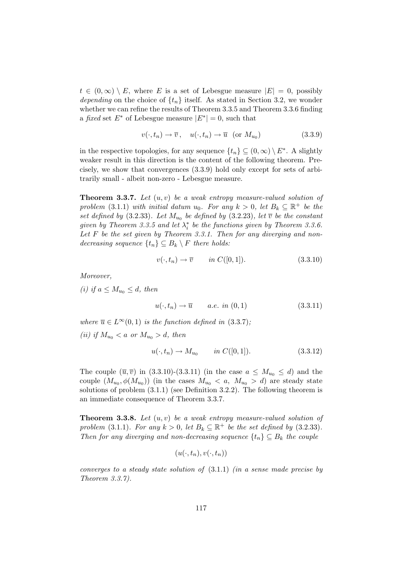$t \in (0,\infty) \setminus E$ , where E is a set of Lebesgue measure  $|E| = 0$ , possibly depending on the choice of  $\{t_n\}$  itself. As stated in Section 3.2, we wonder whether we can refine the results of Theorem 3.3.5 and Theorem 3.3.6 finding a fixed set  $E^*$  of Lebesgue measure  $|E^*| = 0$ , such that

$$
v(\cdot, t_n) \to \overline{v}, \quad u(\cdot, t_n) \to \overline{u} \quad (\text{or } M_{u_0}) \tag{3.3.9}
$$

in the respective topologies, for any sequence  $\{t_n\} \subseteq (0,\infty) \setminus E^*$ . A slightly weaker result in this direction is the content of the following theorem. Precisely, we show that convergences (3.3.9) hold only except for sets of arbitrarily small - albeit non-zero - Lebesgue measure.

**Theorem 3.3.7.** Let  $(u, v)$  be a weak entropy measure-valued solution of problem (3.1.1) with initial datum  $u_0$ . For any  $k > 0$ , let  $B_k \subseteq \mathbb{R}^+$  be the set defined by (3.2.33). Let  $M_{u_0}$  be defined by (3.2.23), let  $\overline{v}$  be the constant given by Theorem 3.3.5 and let  $\lambda_i^*$  be the functions given by Theorem 3.3.6. Let  $F$  be the set given by Theorem 3.3.1. Then for any diverging and nondecreasing sequence  $\{t_n\} \subseteq B_k \setminus F$  there holds:

$$
v(\cdot, t_n) \to \overline{v} \qquad in \ C([0, 1]). \tag{3.3.10}
$$

Moreover,

(i) if  $a \leq M_{u_0} \leq d$ , then

$$
u(\cdot, t_n) \to \overline{u} \qquad a.e. \in (0, 1) \tag{3.3.11}
$$

where  $\overline{u} \in L^{\infty}(0,1)$  is the function defined in (3.3.7); (ii) if  $M_{u_0} < a$  or  $M_{u_0} > d$ , then

$$
u(\cdot, t_n) \to M_{u_0} \qquad in \ C([0, 1]). \tag{3.3.12}
$$

The couple  $(\overline{u}, \overline{v})$  in  $(3.3.10)-(3.3.11)$  (in the case  $a \leq M_{u_0} \leq d$ ) and the couple  $(M_{u_0}, \phi(M_{u_0}))$  (in the cases  $M_{u_0} < a$ ,  $M_{u_0} > d$ ) are steady state solutions of problem (3.1.1) (see Definition 3.2.2). The following theorem is an immediate consequence of Theorem 3.3.7.

**Theorem 3.3.8.** Let  $(u, v)$  be a weak entropy measure-valued solution of problem (3.1.1). For any  $k > 0$ , let  $B_k \subseteq \mathbb{R}^+$  be the set defined by (3.2.33). Then for any diverging and non-decreasing sequence  $\{t_n\} \subseteq B_k$  the couple

$$
(u(\cdot,t_n),v(\cdot,t_n))
$$

converges to a steady state solution of  $(3.1.1)$  *(in a sense made precise by* Theorem 3.3.7).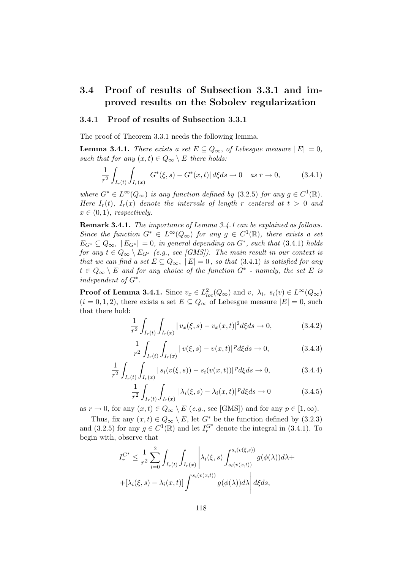# 3.4 Proof of results of Subsection 3.3.1 and improved results on the Sobolev regularization

#### 3.4.1 Proof of results of Subsection 3.3.1

The proof of Theorem 3.3.1 needs the following lemma.

**Lemma 3.4.1.** There exists a set  $E \subseteq Q_{\infty}$ , of Lebesgue measure  $|E| = 0$ , such that for any  $(x, t) \in Q_{\infty} \setminus E$  there holds:

$$
\frac{1}{r^2} \int_{I_r(t)} \int_{I_r(x)} |G^*(\xi, s) - G^*(x, t)| d\xi ds \to 0 \quad \text{as } r \to 0,
$$
 (3.4.1)

where  $G^* \in L^{\infty}(Q_{\infty})$  is any function defined by (3.2.5) for any  $g \in C^1(\mathbb{R})$ . Here  $I_r(t)$ ,  $I_r(x)$  denote the intervals of length r centered at  $t > 0$  and  $x \in (0,1)$ , respectively.

Remark 3.4.1. The importance of Lemma 3.4.1 can be explained as follows. Since the function  $G^* \in L^{\infty}(Q_{\infty})$  for any  $g \in C^1(\mathbb{R})$ , there exists a set  $E_{G^*} \subseteq Q_{\infty}$ ,  $|E_{G^*}| = 0$ , in general depending on  $G^*$ , such that (3.4.1) holds for any  $t \in Q_{\infty} \setminus E_{G^*}$  (e.g., see [GMS]). The main result in our context is that we can find a set  $E \subseteq Q_{\infty}$ ,  $|E| = 0$ , so that (3.4.1) is satisfied for any  $t \in Q_{\infty} \setminus E$  and for any choice of the function  $G^*$  - namely, the set E is independent of G<sup>∗</sup> .

**Proof of Lemma 3.4.1.** Since  $v_x \in L^2_{loc}(Q_\infty)$  and  $v, \lambda_i, s_i(v) \in L^\infty(Q_\infty)$  $(i = 0, 1, 2)$ , there exists a set  $E \subseteq Q_{\infty}$  of Lebesgue measure  $|E| = 0$ , such that there hold:

$$
\frac{1}{r^2} \int_{I_r(t)} \int_{I_r(x)} |v_x(\xi, s) - v_x(x, t)|^2 d\xi ds \to 0,
$$
\n(3.4.2)

$$
\frac{1}{r^2} \int_{I_r(t)} \int_{I_r(x)} |v(\xi, s) - v(x, t)|^p d\xi ds \to 0,
$$
\n(3.4.3)

$$
\frac{1}{r^2} \int_{I_r(t)} \int_{I_r(x)} |s_i(v(\xi, s)) - s_i(v(x, t))|^p d\xi ds \to 0,
$$
\n(3.4.4)

$$
\frac{1}{r^2} \int_{I_r(t)} \int_{I_r(x)} |\lambda_i(\xi, s) - \lambda_i(x, t)|^p d\xi ds \to 0
$$
\n(3.4.5)

as  $r \to 0$ , for any  $(x, t) \in Q_{\infty} \setminus E$  (e.g., see [GMS]) and for any  $p \in [1, \infty)$ .

Thus, fix any  $(x, t) \in Q_{\infty} \setminus E$ , let  $G^*$  be the function defined by  $(3.2.3)$ and (3.2.5) for any  $g \in C^1(\mathbb{R})$  and let  $I_r^{G^*}$  denote the integral in (3.4.1). To begin with, observe that

$$
I_r^{G^*} \leq \frac{1}{r^2} \sum_{i=0}^2 \int_{I_r(t)} \int_{I_r(x)} \left| \lambda_i(\xi, s) \int_{s_i(v(x,t))}^{s_i(v(\xi, s))} g(\phi(\lambda)) d\lambda + \right.
$$

$$
+ \left[ \lambda_i(\xi, s) - \lambda_i(x, t) \right] \int_{s_i(v(x,t))}^{s_i(v(x,t))} g(\phi(\lambda)) d\lambda \left| d\xi ds, \right.
$$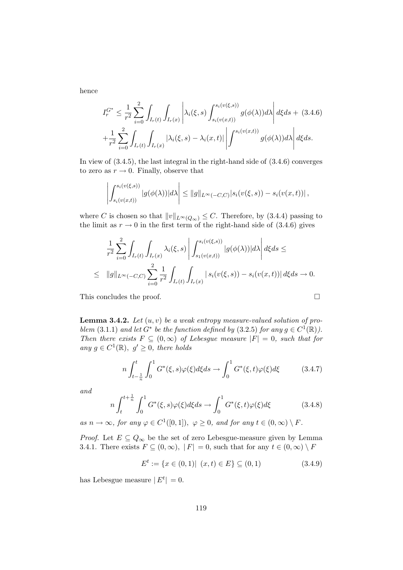hence

$$
I_r^{G^*} \leq \frac{1}{r^2} \sum_{i=0}^2 \int_{I_r(t)} \int_{I_r(x)} \left| \lambda_i(\xi, s) \int_{s_i(v(x,t))}^{s_i(v(\xi, s))} g(\phi(\lambda)) d\lambda \right| d\xi ds + (3.4.6)
$$
  
+ 
$$
\frac{1}{r^2} \sum_{i=0}^2 \int_{I_r(t)} \int_{I_r(x)} |\lambda_i(\xi, s) - \lambda_i(x, t)| \left| \int^{s_i(v(x,t))} g(\phi(\lambda)) d\lambda \right| d\xi ds.
$$

In view of (3.4.5), the last integral in the right-hand side of (3.4.6) converges to zero as  $r \to 0$ . Finally, observe that

$$
\left| \int_{s_i(v(x,t))}^{s_i(v(\xi,s))} |g(\phi(\lambda))| d\lambda \right| \leq ||g||_{L^{\infty}(-C,C)} |s_i(v(\xi,s)) - s_i(v(x,t))|,
$$

where C is chosen so that  $||v||_{L^{\infty}(Q_{\infty})} \leq C$ . Therefore, by (3.4.4) passing to the limit as  $r \to 0$  in the first term of the right-hand side of (3.4.6) gives

$$
\frac{1}{r^2} \sum_{i=0}^2 \int_{I_r(t)} \int_{I_r(x)} \lambda_i(\xi, s) \left| \int_{s_1(v(x,t))}^{s_i(v(\xi, s))} |g(\phi(\lambda))| d\lambda \right| d\xi ds \le
$$
  

$$
\leq ||g||_{L^{\infty}(-C,C)} \sum_{i=0}^2 \frac{1}{r^2} \int_{I_r(t)} \int_{I_r(x)} |s_i(v(\xi, s)) - s_i(v(x,t))| d\xi ds \to 0.
$$

This concludes the proof.  $\hfill \square$ 

**Lemma 3.4.2.** Let  $(u, v)$  be a weak entropy measure-valued solution of problem (3.1.1) and let  $G^*$  be the function defined by (3.2.5) for any  $g \in C^1(\mathbb{R})$ . Then there exists  $F \subseteq (0,\infty)$  of Lebesgue measure  $|F| = 0$ , such that for any  $g \in C^1(\mathbb{R}), g' \geq 0$ , there holds

$$
n\int_{t-\frac{1}{n}}^{t} \int_{0}^{1} G^{*}(\xi, s)\varphi(\xi)d\xi ds \to \int_{0}^{1} G^{*}(\xi, t)\varphi(\xi)d\xi
$$
 (3.4.7)

and

$$
n\int_{t}^{t+\frac{1}{n}}\int_{0}^{1}G^{*}(\xi,s)\varphi(\xi)d\xi ds \to \int_{0}^{1}G^{*}(\xi,t)\varphi(\xi)d\xi
$$
 (3.4.8)

as  $n \to \infty$ , for any  $\varphi \in C^1([0,1])$ ,  $\varphi \geq 0$ , and for any  $t \in (0,\infty) \setminus F$ .

*Proof.* Let  $E \subseteq Q_{\infty}$  be the set of zero Lebesgue-measure given by Lemma 3.4.1. There exists  $F \subseteq (0, \infty)$ ,  $|F| = 0$ , such that for any  $t \in (0, \infty) \setminus F$ 

$$
E^{t} := \{ x \in (0,1) | (x,t) \in E \} \subseteq (0,1)
$$
\n(3.4.9)

has Lebesgue measure  $|E^t| = 0$ .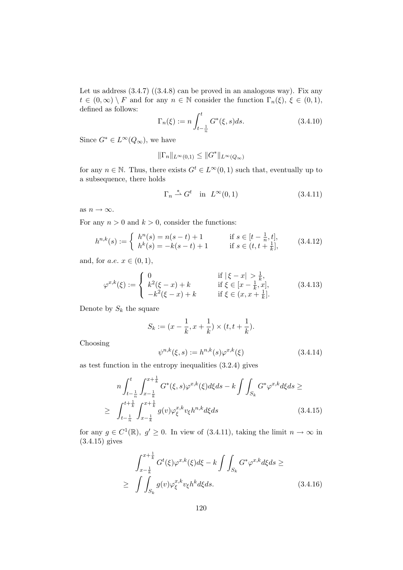Let us address  $(3.4.7)$   $((3.4.8)$  can be proved in an analogous way). Fix any  $t \in (0,\infty) \setminus F$  and for any  $n \in \mathbb{N}$  consider the function  $\Gamma_n(\xi)$ ,  $\xi \in (0,1)$ , defined as follows:

$$
\Gamma_n(\xi) := n \int_{t - \frac{1}{n}}^t G^*(\xi, s) ds.
$$
\n(3.4.10)

Since  $G^* \in L^{\infty}(Q_{\infty})$ , we have

$$
\|\Gamma_n\|_{L^\infty(0,1)} \le \|G^*\|_{L^\infty(Q_\infty)}
$$

for any  $n \in \mathbb{N}$ . Thus, there exists  $G^t \in L^{\infty}(0, 1)$  such that, eventually up to a subsequence, there holds

$$
\Gamma_n \stackrel{*}{\rightharpoonup} G^t \quad \text{in} \quad L^\infty(0,1) \tag{3.4.11}
$$

as  $n \to \infty$ .

For any  $n > 0$  and  $k > 0$ , consider the functions:

$$
h^{n,k}(s) := \begin{cases} h^n(s) = n(s-t) + 1 & \text{if } s \in [t - \frac{1}{n}, t], \\ h^k(s) = -k(s-t) + 1 & \text{if } s \in (t, t + \frac{1}{k}], \end{cases} \tag{3.4.12}
$$

and, for  $a.e. x \in (0,1)$ ,

$$
\varphi^{x,k}(\xi) := \begin{cases} 0 & \text{if } |\xi - x| > \frac{1}{k}, \\ k^2(\xi - x) + k & \text{if } \xi \in [x - \frac{1}{k}, x], \\ -k^2(\xi - x) + k & \text{if } \xi \in (x, x + \frac{1}{k}]. \end{cases}
$$
(3.4.13)

Denote by  $S_k$  the square

$$
S_k := (x - \frac{1}{k}, x + \frac{1}{k}) \times (t, t + \frac{1}{k}).
$$

Choosing

$$
\psi^{n,k}(\xi, s) := h^{n,k}(s)\varphi^{x,k}(\xi)
$$
\n(3.4.14)

as test function in the entropy inequalities (3.2.4) gives

$$
n \int_{t-\frac{1}{n}}^{t} \int_{x-\frac{1}{k}}^{x+\frac{1}{k}} G^{*}(\xi, s) \varphi^{x,k}(\xi) d\xi ds - k \int \int_{S_{k}} G^{*} \varphi^{x,k} d\xi ds \ge
$$
  
 
$$
\geq \int_{t-\frac{1}{n}}^{t+\frac{1}{k}} \int_{x-\frac{1}{k}}^{x+\frac{1}{k}} g(v) \varphi_{\xi}^{x,k} v_{\xi} h^{n,k} d\xi ds
$$
(3.4.15)

for any  $g \in C^1(\mathbb{R})$ ,  $g' \geq 0$ . In view of (3.4.11), taking the limit  $n \to \infty$  in (3.4.15) gives

$$
\int_{x-\frac{1}{k}}^{x+\frac{1}{k}} G^t(\xi) \varphi^{x,k}(\xi) d\xi - k \int \int_{S_k} G^* \varphi^{x,k} d\xi ds \ge
$$
\n
$$
\geq \int \int_{S_k} g(v) \varphi_{\xi}^{x,k} v_{\xi} h^k d\xi ds. \tag{3.4.16}
$$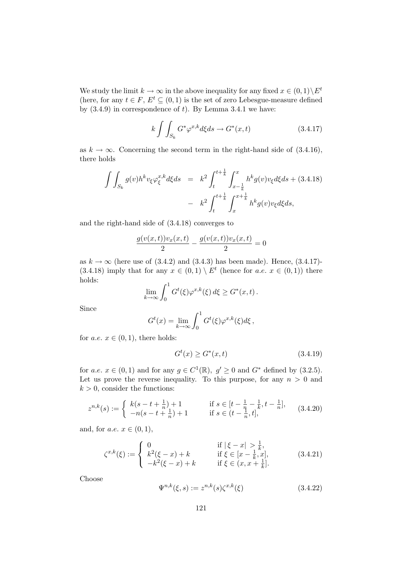We study the limit  $k \to \infty$  in the above inequality for any fixed  $x \in (0,1) \setminus E^t$ (here, for any  $t \in F$ ,  $E^t \subseteq (0,1)$  is the set of zero Lebesgue-measure defined by  $(3.4.9)$  in correspondence of t). By Lemma 3.4.1 we have:

$$
k \int \int_{S_k} G^* \varphi^{x,k} d\xi ds \to G^*(x,t) \tag{3.4.17}
$$

as  $k \to \infty$ . Concerning the second term in the right-hand side of (3.4.16), there holds

$$
\int \int_{S_k} g(v) h^k v_{\xi} \varphi_{\xi}^{x,k} d\xi ds = k^2 \int_{t}^{t + \frac{1}{k}} \int_{x - \frac{1}{k}}^{x} h^k g(v) v_{\xi} d\xi ds + (3.4.18) \n- k^2 \int_{t}^{t + \frac{1}{k}} \int_{x}^{x + \frac{1}{k}} h^k g(v) v_{\xi} d\xi ds,
$$

and the right-hand side of (3.4.18) converges to

$$
\frac{g(v(x,t))v_x(x,t)}{2} - \frac{g(v(x,t))v_x(x,t)}{2} = 0
$$

as  $k \to \infty$  (here use of (3.4.2) and (3.4.3) has been made). Hence, (3.4.17)-(3.4.18) imply that for any  $x \in (0,1) \setminus E^t$  (hence for  $a.e. x \in (0,1)$ ) there holds:

$$
\lim_{k \to \infty} \int_0^1 G^t(\xi) \varphi^{x,k}(\xi) d\xi \geq G^*(x,t).
$$

Since

$$
G^{t}(x) = \lim_{k \to \infty} \int_0^1 G^{t}(\xi) \varphi^{x,k}(\xi) d\xi,
$$

for *a.e.*  $x \in (0, 1)$ , there holds:

$$
G^{t}(x) \ge G^{*}(x,t)
$$
\n(3.4.19)

for a.e.  $x \in (0,1)$  and for any  $g \in C^1(\mathbb{R})$ ,  $g' \ge 0$  and  $G^*$  defined by (3.2.5). Let us prove the reverse inequality. To this purpose, for any  $n > 0$  and  $k > 0$ , consider the functions:

$$
z^{n,k}(s) := \begin{cases} k(s-t+\frac{1}{n})+1 & \text{if } s \in [t-\frac{1}{n}-\frac{1}{k}, t-\frac{1}{n}],\\ -n(s-t+\frac{1}{n})+1 & \text{if } s \in (t-\frac{1}{n}, t], \end{cases}
$$
(3.4.20)

and, for  $a.e. x \in (0,1)$ ,

$$
\zeta^{x,k}(\xi) := \begin{cases}\n0 & \text{if } |\xi - x| > \frac{1}{k}, \\
k^2(\xi - x) + k & \text{if } \xi \in [x - \frac{1}{k}, x], \\
-k^2(\xi - x) + k & \text{if } \xi \in (x, x + \frac{1}{k}].\n\end{cases}
$$
\n(3.4.21)

Choose

$$
\Psi^{n,k}(\xi, s) := z^{n,k}(s)\zeta^{x,k}(\xi)
$$
\n(3.4.22)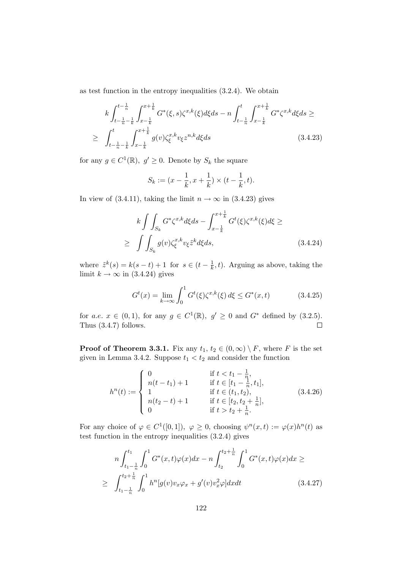as test function in the entropy inequalities (3.2.4). We obtain

$$
k \int_{t-\frac{1}{n}-\frac{1}{k}}^{t-\frac{1}{n}} \int_{x-\frac{1}{k}}^{x+\frac{1}{k}} G^*(\xi, s) \zeta^{x,k}(\xi) d\xi ds - n \int_{t-\frac{1}{n}}^t \int_{x-\frac{1}{k}}^{x+\frac{1}{k}} G^* \zeta^{x,k} d\xi ds \ge
$$
  
 
$$
\geq \int_{t-\frac{1}{n}-\frac{1}{k}}^t \int_{x-\frac{1}{k}}^{x+\frac{1}{k}} g(v) \zeta_{\xi}^{x,k} v_{\xi} z^{n,k} d\xi ds
$$
(3.4.23)

for any  $g \in C^1(\mathbb{R})$ ,  $g' \geq 0$ . Denote by  $S_k$  the square

$$
S_k := (x - \frac{1}{k}, x + \frac{1}{k}) \times (t - \frac{1}{k}, t).
$$

In view of (3.4.11), taking the limit  $n \to \infty$  in (3.4.23) gives

$$
k \int\int_{S_k} G^*\zeta^{x,k} d\xi ds - \int_{x-\frac{1}{k}}^{x+\frac{1}{k}} G^t(\xi) \zeta^{x,k}(\xi) d\xi \ge
$$
  
 
$$
\geq \int\int_{S_k} g(v) \zeta_{\xi}^{x,k} v_{\xi} \tilde{z}^k d\xi ds, \qquad (3.4.24)
$$

where  $\tilde{z}^k(s) = k(s-t) + 1$  for  $s \in (t - \frac{1}{k})$  $(\frac{1}{k}, t)$ . Arguing as above, taking the limit  $k \to \infty$  in (3.4.24) gives

$$
G^{t}(x) = \lim_{k \to \infty} \int_{0}^{1} G^{t}(\xi) \zeta^{x,k}(\xi) d\xi \le G^{*}(x,t)
$$
 (3.4.25)

for a.e.  $x \in (0,1)$ , for any  $g \in C^1(\mathbb{R})$ ,  $g' \ge 0$  and  $G^*$  defined by (3.2.5). Thus (3.4.7) follows.

**Proof of Theorem 3.3.1.** Fix any  $t_1, t_2 \in (0, \infty) \setminus F$ , where F is the set given in Lemma 3.4.2. Suppose  $t_1 < t_2$  and consider the function

$$
h^{n}(t) := \begin{cases} 0 & \text{if } t < t_{1} - \frac{1}{n}, \\ n(t - t_{1}) + 1 & \text{if } t \in [t_{1} - \frac{1}{n}, t_{1}], \\ 1 & \text{if } t \in (t_{1}, t_{2}), \\ n(t_{2} - t) + 1 & \text{if } t \in [t_{2}, t_{2} + \frac{1}{n}], \\ 0 & \text{if } t > t_{2} + \frac{1}{n}. \end{cases}
$$
(3.4.26)

For any choice of  $\varphi \in C^1([0,1])$ ,  $\varphi \geq 0$ , choosing  $\psi^n(x,t) := \varphi(x)h^n(t)$  as test function in the entropy inequalities (3.2.4) gives

$$
n\int_{t_1-\frac{1}{n}}^{t_1} \int_0^1 G^*(x,t)\varphi(x)dx - n\int_{t_2}^{t_2+\frac{1}{n}} \int_0^1 G^*(x,t)\varphi(x)dx \ge
$$
  
 
$$
\geq \int_{t_1-\frac{1}{n}}^{t_2+\frac{1}{n}} \int_0^1 h^n[g(v)v_x\varphi_x + g'(v)v_x^2\varphi]dxdt \qquad (3.4.27)
$$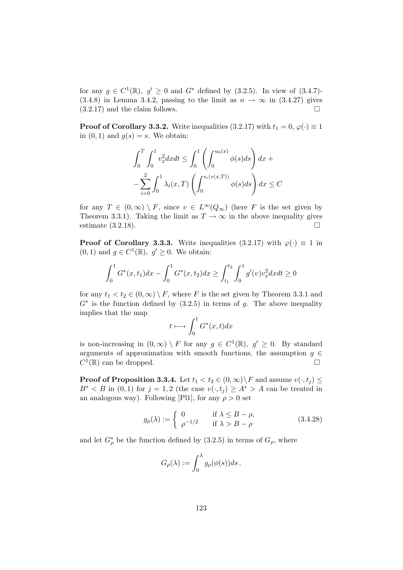for any  $g \in C^1(\mathbb{R})$ ,  $g' \ge 0$  and  $G^*$  defined by (3.2.5). In view of (3.4.7)-(3.4.8) in Lemma 3.4.2, passing to the limit as  $n \to \infty$  in (3.4.27) gives (3.2.17) and the claim follows. (3.2.17) and the claim follows.

**Proof of Corollary 3.3.2.** Write inequalities (3.2.17) with  $t_1 = 0, \varphi(\cdot) \equiv 1$ in  $(0, 1)$  and  $g(s) = s$ . We obtain:

$$
\int_0^T \int_0^1 v_x^2 dx dt \le \int_0^1 \left( \int_0^{u_0(x)} \phi(s) ds \right) dx +
$$
  

$$
- \sum_{i=0}^2 \int_0^1 \lambda_i(x, T) \left( \int_0^{s_i(v(x, T))} \phi(s) ds \right) dx \le C
$$

for any  $T \in (0,\infty) \setminus F$ , since  $v \in L^{\infty}(Q_{\infty})$  (here F is the set given by Theorem 3.3.1). Taking the limit as  $T \to \infty$  in the above inequality gives estimate (3.2.18). estimate (3.2.18).

**Proof of Corollary 3.3.3.** Write inequalities (3.2.17) with  $\varphi(\cdot) \equiv 1$  in  $(0, 1)$  and  $g \in C^1(\mathbb{R}), g' \geq 0$ . We obtain:

$$
\int_0^1 G^*(x, t_1) dx - \int_0^1 G^*(x, t_2) dx \ge \int_{t_1}^{t_2} \int_0^1 g'(v) v_x^2 dx dt \ge 0
$$

for any  $t_1 < t_2 \in (0,\infty) \setminus F$ , where F is the set given by Theorem 3.3.1 and  $G^*$  is the function defined by  $(3.2.5)$  in terms of g. The above inequality implies that the map

$$
t \longmapsto \int_0^1 G^*(x, t) dx
$$

is non-increasing in  $(0, \infty) \setminus F$  for any  $g \in C^1(\mathbb{R})$ ,  $g' \geq 0$ . By standard arguments of approximation with smooth functions, the assumption  $g \in C^1(\mathbb{R})$  can be dropped.  $C^1(\mathbb{R})$  can be dropped.

**Proof of Proposition 3.3.4.** Let  $t_1 < t_2 \in (0, \infty) \setminus F$  and assume  $v(\cdot, t_j) \leq$  $B^* < B$  in  $(0,1)$  for  $j = 1,2$  (the case  $v(\cdot, t_i) \geq A^* > A$  can be treated in an analogous way). Following [Pl1], for any  $\rho > 0$  set

$$
g_{\rho}(\lambda) := \begin{cases} 0 & \text{if } \lambda \le B - \rho, \\ \rho^{-1/2} & \text{if } \lambda > B - \rho \end{cases}
$$
 (3.4.28)

and let  $G_{\rho}^*$  be the function defined by (3.2.5) in terms of  $G_{\rho}$ , where

$$
G_{\rho}(\lambda) := \int_0^{\lambda} g_{\rho}(\phi(s))ds.
$$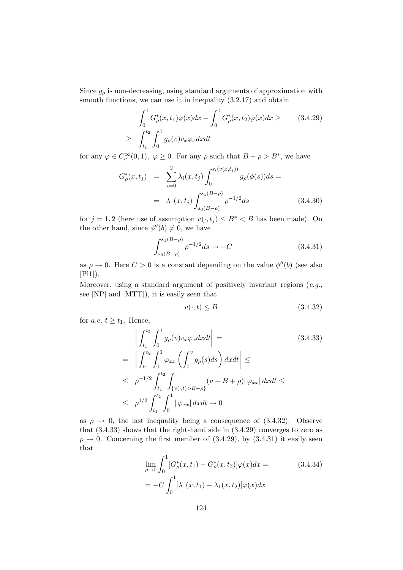Since  $g_{\rho}$  is non-decreasing, using standard arguments of approximation with smooth functions, we can use it in inequality  $(3.2.17)$  and obtain

$$
\int_0^1 G_{\rho}^*(x, t_1) \varphi(x) dx - \int_0^1 G_{\rho}^*(x, t_2) \varphi(x) dx \geq
$$
\n
$$
\geq \int_{t_1}^{t_2} \int_0^1 g_{\rho}(v) v_x \varphi_x dx dt
$$
\n(3.4.29)

for any  $\varphi \in C_c^{\infty}(0,1)$ ,  $\varphi \ge 0$ . For any  $\rho$  such that  $B - \rho > B^*$ , we have

$$
G_{\rho}^{*}(x, t_j) = \sum_{i=0}^{2} \lambda_i(x, t_j) \int_0^{s_i(v(x, t_j))} g_{\rho}(\phi(s)) ds =
$$
  
=  $\lambda_1(x, t_j) \int_{s_0(B-\rho)}^{s_1(B-\rho)} \rho^{-1/2} ds$  (3.4.30)

for  $j = 1, 2$  (here use of assumption  $v(\cdot, t_j) \leq B^* < B$  has been made). On the other hand, since  $\phi''(b) \neq 0$ , we have

$$
\int_{s_0(B-\rho)}^{s_1(B-\rho)} \rho^{-1/2} ds \to -C \tag{3.4.31}
$$

as  $\rho \to 0$ . Here  $C > 0$  is a constant depending on the value  $\phi''(b)$  (see also [Pl1]).

Moreover, using a standard argument of positively invariant regions  $(e.g.,$ see [NP] and [MTT]), it is easily seen that

$$
v(\cdot, t) \le B \tag{3.4.32}
$$

for *a.e.*  $t \ge t_1$ . Hence,

$$
\left| \int_{t_1}^{t_2} \int_0^1 g_\rho(v) v_x \varphi_x dx dt \right| =
$$
\n
$$
= \left| \int_{t_1}^{t_2} \int_0^1 \varphi_{xx} \left( \int_0^v g_\rho(s) ds \right) dx dt \right| \le
$$
\n
$$
\leq \rho^{-1/2} \int_{t_1}^{t_2} \int_{\{v(\cdot,t) > B - \rho\}} (v - B + \rho) |\varphi_{xx}| dx dt \le
$$
\n
$$
\leq \rho^{1/2} \int_{t_1}^{t_2} \int_0^1 |\varphi_{xx}| dx dt \to 0
$$
\n(3.4.33)

as  $\rho \rightarrow 0$ , the last inequality being a consequence of (3.4.32). Observe that (3.4.33) shows that the right-hand side in (3.4.29) converges to zero as  $\rho \rightarrow 0$ . Concerning the first member of (3.4.29), by (3.4.31) it easily seen that

$$
\lim_{\rho \to 0} \int_0^1 [G^*_{\rho}(x, t_1) - G^*_{\rho}(x, t_2)] \varphi(x) dx =
$$
\n
$$
= -C \int_0^1 \left[ \lambda_1(x, t_1) - \lambda_1(x, t_2) \right] \varphi(x) dx
$$
\n(3.4.34)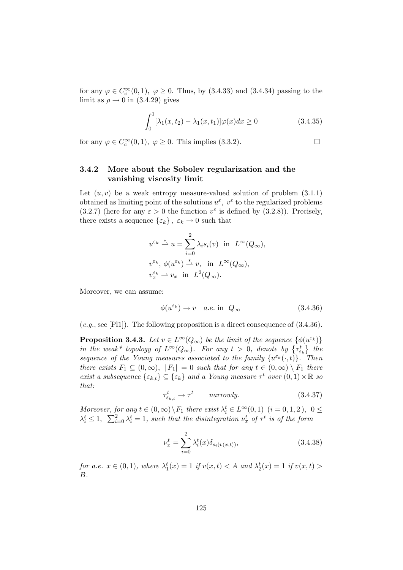for any  $\varphi \in C_c^{\infty}(0,1)$ ,  $\varphi \ge 0$ . Thus, by (3.4.33) and (3.4.34) passing to the limit as  $\rho \rightarrow 0$  in (3.4.29) gives

$$
\int_0^1 [\lambda_1(x, t_2) - \lambda_1(x, t_1)] \varphi(x) dx \ge 0 \tag{3.4.35}
$$

for any  $\varphi \in C_c^{\infty}(0,1)$ ,  $\varphi \ge 0$ . This implies (3.3.2).

### 3.4.2 More about the Sobolev regularization and the vanishing viscosity limit

Let  $(u, v)$  be a weak entropy measure-valued solution of problem  $(3.1.1)$ obtained as limiting point of the solutions  $u^{\varepsilon}$ ,  $v^{\varepsilon}$  to the regularized problems (3.2.7) (here for any  $\varepsilon > 0$  the function  $v^{\varepsilon}$  is defined by (3.2.8)). Precisely, there exists a sequence  $\{\varepsilon_k\}, \varepsilon_k \to 0$  such that

$$
u^{\varepsilon_k} \stackrel{*}{\rightharpoonup} u = \sum_{i=0}^2 \lambda_i s_i(v) \text{ in } L^{\infty}(Q_{\infty}),
$$
  

$$
v^{\varepsilon_k}, \phi(u^{\varepsilon_k}) \stackrel{*}{\rightharpoonup} v, \text{ in } L^{\infty}(Q_{\infty}),
$$
  

$$
v^{\varepsilon_k}_x \rightharpoonup v_x \text{ in } L^2(Q_{\infty}).
$$

Moreover, we can assume:

$$
\phi(u^{\varepsilon_k}) \to v \quad a.e. \text{ in } Q_{\infty} \tag{3.4.36}
$$

 $(e.g., \text{see [P11]}).$  The following proposition is a direct consequence of  $(3.4.36).$ 

**Proposition 3.4.3.** Let  $v \in L^{\infty}(Q_{\infty})$  be the limit of the sequence  $\{\phi(u^{\varepsilon_k})\}$ in the weak\* topology of  $L^{\infty}(Q_{\infty})$ . For any  $t > 0$ , denote by  $\{\tau_{\varepsilon_k}^t\}$  the sequence of the Young measures associated to the family  $\{u^{\varepsilon_k}(\cdot,t)\}$ . Then there exists  $F_1 \subseteq (0,\infty)$ ,  $|F_1| = 0$  such that for any  $t \in (0,\infty) \setminus F_1$  there exist a subsequence  $\{\varepsilon_{k,t}\}\subseteq \{\varepsilon_k\}$  and a Young measure  $\tau^t$  over  $(0,1)\times \mathbb{R}$  so that:

$$
\tau_{\varepsilon_{k,t}}^t \to \tau^t \qquad \text{narrowly.} \tag{3.4.37}
$$

Moreover, for any  $t \in (0, \infty) \setminus F_1$  there exist  $\lambda_i^t \in L^{\infty}(0, 1)$   $(i = 0, 1, 2), 0 \le$  $\lambda_i^t \leq 1$ ,  $\sum_{i=0}^2 \lambda_i^t = 1$ , such that the disintegration  $\nu_x^t$  of  $\tau^t$  is of the form

$$
\nu_x^t = \sum_{i=0}^2 \lambda_i^t(x) \delta_{s_i(v(x,t))},
$$
\n(3.4.38)

for a.e.  $x \in (0,1)$ , where  $\lambda_1^t(x) = 1$  if  $v(x,t) < A$  and  $\lambda_2^t(x) = 1$  if  $v(x,t) >$ B.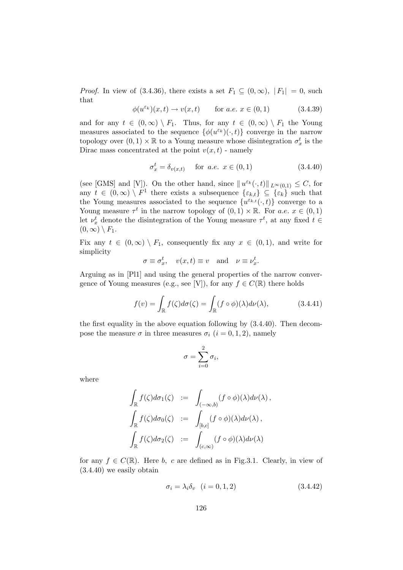*Proof.* In view of (3.4.36), there exists a set  $F_1 \subseteq (0,\infty)$ ,  $|F_1| = 0$ , such that

$$
\phi(u^{\varepsilon_k})(x,t) \to v(x,t) \quad \text{for a.e. } x \in (0,1)
$$
\n(3.4.39)

and for any  $t \in (0,\infty) \setminus F_1$ . Thus, for any  $t \in (0,\infty) \setminus F_1$  the Young measures associated to the sequence  $\{\phi(u^{\varepsilon_k})(\cdot,t)\}$  converge in the narrow topology over  $(0,1) \times \mathbb{R}$  to a Young measure whose disintegration  $\sigma_x^t$  is the Dirac mass concentrated at the point  $v(x, t)$  - namely

$$
\sigma_x^t = \delta_{v(x,t)} \quad \text{for a.e. } x \in (0,1)
$$
 (3.4.40)

(see [GMS] and [V]). On the other hand, since  $||u^{\varepsilon_k}(\cdot,t)||_{L^{\infty}(0,1)} \leq C$ , for any  $t \in (0, \infty) \setminus F^1$  there exists a subsequence  $\{\varepsilon_{k,t}\}\subseteq \{\varepsilon_k\}$  such that the Young measures associated to the sequence  $\{u^{\varepsilon_{k,t}}(\cdot,t)\}$  converge to a Young measure  $\tau^t$  in the narrow topology of  $(0,1) \times \mathbb{R}$ . For a.e.  $x \in (0,1)$ let  $\nu_x^t$  denote the disintegration of the Young measure  $\tau^t$ , at any fixed  $t \in$  $(0, \infty) \setminus F_1$ .

Fix any  $t \in (0, \infty) \setminus F_1$ , consequently fix any  $x \in (0, 1)$ , and write for simplicity

$$
\sigma \equiv \sigma_x^t
$$
,  $v(x,t) \equiv v$  and  $\nu \equiv \nu_x^t$ .

Arguing as in [Pl1] and using the general properties of the narrow convergence of Young measures (e.g., see [V]), for any  $f \in C(\mathbb{R})$  there holds

$$
f(v) = \int_{\mathbb{R}} f(\zeta) d\sigma(\zeta) = \int_{\mathbb{R}} (f \circ \phi)(\lambda) d\nu(\lambda), \qquad (3.4.41)
$$

the first equality in the above equation following by (3.4.40). Then decompose the measure  $\sigma$  in three measures  $\sigma_i$  (*i* = 0, 1, 2), namely

$$
\sigma = \sum_{i=0}^2 \sigma_i,
$$

where

$$
\int_{\mathbb{R}} f(\zeta) d\sigma_1(\zeta) := \int_{(-\infty, b)} (f \circ \phi)(\lambda) d\nu(\lambda),
$$
  

$$
\int_{\mathbb{R}} f(\zeta) d\sigma_0(\zeta) := \int_{[b,c]} (f \circ \phi)(\lambda) d\nu(\lambda),
$$
  

$$
\int_{\mathbb{R}} f(\zeta) d\sigma_2(\zeta) := \int_{(c,\infty)} (f \circ \phi)(\lambda) d\nu(\lambda)
$$

for any  $f \in C(\mathbb{R})$ . Here b, c are defined as in Fig.3.1. Clearly, in view of (3.4.40) we easily obtain

$$
\sigma_i = \lambda_i \delta_v \quad (i = 0, 1, 2) \tag{3.4.42}
$$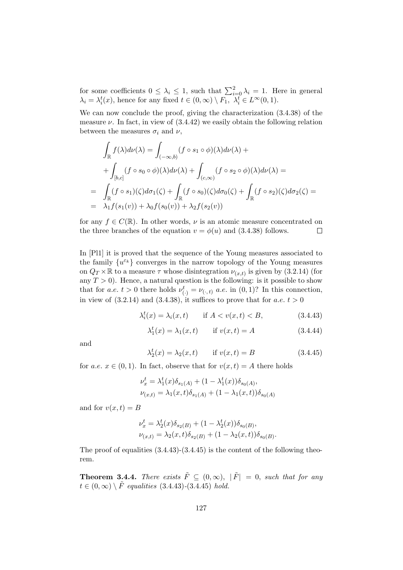for some coefficients  $0 \leq \lambda_i \leq 1$ , such that  $\sum_{i=0}^{2} \lambda_i = 1$ . Here in general  $\lambda_i = \lambda_i^t(x)$ , hence for any fixed  $t \in (0, \infty) \setminus F_1$ ,  $\lambda_i^t \in L^{\infty}(0, 1)$ .

We can now conclude the proof, giving the characterization (3.4.38) of the measure  $\nu$ . In fact, in view of  $(3.4.42)$  we easily obtain the following relation between the measures  $\sigma_i$  and  $\nu$ ,

$$
\int_{\mathbb{R}} f(\lambda) d\nu(\lambda) = \int_{(-\infty, b)} (f \circ s_1 \circ \phi)(\lambda) d\nu(\lambda) +
$$
\n
$$
+ \int_{[b,c]} (f \circ s_0 \circ \phi)(\lambda) d\nu(\lambda) + \int_{(c,\infty)} (f \circ s_2 \circ \phi)(\lambda) d\nu(\lambda) =
$$
\n
$$
= \int_{\mathbb{R}} (f \circ s_1)(\zeta) d\sigma_1(\zeta) + \int_{\mathbb{R}} (f \circ s_0)(\zeta) d\sigma_0(\zeta) + \int_{\mathbb{R}} (f \circ s_2)(\zeta) d\sigma_2(\zeta) =
$$
\n
$$
= \lambda_1 f(s_1(v)) + \lambda_0 f(s_0(v)) + \lambda_2 f(s_2(v))
$$

for any  $f \in C(\mathbb{R})$ . In other words,  $\nu$  is an atomic measure concentrated on the three branches of the equation  $v = \phi(u)$  and (3.4.38) follows. the three branches of the equation  $v = \phi(u)$  and (3.4.38) follows.

In [Pl1] it is proved that the sequence of the Young measures associated to the family  $\{u^{\varepsilon_k}\}$  converges in the narrow topology of the Young measures on  $Q_T \times \mathbb{R}$  to a measure  $\tau$  whose disintegration  $\nu_{(x,t)}$  is given by (3.2.14) (for any  $T > 0$ ). Hence, a natural question is the following: is it possible to show that for *a.e.*  $t > 0$  there holds  $\nu_{(\cdot)}^t = \nu_{(\cdot,t)}$  *a.e.* in  $(0,1)$ ? In this connection, in view of  $(3.2.14)$  and  $(3.4.38)$ , it suffices to prove that for a.e.  $t > 0$ 

$$
\lambda_i^t(x) = \lambda_i(x, t) \qquad \text{if } A < v(x, t) < B,\tag{3.4.43}
$$

$$
\lambda_1^t(x) = \lambda_1(x, t) \qquad \text{if } v(x, t) = A \tag{3.4.44}
$$

and

$$
\lambda_2^t(x) = \lambda_2(x, t) \qquad \text{if } v(x, t) = B \tag{3.4.45}
$$

for a.e.  $x \in (0,1)$ . In fact, observe that for  $v(x,t) = A$  there holds

$$
\nu_x^t = \lambda_1^t(x)\delta_{s_1(A)} + (1 - \lambda_1^t(x))\delta_{s_0(A)},
$$
  

$$
\nu_{(x,t)} = \lambda_1(x,t)\delta_{s_1(A)} + (1 - \lambda_1(x,t))\delta_{s_0(A)}
$$

and for  $v(x, t) = B$ 

$$
\nu_x^t = \lambda_2^t(x)\delta_{s_2(B)} + (1 - \lambda_2^t(x))\delta_{s_0(B)},
$$
  

$$
\nu_{(x,t)} = \lambda_2(x,t)\delta_{s_2(B)} + (1 - \lambda_2(x,t))\delta_{s_0(B)}.
$$

The proof of equalities (3.4.43)-(3.4.45) is the content of the following theorem.

**Theorem 3.4.4.** There exists  $\tilde{F} \subseteq (0, \infty)$ ,  $|\tilde{F}| = 0$ , such that for any  $t \in (0,\infty) \setminus \tilde{F}$  equalities (3.4.43)-(3.4.45) hold.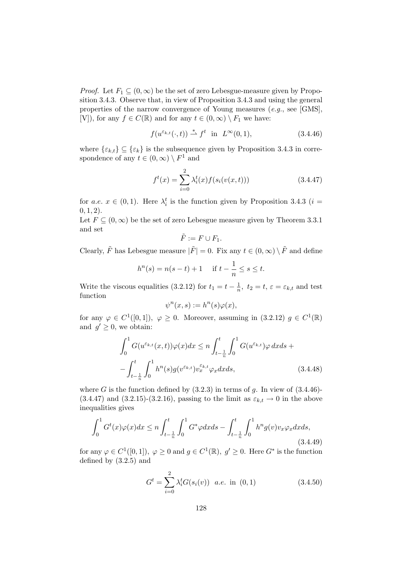*Proof.* Let  $F_1 \subseteq (0,\infty)$  be the set of zero Lebesgue-measure given by Proposition 3.4.3. Observe that, in view of Proposition 3.4.3 and using the general properties of the narrow convergence of Young measures (e.g., see [GMS], [V]), for any  $f \in C(\mathbb{R})$  and for any  $t \in (0,\infty) \setminus F_1$  we have:

$$
f(u^{\varepsilon_{k,t}}(\cdot,t)) \stackrel{*}{\rightharpoonup} f^t \quad \text{in} \quad L^{\infty}(0,1), \tag{3.4.46}
$$

where  $\{\varepsilon_{k,t}\}\subseteq \{\varepsilon_k\}$  is the subsequence given by Proposition 3.4.3 in correspondence of any  $t \in (0, \infty) \setminus F^1$  and

$$
f^{t}(x) = \sum_{i=0}^{2} \lambda_{i}^{t}(x) f(s_{i}(v(x, t)))
$$
\n(3.4.47)

for a.e.  $x \in (0,1)$ . Here  $\lambda_i^t$  is the function given by Proposition 3.4.3 (i =  $(0, 1, 2).$ 

Let  $F \subseteq (0,\infty)$  be the set of zero Lebesgue measure given by Theorem 3.3.1 and set

$$
\tilde{F} := F \cup F_1.
$$

Clearly,  $\tilde{F}$  has Lebesgue measure  $|\tilde{F}| = 0$ . Fix any  $t \in (0, \infty) \setminus \tilde{F}$  and define

$$
h^{n}(s) = n(s-t) + 1
$$
 if  $t - \frac{1}{n} \le s \le t$ .

Write the viscous equalities (3.2.12) for  $t_1 = t - \frac{1}{n}$  $\frac{1}{n}$ ,  $t_2 = t$ ,  $\varepsilon = \varepsilon_{k,t}$  and test function

$$
\psi^n(x,s) := h^n(s)\varphi(x),
$$

for any  $\varphi \in C^1([0,1])$ ,  $\varphi \ge 0$ . Moreover, assuming in  $(3.2.12)$   $g \in C^1(\mathbb{R})$ and  $g' \geq 0$ , we obtain:

$$
\int_0^1 G(u^{\varepsilon_{k,t}}(x,t))\varphi(x)dx \le n \int_{t-\frac{1}{n}}^t \int_0^1 G(u^{\varepsilon_{k,t}})\varphi dxds +
$$

$$
-\int_{t-\frac{1}{n}}^t \int_0^1 h^n(s)g(v^{\varepsilon_{k,t}})v_x^{\varepsilon_{k,t}}\varphi_x dxds, \qquad (3.4.48)
$$

where G is the function defined by  $(3.2.3)$  in terms of g. In view of  $(3.4.46)$ - $(3.4.47)$  and  $(3.2.15)-(3.2.16)$ , passing to the limit as  $\varepsilon_{k,t} \to 0$  in the above inequalities gives

$$
\int_{0}^{1} G^{t}(x)\varphi(x)dx \le n \int_{t-\frac{1}{n}}^{t} \int_{0}^{1} G^{*}\varphi dx ds - \int_{t-\frac{1}{n}}^{t} \int_{0}^{1} h^{n}g(v)v_{x}\varphi_{x} dx ds, \tag{3.4.49}
$$

for any  $\varphi \in C^1([0,1]), \varphi \ge 0$  and  $g \in C^1(\mathbb{R}), g' \ge 0$ . Here  $G^*$  is the function defined by (3.2.5) and

$$
G^{t} = \sum_{i=0}^{2} \lambda_{i}^{t} G(s_{i}(v)) \quad a.e. \text{ in } (0,1)
$$
 (3.4.50)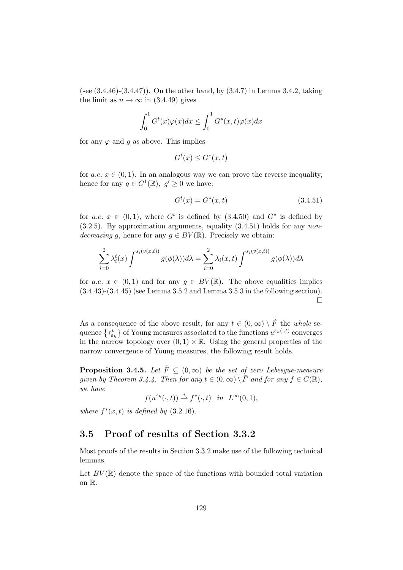(see  $(3.4.46)-(3.4.47)$ ). On the other hand, by  $(3.4.7)$  in Lemma 3.4.2, taking the limit as  $n \to \infty$  in (3.4.49) gives

$$
\int_0^1 G^t(x)\varphi(x)dx \le \int_0^1 G^*(x,t)\varphi(x)dx
$$

for any  $\varphi$  and g as above. This implies

$$
G^t(x) \le G^*(x, t)
$$

for a.e.  $x \in (0, 1)$ . In an analogous way we can prove the reverse inequality, hence for any  $g \in C^1(\mathbb{R})$ ,  $g' \geq 0$  we have:

$$
G^t(x) = G^*(x, t)
$$
\n(3.4.51)

for a.e.  $x \in (0,1)$ , where  $G<sup>t</sup>$  is defined by  $(3.4.50)$  and  $G<sup>*</sup>$  is defined by  $(3.2.5)$ . By approximation arguments, equality  $(3.4.51)$  holds for any nondecreasing g, hence for any  $g \in BV(\mathbb{R})$ . Precisely we obtain:

$$
\sum_{i=0}^{2} \lambda_i^t(x) \int^{s_i(v(x,t))} g(\phi(\lambda)) d\lambda = \sum_{i=0}^{2} \lambda_i(x,t) \int^{s_i(v(x,t))} g(\phi(\lambda)) d\lambda
$$

for a.e.  $x \in (0,1)$  and for any  $g \in BV(\mathbb{R})$ . The above equalities implies (3.4.43)-(3.4.45) (see Lemma 3.5.2 and Lemma 3.5.3 in the following section).  $\Box$ 

As a consequence of the above result, for any  $t \in (0, \infty) \setminus \tilde{F}$  the whole sequence  $\{\tau_{\varepsilon_k}^t\}$  of Young measures associated to the functions  $u^{\varepsilon_k(\cdot,t)}$  converges in the narrow topology over  $(0, 1) \times \mathbb{R}$ . Using the general properties of the narrow convergence of Young measures, the following result holds.

**Proposition 3.4.5.** Let  $\tilde{F} \subset (0,\infty)$  be the set of zero Lebesgue-measure given by Theorem 3.4.4. Then for any  $t \in (0,\infty) \setminus \tilde{F}$  and for any  $f \in C(\mathbb{R})$ , we have

 $f(u^{\varepsilon_k}(\cdot,t)) \stackrel{*}{\rightharpoonup} f^*(\cdot,t)$  in  $L^{\infty}(0,1)$ ,

where  $f^*(x,t)$  is defined by  $(3.2.16)$ .

# 3.5 Proof of results of Section 3.3.2

Most proofs of the results in Section 3.3.2 make use of the following technical lemmas.

Let  $BV(\mathbb{R})$  denote the space of the functions with bounded total variation on R.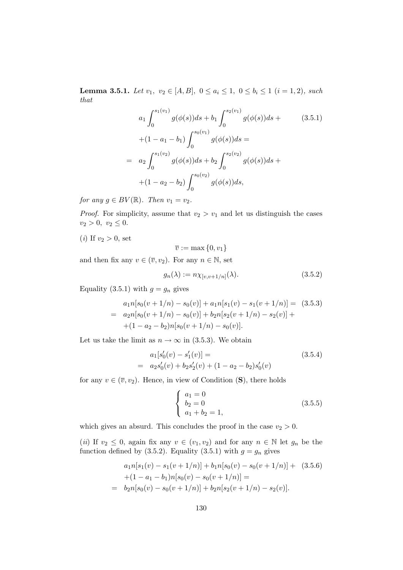**Lemma 3.5.1.** Let  $v_1, v_2 \in [A, B], 0 \le a_i \le 1, 0 \le b_i \le 1$   $(i = 1, 2),$  such that

$$
a_1 \int_0^{s_1(v_1)} g(\phi(s))ds + b_1 \int_0^{s_2(v_1)} g(\phi(s))ds +
$$
\n
$$
+ (1 - a_1 - b_1) \int_0^{s_0(v_1)} g(\phi(s))ds =
$$
\n
$$
= a_2 \int_0^{s_1(v_2)} g(\phi(s))ds + b_2 \int_0^{s_2(v_2)} g(\phi(s))ds +
$$
\n
$$
+ (1 - a_2 - b_2) \int_0^{s_0(v_2)} g(\phi(s))ds,
$$
\n(9.11)

for any  $g \in BV(\mathbb{R})$ . Then  $v_1 = v_2$ .

*Proof.* For simplicity, assume that  $v_2 > v_1$  and let us distinguish the cases  $v_2 > 0, v_2 \leq 0.$ 

(*i*) If  $v_2 > 0$ , set

$$
\overline{v} := \max\left\{0, v_1\right\}
$$

and then fix any  $v \in (\overline{v}, v_2)$ . For any  $n \in \mathbb{N}$ , set

$$
g_n(\lambda) := n \chi_{[v, v+1/n]}(\lambda). \tag{3.5.2}
$$

Equality (3.5.1) with  $g = g_n$  gives

$$
a_1n[s_0(v+1/n) - s_0(v)] + a_1n[s_1(v) - s_1(v+1/n)] = (3.5.3)
$$
  
= 
$$
a_2n[s_0(v+1/n) - s_0(v)] + b_2n[s_2(v+1/n) - s_2(v)] +
$$
  
+
$$
(1 - a_2 - b_2)n[s_0(v+1/n) - s_0(v)].
$$

Let us take the limit as  $n \to \infty$  in (3.5.3). We obtain

$$
a_1[s'_0(v) - s'_1(v)] =
$$
  
=  $a_2s'_0(v) + b_2s'_2(v) + (1 - a_2 - b_2)s'_0(v)$  (3.5.4)

for any  $v \in (\overline{v}, v_2)$ . Hence, in view of Condition (S), there holds

$$
\begin{cases}\n a_1 = 0 \\
 b_2 = 0 \\
 a_1 + b_2 = 1,\n\end{cases}
$$
\n(3.5.5)

which gives an absurd. This concludes the proof in the case  $v_2 > 0$ .

(ii) If  $v_2 \leq 0$ , again fix any  $v \in (v_1, v_2)$  and for any  $n \in \mathbb{N}$  let  $g_n$  be the function defined by (3.5.2). Equality (3.5.1) with  $g = g_n$  gives

$$
a_1 n[s_1(v) - s_1(v+1/n)] + b_1 n[s_0(v) - s_0(v+1/n)] + (3.5.6)
$$
  
+ (1 - a<sub>1</sub> - b<sub>1</sub>)n[s<sub>0</sub>(v) - s<sub>0</sub>(v+1/n)] =  
= b<sub>2</sub>n[s<sub>0</sub>(v) - s<sub>0</sub>(v+1/n)] + b<sub>2</sub>n[s<sub>2</sub>(v+1/n) - s<sub>2</sub>(v)].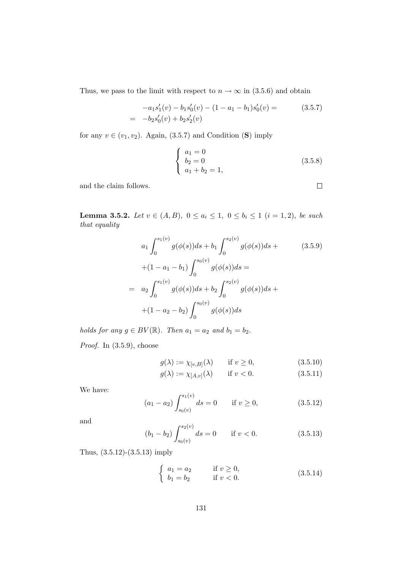Thus, we pass to the limit with respect to  $n \to \infty$  in (3.5.6) and obtain

$$
-a_1 s'_1(v) - b_1 s'_0(v) - (1 - a_1 - b_1)s'_0(v) =
$$
  
= -b<sub>2</sub>s'<sub>0</sub>(v) + b<sub>2</sub>s'<sub>2</sub>(v) (3.5.7)

for any  $v \in (v_1, v_2)$ . Again, (3.5.7) and Condition (S) imply

$$
\begin{cases}\n a_1 = 0 \\
 b_2 = 0 \\
 a_1 + b_2 = 1,\n\end{cases}
$$
\n(3.5.8)

and the claim follows.

Lemma 3.5.2. Let  $v \in (A, B)$ ,  $0 \le a_i \le 1$ ,  $0 \le b_i \le 1$   $(i = 1, 2)$ , be such that equality

$$
a_1 \int_0^{s_1(v)} g(\phi(s))ds + b_1 \int_0^{s_2(v)} g(\phi(s))ds +
$$
\n
$$
+ (1 - a_1 - b_1) \int_0^{s_0(v)} g(\phi(s))ds =
$$
\n
$$
= a_2 \int_0^{s_1(v)} g(\phi(s))ds + b_2 \int_0^{s_2(v)} g(\phi(s))ds +
$$
\n
$$
+ (1 - a_2 - b_2) \int_0^{s_0(v)} g(\phi(s))ds
$$
\n(8.11)

holds for any  $g \in BV(\mathbb{R})$ . Then  $a_1 = a_2$  and  $b_1 = b_2$ . *Proof.* In  $(3.5.9)$ , choose

$$
g(\lambda) := \chi_{[v,B]}(\lambda) \quad \text{if } v \ge 0,
$$
\n(3.5.10)

$$
g(\lambda) := \chi_{[A,v]}(\lambda) \qquad \text{if } v < 0. \tag{3.5.11}
$$

We have:

$$
(a_1 - a_2) \int_{s_0(v)}^{s_1(v)} ds = 0 \quad \text{if } v \ge 0,
$$
 (3.5.12)

and

$$
(b_1 - b_2) \int_{s_0(v)}^{s_2(v)} ds = 0 \quad \text{if } v < 0.
$$
 (3.5.13)

Thus, (3.5.12)-(3.5.13) imply

$$
\begin{cases}\n a_1 = a_2 & \text{if } v \ge 0, \\
 b_1 = b_2 & \text{if } v < 0.\n\end{cases}
$$
\n(3.5.14)

 $\Box$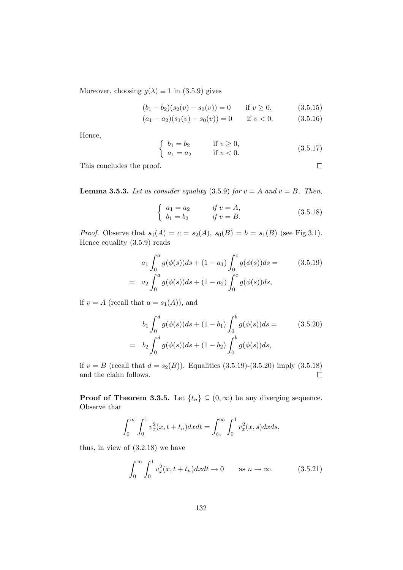Moreover, choosing  $g(\lambda) \equiv 1$  in (3.5.9) gives

$$
(b_1 - b_2)(s_2(v) - s_0(v)) = 0 \t\t \text{if } v \ge 0,
$$
\t\t (3.5.15)

$$
(a_1 - a_2)(s_1(v) - s_0(v)) = 0 \t\t \text{if } v < 0. \t\t (3.5.16)
$$

Hence,

$$
\begin{cases}\n b_1 = b_2 & \text{if } v \ge 0, \\
 a_1 = a_2 & \text{if } v < 0.\n\end{cases}
$$
\n(3.5.17)

This concludes the proof.

**Lemma 3.5.3.** Let us consider equality (3.5.9) for  $v = A$  and  $v = B$ . Then,

$$
\begin{cases}\n a_1 = a_2 & \text{if } v = A, \\
 b_1 = b_2 & \text{if } v = B.\n\end{cases}
$$
\n(3.5.18)

*Proof.* Observe that  $s_0(A) = c = s_2(A), s_0(B) = b = s_1(B)$  (see Fig.3.1). Hence equality (3.5.9) reads

$$
a_1 \int_0^a g(\phi(s))ds + (1 - a_1) \int_0^c g(\phi(s))ds =
$$
  
=  $a_2 \int_0^a g(\phi(s))ds + (1 - a_2) \int_0^c g(\phi(s))ds,$  (3.5.19)

if  $v = A$  (recall that  $a = s_1(A)$ ), and

$$
b_1 \int_0^d g(\phi(s))ds + (1 - b_1) \int_0^b g(\phi(s))ds =
$$
  
=  $b_2 \int_0^d g(\phi(s))ds + (1 - b_2) \int_0^b g(\phi(s))ds,$  (3.5.20)

if  $v = B$  (recall that  $d = s_2(B)$ ). Equalities (3.5.19)-(3.5.20) imply (3.5.18) and the claim follows.  $\Box$ 

**Proof of Theorem 3.3.5.** Let  $\{t_n\} \subseteq (0,\infty)$  be any diverging sequence. Observe that

$$
\int_0^\infty \int_0^1 v_x^2(x, t + t_n) dx dt = \int_{t_n}^\infty \int_0^1 v_x^2(x, s) dx ds,
$$

thus, in view of (3.2.18) we have

$$
\int_0^\infty \int_0^1 v_x^2(x, t + t_n) dx dt \to 0 \quad \text{as } n \to \infty. \tag{3.5.21}
$$

$$
\Box
$$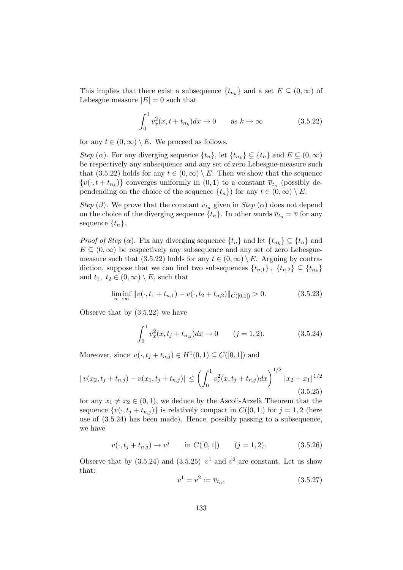This implies that there exist a subsequence  $\{t_{n_k}\}\$ and a set  $E \subseteq (0, \infty)$  of Lebesgue measure  $|E| = 0$  such that

$$
\int_0^1 v_x^2(x, t + t_{n_k}) dx \to 0 \quad \text{as } k \to \infty \tag{3.5.22}
$$

for any  $t \in (0, \infty) \setminus E$ . We proceed as follows.

*Step* ( $\alpha$ ). For any diverging sequence  $\{t_n\}$ , let  $\{t_{n_k}\} \subseteq \{t_n\}$  and  $E \subseteq (0, \infty)$ be respectively any subsequence and any set of zero Lebesgue-measure such that (3.5.22) holds for any  $t \in (0,\infty) \setminus E$ . Then we show that the sequence  $\{v(\cdot, t + t_{n_k})\}$  converges uniformly in  $(0, 1)$  to a constant  $\overline{v}_{t_n}$  (possibly dependending on the choice of the sequence  $\{t_n\}$  for any  $t \in (0,\infty) \setminus E$ .

Step ( $\beta$ ). We prove that the constant  $\overline{v}_{t_n}$  given in Step ( $\alpha$ ) does not depend on the choice of the diverging sequence  $\{t_n\}$ . In other words  $\overline{v}_{t_n} = \overline{v}$  for any sequence  $\{t_n\}$ .

*Proof of Step* ( $\alpha$ ). Fix any diverging sequence  $\{t_n\}$  and let  $\{t_{n_k}\}\subseteq \{t_n\}$  and  $E \subseteq (0,\infty)$  be respectively any subsequence and any set of zero Lebesguemeasure such that (3.5.22) holds for any  $t \in (0, \infty) \setminus E$ . Arguing by contradiction, suppose that we can find two subsequences  $\{t_{n,1}\}\,$ ,  $\{t_{n,2}\}\subseteq \{t_{n_k}\}\$ and  $t_1, t_2 \in (0, \infty) \setminus E$ , such that

$$
\liminf_{n \to \infty} ||v(\cdot, t_1 + t_{n,1}) - v(\cdot, t_2 + t_{n,2})||_{C([0,1])} > 0.
$$
\n(3.5.23)

Observe that by (3.5.22) we have

$$
\int_0^1 v_x^2(x, t_j + t_{n,j}) dx \to 0 \qquad (j = 1, 2). \tag{3.5.24}
$$

Moreover, since  $v(\cdot, t_j + t_{n,j}) \in H^1(0,1) \subseteq C([0,1])$  and

$$
|v(x_2, t_j + t_{n,j}) - v(x_1, t_j + t_{n,j})| \leq \left(\int_0^1 v_x^2(x, t_j + t_{n,j}) dx\right)^{1/2} |x_2 - x_1|^{1/2}
$$
\n(3.5.25)

for any  $x_1 \neq x_2 \in (0,1)$ , we deduce by the Ascoli-Arzelà Theorem that the sequence  $\{v(\cdot, t_j + t_{n,j})\}$  is relatively compact in  $C([0, 1])$  for  $j = 1, 2$  (here use of (3.5.24) has been made). Hence, possibly passing to a subsequence, we have

$$
v(\cdot, t_j + t_{n,j}) \to v^j \quad \text{in } C([0, 1]) \quad (j = 1, 2). \tag{3.5.26}
$$

Observe that by  $(3.5.24)$  and  $(3.5.25)$   $v^1$  and  $v^2$  are constant. Let us show that:

$$
v^1 = v^2 := \overline{v}_{t_n},\tag{3.5.27}
$$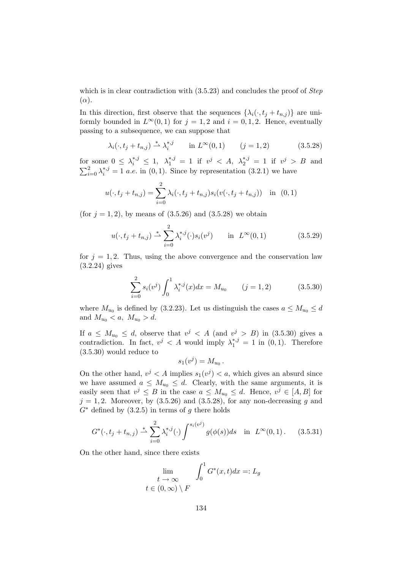which is in clear contradiction with  $(3.5.23)$  and concludes the proof of *Step*  $(\alpha)$ .

In this direction, first observe that the sequences  $\{\lambda_i(\cdot, t_i + t_{n,j})\}$  are uniformly bounded in  $L^{\infty}(0,1)$  for  $j=1,2$  and  $i=0,1,2$ . Hence, eventually passing to a subsequence, we can suppose that

$$
\lambda_i(\cdot, t_j + t_{n,j}) \stackrel{*}{\rightharpoonup} \lambda_i^{*,j}
$$
 in  $L^{\infty}(0, 1)$   $(j = 1, 2)$  (3.5.28)

for some  $0 \leq \lambda_i^{*,j} \leq 1$ ,  $\lambda_1^{*,j} = 1$  if  $v^j < A$ ,  $\lambda_2^{*,j} = 1$  if  $v^j > B$  and  $\sum_{i=0}^{2} \lambda_i^{*,j} = 1$  a.e. in (0,1). Since by representation (3.2.1) we have

$$
u(\cdot, t_j + t_{n,j}) = \sum_{i=0}^{2} \lambda_i(\cdot, t_j + t_{n,j}) s_i(v(\cdot, t_j + t_{n,j})) \text{ in } (0, 1)
$$

(for  $j = 1, 2$ ), by means of  $(3.5.26)$  and  $(3.5.28)$  we obtain

$$
u(\cdot, t_j + t_{n,j}) \stackrel{*}{\rightharpoonup} \sum_{i=0}^{2} \lambda_i^{*,j}(\cdot) s_i(v^j) \quad \text{in } L^{\infty}(0, 1)
$$
 (3.5.29)

for  $j = 1, 2$ . Thus, using the above convergence and the conservation law (3.2.24) gives

$$
\sum_{i=0}^{2} s_i(v^j) \int_0^1 \lambda_i^{*,j}(x) dx = M_{u_0} \qquad (j = 1, 2)
$$
 (3.5.30)

where  $M_{u_0}$  is defined by (3.2.23). Let us distinguish the cases  $a \leq M_{u_0} \leq d$ and  $M_{u_0} < a, M_{u_0} > d$ .

If  $a \leq M_{u_0} \leq d$ , observe that  $v^j \leq A$  (and  $v^j > B$ ) in (3.5.30) gives a contradiction. In fact,  $v^j < A$  would imply  $\lambda_1^{*,j} = 1$  in  $(0, 1)$ . Therefore (3.5.30) would reduce to

$$
s_1(v^j) = M_{u_0}.
$$

On the other hand,  $v^j < A$  implies  $s_1(v^j) < a$ , which gives an absurd since we have assumed  $a \leq M_{u_0} \leq d$ . Clearly, with the same arguments, it is easily seen that  $v^j \leq B$  in the case  $a \leq M_{u_0} \leq d$ . Hence,  $v^j \in [A, B]$  for  $j = 1, 2$ . Moreover, by  $(3.5.26)$  and  $(3.5.28)$ , for any non-decreasing g and  $G^*$  defined by  $(3.2.5)$  in terms of g there holds

$$
G^*(\cdot, t_j + t_{n,j}) \stackrel{*}{\rightharpoonup} \sum_{i=0}^2 \lambda_i^{*,j}(\cdot) \int^{s_i(v^j)} g(\phi(s)) ds \quad \text{in } \ L^\infty(0,1). \tag{3.5.31}
$$

On the other hand, since there exists

$$
\lim_{t \to \infty} \int_0^1 G^*(x, t) dx =: L_g
$$
  
 $t \in (0, \infty) \setminus F$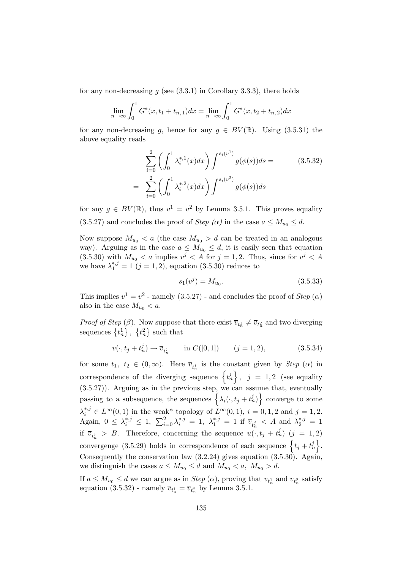for any non-decreasing  $q$  (see  $(3.3.1)$ ) in Corollary 3.3.3), there holds

$$
\lim_{n \to \infty} \int_0^1 G^*(x, t_1 + t_{n,1}) dx = \lim_{n \to \infty} \int_0^1 G^*(x, t_2 + t_{n,2}) dx
$$

for any non-decreasing g, hence for any  $g \in BV(\mathbb{R})$ . Using (3.5.31) the above equality reads

$$
\sum_{i=0}^{2} \left( \int_{0}^{1} \lambda_{i}^{*,1}(x) dx \right) \int_{0}^{s_{i}(v^{1})} g(\phi(s)) ds =
$$
\n
$$
= \sum_{i=0}^{2} \left( \int_{0}^{1} \lambda_{i}^{*,2}(x) dx \right) \int_{0}^{s_{i}(v^{2})} g(\phi(s)) ds \tag{3.5.32}
$$

for any  $g \in BV(\mathbb{R})$ , thus  $v^1 = v^2$  by Lemma 3.5.1. This proves equality (3.5.27) and concludes the proof of Step ( $\alpha$ ) in the case  $a \leq M_{u_0} \leq d$ .

Now suppose  $M_{u_0} < a$  (the case  $M_{u_0} > d$  can be treated in an analogous way). Arguing as in the case  $a \leq M_{u_0} \leq d$ , it is easily seen that equation  $(3.5.30)$  with  $M_{u_0} < a$  implies  $v^j < A$  for  $j = 1, 2$ . Thus, since for  $v^j < A$ we have  $\lambda_1^{*,j} = 1 \ (j = 1, 2)$ , equation (3.5.30) reduces to

$$
s_1(v^j) = M_{u_0}.\tag{3.5.33}
$$

This implies  $v^1 = v^2$  - namely (3.5.27) - and concludes the proof of *Step* ( $\alpha$ ) also in the case  $M_{u_0} < a$ .

*Proof of Step* ( $\beta$ ). Now suppose that there exist  $\overline{v}_{t_n} \neq \overline{v}_{t_n^2}$  and two diverging sequences  $\{t_n^1\}, \{t_n^2\}$  such that

$$
v(\cdot, t_j + t_n^j) \to \overline{v}_{t_n^j} \qquad \text{in } C([0, 1]) \qquad (j = 1, 2), \tag{3.5.34}
$$

for some  $t_1, t_2 \in (0, \infty)$ . Here  $\overline{v}_{t_n}$  is the constant given by *Step* ( $\alpha$ ) in correspondence of the diverging sequence  $\{t_n^j\}, j = 1, 2$  (see equality (3.5.27)). Arguing as in the previous step, we can assume that, eventually passing to a subsequence, the sequences  $\left\{ \lambda_i(\cdot, t_j + t_n^j) \right\}$  converge to some  $\lambda_i^{*,j} \in L^{\infty}(0,1)$  in the weak\* topology of  $L^{\infty}(0,1)$ ,  $i = 0,1,2$  and  $j = 1,2$ . Again,  $0 \leq \lambda_i^{*,j} \leq 1$ ,  $\sum_{i=0}^2 \lambda_i^{*,j} = 1$ ,  $\lambda_1^{*,j} = 1$  if  $\overline{v}_{t_n^j} < A$  and  $\lambda_2^{*,j} = 1$ if  $\overline{v}_{t_n} > B$ . Therefore, concerning the sequence  $u(\cdot, t_j + t_n^j)$   $(j = 1, 2)$ convergenge (3.5.29) holds in correspondence of each sequence  $\{t_j + t_n^j\}.$ Consequently the conservation law (3.2.24) gives equation (3.5.30). Again, we distinguish the cases  $a \leq M_{u_0} \leq d$  and  $M_{u_0} < a$ ,  $M_{u_0} > d$ .

If  $a \leq M_{u_0} \leq d$  we can argue as in *Step* ( $\alpha$ ), proving that  $\overline{v}_{t_n}$  and  $\overline{v}_{t_n^2}$  satisfy equation (3.5.32) - namely  $\overline{v}_{t_n^1} = \overline{v}_{t_n^2}$  by Lemma 3.5.1.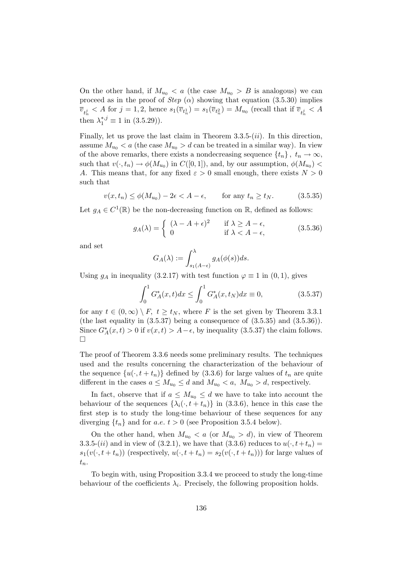On the other hand, if  $M_{u_0} < a$  (the case  $M_{u_0} > B$  is analogous) we can proceed as in the proof of *Step* ( $\alpha$ ) showing that equation (3.5.30) implies  $\overline{v}_{t_n^j} < A$  for  $j = 1, 2$ , hence  $s_1(\overline{v}_{t_n^1}) = s_1(\overline{v}_{t_n^2}) = M_{u_0}$  (recall that if  $\overline{v}_{t_n^j} < A$ then  $\lambda_1^{*,j} \equiv 1$  in  $(3.5.29)$ ).

Finally, let us prove the last claim in Theorem  $3.3.5-(ii)$ . In this direction, assume  $M_{u_0} < a$  (the case  $M_{u_0} > d$  can be treated in a similar way). In view of the above remarks, there exists a nondecreasing sequence  $\{t_n\}, t_n \to \infty$ , such that  $v(\cdot, t_n) \to \phi(M_{u_0})$  in  $C([0, 1])$ , and, by our assumption,  $\phi(M_{u_0})$ A. This means that, for any fixed  $\varepsilon > 0$  small enough, there exists  $N > 0$ such that

$$
v(x, t_n) \le \phi(M_{u_0}) - 2\epsilon < A - \epsilon, \qquad \text{for any } t_n \ge t_N. \tag{3.5.35}
$$

Let  $g_A \in C^1(\mathbb{R})$  be the non-decreasing function on  $\mathbb{R}$ , defined as follows:

$$
g_A(\lambda) = \begin{cases} (\lambda - A + \epsilon)^2 & \text{if } \lambda \ge A - \epsilon, \\ 0 & \text{if } \lambda < A - \epsilon, \end{cases}
$$
 (3.5.36)

and set

$$
G_A(\lambda) := \int_{s_1(A-\epsilon)}^{\lambda} g_A(\phi(s))ds.
$$

Using  $g_A$  in inequality (3.2.17) with test function  $\varphi \equiv 1$  in (0, 1), gives

$$
\int_0^1 G_A^*(x, t) dx \le \int_0^1 G_A^*(x, t_N) dx \equiv 0,
$$
\n(3.5.37)

for any  $t \in (0, \infty) \setminus F$ ,  $t \ge t_N$ , where F is the set given by Theorem 3.3.1 (the last equality in  $(3.5.37)$  being a consequence of  $(3.5.35)$  and  $(3.5.36)$ ). Since  $G_A^*(x,t) > 0$  if  $v(x,t) > A - \epsilon$ , by inequality (3.5.37) the claim follows.  $\Box$ 

The proof of Theorem 3.3.6 needs some preliminary results. The techniques used and the results concerning the characterization of the behaviour of the sequence  $\{u(\cdot, t + t_n)\}\$  defined by (3.3.6) for large values of  $t_n$  are quite different in the cases  $a \leq M_{u_0} \leq d$  and  $M_{u_0} < a$ ,  $M_{u_0} > d$ , respectively.

In fact, observe that if  $a \leq M_{u_0} \leq d$  we have to take into account the behaviour of the sequences  $\{\lambda_i(\cdot, t + t_n)\}\$ in (3.3.6), hence in this case the first step is to study the long-time behaviour of these sequences for any diverging  $\{t_n\}$  and for a.e.  $t > 0$  (see Proposition 3.5.4 below).

On the other hand, when  $M_{u_0} < a$  (or  $M_{u_0} > d$ ), in view of Theorem 3.3.5-(ii) and in view of (3.2.1), we have that (3.3.6) reduces to  $u(\cdot, t+t_n)$  =  $s_1(v(\cdot, t + t_n))$  (respectively,  $u(\cdot, t + t_n) = s_2(v(\cdot, t + t_n))$ ) for large values of  $t_n$ .

To begin with, using Proposition 3.3.4 we proceed to study the long-time behaviour of the coefficients  $\lambda_i$ . Precisely, the following proposition holds.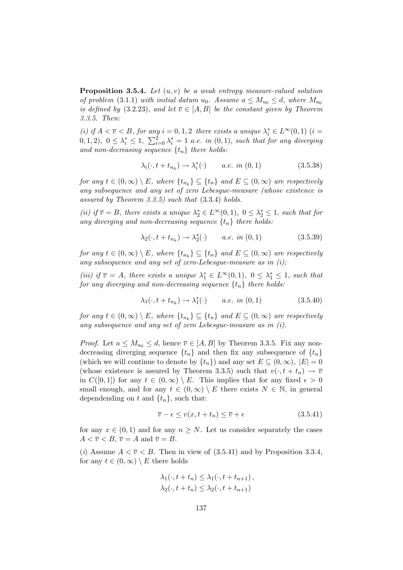**Proposition 3.5.4.** Let  $(u, v)$  be a weak entropy measure-valued solution of problem (3.1.1) with initial datum  $u_0$ . Assume  $a \leq M_{u_0} \leq d$ , where  $M_{u_0}$ is defined by (3.2.23), and let  $\overline{v} \in [A, B]$  be the constant given by Theorem 3.3.5. Then:

(i) if  $A < \overline{v} < B$ , for any  $i = 0, 1, 2$  there exists a unique  $\lambda_i^* \in L^{\infty}(0, 1)$  (i =  $(0, 1, 2), 0 \leq \lambda_i^* \leq 1, \sum_{i=0}^2 \lambda_i^* = 1$  a.e. in  $(0, 1),$  such that for any diverging and non-decreasing sequence  $\{t_n\}$  there holds:

$$
\lambda_i(\cdot, t + t_{n_k}) \to \lambda_i^*(\cdot) \qquad a.e. \in (0, 1)
$$
\n
$$
(3.5.38)
$$

for any  $t \in (0, \infty) \setminus E$ , where  $\{t_{n_k}\} \subseteq \{t_n\}$  and  $E \subseteq (0, \infty)$  are respectively any subsequence and any set of zero Lebesgue-measure (whose existence is assured by Theorem 3.3.5) such that (3.3.4) holds.

(ii) if  $\overline{v} = B$ , there exists a unique  $\lambda_2^* \in L^{\infty}(0,1)$ ,  $0 \leq \lambda_2^* \leq 1$ , such that for any diverging and non-decreasing sequence  $\{t_n\}$  there holds:

$$
\lambda_2(\cdot, t + t_{n_k}) \to \lambda_2^*(\cdot) \qquad a.e. \in (0, 1)
$$
\n
$$
(3.5.39)
$$

for any  $t \in (0, \infty) \setminus E$ , where  $\{t_{n_k}\} \subseteq \{t_n\}$  and  $E \subseteq (0, \infty)$  are respectively any subsequence and any set of zero-Lebesgue-measure as in  $(i)$ ;

(iii) if  $\overline{v} = A$ , there exists a unique  $\lambda_1^* \in L^{\infty}(0,1)$ ,  $0 \leq \lambda_1^* \leq 1$ , such that for any diverging and non-decreasing sequence  $\{t_n\}$  there holds:

$$
\lambda_1(\cdot, t + t_{n_k}) \to \lambda_1^*(\cdot) \qquad a.e. \in (0, 1)
$$
\n
$$
(3.5.40)
$$

for any  $t \in (0, \infty) \setminus E$ , where  $\{t_{n_k}\} \subseteq \{t_n\}$  and  $E \subseteq (0, \infty)$  are respectively any subsequence and any set of zero Lebesgue-measure as in (i).

*Proof.* Let  $a \leq M_{u_0} \leq d$ , hence  $\overline{v} \in [A, B]$  by Theorem 3.3.5. Fix any nondecreasing diverging sequence  $\{t_n\}$  and then fix any subsequence of  $\{t_n\}$ (which we will continue to denote by  $\{t_n\}$ ) and any set  $E \subseteq (0,\infty)$ ,  $|E| = 0$ (whose existence is assured by Theorem 3.3.5) such that  $v(\cdot, t + t_n) \to \overline{v}$ in  $C([0,1])$  for any  $t \in (0,\infty) \setminus E$ . This implies that for any fixed  $\epsilon > 0$ small enough, and for any  $t \in (0,\infty) \setminus E$  there exists  $N \in \mathbb{N}$ , in general dependending on t and  $\{t_n\}$ , such that:

$$
\overline{v} - \epsilon \le v(x, t + t_n) \le \overline{v} + \epsilon \tag{3.5.41}
$$

for any  $x \in (0,1)$  and for any  $n \geq N$ . Let us consider separately the cases  $A < \overline{v} < B, \overline{v} = A \text{ and } \overline{v} = B.$ 

(i) Assume  $A < \overline{v} < B$ . Then in view of (3.5.41) and by Proposition 3.3.4, for any  $t \in (0, \infty) \setminus E$  there holds

$$
\lambda_1(\cdot, t + t_n) \leq \lambda_1(\cdot, t + t_{n+1}),
$$
  

$$
\lambda_2(\cdot, t + t_n) \leq \lambda_2(\cdot, t + t_{n+1})
$$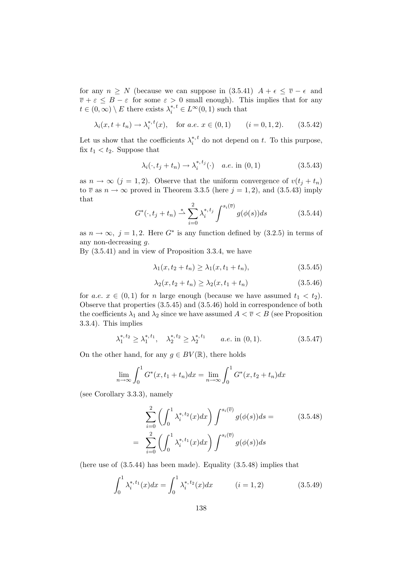for any  $n \geq N$  (because we can suppose in  $(3.5.41)$   $A + \epsilon \leq \overline{v} - \epsilon$  and  $\overline{v} + \varepsilon \leq B - \varepsilon$  for some  $\varepsilon > 0$  small enough). This implies that for any  $t \in (0, \infty) \setminus E$  there exists  $\lambda_i^{*,t} \in L^{\infty}(0, 1)$  such that

$$
\lambda_i(x, t + t_n) \to \lambda_i^{*,t}(x)
$$
, for  $a.e. x \in (0, 1)$   $(i = 0, 1, 2).$  (3.5.42)

Let us show that the coefficients  $\lambda_i^{*,t}$  $i^{*,t}$  do not depend on t. To this purpose, fix  $t_1 < t_2$ . Suppose that

$$
\lambda_i(\cdot, t_j + t_n) \to \lambda_i^{*,t_j}(\cdot) \quad a.e. \text{ in } (0, 1) \tag{3.5.43}
$$

as  $n \to \infty$   $(j = 1, 2)$ . Observe that the uniform convergence of  $v(t_i + t_n)$ to  $\overline{v}$  as  $n \to \infty$  proved in Theorem 3.3.5 (here  $j = 1, 2$ ), and (3.5.43) imply that

$$
G^*(\cdot, t_j + t_n) \stackrel{*}{\rightharpoonup} \sum_{i=0}^2 \lambda_i^{*, t_j} \int^{s_i(\overline{v})} g(\phi(s)) ds \tag{3.5.44}
$$

as  $n \to \infty$ ,  $j = 1, 2$ . Here  $G^*$  is any function defined by  $(3.2.5)$  in terms of any non-decreasing g.

By (3.5.41) and in view of Proposition 3.3.4, we have

$$
\lambda_1(x, t_2 + t_n) \ge \lambda_1(x, t_1 + t_n),
$$
\n(3.5.45)

$$
\lambda_2(x, t_2 + t_n) \ge \lambda_2(x, t_1 + t_n) \tag{3.5.46}
$$

for a.e.  $x \in (0,1)$  for n large enough (because we have assumed  $t_1 < t_2$ ). Observe that properties (3.5.45) and (3.5.46) hold in correspondence of both the coefficients  $\lambda_1$  and  $\lambda_2$  since we have assumed  $A < \overline{v} < B$  (see Proposition 3.3.4). This implies

$$
\lambda_1^{*,t_2} \ge \lambda_1^{*,t_1}, \quad \lambda_2^{*,t_2} \ge \lambda_2^{*,t_1} \qquad a.e. \text{ in } (0,1). \tag{3.5.47}
$$

On the other hand, for any  $g \in BV(\mathbb{R})$ , there holds

$$
\lim_{n \to \infty} \int_0^1 G^*(x, t_1 + t_n) dx = \lim_{n \to \infty} \int_0^1 G^*(x, t_2 + t_n) dx
$$

(see Corollary 3.3.3), namely

$$
\sum_{i=0}^{2} \left( \int_{0}^{1} \lambda_{i}^{*,t_2}(x) dx \right) \int_{s_i(\bar{v})}^{s_i(\bar{v})} g(\phi(s)) ds =
$$
\n
$$
= \sum_{i=0}^{2} \left( \int_{0}^{1} \lambda_{i}^{*,t_1}(x) dx \right) \int_{s_i(\bar{v})}^{s_i(\bar{v})} g(\phi(s)) ds
$$
\n(3.5.48)

(here use of  $(3.5.44)$  has been made). Equality  $(3.5.48)$  implies that

$$
\int_0^1 \lambda_i^{*,t_1}(x)dx = \int_0^1 \lambda_i^{*,t_2}(x)dx \qquad (i = 1, 2)
$$
 (3.5.49)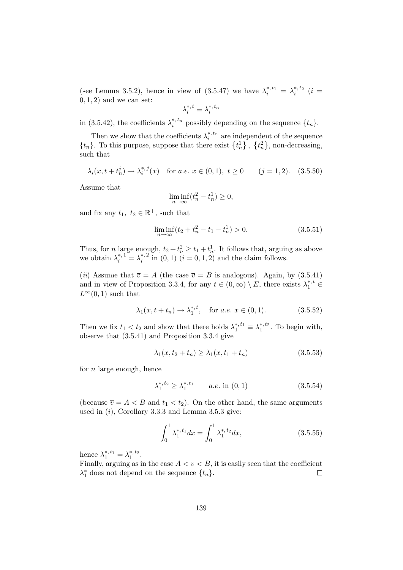(see Lemma 3.5.2), hence in view of  $(3.5.47)$  we have  $\lambda_i^{*,t_1} = \lambda_i^{*,t_2}$   $(i =$  $(0, 1, 2)$  and we can set:

$$
\lambda_i^{*,\,t} \equiv \lambda_i^{*,\,t_n}
$$

in (3.5.42), the coefficients  $\lambda_i^{*,t_n}$  $i^{*, t_n}$  possibly depending on the sequence  $\{t_n\}.$ 

Then we show that the coefficients  $\lambda_i^{*,t_n}$  $i^{*,t_n}$  are independent of the sequence  $\{t_n\}$ . To this purpose, suppose that there exist  $\{t_n^1\}$ ,  $\{t_n^2\}$ , non-decreasing, such that

$$
\lambda_i(x, t + t_n^j) \to \lambda_i^{*,j}(x)
$$
 for a.e.  $x \in (0, 1), t \ge 0$   $(j = 1, 2).$  (3.5.50)

Assume that

$$
\liminf_{n \to \infty} (t_n^2 - t_n^1) \ge 0,
$$

and fix any  $t_1, t_2 \in \mathbb{R}^+$ , such that

$$
\liminf_{n \to \infty} (t_2 + t_n^2 - t_1 - t_n^1) > 0. \tag{3.5.51}
$$

Thus, for *n* large enough,  $t_2 + t_n^2 \ge t_1 + t_n^1$ . It follows that, arguing as above we obtain  $\lambda_i^{*,1} = \lambda_i^{*,2}$  $i^{*,2}$  in  $(0, 1)$   $(i = 0, 1, 2)$  and the claim follows.

(*ii*) Assume that  $\overline{v} = A$  (the case  $\overline{v} = B$  is analogous). Again, by (3.5.41) and in view of Proposition 3.3.4, for any  $t \in (0, \infty) \setminus E$ , there exists  $\lambda_1^{*, t} \in$  $L^{\infty}(0, 1)$  such that

$$
\lambda_1(x, t + t_n) \to \lambda_1^{*,t}, \text{ for a.e. } x \in (0, 1).
$$
 (3.5.52)

Then we fix  $t_1 < t_2$  and show that there holds  $\lambda_1^{*, t_1} \equiv \lambda_1^{*, t_2}$ . To begin with, observe that (3.5.41) and Proposition 3.3.4 give

$$
\lambda_1(x, t_2 + t_n) \ge \lambda_1(x, t_1 + t_n) \tag{3.5.53}
$$

for  $n$  large enough, hence

$$
\lambda_1^{*,t_2} \ge \lambda_1^{*,t_1} \qquad a.e. \text{ in } (0,1) \tag{3.5.54}
$$

(because  $\overline{v} = A < B$  and  $t_1 < t_2$ ). On the other hand, the same arguments used in  $(i)$ , Corollary 3.3.3 and Lemma 3.5.3 give:

$$
\int_0^1 \lambda_1^{*,t_1} dx = \int_0^1 \lambda_1^{*,t_2} dx,\tag{3.5.55}
$$

hence  $\lambda_1^{*,t_1} = \lambda_1^{*,t_2}$ .

Finally, arguing as in the case  $A < \overline{v} < B$ , it is easily seen that the coefficient  $\lambda_1^*$  does not depend on the sequence  $\{t_n\}$ .  $\Box$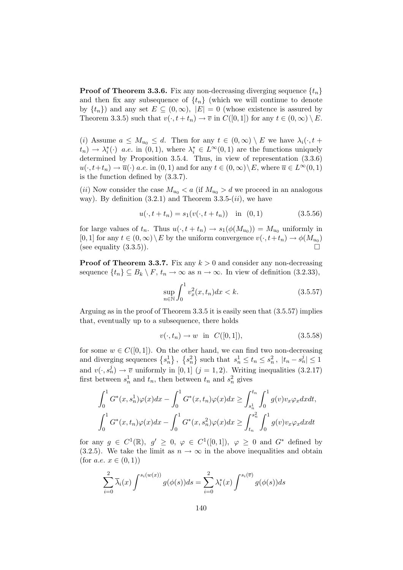**Proof of Theorem 3.3.6.** Fix any non-decreasing diverging sequence  $\{t_n\}$ and then fix any subsequence of  $\{t_n\}$  (which we will continue to denote by  $\{t_n\}$  and any set  $E \subseteq (0,\infty)$ ,  $|E| = 0$  (whose existence is assured by Theorem 3.3.5) such that  $v(\cdot, t + t_n) \to \overline{v}$  in  $C([0, 1])$  for any  $t \in (0, \infty) \setminus E$ .

(i) Assume  $a \leq M_{u_0} \leq d$ . Then for any  $t \in (0,\infty) \setminus E$  we have  $\lambda_i(\cdot,t+1)$  $(t_n) \to \lambda_i^*(\cdot)$  a.e. in  $(0,1)$ , where  $\lambda_i^* \in L^{\infty}(0,1)$  are the functions uniquely determined by Proposition 3.5.4. Thus, in view of representation (3.3.6)  $u(\cdot, t+t_n) \to \overline{u}(\cdot)$  a.e. in  $(0, 1)$  and for any  $t \in (0, \infty) \setminus E$ , where  $\overline{u} \in L^{\infty}(0, 1)$ is the function defined by (3.3.7).

(ii) Now consider the case  $M_{u_0} < a$  (if  $M_{u_0} > d$  we proceed in an analogous way). By definition  $(3.2.1)$  and Theorem  $3.3.5$ - $(ii)$ , we have

$$
u(\cdot, t + t_n) = s_1(v(\cdot, t + t_n)) \quad \text{in} \quad (0, 1) \tag{3.5.56}
$$

for large values of  $t_n$ . Thus  $u(\cdot, t + t_n) \to s_1(\phi(M_{u_0})) = M_{u_0}$  uniformly in [0, 1] for any  $t \in (0, \infty) \setminus E$  by the uniform convergence  $v(\cdot, t+t_n) \to \phi(M_{u_0})$ (see equality  $(3.3.5)$ ).

**Proof of Theorem 3.3.7.** Fix any  $k > 0$  and consider any non-decreasing sequence  $\{t_n\} \subseteq B_k \setminus F$ ,  $t_n \to \infty$  as  $n \to \infty$ . In view of definition (3.2.33),

$$
\sup_{n \in \mathbb{N}} \int_0^1 v_x^2(x, t_n) dx < k. \tag{3.5.57}
$$

Arguing as in the proof of Theorem 3.3.5 it is easily seen that (3.5.57) implies that, eventually up to a subsequence, there holds

$$
v(\cdot, t_n) \to w
$$
 in  $C([0, 1]),$  (3.5.58)

for some  $w \in C([0, 1])$ . On the other hand, we can find two non-decreasing and diverging sequences  $\{s_n^1\}, \{s_n^2\}$  such that  $s_n^1 \le t_n \le s_n^2, |t_n - s_n^j| \le 1$ and  $v(\cdot, s_n^j) \to \overline{v}$  uniformly in [0, 1]  $(j = 1, 2)$ . Writing inequalities (3.2.17) first between  $s_n^1$  and  $t_n$ , then between  $t_n$  and  $s_n^2$  gives

$$
\int_0^1 G^*(x, s_n^1) \varphi(x) dx - \int_0^1 G^*(x, t_n) \varphi(x) dx \ge \int_{s_n^1}^{t_n} \int_0^1 g(v) v_x \varphi_x dx dt,
$$
  

$$
\int_0^1 G^*(x, t_n) \varphi(x) dx - \int_0^1 G^*(x, s_n^2) \varphi(x) dx \ge \int_{t_n}^{s_n^2} \int_0^1 g(v) v_x \varphi_x dx dt
$$

for any  $g \in C^1(\mathbb{R})$ ,  $g' \geq 0$ ,  $\varphi \in C^1([0,1])$ ,  $\varphi \geq 0$  and  $G^*$  defined by (3.2.5). We take the limit as  $n \to \infty$  in the above inequalities and obtain (for *a.e.*  $x \in (0,1)$ )

$$
\sum_{i=0}^{2} \overline{\lambda}_{i}(x) \int^{s_{i}(w(x))} g(\phi(s))ds = \sum_{i=0}^{2} \lambda_{i}^{*}(x) \int^{s_{i}(\overline{v})} g(\phi(s))ds
$$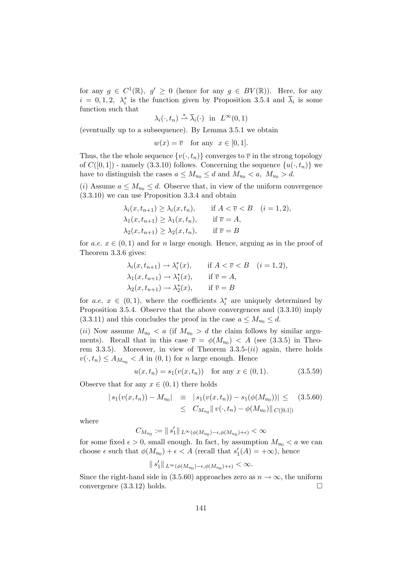for any  $g \in C^1(\mathbb{R}), g' \geq 0$  (hence for any  $g \in BV(\mathbb{R})$ ). Here, for any  $i = 0, 1, 2, \lambda_i^*$  is the function given by Proposition 3.5.4 and  $\overline{\lambda}_i$  is some function such that

$$
\lambda_i(\cdot, t_n) \stackrel{*}{\rightharpoonup} \overline{\lambda}_i(\cdot) \quad \text{in} \quad L^{\infty}(0, 1)
$$

(eventually up to a subsequence). By Lemma 3.5.1 we obtain

$$
w(x) = \overline{v} \quad \text{for any} \ \ x \in [0, 1].
$$

Thus, the the whole sequence  $\{v(\cdot, t_n)\}$  converges to  $\overline{v}$  in the strong topology of  $C([0, 1])$  - namely (3.3.10) follows. Concerning the sequence  $\{u(\cdot, t_n)\}\$  we have to distinguish the cases  $a \leq M_{u_0} \leq d$  and  $M_{u_0} < a$ ,  $M_{u_0} > d$ .

(i) Assume  $a \leq M_{u_0} \leq d$ . Observe that, in view of the uniform convergence (3.3.10) we can use Proposition 3.3.4 and obtain

$$
\lambda_i(x, t_{n+1}) \geq \lambda_i(x, t_n), \quad \text{if } A < \overline{v} < B \quad (i = 1, 2),
$$
\n
$$
\lambda_1(x, t_{n+1}) \geq \lambda_1(x, t_n), \quad \text{if } \overline{v} = A,
$$
\n
$$
\lambda_2(x, t_{n+1}) \geq \lambda_2(x, t_n), \quad \text{if } \overline{v} = B
$$

for a.e.  $x \in (0, 1)$  and for n large enough. Hence, arguing as in the proof of Theorem 3.3.6 gives:

$$
\lambda_i(x, t_{n+1}) \to \lambda_i^*(x), \quad \text{if } A < \overline{v} < B \quad (i = 1, 2),
$$
\n
$$
\lambda_1(x, t_{n+1}) \to \lambda_1^*(x), \quad \text{if } \overline{v} = A,
$$
\n
$$
\lambda_2(x, t_{n+1}) \to \lambda_2^*(x), \quad \text{if } \overline{v} = B
$$

for  $a.e. x \in (0,1)$ , where the coefficients  $\lambda_i^*$  are uniquely determined by Proposition 3.5.4. Observe that the above convergences and (3.3.10) imply  $(3.3.11)$  and this concludes the proof in the case  $a \leq M_{u_0} \leq d$ .

(ii) Now assume  $M_{u_0} < a$  (if  $M_{u_0} > d$  the claim follows by similar arguments). Recall that in this case  $\overline{v} = \phi(M_{u_0}) < A$  (see (3.3.5) in Theorem 3.3.5). Moreover, in view of Theorem  $3.3.5$ - $(ii)$  again, there holds  $v(\cdot, t_n) \leq A_{M_{u_0}} < A$  in  $(0, 1)$  for *n* large enough. Hence

$$
u(x, t_n) = s_1(v(x, t_n)) \text{ for any } x \in (0, 1).
$$
 (3.5.59)

Observe that for any  $x \in (0,1)$  there holds

$$
|s_1(v(x, t_n)) - M_{u_0}| \equiv |s_1(v(x, t_n)) - s_1(\phi(M_{u_0}))| \leq (3.5.60)
$$
  

$$
\leq C_{M_{u_0}} || v(\cdot, t_n) - \phi(M_{u_0}) ||_{C([0,1])}
$$

where

$$
C_{M_{u_0}}:=\|\,s_1'\|_{\,L^\infty(\phi(M_{u_0})-\epsilon,\phi(M_{u_0})+\epsilon)}<\infty
$$

for some fixed  $\epsilon > 0$ , small enough. In fact, by assumption  $M_{u_0} < a$  we can choose  $\epsilon$  such that  $\phi(M_{u_0}) + \epsilon < A$  (recall that  $s'_1(A) = +\infty$ ), hence

$$
\parallel s_1' \parallel_{L^{\infty}(\phi(M_{u_0})-\epsilon,\phi(M_{u_0})+\epsilon)} < \infty.
$$

Since the right-hand side in (3.5.60) approaches zero as  $n \to \infty$ , the uniform convergence (3.3.12) holds. convergence (3.3.12) holds.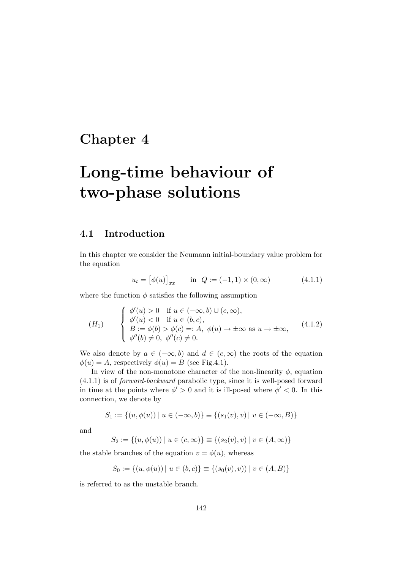# Chapter 4

# Long-time behaviour of two-phase solutions

# 4.1 Introduction

In this chapter we consider the Neumann initial-boundary value problem for the equation

$$
u_t = [\phi(u)]_{xx} \quad \text{in} \quad Q := (-1, 1) \times (0, \infty) \tag{4.1.1}
$$

where the function  $\phi$  satisfies the following assumption

$$
(H_1) \qquad \begin{cases} \phi'(u) > 0 \quad \text{if } u \in (-\infty, b) \cup (c, \infty), \\ \phi'(u) < 0 \quad \text{if } u \in (b, c), \\ B := \phi(b) > \phi(c) =: A, \ \phi(u) \to \pm \infty \text{ as } u \to \pm \infty, \\ \phi''(b) \neq 0, \ \phi''(c) \neq 0. \end{cases} \tag{4.1.2}
$$

We also denote by  $a \in (-\infty, b)$  and  $d \in (c, \infty)$  the roots of the equation  $\phi(u) = A$ , respectively  $\phi(u) = B$  (see Fig.4.1).

In view of the non-monotone character of the non-linearity  $\phi$ , equation (4.1.1) is of forward-backward parabolic type, since it is well-posed forward in time at the points where  $\phi' > 0$  and it is ill-posed where  $\phi' < 0$ . In this connection, we denote by

$$
S_1 := \{(u, \phi(u)) \mid u \in (-\infty, b)\} \equiv \{(s_1(v), v) \mid v \in (-\infty, B)\}
$$

and

$$
S_2 := \{(u, \phi(u)) \mid u \in (c, \infty)\} \equiv \{(s_2(v), v) \mid v \in (A, \infty)\}\
$$

the stable branches of the equation  $v = \phi(u)$ , whereas

$$
S_0 := \{(u, \phi(u)) \mid u \in (b, c)\} \equiv \{(s_0(v), v)) \mid v \in (A, B)\}
$$

is referred to as the unstable branch.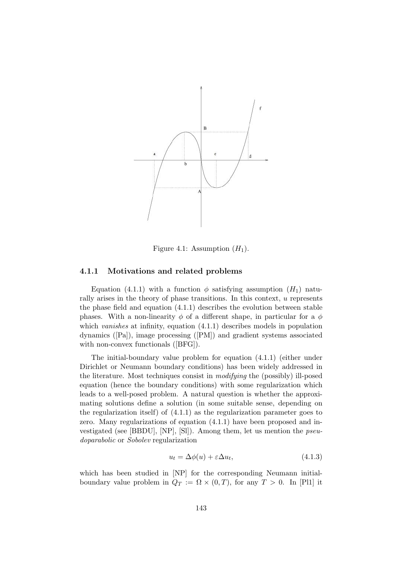

Figure 4.1: Assumption  $(H_1)$ .

#### 4.1.1 Motivations and related problems

Equation (4.1.1) with a function  $\phi$  satisfying assumption  $(H_1)$  naturally arises in the theory of phase transitions. In this context, u represents the phase field and equation (4.1.1) describes the evolution between stable phases. With a non-linearity  $\phi$  of a different shape, in particular for a  $\phi$ which *vanishes* at infinity, equation  $(4.1.1)$  describes models in population dynamics ([Pa]), image processing ([PM]) and gradient systems associated with non-convex functionals ([BFG]).

The initial-boundary value problem for equation (4.1.1) (either under Dirichlet or Neumann boundary conditions) has been widely addressed in the literature. Most techniques consist in modifying the (possibly) ill-posed equation (hence the boundary conditions) with some regularization which leads to a well-posed problem. A natural question is whether the approximating solutions define a solution (in some suitable sense, depending on the regularization itself) of (4.1.1) as the regularization parameter goes to zero. Many regularizations of equation (4.1.1) have been proposed and investigated (see [BBDU], [NP], [Sl]). Among them, let us mention the pseudoparabolic or Sobolev regularization

$$
u_t = \Delta\phi(u) + \varepsilon \Delta u_t, \qquad (4.1.3)
$$

which has been studied in [NP] for the corresponding Neumann initialboundary value problem in  $Q_T := \Omega \times (0,T)$ , for any  $T > 0$ . In [Pl1] it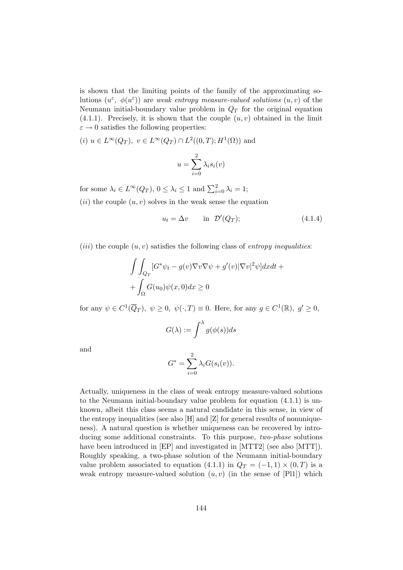is shown that the limiting points of the family of the approximating solutions  $(u^{\varepsilon}, \phi(u^{\varepsilon}))$  are weak entropy measure-valued solutions  $(u, v)$  of the Neumann initial-boundary value problem in  $Q_T$  for the original equation  $(4.1.1)$ . Precisely, it is shown that the couple  $(u, v)$  obtained in the limit  $\varepsilon \to 0$  satisfies the following properties:

(*i*) 
$$
u \in L^{\infty}(Q_T)
$$
,  $v \in L^{\infty}(Q_T) \cap L^2((0,T); H^1(\Omega))$  and

$$
u = \sum_{i=0}^{2} \lambda_i s_i(v)
$$

for some  $\lambda_i \in L^{\infty}(Q_T)$ ,  $0 \leq \lambda_i \leq 1$  and  $\sum_{i=0}^{2} \lambda_i = 1$ ;

 $(ii)$  the couple  $(u, v)$  solves in the weak sense the equation

$$
u_t = \Delta v \qquad \text{in} \quad \mathcal{D}'(Q_T); \tag{4.1.4}
$$

(*iii*) the couple  $(u, v)$  satisfies the following class of *entropy inequalities*:

$$
\int\int_{Q_T} [G^*\psi_t - g(v)\nabla v \nabla \psi + g'(v)|\nabla v|^2 \psi] dx dt +
$$
  
+ 
$$
\int_{\Omega} G(u_0)\psi(x,0) dx \ge 0
$$

for any  $\psi \in C^1(\overline{Q}_T)$ ,  $\psi \ge 0$ ,  $\psi(\cdot, T) \equiv 0$ . Here, for any  $g \in C^1(\mathbb{R})$ ,  $g' \ge 0$ ,

$$
G(\lambda) := \int^{\lambda} g(\phi(s))ds
$$

and

$$
G^* = \sum_{i=0}^2 \lambda_i G(s_i(v)).
$$

Actually, uniqueness in the class of weak entropy measure-valued solutions to the Neumann initial-boundary value problem for equation (4.1.1) is unknown, albeit this class seems a natural candidate in this sense, in view of the entropy inequalities (see also [H] and [Z] for general results of nonuniqueness). A natural question is whether uniqueness can be recovered by introducing some additional constraints. To this purpose, two-phase solutions have been introduced in [EP] and investigated in [MTT2] (see also [MTT]). Roughly speaking, a two-phase solution of the Neumann initial-boundary value problem associated to equation (4.1.1) in  $Q_T = (-1, 1) \times (0, T)$  is a weak entropy measure-valued solution  $(u, v)$  (in the sense of [Pl1]) which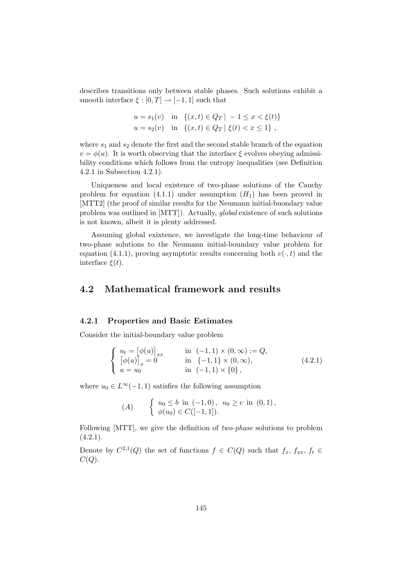describes transitions only between stable phases. Such solutions exhibit a smooth interface  $\xi : [0, T] \rightarrow [-1, 1]$  such that

$$
u = s_1(v) \text{ in } \{(x, t) \in Q_T \mid -1 \le x < \xi(t)\}
$$
  
\n
$$
u = s_2(v) \text{ in } \{(x, t) \in Q_T \mid \xi(t) < x \le 1\},
$$

where  $s_1$  and  $s_2$  denote the first and the second stable branch of the equation  $v = \phi(u)$ . It is worth observing that the interface  $\xi$  evolves obeying admissibility conditions which follows from the entropy inequalities (see Definition 4.2.1 in Subsection 4.2.1).

Uniqueness and local existence of two-phase solutions of the Cauchy problem for equation (4.1.1) under assumption  $(H_1)$  has been proved in [MTT2] (the proof of similar results for the Neumann initial-buondary value problem was outlined in [MTT]). Actually, global existence of such solutions is not known, albeit it is plenty addressed.

Assuming global exixtence, we investigate the long-time behaviour of two-phase solutions to the Neumann initial-boundary value problem for equation (4.1.1), proving asymptotic results concerning both  $v(\cdot, t)$  and the interface  $\xi(t)$ .

## 4.2 Mathematical framework and results

#### 4.2.1 Properties and Basic Estimates

Consider the initial-boundary value problem

$$
\begin{cases}\n u_t = [\phi(u)]_{xx} & \text{in } (-1,1) \times (0,\infty) := Q, \\
 [\phi(u)]_x = 0 & \text{in } \{-1,1\} \times (0,\infty), \\
 u = u_0 & \text{in } (-1,1) \times \{0\},\n\end{cases}
$$
\n(4.2.1)

where  $u_0 \in L^{\infty}(-1, 1)$  satisfies the following assumption

(A) 
$$
\begin{cases} u_0 \leq b \text{ in } (-1,0), u_0 \geq c \text{ in } (0,1), \\ \phi(u_0) \in C([-1,1]). \end{cases}
$$

Following [MTT], we give the definition of two-phase solutions to problem  $(4.2.1).$ 

Denote by  $C^{2,1}(Q)$  the set of functions  $f \in C(Q)$  such that  $f_x, f_{xx}, f_t \in$  $C(Q)$ .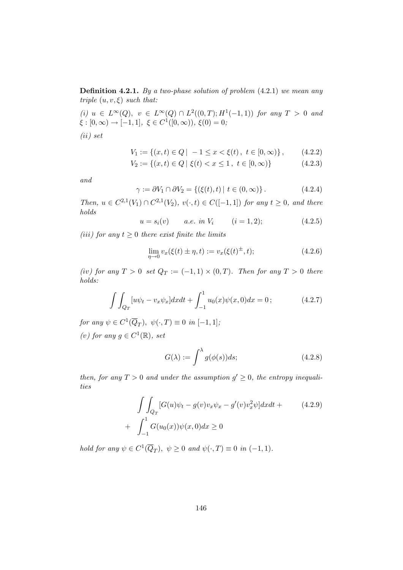Definition 4.2.1. By a two-phase solution of problem (4.2.1) we mean any triple  $(u, v, \xi)$  such that:

(i)  $u \in L^{\infty}(Q)$ ,  $v \in L^{\infty}(Q) \cap L^{2}((0,T); H^{1}(-1,1))$  for any  $T > 0$  and  $\xi : [0, \infty) \to [-1, 1], \xi \in C^1([0, \infty)), \xi(0) = 0;$ (ii) set

$$
V_1 := \{(x, t) \in Q \mid -1 \le x < \xi(t), \ t \in [0, \infty) \}, \tag{4.2.2}
$$

$$
V_2 := \{(x, t) \in Q \mid \xi(t) < x \le 1, \ t \in [0, \infty)\}\tag{4.2.3}
$$

and

$$
\gamma := \partial V_1 \cap \partial V_2 = \{ (\xi(t), t) \mid t \in (0, \infty) \}.
$$
\n
$$
(4.2.4)
$$

Then,  $u \in C^{2,1}(V_1) \cap C^{2,1}(V_2)$ ,  $v(·, t) \in C([-1, 1])$  for any  $t ≥ 0$ , and there holds

 $u = s_i(v)$  a.e. in  $V_i$   $(i = 1, 2);$   $(4.2.5)$ 

(iii) for any  $t \geq 0$  there exist finite the limits

$$
\lim_{\eta \to 0} v_x(\xi(t) \pm \eta, t) := v_x(\xi(t)^{\pm}, t); \tag{4.2.6}
$$

(iv) for any  $T > 0$  set  $Q_T := (-1,1) \times (0,T)$ . Then for any  $T > 0$  there holds:

$$
\int \int_{Q_T} [u\psi_t - v_x \psi_x] dx dt + \int_{-1}^1 u_0(x)\psi(x,0) dx = 0; \qquad (4.2.7)
$$

for any  $\psi \in C^1(\overline{Q}_T)$ ,  $\psi(\cdot,T) \equiv 0$  in  $[-1,1]$ ; (v) for any  $g \in C^1(\mathbb{R})$ , set

$$
G(\lambda) := \int^{\lambda} g(\phi(s))ds; \tag{4.2.8}
$$

then, for any  $T > 0$  and under the assumption  $g' \geq 0$ , the entropy inequalities

$$
\int\int_{Q_T} [G(u)\psi_t - g(v)v_x\psi_x - g'(v)v_x^2\psi] dx dt +
$$
\n
$$
+ \int_{-1}^1 G(u_0(x))\psi(x,0) dx \ge 0
$$
\n(4.2.9)

hold for any  $\psi \in C^1(\overline{Q}_T)$ ,  $\psi \ge 0$  and  $\psi(\cdot,T) \equiv 0$  in  $(-1,1)$ .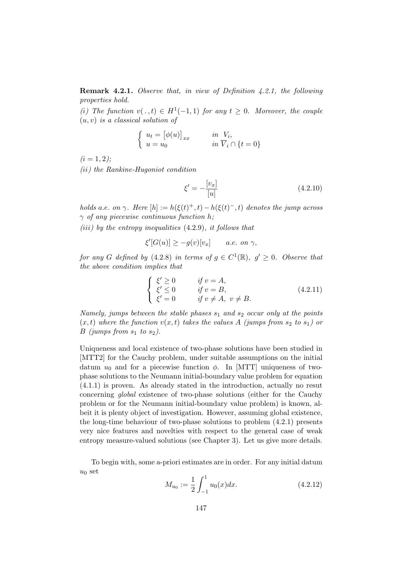Remark 4.2.1. Observe that, in view of Definition 4.2.1, the following properties hold.

(i) The function  $v(. , t) \in H^1(-1, 1)$  for any  $t \geq 0$ . Moreover, the couple  $(u, v)$  is a classical solution of

$$
\begin{cases} u_t = [\phi(u)]_{xx} & \text{in } V_i, \\ u = u_0 & \text{in } \overline{V}_i \cap \{t = 0\} \end{cases}
$$

 $(i = 1, 2);$ 

(ii) the Rankine-Hugoniot condition

$$
\xi' = -\frac{[v_x]}{[u]}
$$
\n(4.2.10)

holds a.e. on  $\gamma$ . Here  $[h] := h(\xi(t)^+, t) - h(\xi(t)^-, t)$  denotes the jump across  $\gamma$  of any piecewise continuous function h;

(iii) by the entropy inequalities  $(4.2.9)$ , it follows that

$$
\xi'[G(u)] \ge -g(v)[v_x] \qquad a.e. \text{ on } \gamma,
$$

for any G defined by (4.2.8) in terms of  $g \in C^1(\mathbb{R})$ ,  $g' \geq 0$ . Observe that the above condition implies that

$$
\begin{cases}\n\xi' \ge 0 & \text{if } v = A, \\
\xi' \le 0 & \text{if } v = B, \\
\xi' = 0 & \text{if } v \ne A, v \ne B.\n\end{cases}
$$
\n(4.2.11)

Namely, jumps between the stable phases  $s_1$  and  $s_2$  occur only at the points  $(x, t)$  where the function  $v(x, t)$  takes the values A (jumps from  $s_2$  to  $s_1$ ) or B (jumps from  $s_1$  to  $s_2$ ).

Uniqueness and local existence of two-phase solutions have been studied in [MTT2] for the Cauchy problem, under suitable assumptions on the initial datum  $u_0$  and for a piecewise function  $\phi$ . In [MTT] uniqueness of twophase solutions to the Neumann initial-boundary value problem for equation (4.1.1) is proven. As already stated in the introduction, actually no resut concerning global existence of two-phase solutions (either for the Cauchy problem or for the Neumann initial-boundary value problem) is known, albeit it is plenty object of investigation. However, assuming global existence, the long-time behaviour of two-phase solutions to problem (4.2.1) presents very nice features and novelties with respect to the general case of weak entropy measure-valued solutions (see Chapter 3). Let us give more details.

To begin with, some a-priori estimates are in order. For any initial datum  $u_0$  set

$$
M_{u_0} := \frac{1}{2} \int_{-1}^{1} u_0(x) dx.
$$
 (4.2.12)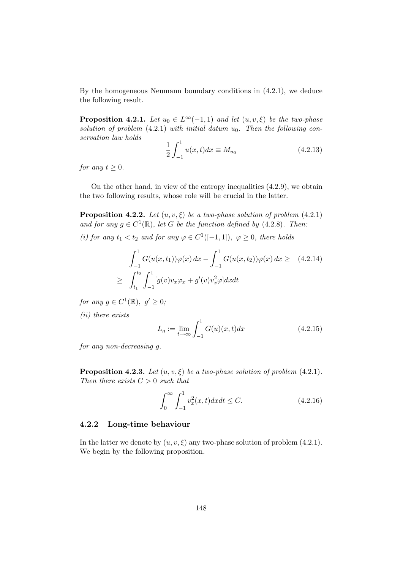By the homogeneous Neumann boundary conditions in (4.2.1), we deduce the following result.

**Proposition 4.2.1.** Let  $u_0 \in L^{\infty}(-1,1)$  and let  $(u, v, \xi)$  be the two-phase solution of problem  $(4.2.1)$  with initial datum  $u_0$ . Then the following conservation law holds

$$
\frac{1}{2} \int_{-1}^{1} u(x, t) dx \equiv M_{u_0}
$$
\n(4.2.13)

for any  $t > 0$ .

On the other hand, in view of the entropy inequalities (4.2.9), we obtain the two following results, whose role will be crucial in the latter.

**Proposition 4.2.2.** Let  $(u, v, \xi)$  be a two-phase solution of problem (4.2.1) and for any  $g \in C^1(\mathbb{R})$ , let G be the function defined by (4.2.8). Then:

(i) for any  $t_1 < t_2$  and for any  $\varphi \in C^1([-1,1]), \varphi \ge 0$ , there holds

$$
\int_{-1}^{1} G(u(x, t_1))\varphi(x) dx - \int_{-1}^{1} G(u(x, t_2))\varphi(x) dx \geq (4.2.14)
$$
  

$$
\geq \int_{t_1}^{t_2} \int_{-1}^{1} [g(v)v_x \varphi_x + g'(v)v_x^2 \varphi] dx dt
$$

for any  $g \in C^1(\mathbb{R}), g' \geq 0;$ 

(ii) there exists

$$
L_g := \lim_{t \to \infty} \int_{-1}^{1} G(u)(x, t) dx
$$
 (4.2.15)

for any non-decreasing g.

**Proposition 4.2.3.** Let  $(u, v, \xi)$  be a two-phase solution of problem (4.2.1). Then there exists  $C > 0$  such that

$$
\int_0^\infty \int_{-1}^1 v_x^2(x, t) dx dt \le C. \tag{4.2.16}
$$

#### 4.2.2 Long-time behaviour

In the latter we denote by  $(u, v, \xi)$  any two-phase solution of problem (4.2.1). We begin by the following proposition.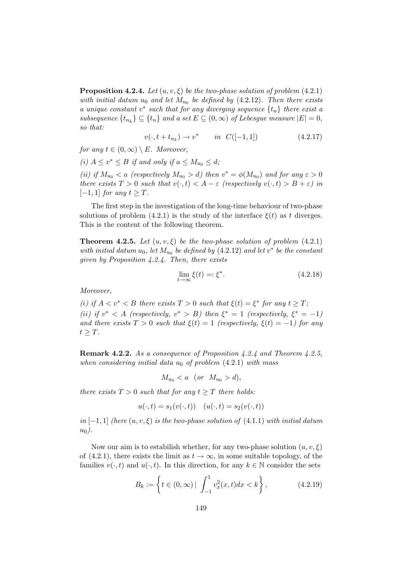**Proposition 4.2.4.** Let  $(u, v, \xi)$  be the two-phase solution of problem (4.2.1) with initial datum  $u_0$  and let  $M_{u_0}$  be defined by (4.2.12). Then there exists a unique constant  $v^*$  such that for any diverging sequence  $\{t_n\}$  there exist a subsequence  $\{t_{n_k}\}\subseteq \{t_n\}$  and a set  $E\subseteq (0,\infty)$  of Lebesgue measure  $|E|=0$ , so that:

$$
v(\cdot, t + t_{n_k}) \to v^* \qquad in \ \ C([-1, 1]) \tag{4.2.17}
$$

for any  $t \in (0,\infty) \setminus E$ . Moreover,

(i)  $A \le v^* \le B$  if and only if  $a \le M_{u_0} \le d$ ;

(ii) if  $M_{u_0} < a$  (respectively  $M_{u_0} > d$ ) then  $v^* = \phi(M_{u_0})$  and for any  $\varepsilon > 0$ there exists  $T > 0$  such that  $v(\cdot, t) < A - \varepsilon$  (respectively  $v(\cdot, t) > B + \varepsilon$ ) in  $[-1, 1]$  for any  $t \geq T$ .

The first step in the investigation of the long-time behaviour of two-phase solutions of problem (4.2.1) is the study of the interface  $\xi(t)$  as t diverges. This is the content of the following theorem.

**Theorem 4.2.5.** Let  $(u, v, \xi)$  be the two-phase solution of problem  $(4.2.1)$ with initial datum  $u_0$ , let  $M_{u_0}$  be defined by (4.2.12) and let  $v^*$  be the constant given by Proposition 4.2.4. Then, there exists

$$
\lim_{t \to \infty} \xi(t) = \xi^*.
$$
\n(4.2.18)

Moreover,

(i) if  $A < v^* < B$  there exists  $T > 0$  such that  $\xi(t) = \xi^*$  for any  $t \geq T$ ; (ii) if  $v^* < A$  (respectively,  $v^* > B$ ) then  $\xi^* = 1$  (respectively,  $\xi^* = -1$ ) and there exists  $T > 0$  such that  $\xi(t) = 1$  (respectively,  $\xi(t) = -1$ ) for any  $t \geq T$ .

Remark 4.2.2. As a consequence of Proposition 4.2.4 and Theorem 4.2.5, when considering initial data  $u_0$  of problem  $(4.2.1)$  with mass

 $M_{u_0} < a$  (or  $M_{u_0} > d$ ),

there exists  $T > 0$  such that for any  $t \geq T$  there holds:

$$
u(\cdot, t) = s_1(v(\cdot, t)) \quad (u(\cdot, t) = s_2(v(\cdot, t))
$$

in [−1, 1] (here  $(u, v, \xi)$  is the two-phase solution of (4.1.1) with initial datum  $u_0$ ).

Now our aim is to estabilish whether, for any two-phase solution  $(u, v, \xi)$ of (4.2.1), there exists the limit as  $t \to \infty$ , in some suitable topology, of the families  $v(\cdot, t)$  and  $u(\cdot, t)$ . In this direction, for any  $k \in \mathbb{N}$  consider the sets

$$
B_k := \left\{ t \in (0, \infty) \, | \int_{-1}^1 v_x^2(x, t) dx < k \right\},\tag{4.2.19}
$$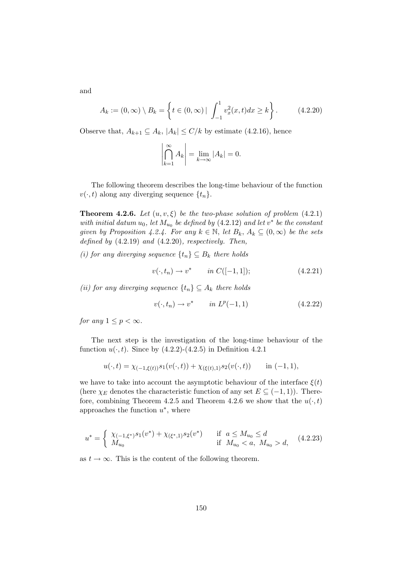and

$$
A_k := (0, \infty) \setminus B_k = \left\{ t \in (0, \infty) \, | \, \int_{-1}^1 v_x^2(x, t) dx \ge k \right\}.
$$
 (4.2.20)

Observe that,  $A_{k+1} \subseteq A_k$ ,  $|A_k| \leq C/k$  by estimate (4.2.16), hence

$$
\left|\bigcap_{k=1}^{\infty} A_k\right| = \lim_{k \to \infty} |A_k| = 0.
$$

The following theorem describes the long-time behaviour of the function  $v(\cdot, t)$  along any diverging sequence  $\{t_n\}.$ 

**Theorem 4.2.6.** Let  $(u, v, \xi)$  be the two-phase solution of problem  $(4.2.1)$ with initial datum  $u_0$ , let  $M_{u_0}$  be defined by (4.2.12) and let  $v^*$  be the constant given by Proposition 4.2.4. For any  $k \in \mathbb{N}$ , let  $B_k$ ,  $A_k \subseteq (0,\infty)$  be the sets defined by  $(4.2.19)$  and  $(4.2.20)$ , respectively. Then,

(i) for any diverging sequence  $\{t_n\} \subseteq B_k$  there holds

$$
v(\cdot, t_n) \to v^* \qquad in \ C([-1, 1]); \tag{4.2.21}
$$

(ii) for any diverging sequence  $\{t_n\} \subseteq A_k$  there holds

$$
v(\cdot, t_n) \to v^* \qquad in \ L^p(-1, 1) \tag{4.2.22}
$$

for any  $1 \leq p < \infty$ .

The next step is the investigation of the long-time behaviour of the function  $u(\cdot, t)$ . Since by  $(4.2.2)-(4.2.5)$  in Definition 4.2.1

$$
u(\cdot,t) = \chi_{(-1,\xi(t))} s_1(v(\cdot,t)) + \chi_{(\xi(t),1)} s_2(v(\cdot,t)) \quad \text{in (-1,1)},
$$

we have to take into account the asymptotic behaviour of the interface  $\xi(t)$ (here  $\chi_E$  denotes the characteristic function of any set  $E \subseteq (-1,1)$ ). Therefore, combining Theorem 4.2.5 and Theorem 4.2.6 we show that the  $u(\cdot, t)$ approaches the function  $u^*$ , where

$$
u^* = \begin{cases} \ \chi_{(-1,\xi^*)} s_1(v^*) + \chi_{(\xi^*,1)} s_2(v^*) & \text{if } a \le M_{u_0} \le d \\ \ M_{u_0} & \text{if } M_{u_0} < a, \ M_{u_0} > d, \end{cases} \tag{4.2.23}
$$

as  $t \to \infty$ . This is the content of the following theorem.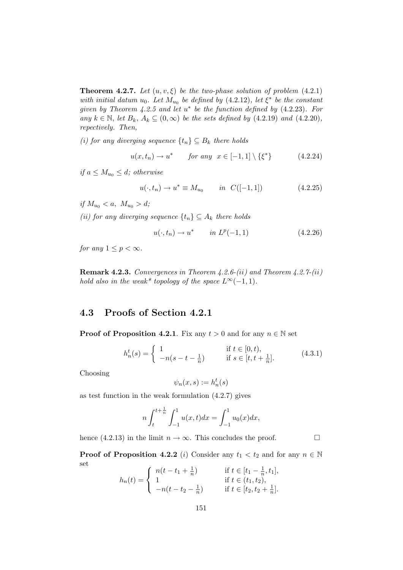**Theorem 4.2.7.** Let  $(u, v, \xi)$  be the two-phase solution of problem  $(4.2.1)$ with initial datum  $u_0$ . Let  $M_{u_0}$  be defined by (4.2.12), let  $\xi^*$  be the constant given by Theorem  $4.2.5$  and let  $u^*$  be the function defined by  $(4.2.23)$ . For any  $k \in \mathbb{N}$ , let  $B_k$ ,  $A_k \subseteq (0,\infty)$  be the sets defined by (4.2.19) and (4.2.20), repectively. Then,

(i) for any diverging sequence  $\{t_n\} \subseteq B_k$  there holds

$$
u(x, t_n) \to u^* \qquad \text{for any} \ \ x \in [-1, 1] \setminus \{\xi^*\} \tag{4.2.24}
$$

if  $a \leq M_{u_0} \leq d$ ; otherwise

$$
u(\cdot, t_n) \to u^* \equiv M_{u_0} \qquad in \ \ C([-1, 1]) \tag{4.2.25}
$$

if  $M_{u_0} < a, M_{u_0} > d;$ 

(ii) for any diverging sequence  $\{t_n\} \subseteq A_k$  there holds

$$
u(\cdot, t_n) \to u^* \qquad in \ L^p(-1, 1) \tag{4.2.26}
$$

for any  $1 \leq p < \infty$ .

**Remark 4.2.3.** Convergences in Theorem  $4.2.6$ -(ii) and Theorem  $4.2.7$ -(ii) hold also in the weak\* topology of the space  $L^{\infty}(-1, 1)$ .

## 4.3 Proofs of Section 4.2.1

**Proof of Proposition 4.2.1.** Fix any  $t > 0$  and for any  $n \in \mathbb{N}$  set

$$
h_n^t(s) = \begin{cases} 1 & \text{if } t \in [0, t), \\ -n(s - t - \frac{1}{n}) & \text{if } s \in [t, t + \frac{1}{n}]. \end{cases}
$$
(4.3.1)

Choosing

$$
\psi_n(x,s) := h_n^t(s)
$$

as test function in the weak formulation (4.2.7) gives

$$
n\int_{t}^{t+\frac{1}{n}}\int_{-1}^{1}u(x,t)dx = \int_{-1}^{1}u_{0}(x)dx,
$$

hence (4.2.13) in the limit  $n \to \infty$ . This concludes the proof.  $\Box$ 

**Proof of Proposition 4.2.2** (i) Consider any  $t_1 < t_2$  and for any  $n \in \mathbb{N}$ set

$$
h_n(t) = \begin{cases} n(t - t_1 + \frac{1}{n}) & \text{if } t \in [t_1 - \frac{1}{n}, t_1], \\ 1 & \text{if } t \in (t_1, t_2), \\ -n(t - t_2 - \frac{1}{n}) & \text{if } t \in [t_2, t_2 + \frac{1}{n}]. \end{cases}
$$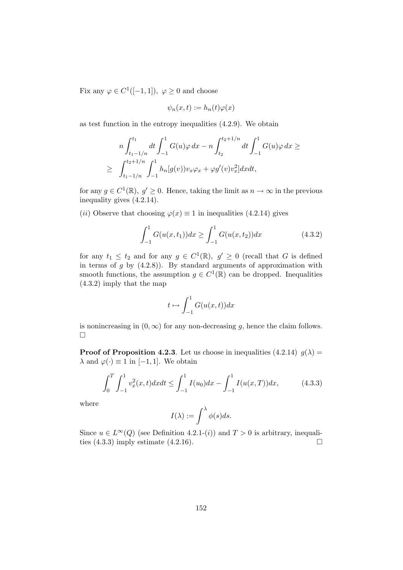Fix any  $\varphi \in C^1([-1,1]), \varphi \ge 0$  and choose

$$
\psi_n(x,t) := h_n(t)\varphi(x)
$$

as test function in the entropy inequalities (4.2.9). We obtain

$$
n\int_{t_1-1/n}^{t_1} dt \int_{-1}^1 G(u)\varphi \, dx - n \int_{t_2}^{t_2+1/n} dt \int_{-1}^1 G(u)\varphi \, dx \ge
$$
  
 
$$
\geq \int_{t_1-1/n}^{t_2+1/n} \int_{-1}^1 h_n[g(v))v_x \varphi_x + \varphi g'(v)v_x^2] dx dt,
$$

for any  $g \in C^1(\mathbb{R}), g' \geq 0$ . Hence, taking the limit as  $n \to \infty$  in the previous inequality gives (4.2.14).

(ii) Observe that choosing  $\varphi(x) \equiv 1$  in inequalities (4.2.14) gives

$$
\int_{-1}^{1} G(u(x, t_1))dx \ge \int_{-1}^{1} G(u(x, t_2))dx
$$
\n(4.3.2)

for any  $t_1 \leq t_2$  and for any  $g \in C^1(\mathbb{R})$ ,  $g' \geq 0$  (recall that G is defined in terms of  $g$  by  $(4.2.8)$ ). By standard arguments of approximation with smooth functions, the assumption  $g \in C^1(\mathbb{R})$  can be dropped. Inequalities (4.3.2) imply that the map

$$
t\mapsto \int_{-1}^1 G(u(x,t))dx
$$

is nonincreasing in  $(0, \infty)$  for any non-decreasing g, hence the claim follows.  $\Box$ 

**Proof of Proposition 4.2.3**. Let us choose in inequalities (4.2.14)  $g(\lambda) =$  $\lambda$  and  $\varphi(\cdot) \equiv 1$  in [-1, 1]. We obtain

$$
\int_0^T \int_{-1}^1 v_x^2(x, t) dx dt \le \int_{-1}^1 I(u_0) dx - \int_{-1}^1 I(u(x, T)) dx,\tag{4.3.3}
$$

where

$$
I(\lambda) := \int^{\lambda} \phi(s) ds.
$$

Since  $u \in L^{\infty}(Q)$  (see Definition 4.2.1-(*i*)) and  $T > 0$  is arbitrary, inequalities (4.3.3) imply estimate (4.2.16). ties (4.3.3) imply estimate (4.2.16).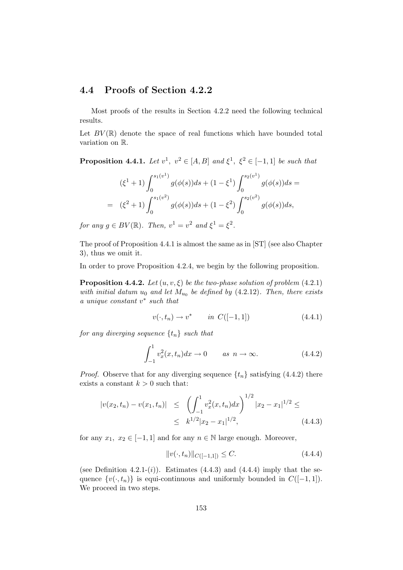#### 4.4 Proofs of Section 4.2.2

Most proofs of the results in Section 4.2.2 need the following technical results.

Let  $BV(\mathbb{R})$  denote the space of real functions which have bounded total variation on R.

**Proposition 4.4.1.** Let  $v^1$ ,  $v^2 \in [A, B]$  and  $\xi^1$ ,  $\xi^2 \in [-1, 1]$  be such that

$$
(\xi^{1} + 1) \int_{0}^{s_{1}(v^{1})} g(\phi(s))ds + (1 - \xi^{1}) \int_{0}^{s_{2}(v^{1})} g(\phi(s))ds =
$$
  
=  $(\xi^{2} + 1) \int_{0}^{s_{1}(v^{2})} g(\phi(s))ds + (1 - \xi^{2}) \int_{0}^{s_{2}(v^{2})} g(\phi(s))ds,$ 

for any  $g \in BV(\mathbb{R})$ . Then,  $v^1 = v^2$  and  $\xi^1 = \xi^2$ .

The proof of Proposition 4.4.1 is almost the same as in [ST] (see also Chapter 3), thus we omit it.

In order to prove Proposition 4.2.4, we begin by the following proposition.

**Proposition 4.4.2.** Let  $(u, v, \xi)$  be the two-phase solution of problem (4.2.1) with initial datum  $u_0$  and let  $M_{u_0}$  be defined by (4.2.12). Then, there exists a unique constant  $v^*$  such that

$$
v(\cdot, t_n) \to v^* \qquad in \ C([-1, 1]) \tag{4.4.1}
$$

for any diverging sequence  $\{t_n\}$  such that

$$
\int_{-1}^{1} v_x^2(x, t_n) dx \to 0 \qquad as \ \ n \to \infty. \tag{4.4.2}
$$

*Proof.* Observe that for any diverging sequence  $\{t_n\}$  satisfying (4.4.2) there exists a constant  $k > 0$  such that:

$$
|v(x_2, t_n) - v(x_1, t_n)| \leq \left( \int_{-1}^1 v_x^2(x, t_n) dx \right)^{1/2} |x_2 - x_1|^{1/2} \leq
$$
  
 
$$
\leq k^{1/2} |x_2 - x_1|^{1/2}, \qquad (4.4.3)
$$

for any  $x_1, x_2 \in [-1, 1]$  and for any  $n \in \mathbb{N}$  large enough. Moreover,

$$
||v(\cdot, t_n)||_{C([-1,1])} \le C. \tag{4.4.4}
$$

(see Definition 4.2.1- $(i)$ ). Estimates (4.4.3) and (4.4.4) imply that the sequence  $\{v(\cdot, t_n)\}\$ is equi-continuous and uniformly bounded in  $C([-1, 1])$ . We proceed in two steps.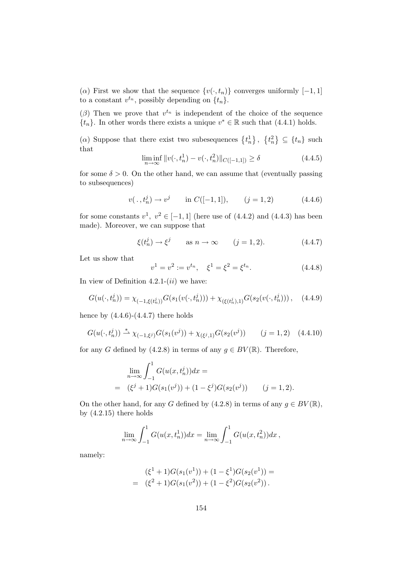( $\alpha$ ) First we show that the sequence  $\{v(\cdot, t_n)\}$  converges uniformly [-1, 1] to a constant  $v^{t_n}$ , possibly depending on  $\{t_n\}$ .

( $\beta$ ) Then we prove that  $v^{t_n}$  is independent of the choice of the sequence  $\{t_n\}$ . In other words there exists a unique  $v^* \in \mathbb{R}$  such that  $(4.4.1)$  holds.

( $\alpha$ ) Suppose that there exist two subesequences  $\{t_n^1\}, \{t_n^2\} \subseteq \{t_n\}$  such that

$$
\liminf_{n \to \infty} ||v(\cdot, t_n^1) - v(\cdot, t_n^2)||_{C([-1,1])} \ge \delta
$$
\n(4.4.5)

for some  $\delta > 0$ . On the other hand, we can assume that (eventually passing to subsequences)

$$
v(., t_n^j) \to v^j
$$
 in  $C([-1, 1]),$   $(j = 1, 2)$  (4.4.6)

for some constants  $v^1$ ,  $v^2 \in [-1,1]$  (here use of  $(4.4.2)$  and  $(4.4.3)$  has been made). Moreover, we can suppose that

$$
\xi(t_n^j) \to \xi^j \qquad \text{as } n \to \infty \qquad (j = 1, 2). \tag{4.4.7}
$$

Let us show that

$$
v^{1} = v^{2} := v^{t_{n}}, \quad \xi^{1} = \xi^{2} = \xi^{t_{n}}.
$$
\n(4.4.8)

In view of Definition 4.2.1- $(ii)$  we have:

$$
G(u(\cdot, t_n^j)) = \chi_{(-1,\xi(t_n^j))} G(s_1(v(\cdot, t_n^j))) + \chi_{(\xi(t_n^j),1)} G(s_2(v(\cdot, t_n^j))), \quad (4.4.9)
$$

hence by  $(4.4.6)-(4.4.7)$  there holds

$$
G(u(\cdot, t_n^j)) \stackrel{*}{\rightharpoonup} \chi_{(-1,\xi^j)} G(s_1(v^j)) + \chi_{(\xi^j,1)} G(s_2(v^j)) \qquad (j = 1,2) \quad (4.4.10)
$$

for any G defined by (4.2.8) in terms of any  $q \in BV(\mathbb{R})$ . Therefore,

$$
\lim_{n \to \infty} \int_{-1}^{1} G(u(x, t_n^j)) dx =
$$
  
=  $(\xi^j + 1)G(s_1(v^j)) + (1 - \xi^j)G(s_2(v^j))$   $(j = 1, 2).$ 

On the other hand, for any G defined by (4.2.8) in terms of any  $q \in BV(\mathbb{R})$ , by  $(4.2.15)$  there holds

$$
\lim_{n \to \infty} \int_{-1}^{1} G(u(x, t_n^1)) dx = \lim_{n \to \infty} \int_{-1}^{1} G(u(x, t_n^2)) dx,
$$

namely:

$$
(\xi^1 + 1)G(s_1(v^1)) + (1 - \xi^1)G(s_2(v^1)) =
$$
  
= 
$$
(\xi^2 + 1)G(s_1(v^2)) + (1 - \xi^2)G(s_2(v^2)).
$$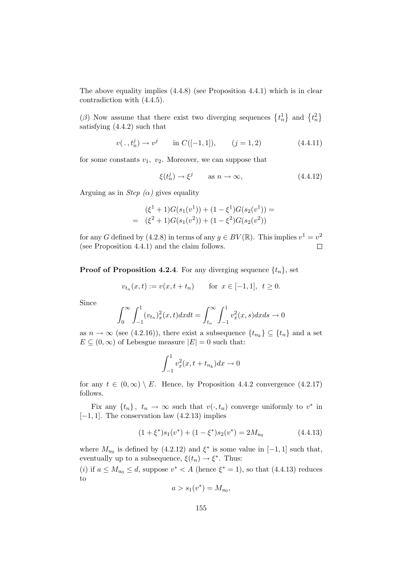The above equality implies  $(4.4.8)$  (see Proposition 4.4.1) which is in clear contradiction with (4.4.5).

( $\beta$ ) Now assume that there exist two diverging sequences  $\{t_n^1\}$  and  $\{t_n^2\}$ satisfying (4.4.2) such that

$$
v(., t_n^j) \to v^j
$$
 in  $C([-1, 1]),$   $(j = 1, 2)$  (4.4.11)

for some constants  $v_1$ ,  $v_2$ . Moreover, we can suppose that

$$
\xi(t_n^j) \to \xi^j \qquad \text{as } n \to \infty,
$$
\n(4.4.12)

Arguing as in *Step*  $(\alpha)$  gives equality

$$
(\xi^1 + 1)G(s_1(v^1)) + (1 - \xi^1)G(s_2(v^1)) =
$$
  
= 
$$
(\xi^2 + 1)G(s_1(v^2)) + (1 - \xi^2)G(s_2(v^2))
$$

for any G defined by (4.2.8) in terms of any  $g \in BV(\mathbb{R})$ . This implies  $v^1 = v^2$ (see Proposition 4.4.1) and the claim follows.  $\Box$ 

**Proof of Proposition 4.2.4**. For any diverging sequence  $\{t_n\}$ , set

$$
v_{t_n}(x,t) := v(x, t + t_n) \quad \text{for } x \in [-1,1], t \ge 0.
$$

Since

$$
\int_0^{\infty} \int_{-1}^1 (v_{t_n})_x^2(x,t) dx dt = \int_{t_n}^{\infty} \int_{-1}^1 v_x^2(x,s) dx ds \to 0
$$

as  $n \to \infty$  (see (4.2.16)), there exist a subsequence  $\{t_{n_k}\} \subseteq \{t_n\}$  and a set  $E \subseteq (0, \infty)$  of Lebesgue measure  $|E| = 0$  such that:

$$
\int_{-1}^{1} v_x^2(x, t + t_{n_k}) dx \to 0
$$

for any  $t \in (0, \infty) \setminus E$ . Hence, by Proposition 4.4.2 convergence (4.2.17) follows.

Fix any  $\{t_n\}$ ,  $t_n \to \infty$  such that  $v(\cdot, t_n)$  converge uniformly to  $v^*$  in  $[-1, 1]$ . The conservation law  $(4.2.13)$  implies

$$
(1 + \xi^*)s_1(v^*) + (1 - \xi^*)s_2(v^*) = 2M_{u_0}
$$
\n(4.4.13)

where  $M_{u_0}$  is defined by (4.2.12) and  $\xi^*$  is some value in [-1, 1] such that, eventually up to a subsequence,  $\xi(t_n) \to \xi^*$ . Thus:

(*i*) if  $a \leq M_{u_0} \leq d$ , suppose  $v^* < A$  (hence  $\xi^* = 1$ ), so that (4.4.13) reduces to

$$
a>s_1(v^*)=M_{u_0},
$$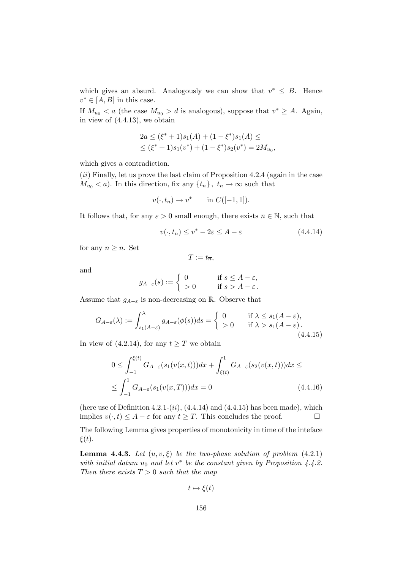which gives an absurd. Analogously we can show that  $v^* \leq B$ . Hence  $v^* \in [A, B]$  in this case.

If  $M_{u_0} < a$  (the case  $M_{u_0} > d$  is analogous), suppose that  $v^* \geq A$ . Again, in view of (4.4.13), we obtain

$$
2a \le (\xi^* + 1)s_1(A) + (1 - \xi^*)s_1(A) \le
$$
  
 
$$
\le (\xi^* + 1)s_1(v^*) + (1 - \xi^*)s_2(v^*) = 2M_{u_0},
$$

which gives a contradiction.

 $(ii)$  Finally, let us prove the last claim of Proposition 4.2.4 (again in the case  $M_{u_0} < a$ ). In this direction, fix any  $\{t_n\}$ ,  $t_n \to \infty$  such that

$$
v(\cdot, t_n) \to v^* \qquad \text{in } C([-1, 1]).
$$

It follows that, for any  $\varepsilon > 0$  small enough, there exists  $\overline{n} \in \mathbb{N}$ , such that

$$
v(\cdot, t_n) \le v^* - 2\varepsilon \le A - \varepsilon \tag{4.4.14}
$$

for any  $n \geq \overline{n}$ . Set

$$
T:=t_{\overline{n}},
$$

and

$$
g_{A-\varepsilon}(s) := \begin{cases} 0 & \text{if } s \le A - \varepsilon, \\ > 0 & \text{if } s > A - \varepsilon. \end{cases}
$$

Assume that  $g_{A-\varepsilon}$  is non-decreasing on R. Observe that

$$
G_{A-\varepsilon}(\lambda) := \int_{s_1(A-\varepsilon)}^{\lambda} g_{A-\varepsilon}(\phi(s))ds = \begin{cases} 0 & \text{if } \lambda \le s_1(A-\varepsilon), \\ > 0 & \text{if } \lambda > s_1(A-\varepsilon). \end{cases}
$$
\n(4.4.15)

In view of (4.2.14), for any  $t \geq T$  we obtain

$$
0 \leq \int_{-1}^{\xi(t)} G_{A-\varepsilon}(s_1(v(x,t)))dx + \int_{\xi(t)}^1 G_{A-\varepsilon}(s_2(v(x,t)))dx \leq
$$
  
 
$$
\leq \int_{-1}^1 G_{A-\varepsilon}(s_1(v(x,T)))dx = 0
$$
 (4.4.16)

(here use of Definition 4.2.1- $(ii)$ ,  $(4.4.14)$  and  $(4.4.15)$  has been made), which implies  $v(\cdot, t) \leq A - \varepsilon$  for any  $t \geq T$ . This concludes the proof.

The following Lemma gives properties of monotonicity in time of the inteface  $\xi(t)$ .

**Lemma 4.4.3.** Let  $(u, v, \xi)$  be the two-phase solution of problem  $(4.2.1)$ with initial datum  $u_0$  and let  $v^*$  be the constant given by Proposition 4.4.2. Then there exists  $T > 0$  such that the map

$$
t \mapsto \xi(t)
$$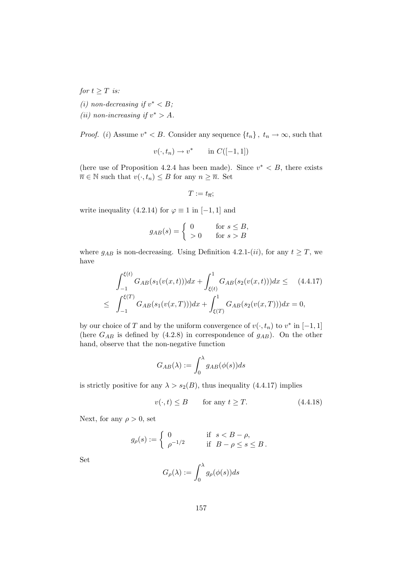for  $t \geq T$  is: (i) non-decreasing if  $v^* < B$ ; (ii) non-increasing if  $v^* > A$ .

*Proof.* (*i*) Assume  $v^* < B$ . Consider any sequence  $\{t_n\}$ ,  $t_n \to \infty$ , such that

 $v(\cdot, t_n) \to v^*$  in  $C([-1, 1])$ 

(here use of Proposition 4.2.4 has been made). Since  $v^* < B$ , there exists  $\overline{n} \in \mathbb{N}$  such that  $v(\cdot, t_n) \leq B$  for any  $n \geq \overline{n}$ . Set

$$
T:=t_{\overline{n}};
$$

write inequality (4.2.14) for  $\varphi \equiv 1$  in [-1, 1] and

$$
g_{AB}(s) = \begin{cases} 0 & \text{for } s \leq B, \\ >0 & \text{for } s > B \end{cases}
$$

where  $g_{AB}$  is non-decreasing. Using Definition 4.2.1-(*ii*), for any  $t \geq T$ , we have

$$
\int_{-1}^{\xi(t)} G_{AB}(s_1(v(x,t)))dx + \int_{\xi(t)}^1 G_{AB}(s_2(v(x,t)))dx \leq (4.4.17)
$$
  

$$
\leq \int_{-1}^{\xi(T)} G_{AB}(s_1(v(x,T)))dx + \int_{\xi(T)}^1 G_{AB}(s_2(v(x,T)))dx = 0,
$$

by our choice of T and by the uniform convergence of  $v(\cdot, t_n)$  to  $v^*$  in [-1, 1] (here  $G_{AB}$  is defined by (4.2.8) in correspondence of  $g_{AB}$ ). On the other hand, observe that the non-negative function

$$
G_{AB}(\lambda) := \int_0^{\lambda} g_{AB}(\phi(s))ds
$$

is strictly positive for any  $\lambda > s_2(B)$ , thus inequality (4.4.17) implies

$$
v(\cdot, t) \le B \qquad \text{for any } t \ge T. \tag{4.4.18}
$$

Next, for any  $\rho > 0$ , set

$$
g_{\rho}(s) := \begin{cases} 0 & \text{if } s < B - \rho, \\ \rho^{-1/2} & \text{if } B - \rho \le s \le B. \end{cases}
$$

Set

$$
G_{\rho}(\lambda) := \int_0^{\lambda} g_{\rho}(\phi(s))ds
$$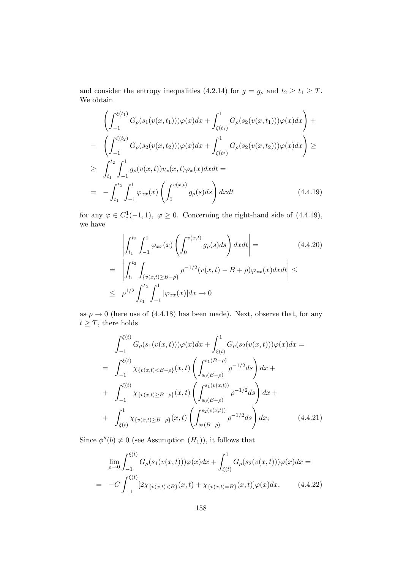and consider the entropy inequalities (4.2.14) for  $g = g_{\rho}$  and  $t_2 \ge t_1 \ge T$ . We obtain

$$
\left(\int_{-1}^{\xi(t_1)} G_{\rho}(s_1(v(x,t_1)))\varphi(x)dx + \int_{\xi(t_1)}^1 G_{\rho}(s_2(v(x,t_1)))\varphi(x)dx\right) +
$$
\n
$$
- \left(\int_{-1}^{\xi(t_2)} G_{\rho}(s_2(v(x,t_2)))\varphi(x)dx + \int_{\xi(t_2)}^1 G_{\rho}(s_2(v(x,t_2)))\varphi(x)dx\right) \ge
$$
\n
$$
\geq \int_{t_1}^{t_2} \int_{-1}^1 g_{\rho}(v(x,t))v_x(x,t)\varphi_x(x)dxdt =
$$
\n
$$
= - \int_{t_1}^{t_2} \int_{-1}^1 \varphi_{xx}(x) \left(\int_0^{v(x,t)} g_{\rho}(s)ds\right)dxdt \qquad (4.4.19)
$$

for any  $\varphi \in C_c^1(-1,1)$ ,  $\varphi \ge 0$ . Concerning the right-hand side of (4.4.19), we have

$$
\left| \int_{t_1}^{t_2} \int_{-1}^1 \varphi_{xx}(x) \left( \int_0^{v(x,t)} g_\rho(s) ds \right) dx dt \right| = \left| \int_{t_1}^{t_2} \int_{\{v(x,t) \ge B - \rho\}} \rho^{-1/2} (v(x,t) - B + \rho) \varphi_{xx}(x) dx dt \right| \le
$$
\n
$$
\leq \rho^{1/2} \int_{t_1}^{t_2} \int_{-1}^1 |\varphi_{xx}(x)| dx \to 0
$$
\n(4.4.20)

as  $\rho \rightarrow 0$  (here use of (4.4.18) has been made). Next, observe that, for any  $t \geq T$ , there holds

$$
\int_{-1}^{\xi(t)} G_{\rho}(s_1(v(x,t)))\varphi(x)dx + \int_{\xi(t)}^1 G_{\rho}(s_2(v(x,t)))\varphi(x)dx =
$$
\n
$$
= \int_{-1}^{\xi(t)} \chi_{\{v(x,t) < B-\rho\}}(x,t) \left( \int_{s_0(B-\rho)}^{s_1(B-\rho)} \rho^{-1/2} ds \right) dx +
$$
\n
$$
+ \int_{-1}^{\xi(t)} \chi_{\{v(x,t) \geq B-\rho\}}(x,t) \left( \int_{s_0(B-\rho)}^{s_1(v(x,t))} \rho^{-1/2} ds \right) dx +
$$
\n
$$
+ \int_{\xi(t)}^1 \chi_{\{v(x,t) \geq B-\rho\}}(x,t) \left( \int_{s_2(B-\rho)}^{s_2(v(x,t))} \rho^{-1/2} ds \right) dx; \qquad (4.4.21)
$$

Since  $\phi''(b) \neq 0$  (see Assumption  $(H_1)$ ), it follows that

$$
\lim_{\rho \to 0} \int_{-1}^{\xi(t)} G_{\rho}(s_1(v(x,t))) \varphi(x) dx + \int_{\xi(t)}^1 G_{\rho}(s_2(v(x,t))) \varphi(x) dx =
$$
\n
$$
= -C \int_{-1}^{\xi(t)} [2\chi_{\{v(x,t) < B\}}(x,t) + \chi_{\{v(x,t) = B\}}(x,t)] \varphi(x) dx, \qquad (4.4.22)
$$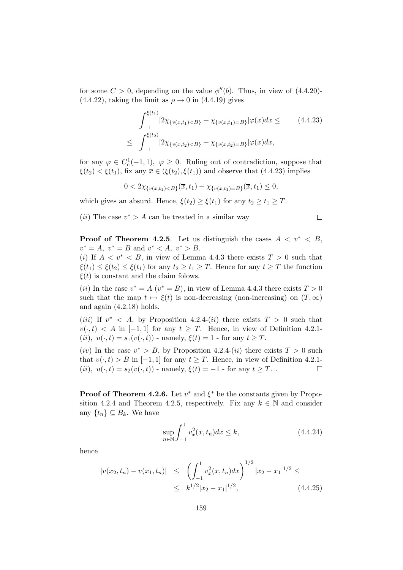for some  $C > 0$ , depending on the value  $\phi''(b)$ . Thus, in view of (4.4.20)- $(4.4.22)$ , taking the limit as  $\rho \rightarrow 0$  in  $(4.4.19)$  gives

$$
\int_{-1}^{\xi(t_1)} [2\chi_{\{v(x,t_1) < B\}} + \chi_{\{v(x,t_1) = B\}}] \varphi(x) dx \leq \qquad (4.4.23)
$$
\n
$$
\leq \int_{-1}^{\xi(t_2)} [2\chi_{\{v(x,t_2) < B\}} + \chi_{\{v(x,t_2) = B\}}] \varphi(x) dx,
$$

for any  $\varphi \in C_c^1(-1,1)$ ,  $\varphi \geq 0$ . Ruling out of contradiction, suppose that  $\xi(t_2) < \xi(t_1)$ , fix any  $\overline{x} \in (\xi(t_2), \xi(t_1))$  and observe that (4.4.23) implies

$$
0 < 2\chi_{\{v(x,t_1) < B\}}(\overline{x},t_1) + \chi_{\{v(x,t_1) = B\}}(\overline{x},t_1) \leq 0,
$$

which gives an absurd. Hence,  $\xi(t_2) \geq \xi(t_1)$  for any  $t_2 \geq t_1 \geq T$ .

(*ii*) The case  $v^* > A$  can be treated in a similar way

$$
\qquad \qquad \Box
$$

**Proof of Theorem 4.2.5.** Let us distinguish the cases  $A < v^* < B$ ,  $v^* = A$ ,  $v^* = B$  and  $v^* < A$ ,  $v^* > B$ .

(i) If  $A < v^* < B$ , in view of Lemma 4.4.3 there exists  $T > 0$  such that  $\xi(t_1) \leq \xi(t_2) \leq \xi(t_1)$  for any  $t_2 \geq t_1 \geq T$ . Hence for any  $t \geq T$  the function  $\xi(t)$  is constant and the claim folows.

(*ii*) In the case  $v^* = A(v^* = B)$ , in view of Lemma 4.4.3 there exists  $T > 0$ such that the map  $t \mapsto \xi(t)$  is non-decreasing (non-increasing) on  $(T, \infty)$ and again (4.2.18) holds.

(*iii*) If  $v^*$  < A, by Proposition 4.2.4-(*ii*) there exists  $T > 0$  such that  $v(\cdot, t) < A$  in [-1,1] for any  $t \geq T$ . Hence, in view of Definition 4.2.1-(ii),  $u(\cdot, t) = s_1(v(\cdot, t))$  - namely,  $\xi(t) = 1$  - for any  $t \geq T$ .

(iv) In the case  $v^* > B$ , by Proposition 4.2.4-(ii) there exists  $T > 0$  such that  $v(\cdot, t) > B$  in [−1, 1] for any  $t \geq T$ . Hence, in view of Definition 4.2.1-<br>(*ii*),  $u(\cdot, t) = s_2(v(\cdot, t))$  - namely,  $\xi(t) = -1$  - for any  $t > T$ . (ii),  $u(\cdot, t) = s_2(v(\cdot, t))$  - namely,  $\xi(t) = -1$  - for any  $t \geq T$ .

**Proof of Theorem 4.2.6.** Let  $v^*$  and  $\xi^*$  be the constants given by Proposition 4.2.4 and Theorem 4.2.5, respectively. Fix any  $k \in \mathbb{N}$  and consider any  $\{t_n\} \subseteq B_k$ . We have

$$
\sup_{n \in \mathbb{N}} \int_{-1}^{1} v_x^2(x, t_n) dx \le k,
$$
\n(4.4.24)

hence

$$
|v(x_2, t_n) - v(x_1, t_n)| \leq \left( \int_{-1}^1 v_x^2(x, t_n) dx \right)^{1/2} |x_2 - x_1|^{1/2} \leq
$$
  
 
$$
\leq k^{1/2} |x_2 - x_1|^{1/2}, \qquad (4.4.25)
$$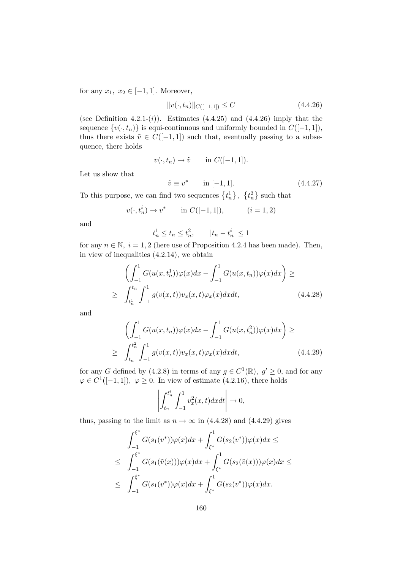for any  $x_1, x_2 \in [-1, 1]$ . Moreover,

$$
||v(\cdot, t_n)||_{C([-1,1])} \le C \tag{4.4.26}
$$

(see Definition 4.2.1- $(i)$ ). Estimates  $(4.4.25)$  and  $(4.4.26)$  imply that the sequence  $\{v(\cdot, t_n)\}\$ is equi-continuous and uniformly bounded in  $C([-1, 1]),$ thus there exists  $\tilde{v} \in C([-1, 1])$  such that, eventually passing to a subsequence, there holds

$$
v(\cdot, t_n) \to \tilde{v} \qquad \text{in } C([-1, 1]).
$$

Let us show that

$$
\tilde{v} \equiv v^* \quad \text{in } [-1, 1].
$$
\n(4.4.27)

To this purpose, we can find two sequences  $\{t_n^1\}, \{t_n^2\}$  such that

$$
v(\cdot, t_n^i) \to v^*
$$
 in  $C([-1, 1]),$   $(i = 1, 2)$ 

and

$$
t_n^1 \le t_n \le t_n^2
$$
,  $|t_n - t_n^i| \le 1$ 

for any  $n \in \mathbb{N}$ ,  $i = 1, 2$  (here use of Proposition 4.2.4 has been made). Then, in view of inequalities (4.2.14), we obtain

$$
\left(\int_{-1}^{1} G(u(x, t_n^1))\varphi(x)dx - \int_{-1}^{1} G(u(x, t_n))\varphi(x)dx\right) \ge
$$
  

$$
\geq \int_{t_n^1}^{t_n} \int_{-1}^{1} g(v(x, t))v_x(x, t)\varphi_x(x)dxdt, \qquad (4.4.28)
$$

and

$$
\left(\int_{-1}^{1} G(u(x,t_n))\varphi(x)dx - \int_{-1}^{1} G(u(x,t_n^2))\varphi(x)dx\right) \ge
$$
\n
$$
\geq \int_{t_n}^{t_n^2} \int_{-1}^{1} g(v(x,t))v_x(x,t)\varphi_x(x)dxdt, \qquad (4.4.29)
$$

for any G defined by (4.2.8) in terms of any  $g \in C^1(\mathbb{R})$ ,  $g' \ge 0$ , and for any  $\varphi \in C^1([-1,1]), \varphi \ge 0.$  In view of estimate (4.2.16), there holds

$$
\left| \int_{t_n}^{t_n^i} \int_{-1}^1 v_x^2(x,t) dx dt \right| \to 0,
$$

thus, passing to the limit as  $n \to \infty$  in (4.4.28) and (4.4.29) gives

$$
\int_{-1}^{\xi^*} G(s_1(v^*))\varphi(x)dx + \int_{\xi^*}^1 G(s_2(v^*))\varphi(x)dx \le
$$
  
\n
$$
\leq \int_{-1}^{\xi^*} G(s_1(\tilde{v}(x)))\varphi(x)dx + \int_{\xi^*}^1 G(s_2(\tilde{v}(x)))\varphi(x)dx \le
$$
  
\n
$$
\leq \int_{-1}^{\xi^*} G(s_1(v^*))\varphi(x)dx + \int_{\xi^*}^1 G(s_2(v^*))\varphi(x)dx.
$$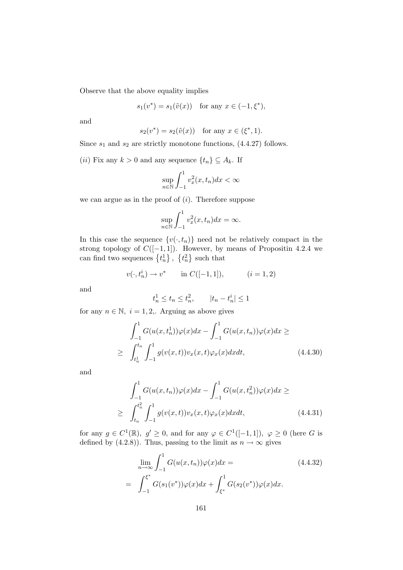Observe that the above equality implies

$$
s_1(v^*) = s_1(\tilde{v}(x))
$$
 for any  $x \in (-1, \xi^*),$ 

and

$$
s_2(v^*) = s_2(\tilde{v}(x))
$$
 for any  $x \in (\xi^*, 1)$ .

Since  $s_1$  and  $s_2$  are strictly monotone functions,  $(4.4.27)$  follows.

(*ii*) Fix any  $k > 0$  and any sequence  $\{t_n\} \subseteq A_k$ . If

$$
\sup_{n \in \mathbb{N}} \int_{-1}^{1} v_x^2(x, t_n) dx < \infty
$$

we can argue as in the proof of  $(i)$ . Therefore suppose

$$
\sup_{n \in \mathbb{N}} \int_{-1}^{1} v_x^2(x, t_n) dx = \infty.
$$

In this case the sequence  $\{v(\cdot, t_n)\}\)$  need not be relatively compact in the strong topology of  $C([-1, 1])$ . However, by means of Propositin 4.2.4 we can find two sequences  $\{t_n^1\}, \{t_n^2\}$  such that

$$
v(\cdot, t_n^i) \to v^*
$$
 in  $C([-1, 1]),$   $(i = 1, 2)$ 

and

$$
t_n^1 \le t_n \le t_n^2
$$
,  $|t_n - t_n^i| \le 1$ 

for any  $n \in \mathbb{N}$ ,  $i = 1, 2,$ . Arguing as above gives

$$
\int_{-1}^{1} G(u(x, t_n^1))\varphi(x)dx - \int_{-1}^{1} G(u(x, t_n))\varphi(x)dx \ge
$$
\n
$$
\geq \int_{t_n^1}^{t_n} \int_{-1}^{1} g(v(x, t))v_x(x, t)\varphi_x(x)dxdt, \qquad (4.4.30)
$$

and

$$
\int_{-1}^{1} G(u(x, t_n))\varphi(x)dx - \int_{-1}^{1} G(u(x, t_n^2))\varphi(x)dx \ge
$$
\n
$$
\geq \int_{t_n}^{t_n^2} \int_{-1}^{1} g(v(x, t))v_x(x, t)\varphi_x(x)dxdt, \qquad (4.4.31)
$$

for any  $g \in C^1(\mathbb{R}), g' \ge 0$ , and for any  $\varphi \in C^1([-1,1]), \varphi \ge 0$  (here G is defined by (4.2.8)). Thus, passing to the limit as  $n \to \infty$  gives

$$
\lim_{n \to \infty} \int_{-1}^{1} G(u(x, t_n)) \varphi(x) dx =
$$
\n
$$
= \int_{-1}^{\xi^*} G(s_1(v^*)) \varphi(x) dx + \int_{\xi^*}^{1} G(s_2(v^*)) \varphi(x) dx.
$$
\n(4.4.32)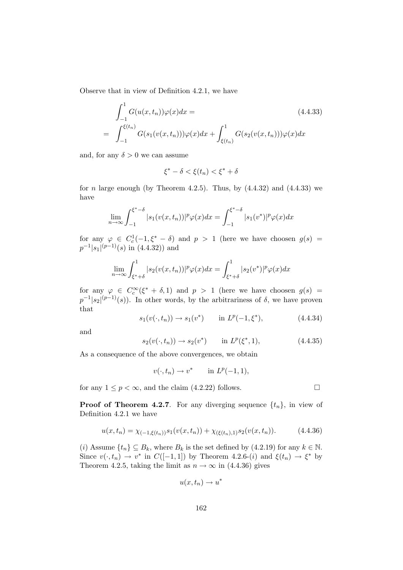Observe that in view of Definition 4.2.1, we have

$$
\int_{-1}^{1} G(u(x, t_n))\varphi(x)dx =
$$
\n
$$
= \int_{-1}^{\xi(t_n)} G(s_1(v(x, t_n)))\varphi(x)dx + \int_{\xi(t_n)}^{1} G(s_2(v(x, t_n)))\varphi(x)dx
$$
\n(4.4.33)

and, for any  $\delta > 0$  we can assume

$$
\xi^* - \delta < \xi(t_n) < \xi^* + \delta
$$

for *n* large enough (by Theorem 4.2.5). Thus, by  $(4.4.32)$  and  $(4.4.33)$  we have

$$
\lim_{n \to \infty} \int_{-1}^{\xi^* - \delta} |s_1(v(x, t_n))|^p \varphi(x) dx = \int_{-1}^{\xi^* - \delta} |s_1(v^*)|^p \varphi(x) dx
$$

for any  $\varphi \in C_c^1(-1,\xi^*-\delta)$  and  $p > 1$  (here we have choosen  $g(s) =$  $p^{-1}|s_1|^{(p-1)}(s)$  in  $(4.4.32)$ ) and

$$
\lim_{n \to \infty} \int_{\xi^* + \delta}^1 |s_2(v(x, t_n))|^p \varphi(x) dx = \int_{\xi^* + \delta}^1 |s_2(v^*)|^p \varphi(x) dx
$$

for any  $\varphi \in C_c^{\infty}(\xi^* + \delta, 1)$  and  $p > 1$  (here we have choosen  $g(s) =$  $p^{-1}|s_2|^{(p-1)}(s)$ . In other words, by the arbitrariness of  $\delta$ , we have proven that

$$
s_1(v(\cdot, t_n)) \to s_1(v^*)
$$
 in  $L^p(-1, \xi^*)$ , (4.4.34)

and

$$
s_2(v(\cdot, t_n)) \to s_2(v^*)
$$
 in  $L^p(\xi^*, 1)$ , (4.4.35)

As a consequence of the above convergences, we obtain

$$
v(\cdot, t_n) \to v^* \qquad \text{in } L^p(-1, 1),
$$

for any  $1 \leq p < \infty$ , and the claim (4.2.22) follows.

**Proof of Theorem 4.2.7.** For any diverging sequence  $\{t_n\}$ , in view of Definition 4.2.1 we have

$$
u(x,t_n) = \chi_{(-1,\xi(t_n))} s_1(v(x,t_n)) + \chi_{(\xi(t_n),1)} s_2(v(x,t_n)). \tag{4.4.36}
$$

(i) Assume  $\{t_n\} \subseteq B_k$ , where  $B_k$  is the set defined by  $(4.2.19)$  for any  $k \in \mathbb{N}$ . Since  $v(\cdot, t_n) \to v^*$  in  $C([-1, 1])$  by Theorem 4.2.6-(*i*) and  $\xi(t_n) \to \xi^*$  by Theorem 4.2.5, taking the limit as  $n \to \infty$  in (4.4.36) gives

$$
u(x,t_n)\to u^*
$$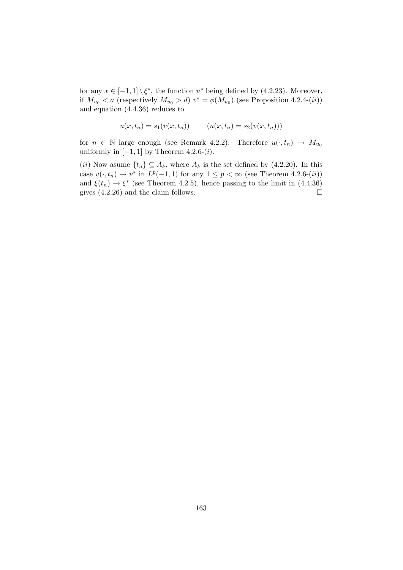for any  $x \in [-1,1] \setminus \xi^*$ , the function  $u^*$  being defined by (4.2.23). Moreover, if  $M_{u_0} < a$  (respectively  $M_{u_0} > d$ )  $v^* = \phi(M_{u_0})$  (see Proposition 4.2.4-(*ii*)) and equation (4.4.36) reduces to

$$
u(x, t_n) = s_1(v(x, t_n)) \qquad (u(x, t_n) = s_2(v(x, t_n)))
$$

for  $n \in \mathbb{N}$  large enough (see Remark 4.2.2). Therefore  $u(\cdot, t_n) \to M_{u_0}$ uniformly in  $[-1, 1]$  by Theorem 4.2.6- $(i)$ .

(ii) Now asume  $\{t_n\} \subseteq A_k$ , where  $A_k$  is the set defined by (4.2.20). In this case  $v(\cdot, t_n) \to v^*$  in  $L^p(-1, 1)$  for any  $1 \leq p < \infty$  (see Theorem 4.2.6-(*ii*)) and  $\xi(t_n) \rightarrow \xi^*$  (see Theorem 4.2.5), hence passing to the limit in (4.4.36) gives  $(4.2.26)$  and the claim follows.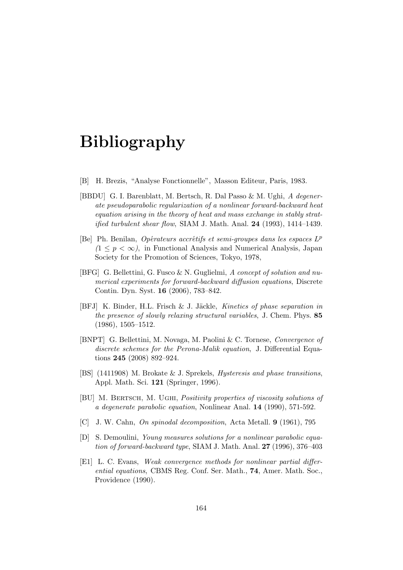# Bibliography

- [B] H. Brezis, "Analyse Fonctionnelle", Masson Editeur, Paris, 1983.
- [BBDU] G. I. Barenblatt, M. Bertsch, R. Dal Passo & M. Ughi, A degenerate pseudoparabolic regularization of a nonlinear forward-backward heat equation arising in the theory of heat and mass exchange in stably strat*ified turbulent shear flow,* SIAM J. Math. Anal.  $24$  (1993), 1414–1439.
- [Be] Ph. Benilan, Opérateurs accrétifs et semi-groupes dans les espaces  $L^p$  $(1 \leq p \leq \infty)$ , in Functional Analysis and Numerical Analysis, Japan Society for the Promotion of Sciences, Tokyo, 1978,
- [BFG] G. Bellettini, G. Fusco & N. Guglielmi, A concept of solution and numerical experiments for forward-backward diffusion equations, Discrete Contin. Dyn. Syst. 16 (2006), 783–842.
- [BFJ] K. Binder, H.L. Frisch & J. Jäckle, Kinetics of phase separation in the presence of slowly relaxing structural variables, J. Chem. Phys. 85 (1986), 1505–1512.
- [BNPT] G. Bellettini, M. Novaga, M. Paolini & C. Tornese, Convergence of discrete schemes for the Perona-Malik equation, J. Differential Equations 245 (2008) 892–924.
- [BS] (1411908) M. Brokate & J. Sprekels, Hysteresis and phase transitions, Appl. Math. Sci. 121 (Springer, 1996).
- [BU] M. BERTSCH, M. UGHI, *Positivity properties of viscosity solutions of* a degenerate parabolic equation, Nonlinear Anal. 14 (1990), 571-592.
- [C] J. W. Cahn, On spinodal decomposition, Acta Metall. 9 (1961), 795
- [D] S. Demoulini, Young measures solutions for a nonlinear parabolic equation of forward-backward type, SIAM J. Math. Anal.  $27$  (1996), 376–403
- [E1] L. C. Evans, Weak convergence methods for nonlinear partial differential equations, CBMS Reg. Conf. Ser. Math., 74, Amer. Math. Soc., Providence (1990).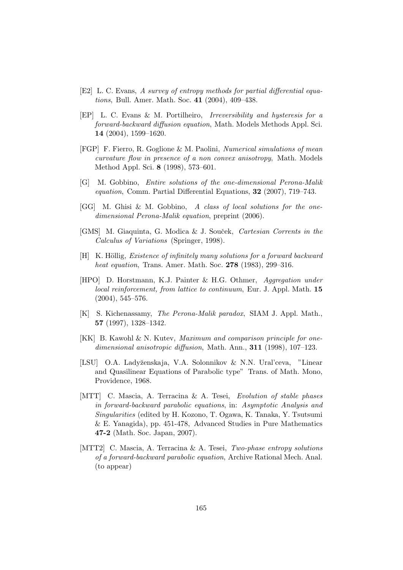- [E2] L. C. Evans, A survey of entropy methods for partial differential equations, Bull. Amer. Math. Soc. 41 (2004), 409–438.
- [EP] L. C. Evans & M. Portilheiro, Irreversibility and hysteresis for a forward-backward diffusion equation, Math. Models Methods Appl. Sci. 14 (2004), 1599–1620.
- [FGP] F. Fierro, R. Goglione & M. Paolini, Numerical simulations of mean curvature flow in presence of a non convex anisotropy, Math. Models Method Appl. Sci. 8 (1998), 573–601.
- [G] M. Gobbino, Entire solutions of the one-dimensional Perona-Malik equation, Comm. Partial Differential Equations, 32 (2007), 719–743.
- [GG] M. Ghisi & M. Gobbino, A class of local solutions for the onedimensional Perona-Malik equation, preprint (2006).
- [GMS] M. Giaquinta, G. Modica & J. Souček, Cartesian Corrents in the Calculus of Variations (Springer, 1998).
- $[H]$  K. Höllig, *Existence of infinitely many solutions for a forward backward* heat equation, Trans. Amer. Math. Soc. **278** (1983), 299-316.
- [HPO] D. Horstmann, K.J. Painter & H.G. Othmer, Aggregation under local reinforcement, from lattice to continuum, Eur. J. Appl. Math. 15 (2004), 545–576.
- [K] S. Kichenassamy, The Perona-Malik paradox, SIAM J. Appl. Math., 57 (1997), 1328–1342.
- [KK] B. Kawohl & N. Kutev, Maximum and comparison principle for onedimensional anisotropic diffusion, Math. Ann., 311 (1998), 107–123.
- [LSU] O.A. Ladyženskaja, V.A. Solonnikov & N.N. Ural'ceva, "Linear" and Quasilinear Equations of Parabolic type" Trans. of Math. Mono, Providence, 1968.
- [MTT] C. Mascia, A. Terracina & A. Tesei, Evolution of stable phases in forward-backward parabolic equations, in: Asymptotic Analysis and Singularities (edited by H. Kozono, T. Ogawa, K. Tanaka, Y. Tsutsumi & E. Yanagida), pp. 451-478, Advanced Studies in Pure Mathematics 47-2 (Math. Soc. Japan, 2007).
- [MTT2] C. Mascia, A. Terracina & A. Tesei, Two-phase entropy solutions of a forward-backward parabolic equation, Archive Rational Mech. Anal. (to appear)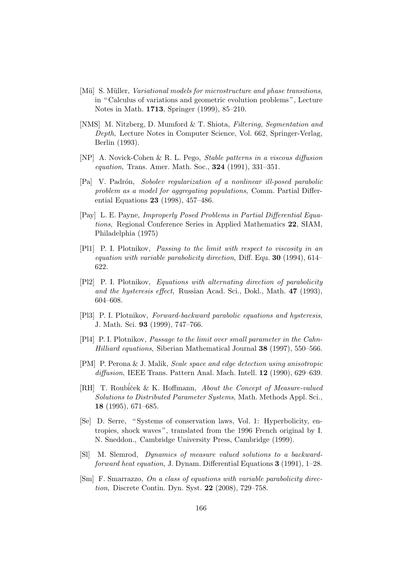- [Mü] S. Müller, *Variational models for microstructure and phase transitions*, in " Calculus of variations and geometric evolution problems ", Lecture Notes in Math. 1713, Springer (1999), 85–210.
- [NMS] M. Nitzberg, D. Mumford & T. Shiota, Filtering, Segmentation and Depth, Lecture Notes in Computer Science, Vol. 662, Springer-Verlag, Berlin (1993).
- [NP] A. Novick-Cohen & R. L. Pego, Stable patterns in a viscous diffusion equation, Trans. Amer. Math. Soc., **324** (1991), 331-351.
- [Pa] V. Padr´on, Sobolev regularization of a nonlinear ill-posed parabolic problem as a model for aggregating populations, Comm. Partial Differential Equations 23 (1998), 457–486.
- [Pay] L. E. Payne, Improperly Posed Problems in Partial Differential Equations, Regional Conference Series in Applied Mathematics 22, SIAM, Philadelphia (1975)
- [Pl1] P. I. Plotnikov, Passing to the limit with respect to viscosity in an equation with variable parabolicity direction, Diff. Equ. **30** (1994), 614– 622.
- [Pl2] P. I. Plotnikov, Equations with alternating direction of parabolicity and the hysteresis effect, Russian Acad. Sci., Dokl., Math. 47 (1993), 604–608.
- [Pl3] P. I. Plotnikov, Forward-backward parabolic equations and hysteresis, J. Math. Sci. 93 (1999), 747–766.
- [Pl4] P. I. Plotnikov, Passage to the limit over small parameter in the Cahn-Hilliard equations, Siberian Mathematical Journal 38 (1997), 550–566.
- [PM] P. Perona & J. Malik, Scale space and edge detection using anisotropic diffusion, IEEE Trans. Pattern Anal. Mach. Intell. **12** (1990), 629–639.
- [RH] T. Roubiček & K. Hoffmann, About the Concept of Measure-valued Solutions to Distributed Parameter Systems, Math. Methods Appl. Sci., 18 (1995), 671–685.
- [Se] D. Serre, " Systems of conservation laws, Vol. 1: Hyperbolicity, entropies, shock waves ", translated from the 1996 French original by I. N. Sneddon., Cambridge University Press, Cambridge (1999).
- [Sl] M. Slemrod, Dynamics of measure valued solutions to a backwardforward heat equation, J. Dynam. Differential Equations 3 (1991), 1–28.
- [Sm] F. Smarrazzo, On a class of equations with variable parabolicity direction, Discrete Contin. Dyn. Syst. 22 (2008), 729–758.